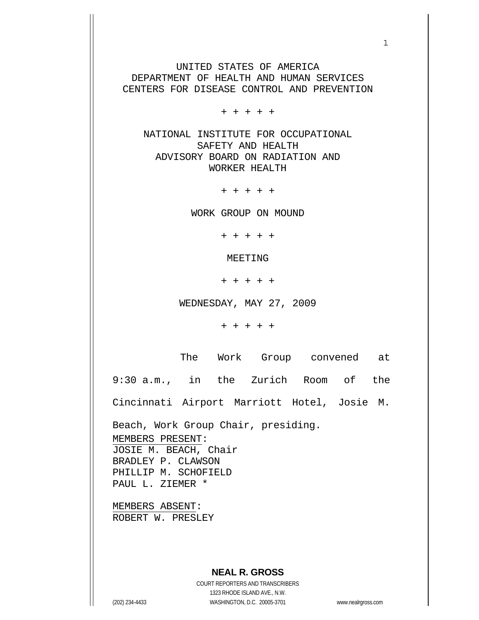UNITED STATES OF AMERICA DEPARTMENT OF HEALTH AND HUMAN SERVICES CENTERS FOR DISEASE CONTROL AND PREVENTION

+ + + + +

 NATIONAL INSTITUTE FOR OCCUPATIONAL SAFETY AND HEALTH ADVISORY BOARD ON RADIATION AND WORKER HEALTH

+ + + + +

WORK GROUP ON MOUND

+ + + + +

MEETING

+ + + + +

WEDNESDAY, MAY 27, 2009

+ + + + +

The Work Group convened at

9:30 a.m., in the Zurich Room of the

Cincinnati Airport Marriott Hotel, Josie M.

Beach, Work Group Chair, presiding. MEMBERS PRESENT: JOSIE M. BEACH, Chair BRADLEY P. CLAWSON PHILLIP M. SCHOFIELD PAUL L. ZIEMER \*

MEMBERS ABSENT: ROBERT W. PRESLEY

## **NEAL R. GROSS**

COURT REPORTERS AND TRANSCRIBERS 1323 RHODE ISLAND AVE., N.W. (202) 234-4433 WASHINGTON, D.C. 20005-3701 www.nealrgross.com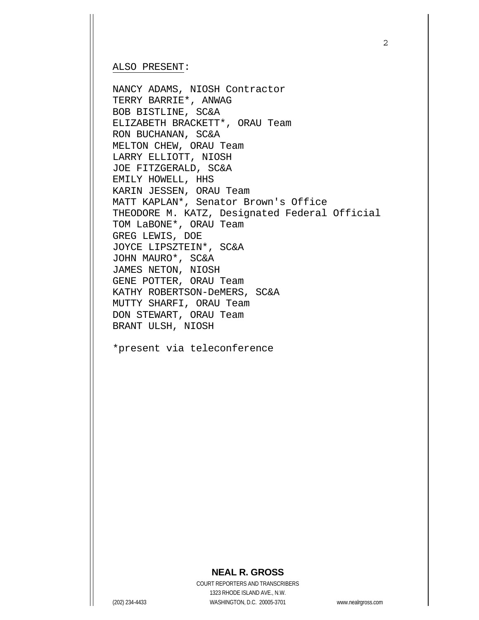#### ALSO PRESENT:

NANCY ADAMS, NIOSH Contractor TERRY BARRIE\*, ANWAG BOB BISTLINE, SC&A ELIZABETH BRACKETT\*, ORAU Team RON BUCHANAN, SC&A MELTON CHEW, ORAU Team LARRY ELLIOTT, NIOSH JOE FITZGERALD, SC&A EMILY HOWELL, HHS KARIN JESSEN, ORAU Team MATT KAPLAN\*, Senator Brown's Office THEODORE M. KATZ, Designated Federal Official TOM LaBONE\*, ORAU Team GREG LEWIS, DOE JOYCE LIPSZTEIN\*, SC&A JOHN MAURO\*, SC&A JAMES NETON, NIOSH GENE POTTER, ORAU Team KATHY ROBERTSON-DeMERS, SC&A MUTTY SHARFI, ORAU Team DON STEWART, ORAU Team BRANT ULSH, NIOSH

\*present via teleconference

#### **NEAL R. GROSS**

COURT REPORTERS AND TRANSCRIBERS 1323 RHODE ISLAND AVE., N.W. (202) 234-4433 WASHINGTON, D.C. 20005-3701 www.nealrgross.com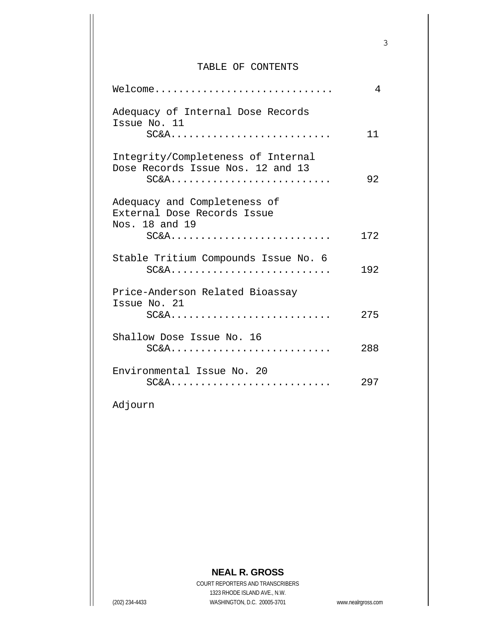### TABLE OF CONTENTS

3

| Welcome                                                                                 | 4   |
|-----------------------------------------------------------------------------------------|-----|
| Adequacy of Internal Dose Records<br>Issue No. 11<br>$SC&A$                             | 11  |
| Integrity/Completeness of Internal<br>Dose Records Issue Nos. 12 and 13<br>$SC&A$       | 92  |
| Adequacy and Completeness of<br>External Dose Records Issue<br>Nos. 18 and 19<br>$SC&A$ | 172 |
|                                                                                         |     |
| Stable Tritium Compounds Issue No. 6<br>$SC&A$                                          | 192 |
| Price-Anderson Related Bioassay                                                         |     |
| Issue No. 21<br>$SC&A$                                                                  | 275 |
| Shallow Dose Issue No. 16<br>$SC&A$                                                     | 288 |
| Environmental Issue No. 20<br>$SC&A$                                                    | 297 |

Adjourn

# **NEAL R. GROSS**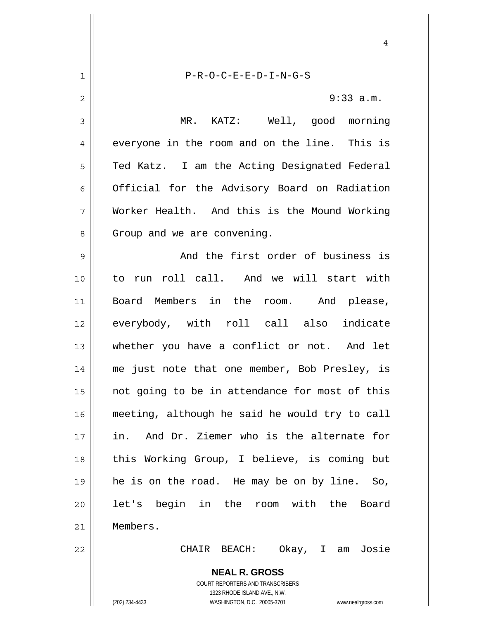**NEAL R. GROSS** COURT REPORTERS AND TRANSCRIBERS 1 2 3 4 5 6 7 8 9 10 11 12 13 14 15 16 17 18 19 20 21 22 P-R-O-C-E-E-D-I-N-G-S 9:33 a.m. MR. KATZ: Well, good morning everyone in the room and on the line. This is Ted Katz. I am the Acting Designated Federal Official for the Advisory Board on Radiation Worker Health. And this is the Mound Working Group and we are convening. And the first order of business is to run roll call. And we will start with Board Members in the room. And please, everybody, with roll call also indicate whether you have a conflict or not. And let me just note that one member, Bob Presley, is not going to be in attendance for most of this meeting, although he said he would try to call in. And Dr. Ziemer who is the alternate for this Working Group, I believe, is coming but he is on the road. He may be on by line. So, let's begin in the room with the Board Members. CHAIR BEACH: Okay, I am Josie

4

1323 RHODE ISLAND AVE., N.W.

(202) 234-4433 WASHINGTON, D.C. 20005-3701 www.nealrgross.com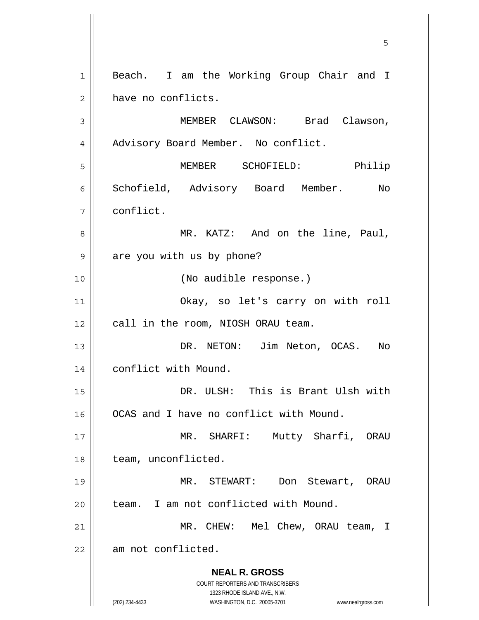**NEAL R. GROSS** COURT REPORTERS AND TRANSCRIBERS 1323 RHODE ISLAND AVE., N.W. (202) 234-4433 WASHINGTON, D.C. 20005-3701 www.nealrgross.com  $\sim$  5  $\sim$  5  $\sim$  5  $\sim$  5  $\sim$  5  $\sim$  5  $\sim$  5  $\sim$  5  $\sim$  5  $\sim$  5  $\sim$  5  $\sim$  5  $\sim$  5  $\sim$  5  $\sim$  5  $\sim$  5  $\sim$  5  $\sim$  5  $\sim$  5  $\sim$  5  $\sim$  5  $\sim$  5  $\sim$  5  $\sim$  5  $\sim$  5  $\sim$  5  $\sim$  5  $\sim$  5  $\sim$  5  $\sim$  5  $\sim$  5  $\sim$ 1 2 3 4 5 6 7 8 9 10 11 12 13 14 15 16 17 18 19 20 21 22 Beach. I am the Working Group Chair and I have no conflicts. MEMBER CLAWSON: Brad Clawson, Advisory Board Member. No conflict. MEMBER SCHOFIELD: Philip Schofield, Advisory Board Member. No conflict. MR. KATZ: And on the line, Paul, are you with us by phone? (No audible response.) Okay, so let's carry on with roll call in the room, NIOSH ORAU team. DR. NETON: Jim Neton, OCAS. No conflict with Mound. DR. ULSH: This is Brant Ulsh with OCAS and I have no conflict with Mound. MR. SHARFI: Mutty Sharfi, ORAU team, unconflicted. MR. STEWART: Don Stewart, ORAU team. I am not conflicted with Mound. MR. CHEW: Mel Chew, ORAU team, I am not conflicted.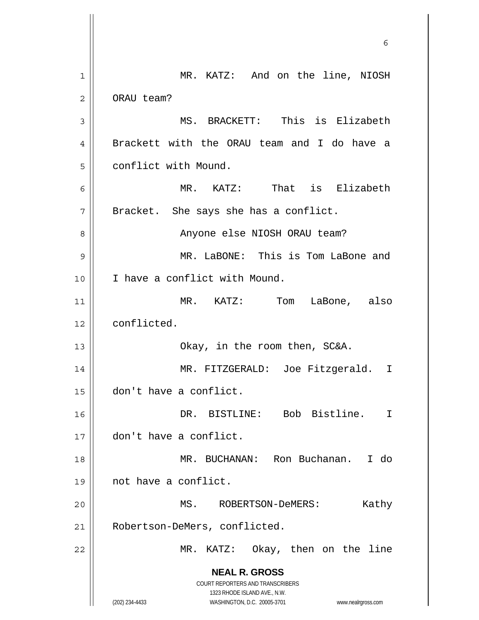**NEAL R. GROSS** COURT REPORTERS AND TRANSCRIBERS 1323 RHODE ISLAND AVE., N.W. (202) 234-4433 WASHINGTON, D.C. 20005-3701 www.nealrgross.com  $\sim$  6 1 2 3 4 5 6 7 8 9 10 11 12 13 14 15 16 17 18 19 20 21 22 MR. KATZ: And on the line, NIOSH ORAU team? MS. BRACKETT: This is Elizabeth Brackett with the ORAU team and I do have a conflict with Mound. MR. KATZ: That is Elizabeth Bracket. She says she has a conflict. Anyone else NIOSH ORAU team? MR. LaBONE: This is Tom LaBone and I have a conflict with Mound. MR. KATZ: Tom LaBone, also conflicted. Okay, in the room then, SC&A. MR. FITZGERALD: Joe Fitzgerald. I don't have a conflict. DR. BISTLINE: Bob Bistline. I don't have a conflict. MR. BUCHANAN: Ron Buchanan. I do not have a conflict. MS. ROBERTSON-DeMERS: Kathy Robertson-DeMers, conflicted. MR. KATZ: Okay, then on the line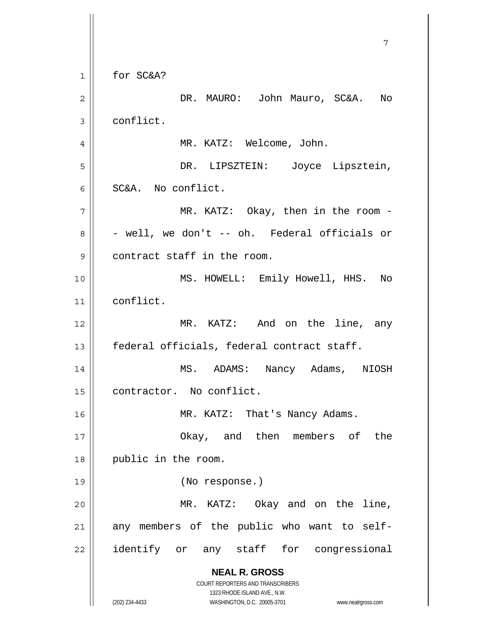**NEAL R. GROSS** COURT REPORTERS AND TRANSCRIBERS 1323 RHODE ISLAND AVE., N.W. (202) 234-4433 WASHINGTON, D.C. 20005-3701 www.nealrgross.com 7 1 2 3 4 5 6 7 8 9 10 11 12 13 14 15 16 17 18 19 20 21 22 for SC&A? DR. MAURO: John Mauro, SC&A. No conflict. MR. KATZ: Welcome, John. DR. LIPSZTEIN: Joyce Lipsztein, SC&A. No conflict. MR. KATZ: Okay, then in the room - - well, we don't -- oh. Federal officials or contract staff in the room. MS. HOWELL: Emily Howell, HHS. No conflict. MR. KATZ: And on the line, any federal officials, federal contract staff. MS. ADAMS: Nancy Adams, NIOSH contractor. No conflict. MR. KATZ: That's Nancy Adams. Okay, and then members of the public in the room. (No response.) MR. KATZ: Okay and on the line, any members of the public who want to selfidentify or any staff for congressional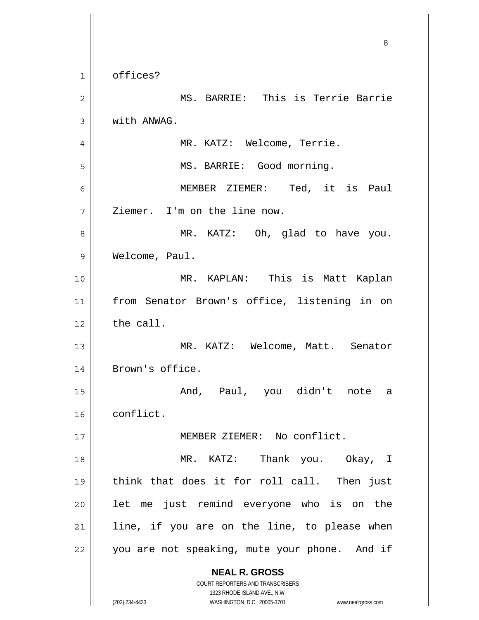**NEAL R. GROSS** COURT REPORTERS AND TRANSCRIBERS 1323 RHODE ISLAND AVE., N.W. (202) 234-4433 WASHINGTON, D.C. 20005-3701 www.nealrgross.com <u>83 - Santa Carlos de Santa Carlos de Santa Carlos de Santa Carlos de Santa Carlos de Santa Carlos de Santa Ca</u> 1 2 3 4 5 6 7 8 9 10 11 12 13 14 15 16 17 18 19 20 21 22 offices? MS. BARRIE: This is Terrie Barrie with ANWAG. MR. KATZ: Welcome, Terrie. MS. BARRIE: Good morning. MEMBER ZIEMER: Ted, it is Paul Ziemer. I'm on the line now. MR. KATZ: Oh, glad to have you. Welcome, Paul. MR. KAPLAN: This is Matt Kaplan from Senator Brown's office, listening in on the call. MR. KATZ: Welcome, Matt. Senator Brown's office. And, Paul, you didn't note a conflict. MEMBER ZIEMER: No conflict. MR. KATZ: Thank you. Okay, I think that does it for roll call. Then just let me just remind everyone who is on the line, if you are on the line, to please when you are not speaking, mute your phone. And if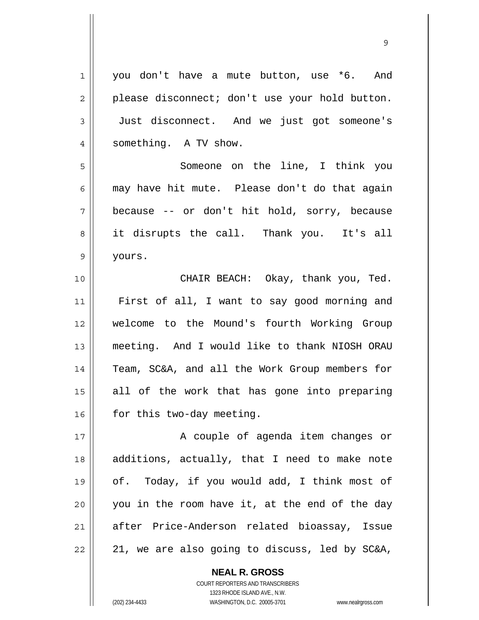| $\mathbf 1$    | you don't have a mute button, use *6. And      |
|----------------|------------------------------------------------|
| 2              | please disconnect; don't use your hold button. |
| $\mathfrak{Z}$ | Just disconnect. And we just got someone's     |
| $\overline{4}$ | something. A TV show.                          |
| 5              | Someone on the line, I think you               |
| 6              | may have hit mute. Please don't do that again  |
| 7              | because -- or don't hit hold, sorry, because   |
| 8              | it disrupts the call. Thank you. It's all      |
| $\mathsf 9$    | yours.                                         |
| 10             | CHAIR BEACH: Okay, thank you, Ted.             |
| 11             | First of all, I want to say good morning and   |
| 12             | welcome to the Mound's fourth Working Group    |
| 13             | meeting. And I would like to thank NIOSH ORAU  |
| 14             | Team, SC&A, and all the Work Group members for |
| 15             | all of the work that has gone into preparing   |
| 16             | for this two-day meeting.                      |
| 17             | A couple of agenda item changes or             |
| 18             | additions, actually, that I need to make note  |
| 19             | of. Today, if you would add, I think most of   |
| 20             | you in the room have it, at the end of the day |
| 21             | after Price-Anderson related bioassay, Issue   |
| 22             | 21, we are also going to discuss, led by SC&A, |

9

**NEAL R. GROSS** COURT REPORTERS AND TRANSCRIBERS

1323 RHODE ISLAND AVE., N.W.

(202) 234-4433 WASHINGTON, D.C. 20005-3701 www.nealrgross.com

 $\mathsf{I}$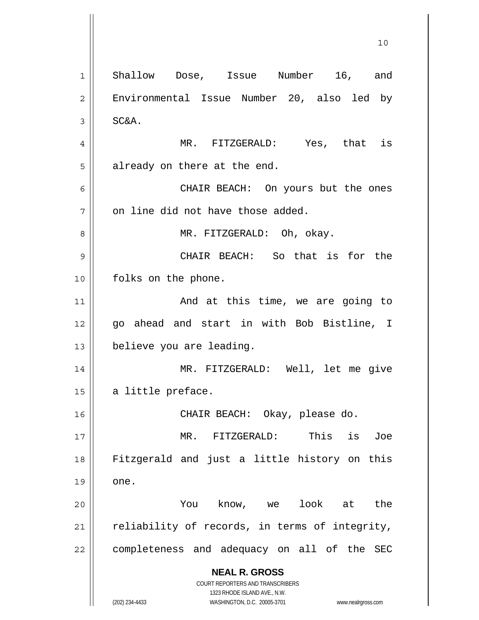**NEAL R. GROSS** COURT REPORTERS AND TRANSCRIBERS 1323 RHODE ISLAND AVE., N.W. (202) 234-4433 WASHINGTON, D.C. 20005-3701 www.nealrgross.com 10 1 2 3 4 5 6 7 8 9 10 11 12 13 14 15 16 17 18 19 20 21 22 Shallow Dose, Issue Number 16, and Environmental Issue Number 20, also led by SC&A. MR. FITZGERALD: Yes, that is already on there at the end. CHAIR BEACH: On yours but the ones on line did not have those added. MR. FITZGERALD: Oh, okay. CHAIR BEACH: So that is for the folks on the phone. And at this time, we are going to go ahead and start in with Bob Bistline, I believe you are leading. MR. FITZGERALD: Well, let me give a little preface. CHAIR BEACH: Okay, please do. MR. FITZGERALD: This is Joe Fitzgerald and just a little history on this one. You know, we look at the reliability of records, in terms of integrity, completeness and adequacy on all of the SEC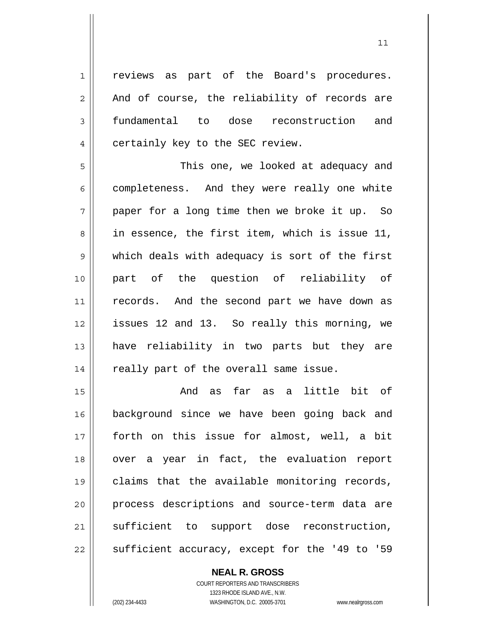1 2 3 4 reviews as part of the Board's procedures. And of course, the reliability of records are fundamental to dose reconstruction and certainly key to the SEC review.

5 6 7 8 9 10 11 12 13 14 This one, we looked at adequacy and completeness. And they were really one white paper for a long time then we broke it up. So in essence, the first item, which is issue 11, which deals with adequacy is sort of the first part of the question of reliability of records. And the second part we have down as issues 12 and 13. So really this morning, we have reliability in two parts but they are really part of the overall same issue.

15 16 17 18 19 20 21 22 And as far as a little bit of background since we have been going back and forth on this issue for almost, well, a bit over a year in fact, the evaluation report claims that the available monitoring records, process descriptions and source-term data are sufficient to support dose reconstruction, sufficient accuracy, except for the '49 to '59

> **NEAL R. GROSS** COURT REPORTERS AND TRANSCRIBERS 1323 RHODE ISLAND AVE., N.W. (202) 234-4433 WASHINGTON, D.C. 20005-3701 www.nealrgross.com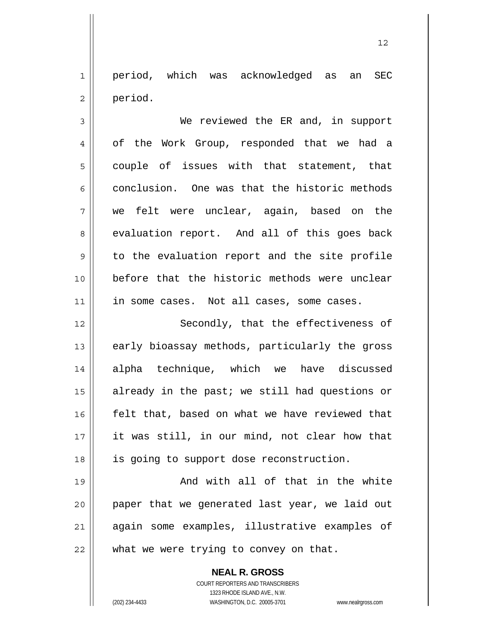1 2 period, which was acknowledged as an SEC period.

3 4 5 6 7 8 9 10 11 12 We reviewed the ER and, in support of the Work Group, responded that we had a couple of issues with that statement, that conclusion. One was that the historic methods we felt were unclear, again, based on the evaluation report. And all of this goes back to the evaluation report and the site profile before that the historic methods were unclear in some cases. Not all cases, some cases. Secondly, that the effectiveness of

13 14 15 16 17 18 early bioassay methods, particularly the gross alpha technique, which we have discussed already in the past; we still had questions or felt that, based on what we have reviewed that it was still, in our mind, not clear how that is going to support dose reconstruction.

19 20 21 22 And with all of that in the white paper that we generated last year, we laid out again some examples, illustrative examples of what we were trying to convey on that.

> **NEAL R. GROSS** COURT REPORTERS AND TRANSCRIBERS 1323 RHODE ISLAND AVE., N.W. (202) 234-4433 WASHINGTON, D.C. 20005-3701 www.nealrgross.com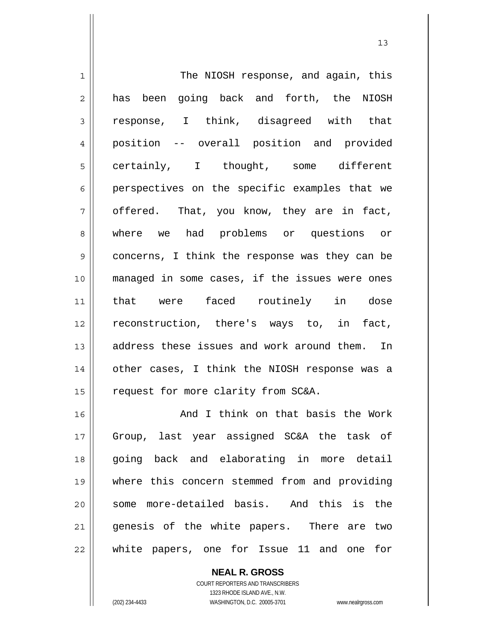| $\mathbf 1$    | The NIOSH response, and again, this            |
|----------------|------------------------------------------------|
| $\overline{2}$ | has been going back and forth, the NIOSH       |
| 3              | response, I think, disagreed with that         |
| $\overline{4}$ | position -- overall position and provided      |
| 5              | certainly, I thought, some different           |
| 6              | perspectives on the specific examples that we  |
| 7              | offered. That, you know, they are in fact,     |
| 8              | where we had problems or questions or          |
| $\mathsf 9$    | concerns, I think the response was they can be |
| 10             | managed in some cases, if the issues were ones |
| 11             | that were faced routinely in dose              |
| 12             | reconstruction, there's ways to, in fact,      |
| 13             | address these issues and work around them. In  |
| 14             | other cases, I think the NIOSH response was a  |
| 15             | request for more clarity from SC&A.            |
| 16             | And I think on that basis the Work             |
| 17             | Group, last year assigned SC&A the task of     |
| 18             | going back and elaborating in more detail      |
| 19             | where this concern stemmed from and providing  |
| 20             | some more-detailed basis. And this is the      |
| 21             | genesis of the white papers. There are two     |
| 22             | white papers, one for Issue 11 and one<br>for  |

**NEAL R. GROSS** COURT REPORTERS AND TRANSCRIBERS

1323 RHODE ISLAND AVE., N.W.

 $\mathsf{II}$ 

(202) 234-4433 WASHINGTON, D.C. 20005-3701 www.nealrgross.com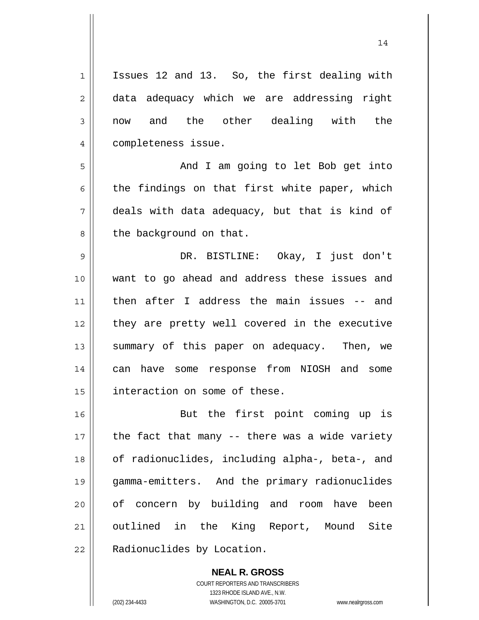2 3 4 5 6 7 8 9 10 11 12 13 14 15 16 17 18 19 20 21 22 Issues 12 and 13. So, the first dealing with data adequacy which we are addressing right now and the other dealing with the completeness issue. And I am going to let Bob get into the findings on that first white paper, which deals with data adequacy, but that is kind of the background on that. DR. BISTLINE: Okay, I just don't want to go ahead and address these issues and then after I address the main issues -- and they are pretty well covered in the executive summary of this paper on adequacy. Then, we can have some response from NIOSH and some interaction on some of these. But the first point coming up is the fact that many -- there was a wide variety of radionuclides, including alpha-, beta-, and gamma-emitters. And the primary radionuclides of concern by building and room have been outlined in the King Report, Mound Site Radionuclides by Location.

14

**NEAL R. GROSS** COURT REPORTERS AND TRANSCRIBERS 1323 RHODE ISLAND AVE., N.W. (202) 234-4433 WASHINGTON, D.C. 20005-3701 www.nealrgross.com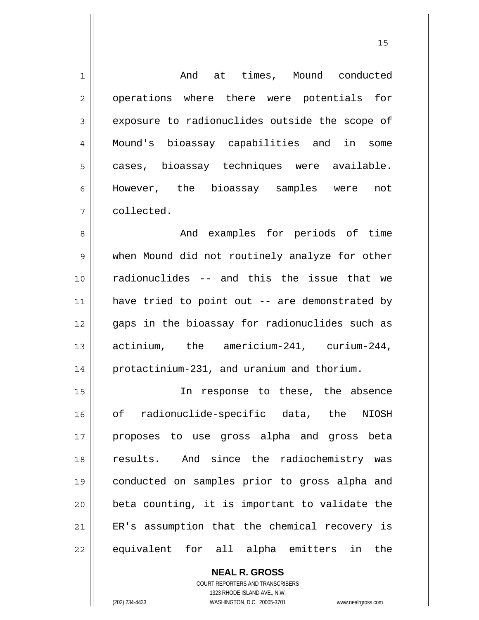| $\mathbf 1$    | And at times, Mound conducted                  |
|----------------|------------------------------------------------|
| 2              | operations where there were potentials for     |
| 3              | exposure to radionuclides outside the scope of |
| $\overline{4}$ | Mound's bioassay capabilities and in some      |
| 5              | cases, bioassay techniques were available.     |
| 6              | However, the bioassay samples were<br>not      |
| 7              | collected.                                     |
| 8              | And examples for periods of time               |
| $\mathsf 9$    | when Mound did not routinely analyze for other |
| 10             | radionuclides -- and this the issue that we    |
| 11             | have tried to point out -- are demonstrated by |
| 12             | gaps in the bioassay for radionuclides such as |
| 13             | actinium, the americium-241, curium-244,       |
| 14             | protactinium-231, and uranium and thorium.     |
| 15             | In response to these, the absence              |
| 16             | of radionuclide-specific data, the NIOSH       |
| 17             | proposes to use gross alpha and gross beta     |
| 18             | results. And since the radiochemistry was      |
| 19             | conducted on samples prior to gross alpha and  |
| 20             | beta counting, it is important to validate the |
| 21             | ER's assumption that the chemical recovery is  |
| 22             | equivalent for all alpha emitters in the       |

15

**NEAL R. GROSS** COURT REPORTERS AND TRANSCRIBERS 1323 RHODE ISLAND AVE., N.W.

 $\mathsf{II}$ 

(202) 234-4433 WASHINGTON, D.C. 20005-3701 www.nealrgross.com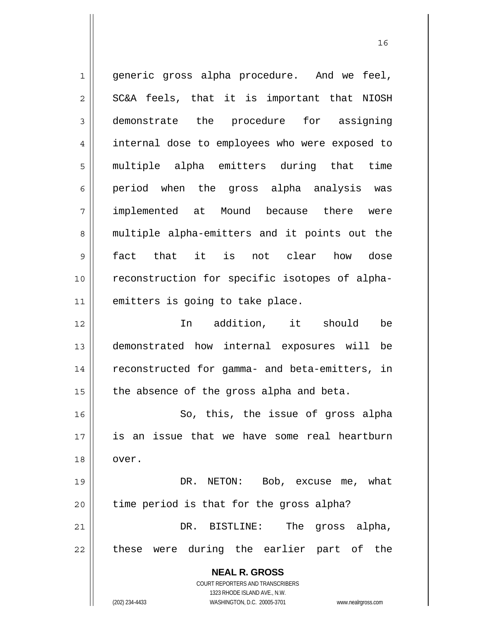**NEAL R. GROSS** COURT REPORTERS AND TRANSCRIBERS 1323 RHODE ISLAND AVE., N.W. 1 2 3 4 5 6 7 8 9 10 11 12 13 14 15 16 17 18 19 20 21 22 generic gross alpha procedure. And we feel, SC&A feels, that it is important that NIOSH demonstrate the procedure for assigning internal dose to employees who were exposed to multiple alpha emitters during that time period when the gross alpha analysis was implemented at Mound because there were multiple alpha-emitters and it points out the fact that it is not clear how dose reconstruction for specific isotopes of alphaemitters is going to take place. In addition, it should be demonstrated how internal exposures will be reconstructed for gamma- and beta-emitters, in the absence of the gross alpha and beta. So, this, the issue of gross alpha is an issue that we have some real heartburn over. DR. NETON: Bob, excuse me, what time period is that for the gross alpha? DR. BISTLINE: The gross alpha, these were during the earlier part of the

(202) 234-4433 WASHINGTON, D.C. 20005-3701 www.nealrgross.com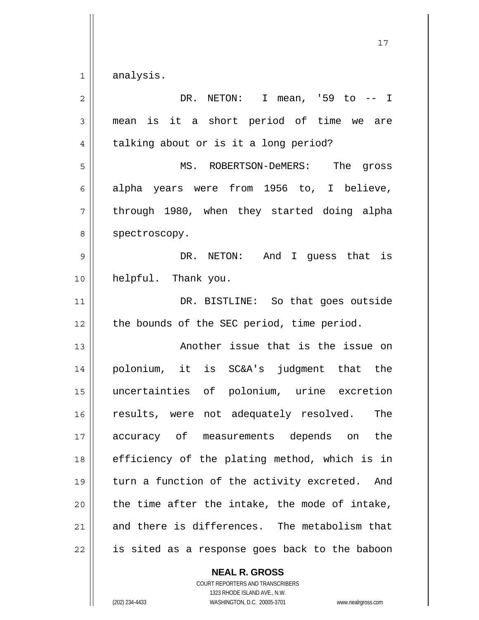1 analysis.

| $\overline{2}$ | DR. NETON: I mean, '59 to -- I                   |
|----------------|--------------------------------------------------|
| 3              | is it a short period of time we are<br>mean      |
| 4              | talking about or is it a long period?            |
| 5              | MS. ROBERTSON-DeMERS: The gross                  |
| 6              | alpha years were from 1956 to, I believe,        |
| 7              | through 1980, when they started doing alpha      |
| 8              | spectroscopy.                                    |
| 9              | DR. NETON: And I guess that is                   |
| 10             | helpful. Thank you.                              |
| 11             | DR. BISTLINE: So that goes outside               |
| 12             | the bounds of the SEC period, time period.       |
| 13             | Another issue that is the issue on               |
| 14             | polonium, it is SC&A's judgment that the         |
| 15             | uncertainties of polonium, urine excretion       |
| 16             | results, were not adequately resolved.<br>The    |
| 17             | accuracy of measurements depends on the          |
| 18             | efficiency of the plating method, which is in    |
| 19             | turn a function of the activity excreted.<br>And |
| 20             | the time after the intake, the mode of intake,   |
| 21             | and there is differences. The metabolism that    |
| 22             | is sited as a response goes back to the baboon   |

**NEAL R. GROSS** COURT REPORTERS AND TRANSCRIBERS 1323 RHODE ISLAND AVE., N.W.

(202) 234-4433 WASHINGTON, D.C. 20005-3701 www.nealrgross.com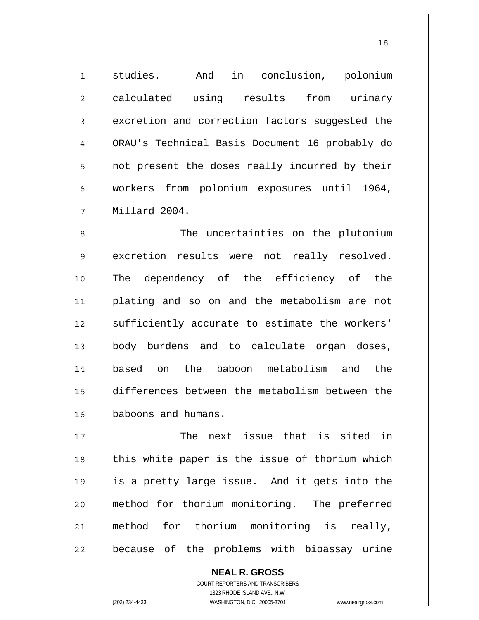1 2 3 4 5 6 7 studies. And in conclusion, polonium calculated using results from urinary excretion and correction factors suggested the ORAU's Technical Basis Document 16 probably do not present the doses really incurred by their workers from polonium exposures until 1964, Millard 2004.

8 9 10 11 12 13 14 15 16 The uncertainties on the plutonium excretion results were not really resolved. The dependency of the efficiency of the plating and so on and the metabolism are not sufficiently accurate to estimate the workers' body burdens and to calculate organ doses, based on the baboon metabolism and the differences between the metabolism between the baboons and humans.

17 18 19 20 21 22 The next issue that is sited in this white paper is the issue of thorium which is a pretty large issue. And it gets into the method for thorium monitoring. The preferred method for thorium monitoring is really, because of the problems with bioassay urine

> COURT REPORTERS AND TRANSCRIBERS 1323 RHODE ISLAND AVE., N.W. (202) 234-4433 WASHINGTON, D.C. 20005-3701 www.nealrgross.com

**NEAL R. GROSS**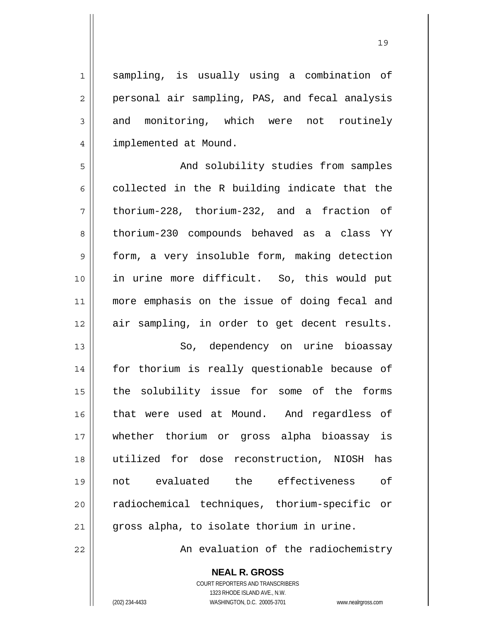sampling, is usually using a combination of personal air sampling, PAS, and fecal analysis and monitoring, which were not routinely implemented at Mound.

5 6 7 8 9 10 11 12 And solubility studies from samples collected in the R building indicate that the thorium-228, thorium-232, and a fraction of thorium-230 compounds behaved as a class YY form, a very insoluble form, making detection in urine more difficult. So, this would put more emphasis on the issue of doing fecal and air sampling, in order to get decent results.

13 14 15 16 17 18 19 20 21 So, dependency on urine bioassay for thorium is really questionable because of the solubility issue for some of the forms that were used at Mound. And regardless of whether thorium or gross alpha bioassay is utilized for dose reconstruction, NIOSH has not evaluated the effectiveness of radiochemical techniques, thorium-specific or gross alpha, to isolate thorium in urine.

An evaluation of the radiochemistry

**NEAL R. GROSS**

COURT REPORTERS AND TRANSCRIBERS 1323 RHODE ISLAND AVE., N.W. (202) 234-4433 WASHINGTON, D.C. 20005-3701 www.nealrgross.com

22

1

2

3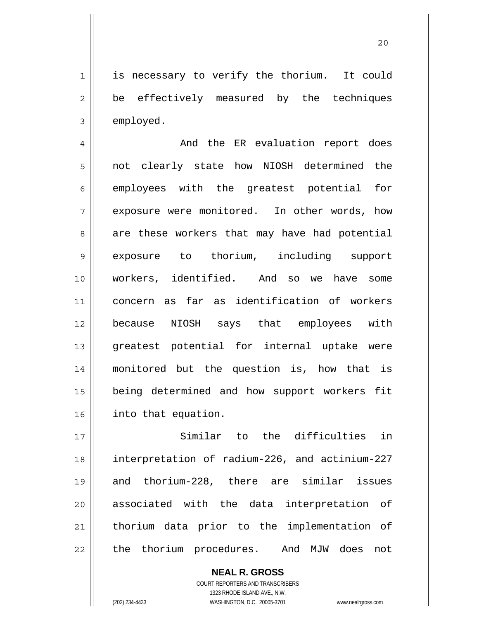1 2 3 is necessary to verify the thorium. It could be effectively measured by the techniques employed.

4 5 6 7 8 9 10 11 12 13 14 15 16 And the ER evaluation report does not clearly state how NIOSH determined the employees with the greatest potential for exposure were monitored. In other words, how are these workers that may have had potential exposure to thorium, including support workers, identified. And so we have some concern as far as identification of workers because NIOSH says that employees with greatest potential for internal uptake were monitored but the question is, how that is being determined and how support workers fit into that equation.

17 18 19 20 21 22 Similar to the difficulties in interpretation of radium-226, and actinium-227 and thorium-228, there are similar issues associated with the data interpretation of thorium data prior to the implementation of the thorium procedures. And MJW does not

> **NEAL R. GROSS** COURT REPORTERS AND TRANSCRIBERS 1323 RHODE ISLAND AVE., N.W. (202) 234-4433 WASHINGTON, D.C. 20005-3701 www.nealrgross.com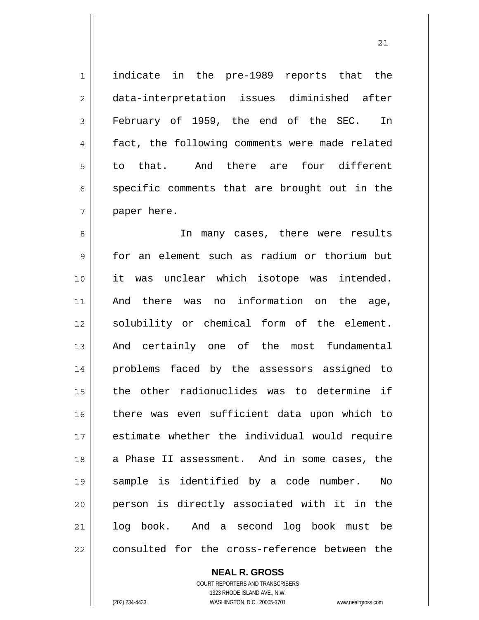1 2 3 4 5 6 7 indicate in the pre-1989 reports that the data-interpretation issues diminished after February of 1959, the end of the SEC. In fact, the following comments were made related to that. And there are four different specific comments that are brought out in the paper here.

8 9 10 11 12 13 14 15 16 17 18 19 20 21 22 In many cases, there were results for an element such as radium or thorium but it was unclear which isotope was intended. And there was no information on the age, solubility or chemical form of the element. And certainly one of the most fundamental problems faced by the assessors assigned to the other radionuclides was to determine if there was even sufficient data upon which to estimate whether the individual would require a Phase II assessment. And in some cases, the sample is identified by a code number. No person is directly associated with it in the log book. And a second log book must be consulted for the cross-reference between the

**NEAL R. GROSS**

COURT REPORTERS AND TRANSCRIBERS 1323 RHODE ISLAND AVE., N.W. (202) 234-4433 WASHINGTON, D.C. 20005-3701 www.nealrgross.com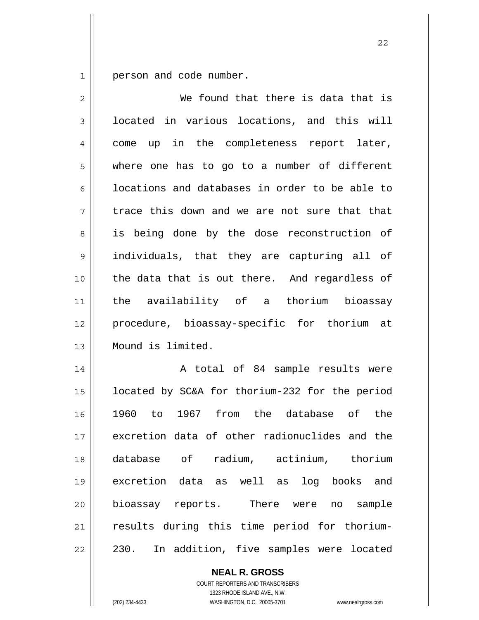1 person and code number.

| $\overline{2}$ | We found that there is data that is            |
|----------------|------------------------------------------------|
| 3              | located in various locations, and this will    |
| 4              | up in the completeness report later,<br>come   |
| 5              | where one has to go to a number of different   |
| 6              | locations and databases in order to be able to |
| 7              | trace this down and we are not sure that that  |
| 8              | is being done by the dose reconstruction of    |
| $\mathsf{S}$   | individuals, that they are capturing all of    |
| 10             | the data that is out there. And regardless of  |
| 11             | the availability of a thorium bioassay         |
| 12             | procedure, bioassay-specific for thorium at    |
| 13             | Mound is limited.                              |
| 14             | A total of 84 sample results were              |
| 15             | located by SC&A for thorium-232 for the period |
| 16             | 1967 from the database of the<br>1960<br>to    |
| 17             | excretion data of other radionuclides and the  |
| 18             | database of radium, actinium, thorium          |
| 19             | excretion data as well as log books and        |
| 20             | bioassay reports. There were no sample         |
| 21             | results during this time period for thorium-   |
| 22             | In addition, five samples were located<br>230. |

**NEAL R. GROSS**

COURT REPORTERS AND TRANSCRIBERS 1323 RHODE ISLAND AVE., N.W. (202) 234-4433 WASHINGTON, D.C. 20005-3701 www.nealrgross.com

 <sup>22</sup>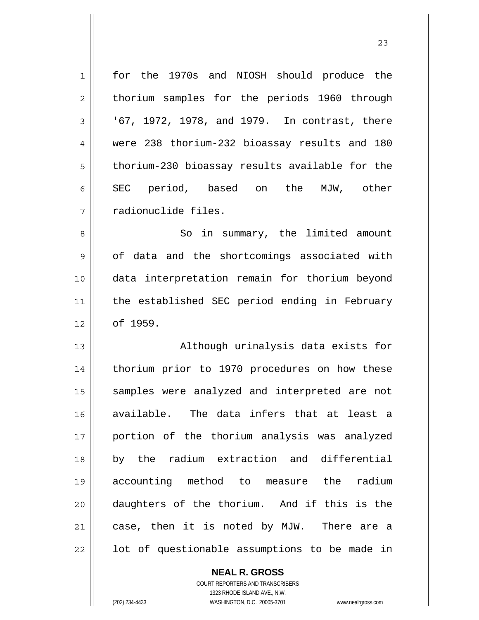| $\mathbf 1$    | for the 1970s and NIOSH should produce the     |
|----------------|------------------------------------------------|
| $\overline{c}$ | thorium samples for the periods 1960 through   |
| 3              | '67, 1972, 1978, and 1979. In contrast, there  |
| $\overline{4}$ | were 238 thorium-232 bioassay results and 180  |
| 5              | thorium-230 bioassay results available for the |
| 6              | SEC period, based on the MJW, other            |
| 7              | radionuclide files.                            |
| 8              | So in summary, the limited amount              |
| $\mathsf 9$    | of data and the shortcomings associated with   |
| 10             | data interpretation remain for thorium beyond  |
| 11             | the established SEC period ending in February  |
| 12             | of 1959.                                       |
| 13             | Although urinalysis data exists for            |
| 14             | thorium prior to 1970 procedures on how these  |
| 15             | samples were analyzed and interpreted are not  |
| 16             | available. The data infers that at least a     |
| 17             | portion of the thorium analysis was analyzed   |
| 18             | by the radium extraction and differential      |
| 19             | accounting method to measure the<br>radium     |
| 20             | daughters of the thorium. And if this is the   |
| 21             | case, then it is noted by MJW. There are a     |
| 22             | lot of questionable assumptions to be made in  |

**NEAL R. GROSS** COURT REPORTERS AND TRANSCRIBERS

1323 RHODE ISLAND AVE., N.W.

 $\mathsf{II}$ 

(202) 234-4433 WASHINGTON, D.C. 20005-3701 www.nealrgross.com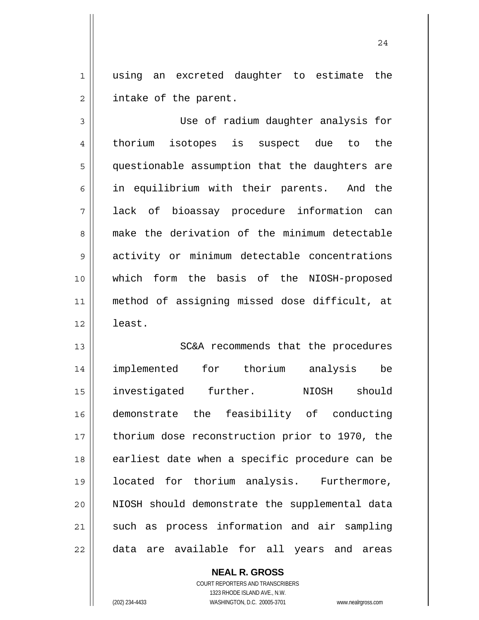1 2 using an excreted daughter to estimate the intake of the parent.

3 4 5 6 7 8 9 10 11 12 Use of radium daughter analysis for thorium isotopes is suspect due to the questionable assumption that the daughters are in equilibrium with their parents. And the lack of bioassay procedure information can make the derivation of the minimum detectable activity or minimum detectable concentrations which form the basis of the NIOSH-proposed method of assigning missed dose difficult, at least.

13 14 15 16 17 18 19 20 21 22 SC&A recommends that the procedures implemented for thorium analysis be investigated further. NIOSH should demonstrate the feasibility of conducting thorium dose reconstruction prior to 1970, the earliest date when a specific procedure can be located for thorium analysis. Furthermore, NIOSH should demonstrate the supplemental data such as process information and air sampling data are available for all years and areas

> **NEAL R. GROSS** COURT REPORTERS AND TRANSCRIBERS 1323 RHODE ISLAND AVE., N.W. (202) 234-4433 WASHINGTON, D.C. 20005-3701 www.nealrgross.com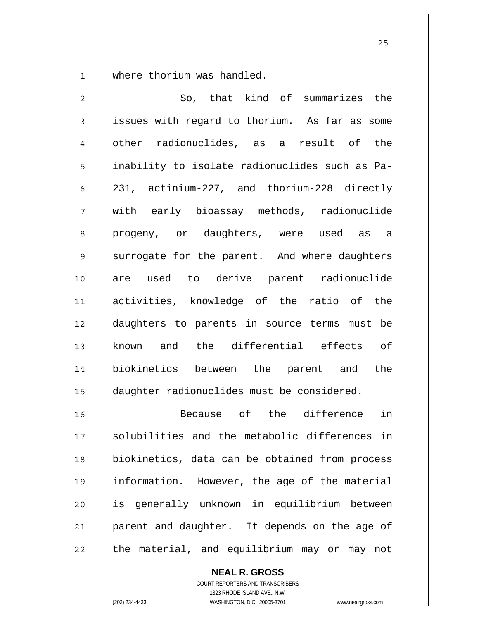1 where thorium was handled.

| $\overline{2}$ | So, that kind of summarizes the                |
|----------------|------------------------------------------------|
| 3              | issues with regard to thorium. As far as some  |
| 4              | other radionuclides, as a result of the        |
| 5              | inability to isolate radionuclides such as Pa- |
| 6              | 231, actinium-227, and thorium-228 directly    |
| 7              | with early bioassay methods, radionuclide      |
| 8              | progeny, or daughters, were used as<br>a a     |
| $\mathsf 9$    | surrogate for the parent. And where daughters  |
| 10             | are used to derive parent radionuclide         |
| 11             | activities, knowledge of the ratio of the      |
| 12             | daughters to parents in source terms must be   |
| 13             | known and the differential effects of          |
| 14             | biokinetics between the parent and the         |
| 15             | daughter radionuclides must be considered.     |
| 16             | in<br>Because of the difference                |
| 17             | solubilities and the metabolic differences in  |
| 18             | biokinetics, data can be obtained from process |
| 19             | information. However, the age of the material  |
| 20             | is generally unknown in equilibrium between    |
| 21             | parent and daughter. It depends on the age of  |
| 22             | the material, and equilibrium may or may not   |

**NEAL R. GROSS**

COURT REPORTERS AND TRANSCRIBERS 1323 RHODE ISLAND AVE., N.W. (202) 234-4433 WASHINGTON, D.C. 20005-3701 www.nealrgross.com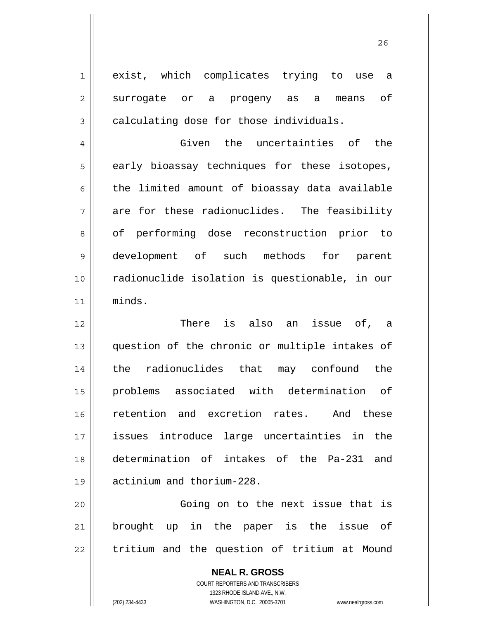exist, which complicates trying to use a surrogate or a progeny as a means of calculating dose for those individuals.

4 5 6 7 8 9 10 11 Given the uncertainties of the early bioassay techniques for these isotopes, the limited amount of bioassay data available are for these radionuclides. The feasibility of performing dose reconstruction prior to development of such methods for parent radionuclide isolation is questionable, in our minds.

12 13 14 15 16 17 18 19 There is also an issue of, a question of the chronic or multiple intakes of the radionuclides that may confound the problems associated with determination of retention and excretion rates. And these issues introduce large uncertainties in the determination of intakes of the Pa-231 and actinium and thorium-228.

20 21 22 Going on to the next issue that is brought up in the paper is the issue of tritium and the question of tritium at Mound

> **NEAL R. GROSS** COURT REPORTERS AND TRANSCRIBERS 1323 RHODE ISLAND AVE., N.W. (202) 234-4433 WASHINGTON, D.C. 20005-3701 www.nealrgross.com

1

2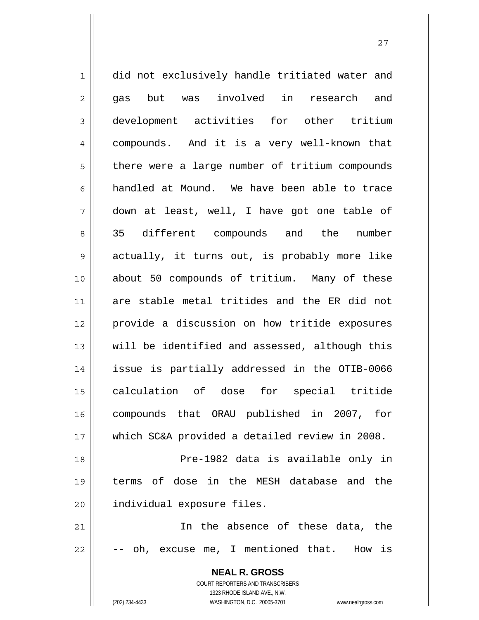1 2 3 4 5 6 7 8 9 10 11 12 13 14 15 16 17 18 19 20 21 22 did not exclusively handle tritiated water and gas but was involved in research and development activities for other tritium compounds. And it is a very well-known that there were a large number of tritium compounds handled at Mound. We have been able to trace down at least, well, I have got one table of 35 different compounds and the number actually, it turns out, is probably more like about 50 compounds of tritium. Many of these are stable metal tritides and the ER did not provide a discussion on how tritide exposures will be identified and assessed, although this issue is partially addressed in the OTIB-0066 calculation of dose for special tritide compounds that ORAU published in 2007, for which SC&A provided a detailed review in 2008. Pre-1982 data is available only in terms of dose in the MESH database and the individual exposure files. In the absence of these data, the oh, excuse me, I mentioned that. How is

> **NEAL R. GROSS** COURT REPORTERS AND TRANSCRIBERS 1323 RHODE ISLAND AVE., N.W. (202) 234-4433 WASHINGTON, D.C. 20005-3701 www.nealrgross.com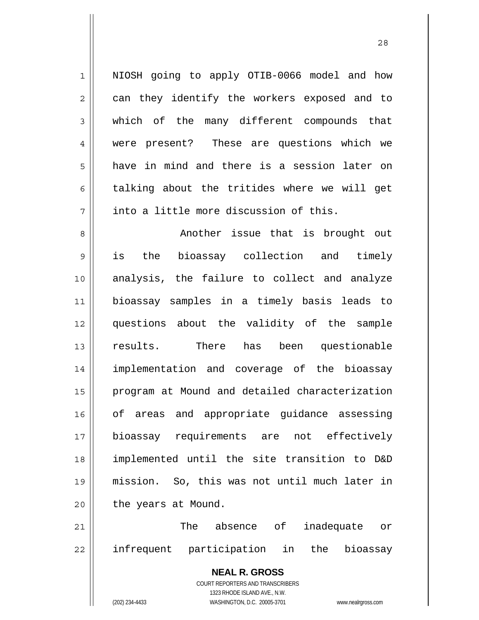NIOSH going to apply OTIB-0066 model and how can they identify the workers exposed and to which of the many different compounds that were present? These are questions which we have in mind and there is a session later on talking about the tritides where we will get into a little more discussion of this.

8 9 10 11 12 13 14 15 16 17 18 19 20 Another issue that is brought out is the bioassay collection and timely analysis, the failure to collect and analyze bioassay samples in a timely basis leads to questions about the validity of the sample results. There has been questionable implementation and coverage of the bioassay program at Mound and detailed characterization of areas and appropriate guidance assessing bioassay requirements are not effectively implemented until the site transition to D&D mission. So, this was not until much later in the years at Mound.

21 22 The absence of inadequate or infrequent participation in the bioassay

> **NEAL R. GROSS** COURT REPORTERS AND TRANSCRIBERS 1323 RHODE ISLAND AVE., N.W. (202) 234-4433 WASHINGTON, D.C. 20005-3701 www.nealrgross.com

1

2

3

4

5

6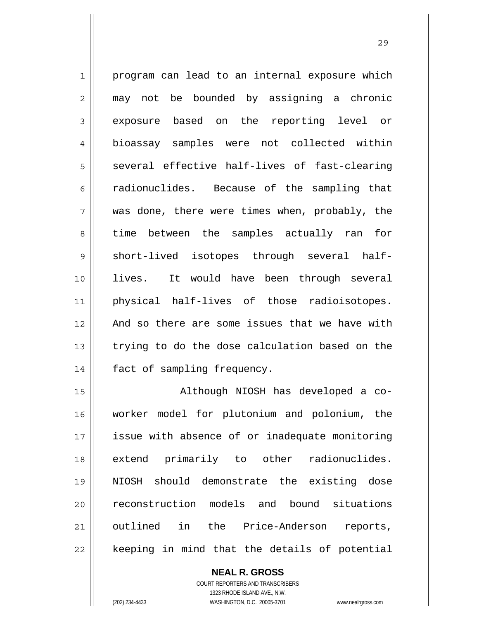1 2 3 4 5 6 7 8 9 10 11 12 13 14 program can lead to an internal exposure which may not be bounded by assigning a chronic exposure based on the reporting level or bioassay samples were not collected within several effective half-lives of fast-clearing radionuclides. Because of the sampling that was done, there were times when, probably, the time between the samples actually ran for short-lived isotopes through several halflives. It would have been through several physical half-lives of those radioisotopes. And so there are some issues that we have with trying to do the dose calculation based on the fact of sampling frequency.

15 16 17 18 19 20 21 22 Although NIOSH has developed a coworker model for plutonium and polonium, the issue with absence of or inadequate monitoring extend primarily to other radionuclides. NIOSH should demonstrate the existing dose reconstruction models and bound situations outlined in the Price-Anderson reports, keeping in mind that the details of potential

> **NEAL R. GROSS** COURT REPORTERS AND TRANSCRIBERS 1323 RHODE ISLAND AVE., N.W. (202) 234-4433 WASHINGTON, D.C. 20005-3701 www.nealrgross.com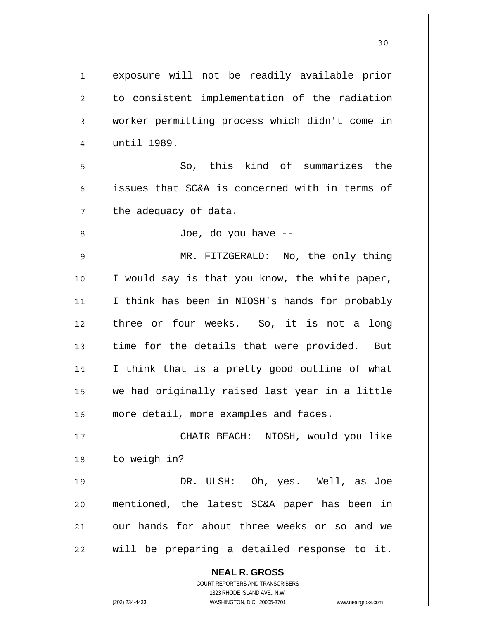| $\mathbf 1$    | exposure will not be readily available prior                        |
|----------------|---------------------------------------------------------------------|
| $\overline{2}$ | to consistent implementation of the radiation                       |
| 3              | worker permitting process which didn't come in                      |
| $\overline{4}$ | until 1989.                                                         |
| 5              | So, this kind of summarizes the                                     |
| 6              | issues that SC&A is concerned with in terms of                      |
| 7              | the adequacy of data.                                               |
| 8              | Joe, do you have --                                                 |
| $\mathsf 9$    | MR. FITZGERALD: No, the only thing                                  |
| 10             | I would say is that you know, the white paper,                      |
| 11             | I think has been in NIOSH's hands for probably                      |
| 12             | three or four weeks. So, it is not a long                           |
| 13             | time for the details that were provided. But                        |
| 14             | I think that is a pretty good outline of what                       |
| 15             | we had originally raised last year in a little                      |
| 16             | more detail, more examples and faces.                               |
| 17             | CHAIR BEACH: NIOSH, would you like                                  |
| 18             | to weigh in?                                                        |
| 19             | DR. ULSH: Oh, yes. Well, as Joe                                     |
| 20             | mentioned, the latest SC&A paper has been in                        |
| 21             | our hands for about three weeks or so and we                        |
| 22             | will be preparing a detailed response to it.                        |
|                |                                                                     |
|                | <b>NEAL R. GROSS</b><br><b>COURT REPORTERS AND TRANSCRIBERS</b>     |
|                | 1323 RHODE ISLAND AVE., N.W.                                        |
|                | (202) 234-4433<br>WASHINGTON, D.C. 20005-3701<br>www.nealrgross.com |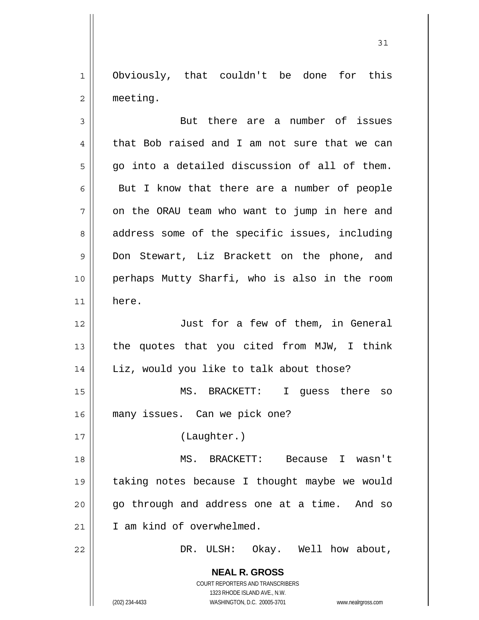1 2 Obviously, that couldn't be done for this meeting.

| 3              | But there are a number of issues                                                                                                                                       |
|----------------|------------------------------------------------------------------------------------------------------------------------------------------------------------------------|
| $\overline{4}$ | that Bob raised and I am not sure that we can                                                                                                                          |
| 5              | go into a detailed discussion of all of them.                                                                                                                          |
| 6              | But I know that there are a number of people                                                                                                                           |
| 7              | on the ORAU team who want to jump in here and                                                                                                                          |
| 8              | address some of the specific issues, including                                                                                                                         |
| 9              | Don Stewart, Liz Brackett on the phone, and                                                                                                                            |
| 10             | perhaps Mutty Sharfi, who is also in the room                                                                                                                          |
| 11             | here.                                                                                                                                                                  |
| 12             | Just for a few of them, in General                                                                                                                                     |
| 13             | the quotes that you cited from MJW, I think                                                                                                                            |
| 14             | Liz, would you like to talk about those?                                                                                                                               |
| 15             | MS. BRACKETT: I guess there so                                                                                                                                         |
| 16             | many issues. Can we pick one?                                                                                                                                          |
| 17             | (Laughter.)                                                                                                                                                            |
| 18             | MS. BRACKETT:<br>Because<br>I wasn't                                                                                                                                   |
| 19             | taking notes because I thought maybe we would                                                                                                                          |
| 20             | go through and address one at a time. And so                                                                                                                           |
| 21             | I am kind of overwhelmed.                                                                                                                                              |
| 22             | DR. ULSH: Okay. Well how about,                                                                                                                                        |
|                | <b>NEAL R. GROSS</b><br><b>COURT REPORTERS AND TRANSCRIBERS</b><br>1323 RHODE ISLAND AVE., N.W.<br>(202) 234-4433<br>WASHINGTON, D.C. 20005-3701<br>www.nealrgross.com |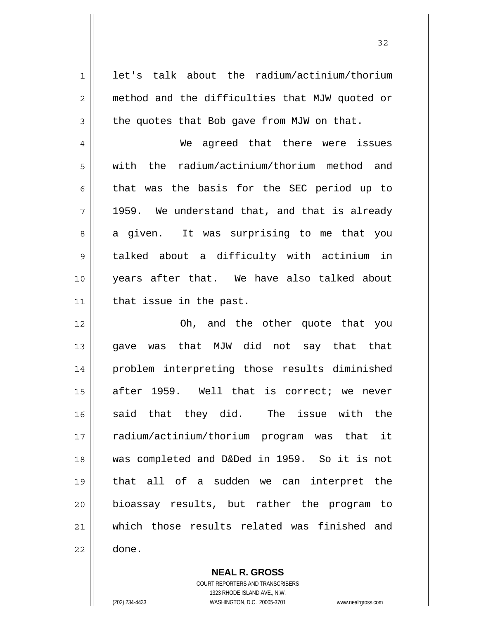1 2 3 4 5 6 7 8 9 10 11 12 13 14 15 16 17 18 19 20 21 22 let's talk about the radium/actinium/thorium method and the difficulties that MJW quoted or the quotes that Bob gave from MJW on that. We agreed that there were issues with the radium/actinium/thorium method and that was the basis for the SEC period up to 1959. We understand that, and that is already a given. It was surprising to me that you talked about a difficulty with actinium in years after that. We have also talked about that issue in the past. Oh, and the other quote that you gave was that MJW did not say that that problem interpreting those results diminished after 1959. Well that is correct; we never said that they did. The issue with the radium/actinium/thorium program was that it was completed and D&Ded in 1959. So it is not that all of a sudden we can interpret the bioassay results, but rather the program to which those results related was finished and done.

> **NEAL R. GROSS** COURT REPORTERS AND TRANSCRIBERS

> > 1323 RHODE ISLAND AVE., N.W.

(202) 234-4433 WASHINGTON, D.C. 20005-3701 www.nealrgross.com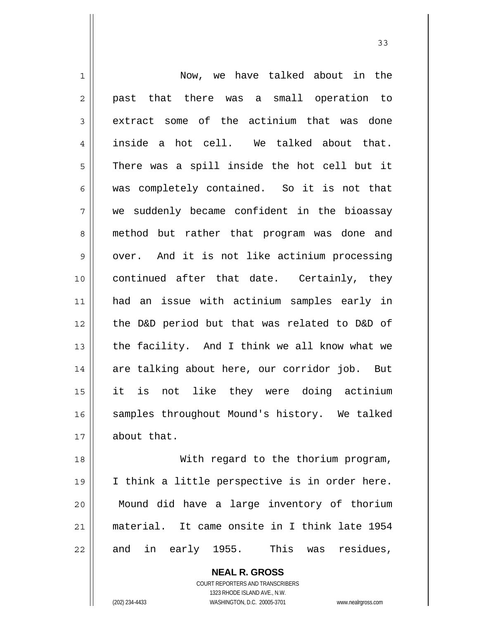1 2 3 4 5 6 7 8 9 10 11 12 13 14 15 16 17 18 Now, we have talked about in the past that there was a small operation to extract some of the actinium that was done inside a hot cell. We talked about that. There was a spill inside the hot cell but it was completely contained. So it is not that we suddenly became confident in the bioassay method but rather that program was done and over. And it is not like actinium processing continued after that date. Certainly, they had an issue with actinium samples early in the D&D period but that was related to D&D of the facility. And I think we all know what we are talking about here, our corridor job. But it is not like they were doing actinium samples throughout Mound's history. We talked about that. With regard to the thorium program,

19 20 21 22 I think a little perspective is in order here. Mound did have a large inventory of thorium material. It came onsite in I think late 1954 and in early 1955. This was residues,

> **NEAL R. GROSS** COURT REPORTERS AND TRANSCRIBERS 1323 RHODE ISLAND AVE., N.W. (202) 234-4433 WASHINGTON, D.C. 20005-3701 www.nealrgross.com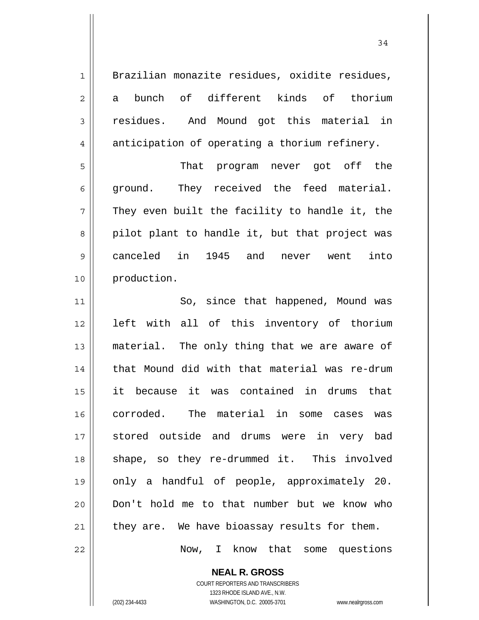1 2 3 4 5 6 7 8 9 10 11 12 13 14 15 16 17 18 19 20 21 22 Brazilian monazite residues, oxidite residues, a bunch of different kinds of thorium residues. And Mound got this material in anticipation of operating a thorium refinery. That program never got off the ground. They received the feed material. They even built the facility to handle it, the pilot plant to handle it, but that project was canceled in 1945 and never went into production. So, since that happened, Mound was left with all of this inventory of thorium material. The only thing that we are aware of that Mound did with that material was re-drum it because it was contained in drums that corroded. The material in some cases was stored outside and drums were in very bad shape, so they re-drummed it. This involved only a handful of people, approximately 20. Don't hold me to that number but we know who they are. We have bioassay results for them. Now, I know that some questions

34

**NEAL R. GROSS** COURT REPORTERS AND TRANSCRIBERS 1323 RHODE ISLAND AVE., N.W.

(202) 234-4433 WASHINGTON, D.C. 20005-3701 www.nealrgross.com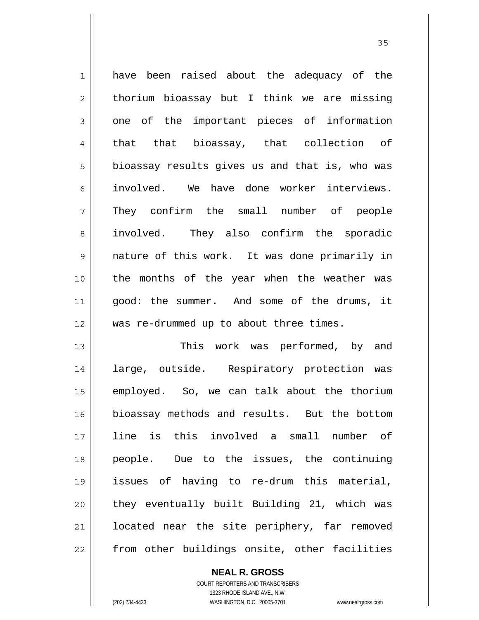1 2 3 4 5 6 7 8 9 10 11 12 13 have been raised about the adequacy of the thorium bioassay but I think we are missing one of the important pieces of information that that bioassay, that collection of bioassay results gives us and that is, who was involved. We have done worker interviews. They confirm the small number of people involved. They also confirm the sporadic nature of this work. It was done primarily in the months of the year when the weather was good: the summer. And some of the drums, it was re-drummed up to about three times. This work was performed, by and

<u>35</u>

14 15 16 17 18 19 20 21 22 large, outside. Respiratory protection was employed. So, we can talk about the thorium bioassay methods and results. But the bottom line is this involved a small number of people. Due to the issues, the continuing issues of having to re-drum this material, they eventually built Building 21, which was located near the site periphery, far removed from other buildings onsite, other facilities

**NEAL R. GROSS**

COURT REPORTERS AND TRANSCRIBERS 1323 RHODE ISLAND AVE., N.W. (202) 234-4433 WASHINGTON, D.C. 20005-3701 www.nealrgross.com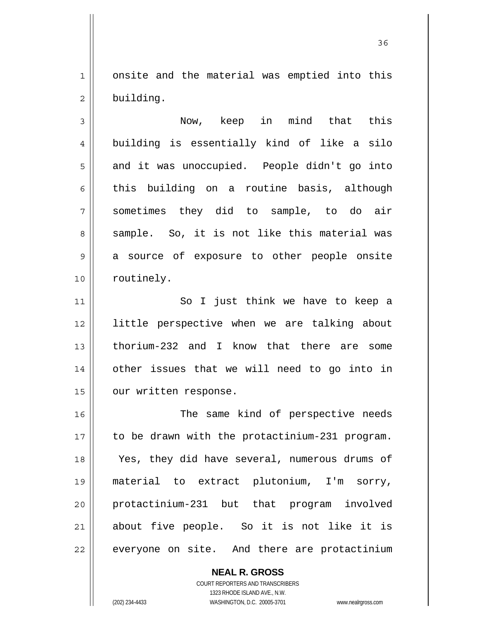1 2 onsite and the material was emptied into this building.

<u>36 and 36</u>

3 4 5 6 7 8 9 10 Now, keep in mind that this building is essentially kind of like a silo and it was unoccupied. People didn't go into this building on a routine basis, although sometimes they did to sample, to do air sample. So, it is not like this material was a source of exposure to other people onsite routinely.

11 12 13 14 15 So I just think we have to keep a little perspective when we are talking about thorium-232 and I know that there are some other issues that we will need to go into in our written response.

16 17 18 19 20 21 22 The same kind of perspective needs to be drawn with the protactinium-231 program. Yes, they did have several, numerous drums of material to extract plutonium, I'm sorry, protactinium-231 but that program involved about five people. So it is not like it is everyone on site. And there are protactinium

> COURT REPORTERS AND TRANSCRIBERS 1323 RHODE ISLAND AVE., N.W. (202) 234-4433 WASHINGTON, D.C. 20005-3701 www.nealrgross.com

**NEAL R. GROSS**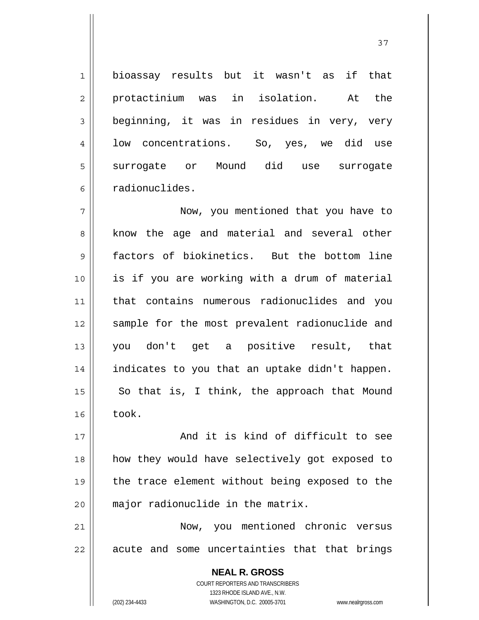bioassay results but it wasn't as if that protactinium was in isolation. At the beginning, it was in residues in very, very low concentrations. So, yes, we did use surrogate or Mound did use surrogate radionuclides.

7 8 9 10 11 12 13 14 15 16 Now, you mentioned that you have to know the age and material and several other factors of biokinetics. But the bottom line is if you are working with a drum of material that contains numerous radionuclides and you sample for the most prevalent radionuclide and you don't get a positive result, that indicates to you that an uptake didn't happen. So that is, I think, the approach that Mound took.

17 18 19 20 And it is kind of difficult to see how they would have selectively got exposed to the trace element without being exposed to the major radionuclide in the matrix.

21 22 Now, you mentioned chronic versus acute and some uncertainties that that brings

> **NEAL R. GROSS** COURT REPORTERS AND TRANSCRIBERS 1323 RHODE ISLAND AVE., N.W. (202) 234-4433 WASHINGTON, D.C. 20005-3701 www.nealrgross.com

1

2

3

4

5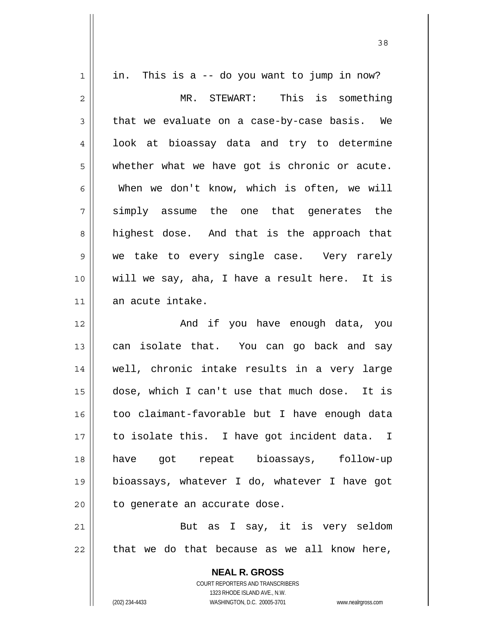| $\mathbf 1$ | in. This is a -- do you want to jump in now?                            |
|-------------|-------------------------------------------------------------------------|
| 2           | MR. STEWART: This is something                                          |
| 3           | that we evaluate on a case-by-case basis. We                            |
| 4           | look at bioassay data and try to determine                              |
| 5           | whether what we have got is chronic or acute.                           |
| 6           | When we don't know, which is often, we will                             |
| 7           | simply assume the one that generates the                                |
| 8           | highest dose. And that is the approach that                             |
| 9           | we take to every single case. Very rarely                               |
| 10          | will we say, aha, I have a result here. It is                           |
| 11          | an acute intake.                                                        |
| 12          | And if you have enough data, you                                        |
| 13          | can isolate that. You can go back and say                               |
| 14          | well, chronic intake results in a very large                            |
| 15          | dose, which I can't use that much dose. It is                           |
| 16          | too claimant-favorable but I have enough data                           |
| 17          | to isolate this. I have got incident data. I                            |
| 18          | have got repeat bioassays, follow-up                                    |
| 19          | bioassays, whatever I do, whatever I have got                           |
| 20          | to generate an accurate dose.                                           |
| 21          | But as I say, it is very seldom                                         |
| 22          | that we do that because as we all know here,                            |
|             |                                                                         |
|             | <b>NEAL R. GROSS</b>                                                    |
|             | <b>COURT REPORTERS AND TRANSCRIBERS</b><br>1323 RHODE ISLAND AVE., N.W. |
|             | (202) 234-4433<br>WASHINGTON, D.C. 20005-3701<br>www.nealrgross.com     |

<u>38</u>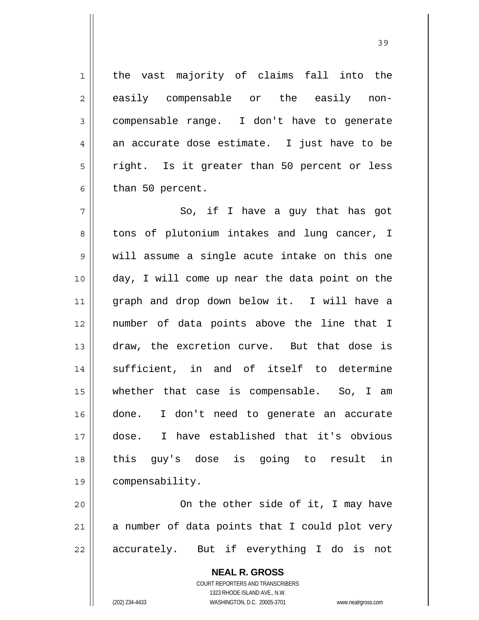**NEAL R. GROSS** 1 2 3 4 5 6 7 8 9 10 11 12 13 14 15 16 17 18 19 20 21 22 the vast majority of claims fall into the easily compensable or the easily noncompensable range. I don't have to generate an accurate dose estimate. I just have to be right. Is it greater than 50 percent or less than 50 percent. So, if I have a guy that has got tons of plutonium intakes and lung cancer, I will assume a single acute intake on this one day, I will come up near the data point on the graph and drop down below it. I will have a number of data points above the line that I draw, the excretion curve. But that dose is sufficient, in and of itself to determine whether that case is compensable. So, I am done. I don't need to generate an accurate dose. I have established that it's obvious this guy's dose is going to result in compensability. On the other side of it, I may have a number of data points that I could plot very accurately. But if everything I do is not

> COURT REPORTERS AND TRANSCRIBERS 1323 RHODE ISLAND AVE., N.W.

(202) 234-4433 WASHINGTON, D.C. 20005-3701 www.nealrgross.com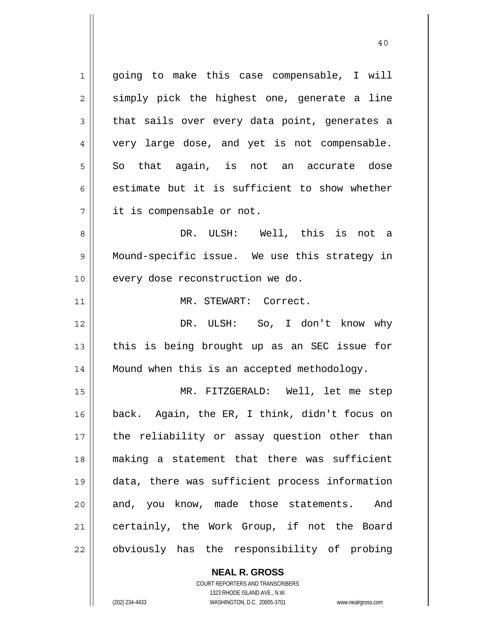1 2 3 4 5 6 7 8 9 10 11 12 13 14 15 16 17 18 19 20 21 22 going to make this case compensable, I will simply pick the highest one, generate a line that sails over every data point, generates a very large dose, and yet is not compensable. So that again, is not an accurate dose estimate but it is sufficient to show whether it is compensable or not. DR. ULSH: Well, this is not a Mound-specific issue. We use this strategy in every dose reconstruction we do. MR. STEWART: Correct. DR. ULSH: So, I don't know why this is being brought up as an SEC issue for Mound when this is an accepted methodology. MR. FITZGERALD: Well, let me step back. Again, the ER, I think, didn't focus on the reliability or assay question other than making a statement that there was sufficient data, there was sufficient process information and, you know, made those statements. And certainly, the Work Group, if not the Board obviously has the responsibility of probing

40

**NEAL R. GROSS** COURT REPORTERS AND TRANSCRIBERS 1323 RHODE ISLAND AVE., N.W. (202) 234-4433 WASHINGTON, D.C. 20005-3701 www.nealrgross.com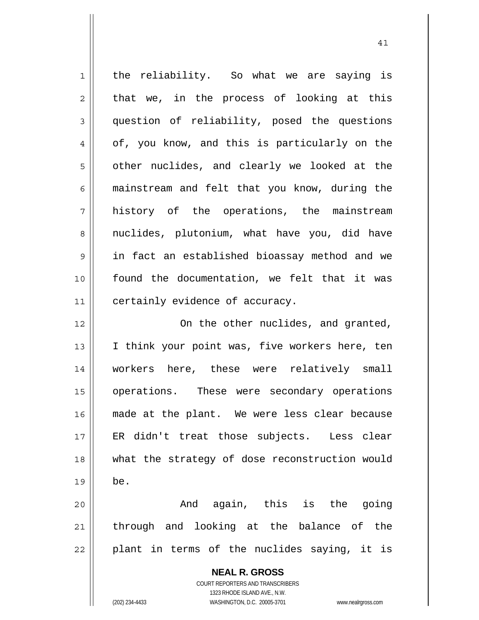| $\mathbf 1$ | the reliability. So what we are saying is                |
|-------------|----------------------------------------------------------|
| 2           | that we, in the process of looking at this               |
| 3           | question of reliability, posed the questions             |
| 4           | of, you know, and this is particularly on the            |
| 5           | other nuclides, and clearly we looked at the             |
| 6           | mainstream and felt that you know, during the            |
| 7           | history of the operations, the mainstream                |
| 8           | nuclides, plutonium, what have you, did have             |
| $\mathsf 9$ | in fact an established bioassay method and we            |
| 10          | found the documentation, we felt that it was             |
| 11          | certainly evidence of accuracy.                          |
| 12          | On the other nuclides, and granted,                      |
| 13          | I think your point was, five workers here, ten           |
| 14          | workers here, these were relatively small                |
| 15          | operations. These were secondary operations              |
| 16          | made at the plant. We were less clear because            |
| 17          | ER didn't treat those subjects. Less clear               |
| 18          | what the strategy of dose reconstruction would           |
| 19          | be.                                                      |
| 20          | And again, this is the going                             |
| 21          | through and looking at the balance of the                |
| 22          | plant in terms of the nuclides saying, it is             |
|             | <b>NEAL R. GROSS</b><br>COURT REPORTERS AND TRANSCRIBERS |

1323 RHODE ISLAND AVE., N.W.

 $\prod$ 

(202) 234-4433 WASHINGTON, D.C. 20005-3701 www.nealrgross.com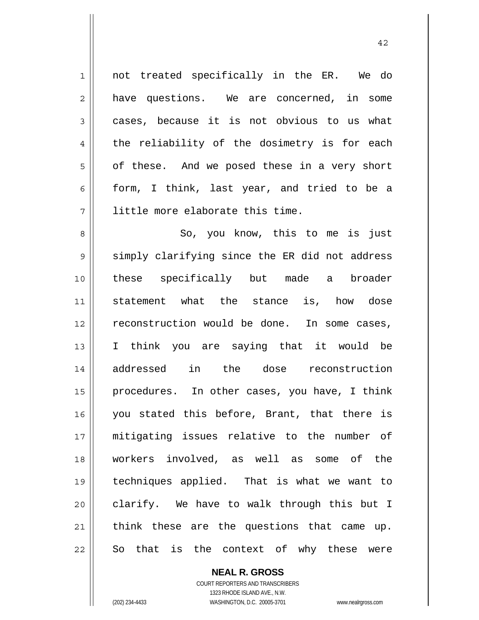1 2 3 4 5 6 7 8 9 10 11 12 13 14 15 16 17 18 19 20 21 22 not treated specifically in the ER. We do have questions. We are concerned, in some cases, because it is not obvious to us what the reliability of the dosimetry is for each of these. And we posed these in a very short form, I think, last year, and tried to be a little more elaborate this time. So, you know, this to me is just simply clarifying since the ER did not address these specifically but made a broader statement what the stance is, how dose reconstruction would be done. In some cases, I think you are saying that it would be addressed in the dose reconstruction procedures. In other cases, you have, I think you stated this before, Brant, that there is mitigating issues relative to the number of workers involved, as well as some of the techniques applied. That is what we want to clarify. We have to walk through this but I think these are the questions that came up. So that is the context of why these were

> **NEAL R. GROSS** COURT REPORTERS AND TRANSCRIBERS 1323 RHODE ISLAND AVE., N.W.

(202) 234-4433 WASHINGTON, D.C. 20005-3701 www.nealrgross.com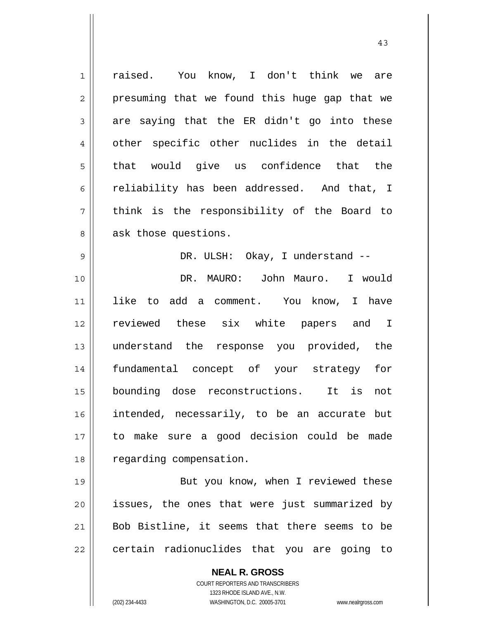| $\mathbf 1$    | raised. You know, I don't think we are                              |
|----------------|---------------------------------------------------------------------|
| $\overline{2}$ | presuming that we found this huge gap that we                       |
| 3              | are saying that the ER didn't go into these                         |
| 4              | other specific other nuclides in the detail                         |
| 5              | that would give us confidence that the                              |
| 6              | reliability has been addressed. And that, I                         |
| 7              | think is the responsibility of the Board to                         |
| 8              | ask those questions.                                                |
| 9              | DR. ULSH: Okay, I understand --                                     |
| 10             | DR. MAURO: John Mauro. I would                                      |
| 11             | like to add a comment. You know, I have                             |
| 12             | reviewed these six white papers and I                               |
| 13             | understand the response you provided, the                           |
| 14             | fundamental concept of your strategy<br>for                         |
| 15             | bounding dose reconstructions. It is<br>not                         |
| 16             | intended, necessarily, to be an accurate but                        |
| 17             | to make sure a good decision could be made                          |
| 18             | regarding compensation.                                             |
| 19             | But you know, when I reviewed these                                 |
| 20             | issues, the ones that were just summarized by                       |
| 21             | Bob Bistline, it seems that there seems to be                       |
| 22             | certain radionuclides that you are going to                         |
|                | <b>NEAL R. GROSS</b>                                                |
|                | COURT REPORTERS AND TRANSCRIBERS                                    |
|                | 1323 RHODE ISLAND AVE., N.W.                                        |
|                | (202) 234-4433<br>WASHINGTON, D.C. 20005-3701<br>www.nealrgross.com |

43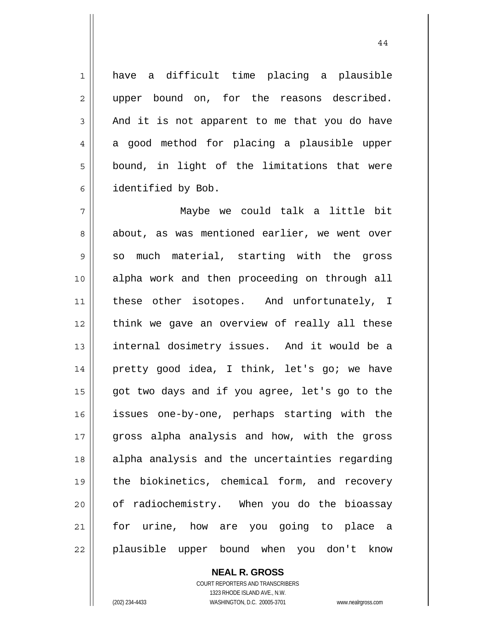have a difficult time placing a plausible upper bound on, for the reasons described. And it is not apparent to me that you do have a good method for placing a plausible upper bound, in light of the limitations that were identified by Bob.

7 8 9 10 11 12 13 14 15 16 17 18 19 20 21 22 Maybe we could talk a little bit about, as was mentioned earlier, we went over so much material, starting with the gross alpha work and then proceeding on through all these other isotopes. And unfortunately, I think we gave an overview of really all these internal dosimetry issues. And it would be a pretty good idea, I think, let's go; we have got two days and if you agree, let's go to the issues one-by-one, perhaps starting with the gross alpha analysis and how, with the gross alpha analysis and the uncertainties regarding the biokinetics, chemical form, and recovery of radiochemistry. When you do the bioassay for urine, how are you going to place a plausible upper bound when you don't know

> **NEAL R. GROSS** COURT REPORTERS AND TRANSCRIBERS 1323 RHODE ISLAND AVE., N.W. (202) 234-4433 WASHINGTON, D.C. 20005-3701 www.nealrgross.com

1

2

3

4

5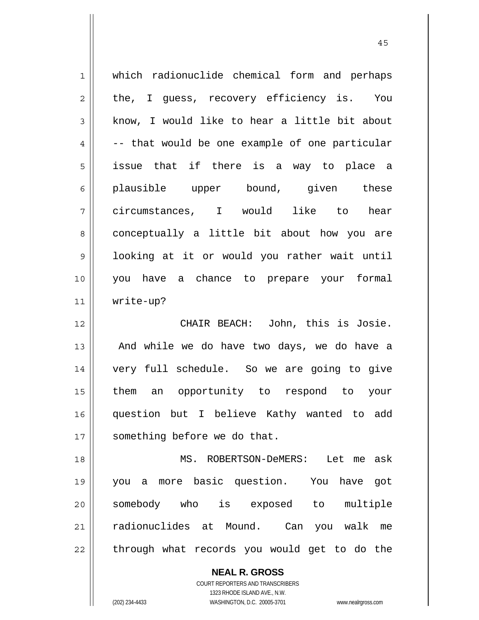| $\mathbf 1$    | which radionuclide chemical form and perhaps   |
|----------------|------------------------------------------------|
| $\overline{c}$ | the, I guess, recovery efficiency is. You      |
| 3              | know, I would like to hear a little bit about  |
| 4              | -- that would be one example of one particular |
| 5              | issue that if there is a way to place a        |
| 6              | plausible upper bound, given these             |
| 7              | circumstances, I would like to<br>hear         |
| 8              | conceptually a little bit about how you are    |
| 9              | looking at it or would you rather wait until   |
| 10             | you have a chance to prepare your formal       |
| 11             | write-up?                                      |
| 12             | CHAIR BEACH: John, this is Josie.              |
|                |                                                |
| 13             | And while we do have two days, we do have a    |
| 14             | very full schedule. So we are going to give    |
| 15             | them an opportunity to respond to your         |
| 16             | question but I believe Kathy wanted to add     |
| 17             | something before we do that.                   |
| 18             | MS. ROBERTSON-DeMERS: Let me ask               |
| 19             | you a more basic question. You have got        |
| 20             | somebody who is exposed to multiple            |
| 21             | radionuclides at Mound. Can you walk me        |

45

COURT REPORTERS AND TRANSCRIBERS 1323 RHODE ISLAND AVE., N.W.

**NEAL R. GROSS**

(202) 234-4433 WASHINGTON, D.C. 20005-3701 www.nealrgross.com

 $\mathsf{II}$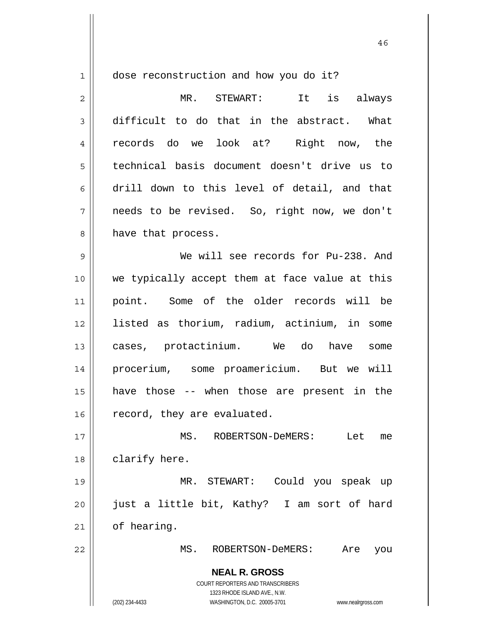1

dose reconstruction and how you do it?

**NEAL R. GROSS** COURT REPORTERS AND TRANSCRIBERS 2 3 4 5 6 7 8 9 10 11 12 13 14 15 16 17 18 19 20 21 22 MR. STEWART: It is always difficult to do that in the abstract. What records do we look at? Right now, the technical basis document doesn't drive us to drill down to this level of detail, and that needs to be revised. So, right now, we don't have that process. We will see records for Pu-238. And we typically accept them at face value at this point. Some of the older records will be listed as thorium, radium, actinium, in some cases, protactinium. We do have some procerium, some proamericium. But we will have those -- when those are present in the record, they are evaluated. MS. ROBERTSON-DeMERS: Let me clarify here. MR. STEWART: Could you speak up just a little bit, Kathy? I am sort of hard of hearing. MS. ROBERTSON-DeMERS: Are you

> 1323 RHODE ISLAND AVE., N.W. (202) 234-4433 WASHINGTON, D.C. 20005-3701 www.nealrgross.com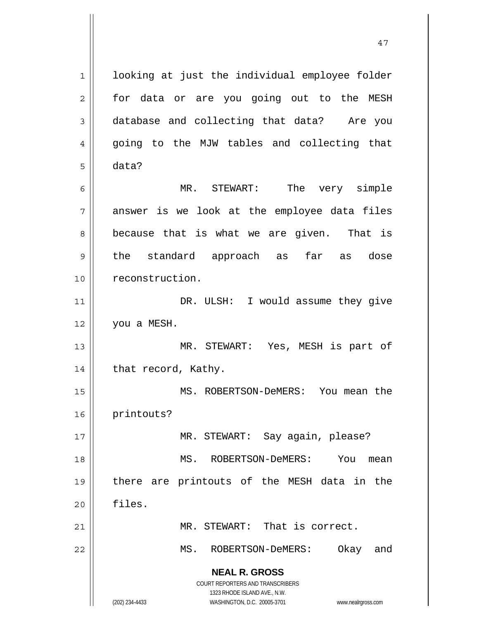**NEAL R. GROSS** COURT REPORTERS AND TRANSCRIBERS 1323 RHODE ISLAND AVE., N.W. (202) 234-4433 WASHINGTON, D.C. 20005-3701 www.nealrgross.com 1 2 3 4 5 6 7 8 9 10 11 12 13 14 15 16 17 18 19 20 21 22 looking at just the individual employee folder for data or are you going out to the MESH database and collecting that data? Are you going to the MJW tables and collecting that data? MR. STEWART: The very simple answer is we look at the employee data files because that is what we are given. That is the standard approach as far as dose reconstruction. DR. ULSH: I would assume they give you a MESH. MR. STEWART: Yes, MESH is part of that record, Kathy. MS. ROBERTSON-DeMERS: You mean the printouts? MR. STEWART: Say again, please? MS. ROBERTSON-DeMERS: You mean there are printouts of the MESH data in the files. MR. STEWART: That is correct. MS. ROBERTSON-DeMERS: Okay and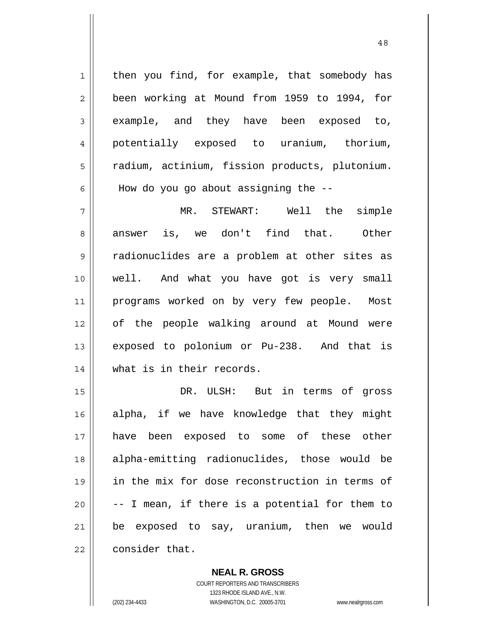1 2 3 4 5 6 7 8 9 10 11 12 13 14 15 then you find, for example, that somebody has been working at Mound from 1959 to 1994, for example, and they have been exposed to, potentially exposed to uranium, thorium, radium, actinium, fission products, plutonium. How do you go about assigning the -- MR. STEWART: Well the simple answer is, we don't find that. Other radionuclides are a problem at other sites as well. And what you have got is very small programs worked on by very few people. Most of the people walking around at Mound were exposed to polonium or Pu-238. And that is what is in their records. DR. ULSH: But in terms of gross

48

16 17 18 19 20 21 22 alpha, if we have knowledge that they might have been exposed to some of these other alpha-emitting radionuclides, those would be in the mix for dose reconstruction in terms of -- I mean, if there is a potential for them to be exposed to say, uranium, then we would consider that.

> **NEAL R. GROSS** COURT REPORTERS AND TRANSCRIBERS

> > 1323 RHODE ISLAND AVE., N.W.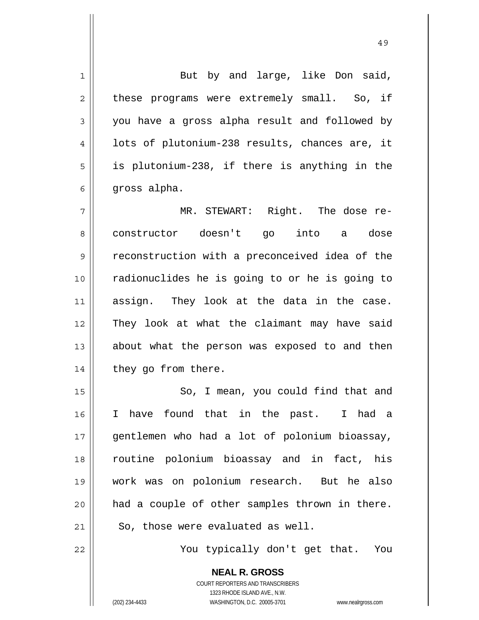**NEAL R. GROSS** COURT REPORTERS AND TRANSCRIBERS 1 2 3 4 5 6 7 8 9 10 11 12 13 14 15 16 17 18 19 20 21 22 But by and large, like Don said, these programs were extremely small. So, if you have a gross alpha result and followed by lots of plutonium-238 results, chances are, it is plutonium-238, if there is anything in the gross alpha. MR. STEWART: Right. The dose reconstructor doesn't go into a dose reconstruction with a preconceived idea of the radionuclides he is going to or he is going to assign. They look at the data in the case. They look at what the claimant may have said about what the person was exposed to and then they go from there. So, I mean, you could find that and I have found that in the past. I had a gentlemen who had a lot of polonium bioassay, routine polonium bioassay and in fact, his work was on polonium research. But he also had a couple of other samples thrown in there. So, those were evaluated as well. You typically don't get that. You

49

1323 RHODE ISLAND AVE., N.W.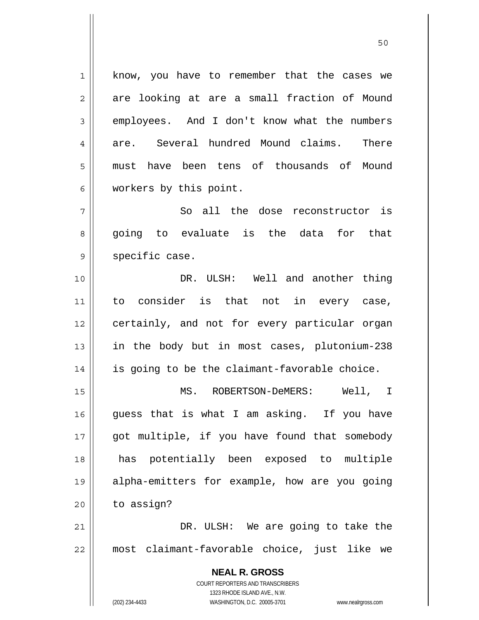**NEAL R. GROSS** COURT REPORTERS AND TRANSCRIBERS 1 2 3 4 5 6 7 8 9 10 11 12 13 14 15 16 17 18 19 20 21 22 know, you have to remember that the cases we are looking at are a small fraction of Mound employees. And I don't know what the numbers are. Several hundred Mound claims. There must have been tens of thousands of Mound workers by this point. So all the dose reconstructor is going to evaluate is the data for that specific case. DR. ULSH: Well and another thing to consider is that not in every case, certainly, and not for every particular organ in the body but in most cases, plutonium-238 is going to be the claimant-favorable choice. MS. ROBERTSON-DeMERS: Well, I guess that is what I am asking. If you have got multiple, if you have found that somebody has potentially been exposed to multiple alpha-emitters for example, how are you going to assign? DR. ULSH: We are going to take the most claimant-favorable choice, just like we

50

1323 RHODE ISLAND AVE., N.W.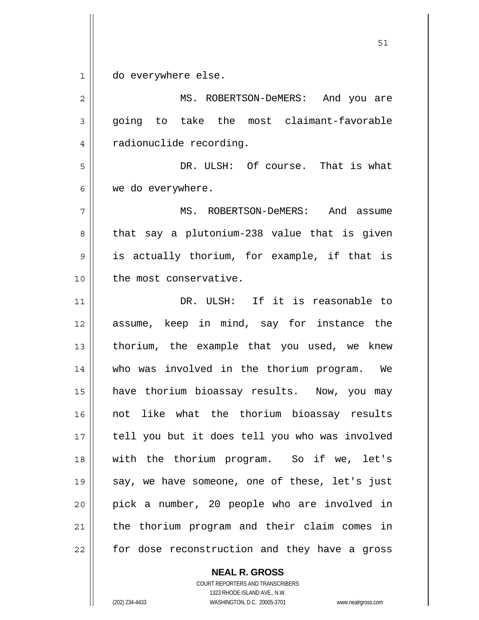1 do everywhere else.

2 3 4 5 6 7 8 9 10 11 12 13 14 15 16 17 18 19 20 21 22 MS. ROBERTSON-DeMERS: And you are going to take the most claimant-favorable radionuclide recording. DR. ULSH: Of course. That is what we do everywhere. MS. ROBERTSON-DeMERS: And assume that say a plutonium-238 value that is given is actually thorium, for example, if that is the most conservative. DR. ULSH: If it is reasonable to assume, keep in mind, say for instance the thorium, the example that you used, we knew who was involved in the thorium program. We have thorium bioassay results. Now, you may not like what the thorium bioassay results tell you but it does tell you who was involved with the thorium program. So if we, let's say, we have someone, one of these, let's just pick a number, 20 people who are involved in the thorium program and their claim comes in for dose reconstruction and they have a gross

## **NEAL R. GROSS**

COURT REPORTERS AND TRANSCRIBERS 1323 RHODE ISLAND AVE., N.W. (202) 234-4433 WASHINGTON, D.C. 20005-3701 www.nealrgross.com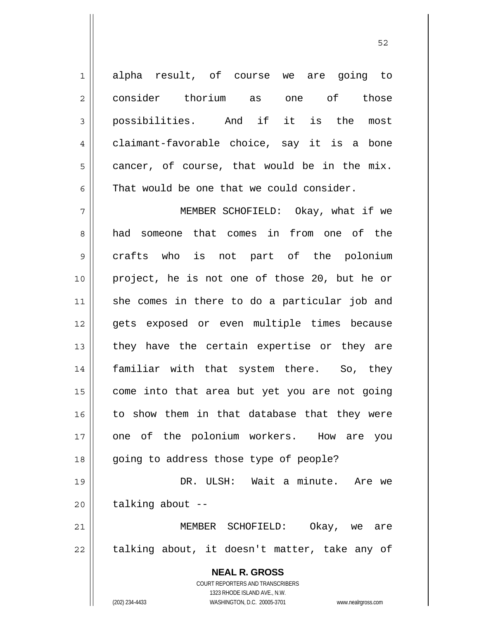1 2 3 4 5 6 alpha result, of course we are going to consider thorium as one of those possibilities. And if it is the most claimant-favorable choice, say it is a bone cancer, of course, that would be in the mix. That would be one that we could consider.

 $52$ 

7 8 9 10 11 12 13 14 15 16 17 18 MEMBER SCHOFIELD: Okay, what if we had someone that comes in from one of the crafts who is not part of the polonium project, he is not one of those 20, but he or she comes in there to do a particular job and gets exposed or even multiple times because they have the certain expertise or they are familiar with that system there. So, they come into that area but yet you are not going to show them in that database that they were one of the polonium workers. How are you going to address those type of people?

19 20 DR. ULSH: Wait a minute. Are we talking about --

21 22 MEMBER SCHOFIELD: Okay, we are talking about, it doesn't matter, take any of

> **NEAL R. GROSS** COURT REPORTERS AND TRANSCRIBERS 1323 RHODE ISLAND AVE., N.W. (202) 234-4433 WASHINGTON, D.C. 20005-3701 www.nealrgross.com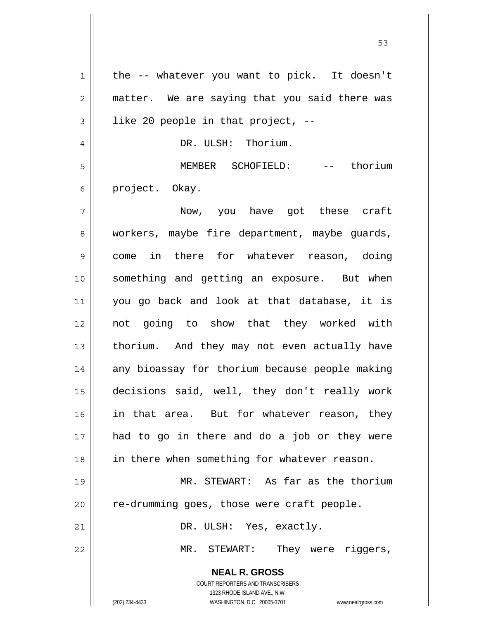**NEAL R. GROSS** COURT REPORTERS AND TRANSCRIBERS 1323 RHODE ISLAND AVE., N.W. 1 2 3 4 5 6 7 8 9 10 11 12 13 14 15 16 17 18 19 20 21 22 the -- whatever you want to pick. It doesn't matter. We are saying that you said there was like 20 people in that project, -- DR. ULSH: Thorium. MEMBER SCHOFIELD: -- thorium project. Okay. Now, you have got these craft workers, maybe fire department, maybe guards, come in there for whatever reason, doing something and getting an exposure. But when you go back and look at that database, it is not going to show that they worked with thorium. And they may not even actually have any bioassay for thorium because people making decisions said, well, they don't really work in that area. But for whatever reason, they had to go in there and do a job or they were in there when something for whatever reason. MR. STEWART: As far as the thorium re-drumming goes, those were craft people. DR. ULSH: Yes, exactly. MR. STEWART: They were riggers,

 $\sim$  53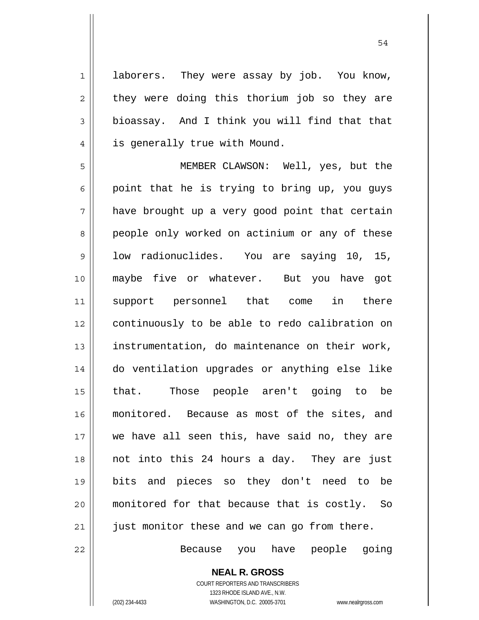laborers. They were assay by job. You know, they were doing this thorium job so they are bioassay. And I think you will find that that is generally true with Mound.

5 6 7 8 9 10 11 12 13 14 15 16 17 18 19 20 21 MEMBER CLAWSON: Well, yes, but the point that he is trying to bring up, you guys have brought up a very good point that certain people only worked on actinium or any of these low radionuclides. You are saying 10, 15, maybe five or whatever. But you have got support personnel that come in there continuously to be able to redo calibration on instrumentation, do maintenance on their work, do ventilation upgrades or anything else like that. Those people aren't going to be monitored. Because as most of the sites, and we have all seen this, have said no, they are not into this 24 hours a day. They are just bits and pieces so they don't need to be monitored for that because that is costly. So just monitor these and we can go from there.

Because you have people going

**NEAL R. GROSS** COURT REPORTERS AND TRANSCRIBERS 1323 RHODE ISLAND AVE., N.W.

22

1

2

3

4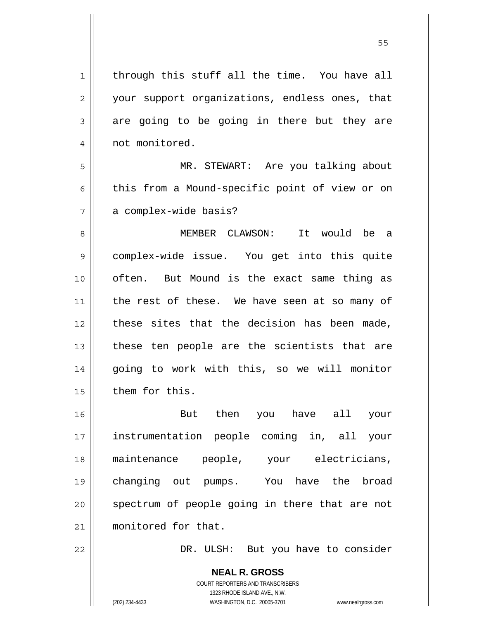**NEAL R. GROSS** 1 2 3 4 5 6 7 8 9 10 11 12 13 14 15 16 17 18 19 20 21 22 through this stuff all the time. You have all your support organizations, endless ones, that are going to be going in there but they are not monitored. MR. STEWART: Are you talking about this from a Mound-specific point of view or on a complex-wide basis? MEMBER CLAWSON: It would be a complex-wide issue. You get into this quite often. But Mound is the exact same thing as the rest of these. We have seen at so many of these sites that the decision has been made, these ten people are the scientists that are going to work with this, so we will monitor them for this. But then you have all your instrumentation people coming in, all your maintenance people, your electricians, changing out pumps. You have the broad spectrum of people going in there that are not monitored for that. DR. ULSH: But you have to consider

 $55$ 

COURT REPORTERS AND TRANSCRIBERS 1323 RHODE ISLAND AVE., N.W.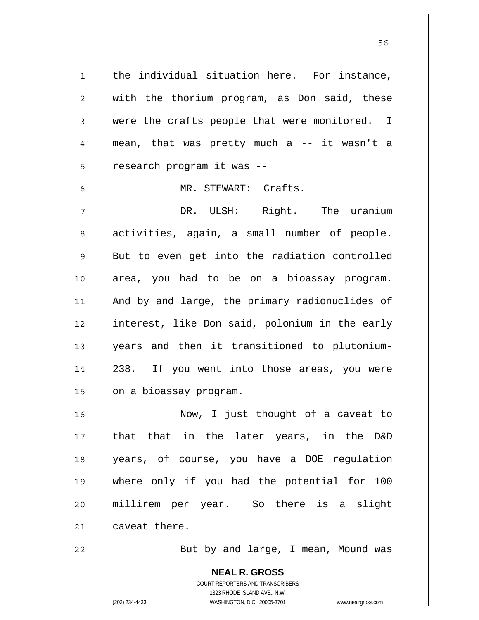1 2 3 4 5 6 7 8 9 10 11 12 13 14 15 16 17 18 19 20 21 22 the individual situation here. For instance, with the thorium program, as Don said, these were the crafts people that were monitored. I mean, that was pretty much a -- it wasn't a research program it was -- MR. STEWART: Crafts. DR. ULSH: Right. The uranium activities, again, a small number of people. But to even get into the radiation controlled area, you had to be on a bioassay program. And by and large, the primary radionuclides of interest, like Don said, polonium in the early years and then it transitioned to plutonium-238. If you went into those areas, you were on a bioassay program. Now, I just thought of a caveat to that that in the later years, in the D&D years, of course, you have a DOE regulation where only if you had the potential for 100 millirem per year. So there is a slight caveat there. But by and large, I mean, Mound was

 $56$ 

**NEAL R. GROSS** COURT REPORTERS AND TRANSCRIBERS 1323 RHODE ISLAND AVE., N.W. (202) 234-4433 WASHINGTON, D.C. 20005-3701 www.nealrgross.com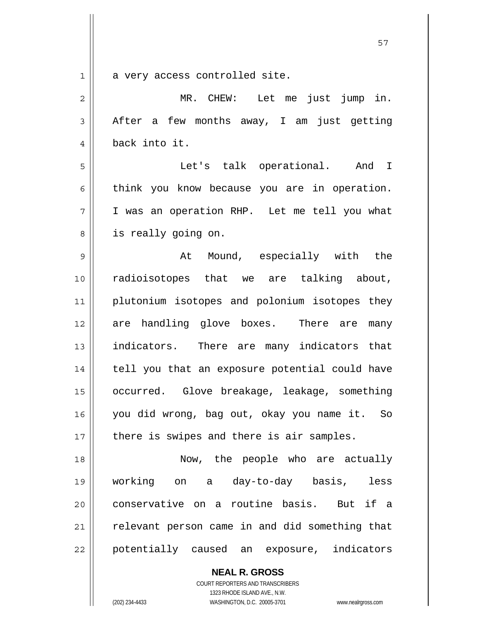$1 ||$ 

a very access controlled site.

| $\overline{c}$ | MR. CHEW: Let me just jump in.                 |
|----------------|------------------------------------------------|
| 3              | After a few months away, I am just getting     |
| $\overline{4}$ | back into it.                                  |
| 5              | Let's talk operational. And I                  |
| 6              | think you know because you are in operation.   |
| 7              | I was an operation RHP. Let me tell you what   |
| 8              | is really going on.                            |
| 9              | At Mound, especially with the                  |
| 10             | radioisotopes that we are talking about,       |
| 11             | plutonium isotopes and polonium isotopes they  |
| 12             | are handling glove boxes. There are<br>many    |
| 13             | indicators. There are many indicators that     |
| 14             | tell you that an exposure potential could have |
| 15             | occurred. Glove breakage, leakage, something   |
| 16             | you did wrong, bag out, okay you name it. So   |
| 17             | there is swipes and there is air samples.      |
| 18             | Now, the people who are actually               |
| 19             | working on a day-to-day basis,<br>less         |
| 20             | conservative on a routine basis. But if a      |
| 21             | relevant person came in and did something that |
| 22             | potentially caused an exposure, indicators     |

**NEAL R. GROSS** COURT REPORTERS AND TRANSCRIBERS

1323 RHODE ISLAND AVE., N.W.

(202) 234-4433 WASHINGTON, D.C. 20005-3701 www.nealrgross.com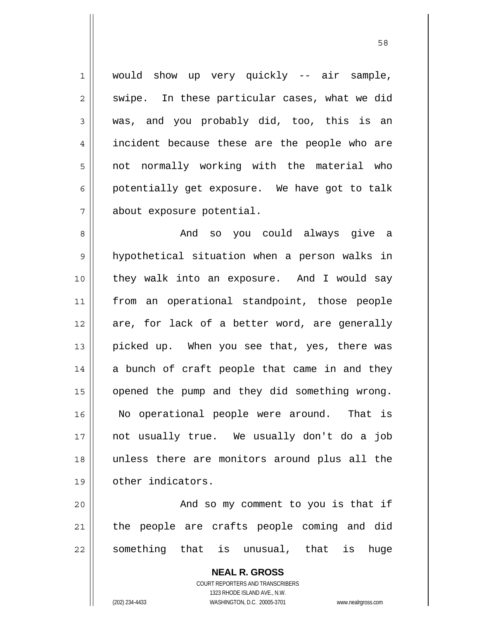1 7 would show up very quickly -- air sample, swipe. In these particular cases, what we did was, and you probably did, too, this is an incident because these are the people who are not normally working with the material who potentially get exposure. We have got to talk about exposure potential.

8 9 10 11 12 13 14 15 16 17 18 19 And so you could always give a hypothetical situation when a person walks in they walk into an exposure. And I would say from an operational standpoint, those people are, for lack of a better word, are generally picked up. When you see that, yes, there was a bunch of craft people that came in and they opened the pump and they did something wrong. No operational people were around. That is not usually true. We usually don't do a job unless there are monitors around plus all the other indicators.

20 21 22 And so my comment to you is that if the people are crafts people coming and did something that is unusual, that is huge

> **NEAL R. GROSS** COURT REPORTERS AND TRANSCRIBERS 1323 RHODE ISLAND AVE., N.W. (202) 234-4433 WASHINGTON, D.C. 20005-3701 www.nealrgross.com

2

3

4

5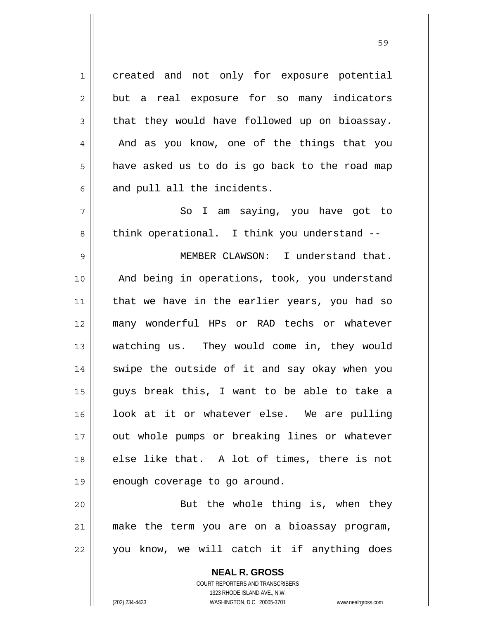created and not only for exposure potential but a real exposure for so many indicators that they would have followed up on bioassay. And as you know, one of the things that you have asked us to do is go back to the road map and pull all the incidents.

 So I am saying, you have got to think operational. I think you understand --

9 10 11 12 13 14 15 16 17 18 19 MEMBER CLAWSON: I understand that. And being in operations, took, you understand that we have in the earlier years, you had so many wonderful HPs or RAD techs or whatever watching us. They would come in, they would swipe the outside of it and say okay when you guys break this, I want to be able to take a look at it or whatever else. We are pulling out whole pumps or breaking lines or whatever else like that. A lot of times, there is not enough coverage to go around.

20 21 22 But the whole thing is, when they make the term you are on a bioassay program, you know, we will catch it if anything does

> **NEAL R. GROSS** COURT REPORTERS AND TRANSCRIBERS 1323 RHODE ISLAND AVE., N.W. (202) 234-4433 WASHINGTON, D.C. 20005-3701 www.nealrgross.com

1

2

3

4

5

6

7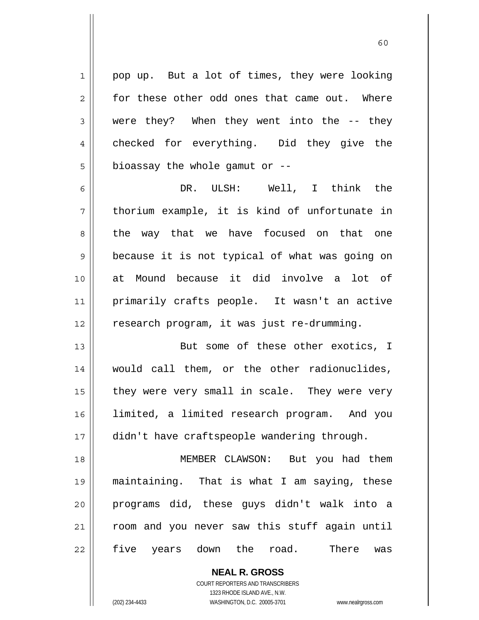pop up. But a lot of times, they were looking for these other odd ones that came out. Where were they? When they went into the -- they checked for everything. Did they give the bioassay the whole gamut or --

6 7 8 9 10 11 12 DR. ULSH: Well, I think the thorium example, it is kind of unfortunate in the way that we have focused on that one because it is not typical of what was going on at Mound because it did involve a lot of primarily crafts people. It wasn't an active research program, it was just re-drumming.

13 14 15 16 17 But some of these other exotics, I would call them, or the other radionuclides, they were very small in scale. They were very limited, a limited research program. And you didn't have craftspeople wandering through.

18 19 20 21 22 MEMBER CLAWSON: But you had them maintaining. That is what I am saying, these programs did, these guys didn't walk into a room and you never saw this stuff again until five years down the road. There was

> **NEAL R. GROSS** COURT REPORTERS AND TRANSCRIBERS 1323 RHODE ISLAND AVE., N.W. (202) 234-4433 WASHINGTON, D.C. 20005-3701 www.nealrgross.com

1

2

3

4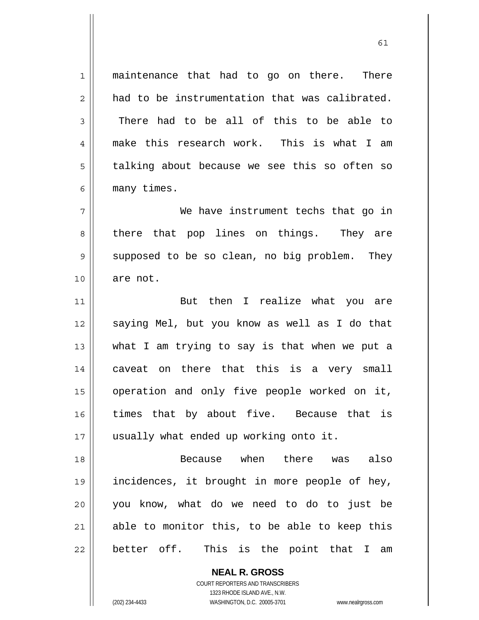1 2 3 4 5 6 7 8 9 10 11 12 13 14 15 16 17 18 19 20 21 22 maintenance that had to go on there. There had to be instrumentation that was calibrated. There had to be all of this to be able to make this research work. This is what I am talking about because we see this so often so many times. We have instrument techs that go in there that pop lines on things. They are supposed to be so clean, no big problem. They are not. But then I realize what you are saying Mel, but you know as well as I do that what I am trying to say is that when we put a caveat on there that this is a very small operation and only five people worked on it, times that by about five. Because that is usually what ended up working onto it. Because when there was also incidences, it brought in more people of hey, you know, what do we need to do to just be able to monitor this, to be able to keep this better off. This is the point that I am

61

**NEAL R. GROSS** COURT REPORTERS AND TRANSCRIBERS 1323 RHODE ISLAND AVE., N.W.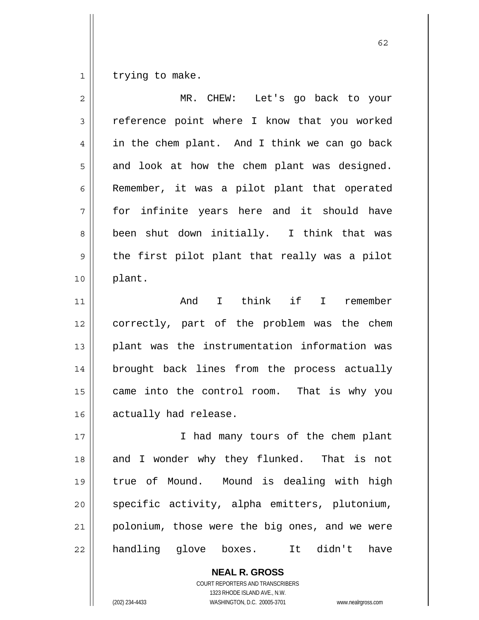1 trying to make.

| $\overline{2}$ | MR. CHEW: Let's go back to your                  |
|----------------|--------------------------------------------------|
| 3              | reference point where I know that you worked     |
| 4              | in the chem plant. And I think we can go back    |
| 5              | and look at how the chem plant was designed.     |
| 6              | Remember, it was a pilot plant that operated     |
| 7              | for infinite years here and it should have       |
| 8              | been shut down initially. I think that was       |
| 9              | the first pilot plant that really was a pilot    |
| 10             | plant.                                           |
| 11             | I think if I remember<br>And                     |
| 12             | correctly, part of the problem was the chem      |
| 13             | plant was the instrumentation information was    |
| 14             | brought back lines from the process actually     |
| 15             | came into the control room. That is why you      |
| 16             | actually had release.                            |
| 17             | I had many tours of the chem plant               |
| 18             | and I wonder why they flunked. That is not       |
| 19             | true of Mound. Mound is dealing with high        |
| 20             | specific activity, alpha emitters, plutonium,    |
| 21             | polonium, those were the big ones, and we were   |
| 22             | handling glove<br>didn't<br>boxes.<br>have<br>It |

**NEAL R. GROSS** COURT REPORTERS AND TRANSCRIBERS 1323 RHODE ISLAND AVE., N.W. (202) 234-4433 WASHINGTON, D.C. 20005-3701 www.nealrgross.com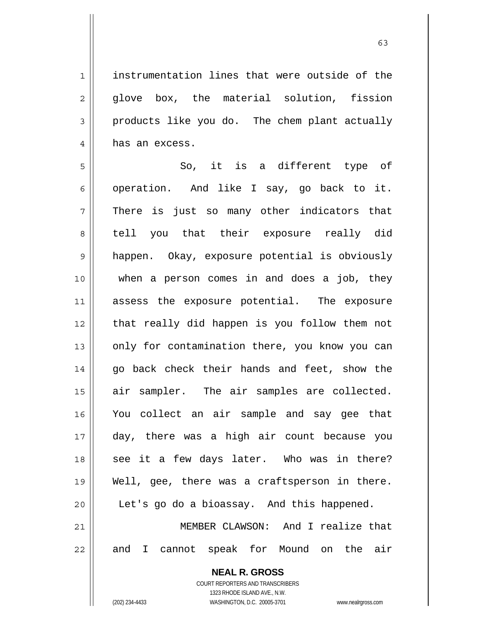instrumentation lines that were outside of the glove box, the material solution, fission products like you do. The chem plant actually has an excess.

5 6 7 8 9 10 11 12 13 14 15 16 17 18 19 20 21 So, it is a different type of operation. And like I say, go back to it. There is just so many other indicators that tell you that their exposure really did happen. Okay, exposure potential is obviously when a person comes in and does a job, they assess the exposure potential. The exposure that really did happen is you follow them not only for contamination there, you know you can go back check their hands and feet, show the air sampler. The air samples are collected. You collect an air sample and say gee that day, there was a high air count because you see it a few days later. Who was in there? Well, gee, there was a craftsperson in there. Let's go do a bioassay. And this happened. MEMBER CLAWSON: And I realize that

> **NEAL R. GROSS** COURT REPORTERS AND TRANSCRIBERS 1323 RHODE ISLAND AVE., N.W.

and I cannot speak for Mound on the air

22

1

2

3

4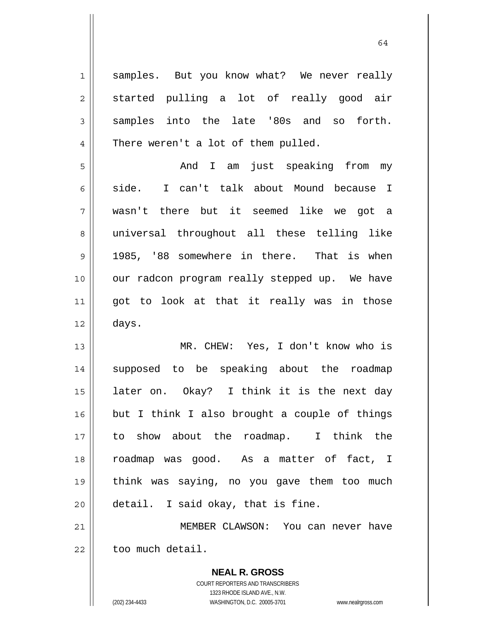| $\mathbf 1$    | samples. But you know what? We never really   |
|----------------|-----------------------------------------------|
| $\overline{2}$ | started pulling a lot of really good air      |
| 3              | samples into the late '80s and so<br>forth.   |
| 4              | There weren't a lot of them pulled.           |
| 5              | I am just speaking from<br>And<br>my          |
| 6              | I can't talk about Mound because I<br>side.   |
| 7              | wasn't there but it seemed like we got a      |
| 8              | universal throughout all these telling like   |
| 9              | 1985, '88 somewhere in there. That is when    |
| 10             | our radcon program really stepped up. We have |
| 11             | got to look at that it really was in those    |
| 12             | days.                                         |
| 13             | MR. CHEW: Yes, I don't know who is            |
| 14             | supposed to be speaking about the roadmap     |
| 15             | later on. Okay? I think it is the next day    |
| 16             | but I think I also brought a couple of things |
| 17             | to show about the roadmap. I think the        |
| 18             | roadmap was good. As a matter of fact, I      |
| 19             | think was saying, no you gave them too much   |
| 20             | detail. I said okay, that is fine.            |
| 21             | MEMBER CLAWSON: You can never have            |
| 22             | too much detail.                              |
|                | <b>NEAL R. GROSS</b>                          |

COURT REPORTERS AND TRANSCRIBERS 1323 RHODE ISLAND AVE., N.W.

 $\mathsf{II}$ 

(202) 234-4433 WASHINGTON, D.C. 20005-3701 www.nealrgross.com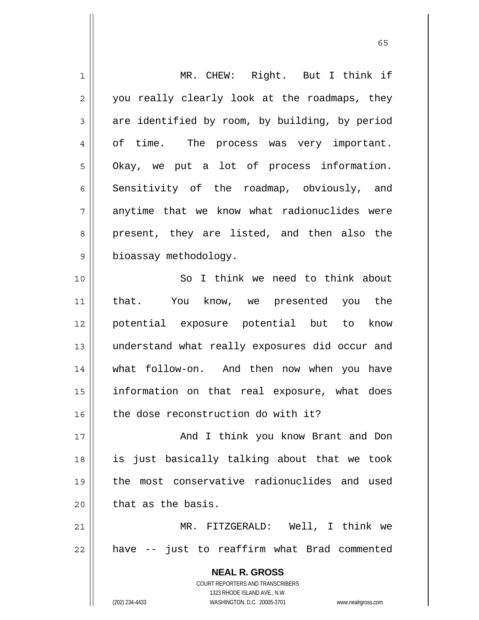| $\mathbf 1$    | MR. CHEW: Right. But I think if                                                                                                                                 |
|----------------|-----------------------------------------------------------------------------------------------------------------------------------------------------------------|
| $\overline{c}$ | you really clearly look at the roadmaps, they                                                                                                                   |
| 3              | are identified by room, by building, by period                                                                                                                  |
| 4              | of time. The process was very important.                                                                                                                        |
| 5              | Okay, we put a lot of process information.                                                                                                                      |
| 6              | Sensitivity of the roadmap, obviously, and                                                                                                                      |
| 7              | anytime that we know what radionuclides were                                                                                                                    |
| 8              | present, they are listed, and then also the                                                                                                                     |
| 9              | bioassay methodology.                                                                                                                                           |
| 10             | So I think we need to think about                                                                                                                               |
| 11             | that.<br>You know, we presented you the                                                                                                                         |
| 12             | potential exposure potential but to know                                                                                                                        |
| 13             | understand what really exposures did occur and                                                                                                                  |
| 14             | what follow-on. And then now when you have                                                                                                                      |
| 15             | information on that real exposure, what does                                                                                                                    |
| 16             | the dose reconstruction do with it?                                                                                                                             |
| 17             | And I think you know Brant and Don                                                                                                                              |
| 18             | is just basically talking about that we took                                                                                                                    |
| 19             | the most conservative radionuclides and used                                                                                                                    |
| 20             | that as the basis.                                                                                                                                              |
| 21             | MR. FITZGERALD: Well, I think we                                                                                                                                |
| 22             | have -- just to reaffirm what Brad commented                                                                                                                    |
|                | <b>NEAL R. GROSS</b><br>COURT REPORTERS AND TRANSCRIBERS<br>1323 RHODE ISLAND AVE., N.W.<br>(202) 234-4433<br>WASHINGTON, D.C. 20005-3701<br>www.nealrgross.com |

 $\sim$  65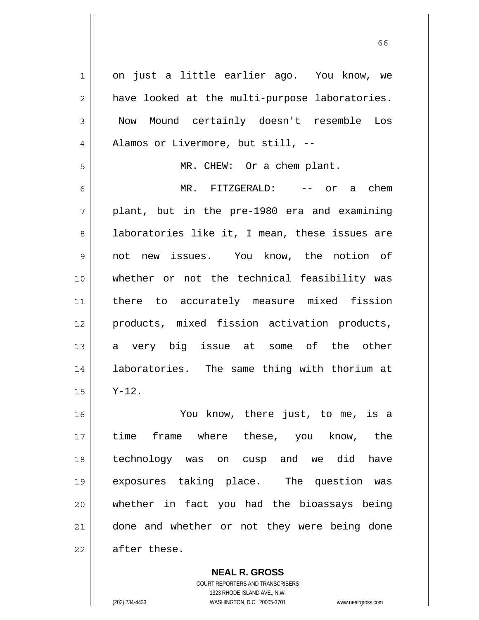1 2 3 4 5 6 7 8 9 10 11 12 13 14 15 16 17 18 19 20 21 22 on just a little earlier ago. You know, we have looked at the multi-purpose laboratories. Now Mound certainly doesn't resemble Los Alamos or Livermore, but still, -- MR. CHEW: Or a chem plant. MR. FITZGERALD: -- or a chem plant, but in the pre-1980 era and examining laboratories like it, I mean, these issues are not new issues. You know, the notion of whether or not the technical feasibility was there to accurately measure mixed fission products, mixed fission activation products, a very big issue at some of the other laboratories. The same thing with thorium at Y-12. You know, there just, to me, is a time frame where these, you know, the technology was on cusp and we did have exposures taking place. The question was whether in fact you had the bioassays being done and whether or not they were being done after these.

 $\sim$  66

COURT REPORTERS AND TRANSCRIBERS 1323 RHODE ISLAND AVE., N.W. (202) 234-4433 WASHINGTON, D.C. 20005-3701 www.nealrgross.com

**NEAL R. GROSS**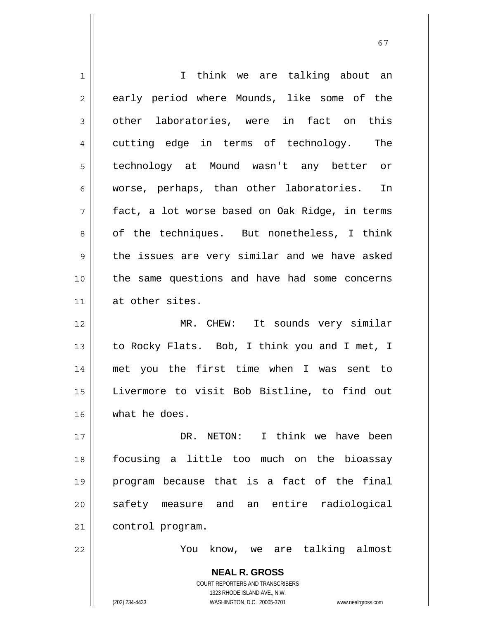| 1              | I think we are talking about an                                     |
|----------------|---------------------------------------------------------------------|
| $\overline{2}$ | early period where Mounds, like some of the                         |
| 3              | other laboratories, were in fact on this                            |
| 4              | cutting edge in terms of technology.<br>The                         |
| 5              | technology at Mound wasn't any better or                            |
| 6              | worse, perhaps, than other laboratories. In                         |
| 7              | fact, a lot worse based on Oak Ridge, in terms                      |
| 8              | of the techniques. But nonetheless, I think                         |
| $\mathsf 9$    | the issues are very similar and we have asked                       |
| 10             | the same questions and have had some concerns                       |
| 11             | at other sites.                                                     |
| 12             | MR. CHEW: It sounds very similar                                    |
| 13             | to Rocky Flats. Bob, I think you and I met, I                       |
|                |                                                                     |
| 14             | met you the first time when I was sent to                           |
| 15             | Livermore to visit Bob Bistline, to find out                        |
| 16             | what he does.                                                       |
| 17             | DR. NETON: I think we have been                                     |
| 18             | focusing a little too much on the bioassay                          |
| 19             | program because that is a fact of the final                         |
| 20             | safety measure and an entire radiological                           |
| 21             | control program.                                                    |
| 22             | know, we are talking almost<br>You                                  |
|                | <b>NEAL R. GROSS</b>                                                |
|                | COURT REPORTERS AND TRANSCRIBERS                                    |
|                | 1323 RHODE ISLAND AVE., N.W.                                        |
|                | WASHINGTON, D.C. 20005-3701<br>(202) 234-4433<br>www.nealrgross.com |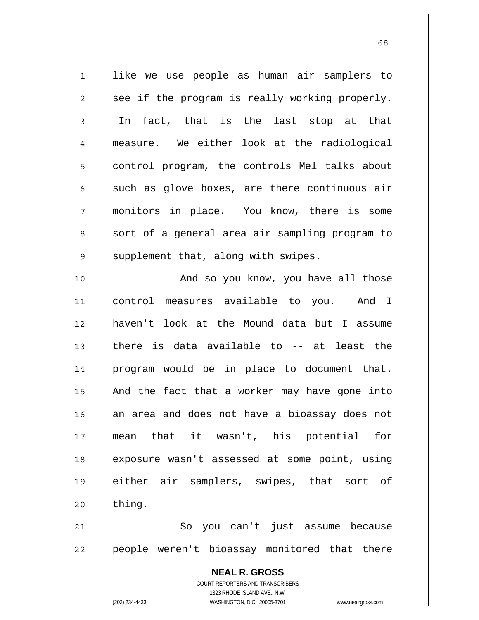**NEAL R. GROSS** COURT REPORTERS AND TRANSCRIBERS 1323 RHODE ISLAND AVE., N.W. (202) 234-4433 WASHINGTON, D.C. 20005-3701 www.nealrgross.com 1 2 3 4 5 6 7 8 9 10 11 12 13 14 15 16 17 18 19 20 21 22 like we use people as human air samplers to see if the program is really working properly. In fact, that is the last stop at that measure. We either look at the radiological control program, the controls Mel talks about such as glove boxes, are there continuous air monitors in place. You know, there is some sort of a general area air sampling program to supplement that, along with swipes. And so you know, you have all those control measures available to you. And I haven't look at the Mound data but I assume there is data available to -- at least the program would be in place to document that. And the fact that a worker may have gone into an area and does not have a bioassay does not mean that it wasn't, his potential for exposure wasn't assessed at some point, using either air samplers, swipes, that sort of thing. So you can't just assume because people weren't bioassay monitored that there

 $\sim$  68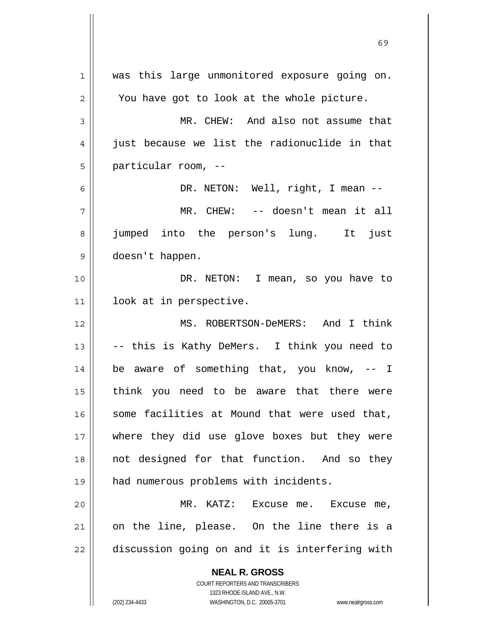**NEAL R. GROSS** COURT REPORTERS AND TRANSCRIBERS 1323 RHODE ISLAND AVE., N.W. 1 2 3 4 5 6 7 8 9 10 11 12 13 14 15 16 17 18 19 20 21 22 was this large unmonitored exposure going on. You have got to look at the whole picture. MR. CHEW: And also not assume that just because we list the radionuclide in that particular room, -- DR. NETON: Well, right, I mean -- MR. CHEW: -- doesn't mean it all jumped into the person's lung. It just doesn't happen. DR. NETON: I mean, so you have to look at in perspective. MS. ROBERTSON-DeMERS: And I think -- this is Kathy DeMers. I think you need to be aware of something that, you know, -- I think you need to be aware that there were some facilities at Mound that were used that, where they did use glove boxes but they were not designed for that function. And so they had numerous problems with incidents. MR. KATZ: Excuse me. Excuse me, on the line, please. On the line there is a discussion going on and it is interfering with

 $\sim$  69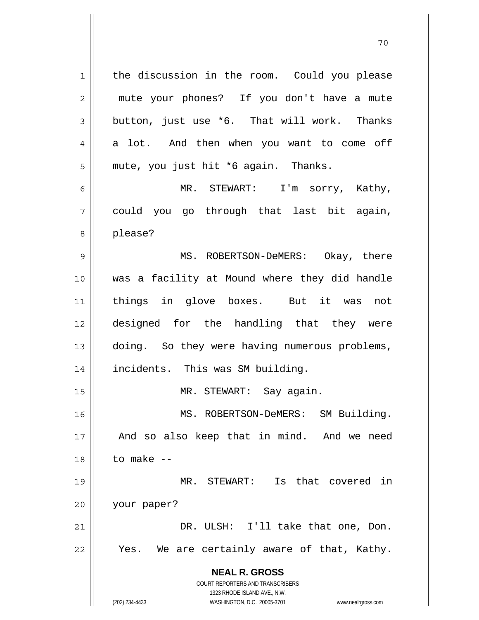**NEAL R. GROSS** COURT REPORTERS AND TRANSCRIBERS 1323 RHODE ISLAND AVE., N.W. 1 2 3 4 5 6 7 8 9 10 11 12 13 14 15 16 17 18 19 20 21 22 the discussion in the room. Could you please mute your phones? If you don't have a mute button, just use \*6. That will work. Thanks a lot. And then when you want to come off mute, you just hit \*6 again. Thanks. MR. STEWART: I'm sorry, Kathy, could you go through that last bit again, please? MS. ROBERTSON-DeMERS: Okay, there was a facility at Mound where they did handle things in glove boxes. But it was not designed for the handling that they were doing. So they were having numerous problems, incidents. This was SM building. MR. STEWART: Say again. MS. ROBERTSON-DeMERS: SM Building. And so also keep that in mind. And we need to make -- MR. STEWART: Is that covered in your paper? DR. ULSH: I'll take that one, Don. Yes. We are certainly aware of that, Kathy.

(202) 234-4433 WASHINGTON, D.C. 20005-3701 www.nealrgross.com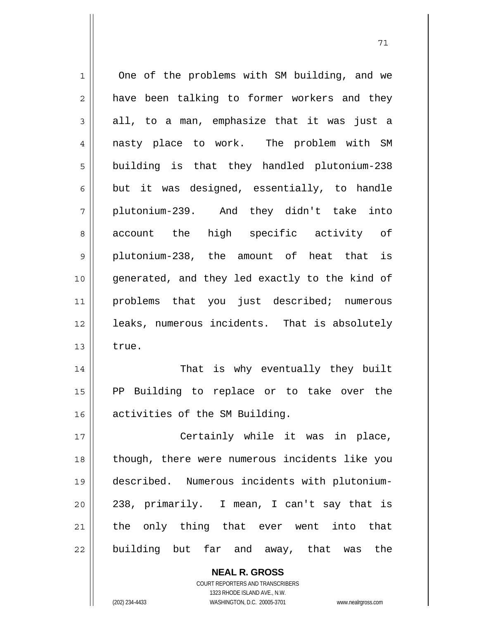| $\mathbf 1$    | One of the problems with SM building, and we   |
|----------------|------------------------------------------------|
| $\overline{2}$ | have been talking to former workers and they   |
| 3              | all, to a man, emphasize that it was just a    |
| $\overline{4}$ | nasty place to work. The problem with SM       |
| 5              | building is that they handled plutonium-238    |
| $\epsilon$     | but it was designed, essentially, to handle    |
| 7              | plutonium-239. And they didn't take<br>into    |
| 8              | account the high specific activity of          |
| 9              | plutonium-238, the amount of heat that is      |
| 10             | generated, and they led exactly to the kind of |
| 11             | problems that you just described; numerous     |
| 12             | leaks, numerous incidents. That is absolutely  |
| 13             | true.                                          |
| 14             | That is why eventually they built              |
| 15             | PP Building to replace or to take over the     |
| 16             | activities of the SM Building.                 |
| 17             | Certainly while it was in place,               |
| 18             | though, there were numerous incidents like you |
| 19             | described. Numerous incidents with plutonium-  |
| 20             | 238, primarily. I mean, I can't say that is    |
| 21             | the only thing that ever went into that        |
| 22             | building but far and away, that was the        |

71

**NEAL R. GROSS** COURT REPORTERS AND TRANSCRIBERS 1323 RHODE ISLAND AVE., N.W.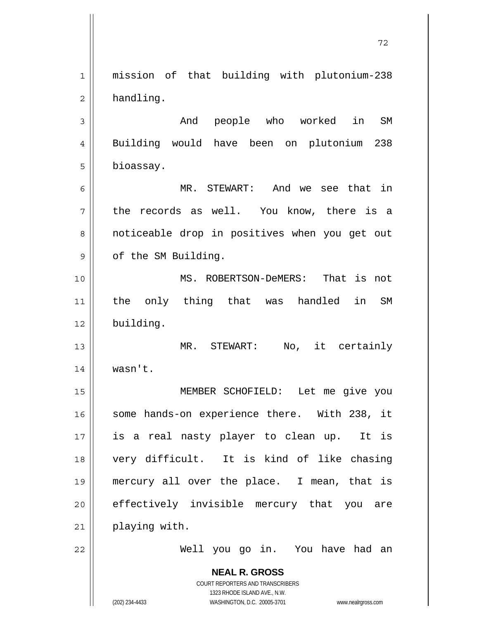**NEAL R. GROSS** COURT REPORTERS AND TRANSCRIBERS 1 2 3 4 5 6 7 8 9 10 11 12 13 14 15 16 17 18 19 20 21 22 mission of that building with plutonium-238 handling. And people who worked in SM Building would have been on plutonium 238 bioassay. MR. STEWART: And we see that in the records as well. You know, there is a noticeable drop in positives when you get out of the SM Building. MS. ROBERTSON-DeMERS: That is not the only thing that was handled in SM building. MR. STEWART: No, it certainly wasn't. MEMBER SCHOFIELD: Let me give you some hands-on experience there. With 238, it is a real nasty player to clean up. It is very difficult. It is kind of like chasing mercury all over the place. I mean, that is effectively invisible mercury that you are playing with. Well you go in. You have had an

72

1323 RHODE ISLAND AVE., N.W.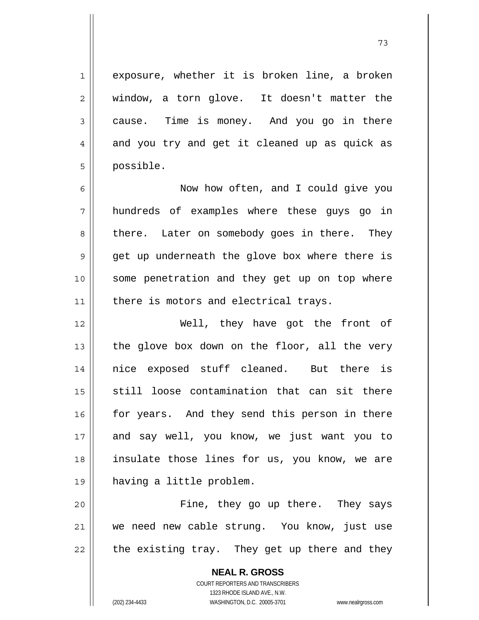exposure, whether it is broken line, a broken

73

2 3 4 5 6 7 8 9 10 11 12 13 14 15 16 17 18 19 20 21 window, a torn glove. It doesn't matter the cause. Time is money. And you go in there and you try and get it cleaned up as quick as possible. Now how often, and I could give you hundreds of examples where these guys go in there. Later on somebody goes in there. They get up underneath the glove box where there is some penetration and they get up on top where there is motors and electrical trays. Well, they have got the front of the glove box down on the floor, all the very nice exposed stuff cleaned. But there is still loose contamination that can sit there for years. And they send this person in there and say well, you know, we just want you to insulate those lines for us, you know, we are having a little problem. Fine, they go up there. They says we need new cable strung. You know, just use

22 the existing tray. They get up there and they

> **NEAL R. GROSS** COURT REPORTERS AND TRANSCRIBERS 1323 RHODE ISLAND AVE., N.W. (202) 234-4433 WASHINGTON, D.C. 20005-3701 www.nealrgross.com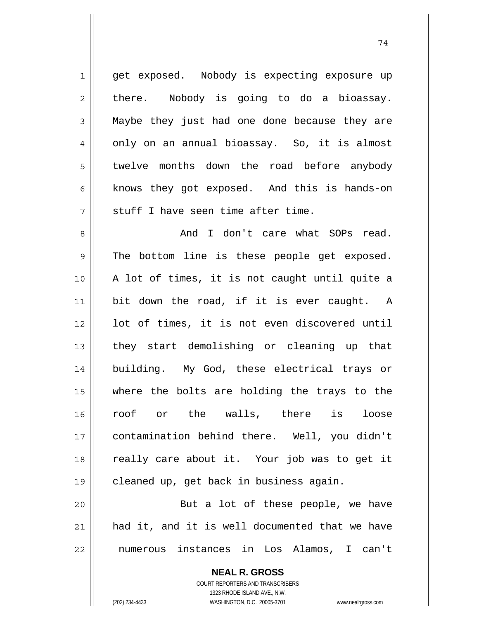1 2 3 4 5 6 7 get exposed. Nobody is expecting exposure up there. Nobody is going to do a bioassay. Maybe they just had one done because they are only on an annual bioassay. So, it is almost twelve months down the road before anybody knows they got exposed. And this is hands-on stuff I have seen time after time.

8 9 10 11 12 13 14 15 16 17 18 19 And I don't care what SOPs read. The bottom line is these people get exposed. A lot of times, it is not caught until quite a bit down the road, if it is ever caught. A lot of times, it is not even discovered until they start demolishing or cleaning up that building. My God, these electrical trays or where the bolts are holding the trays to the roof or the walls, there is loose contamination behind there. Well, you didn't really care about it. Your job was to get it cleaned up, get back in business again.

20 21 22 But a lot of these people, we have had it, and it is well documented that we have numerous instances in Los Alamos, I can't

> **NEAL R. GROSS** COURT REPORTERS AND TRANSCRIBERS 1323 RHODE ISLAND AVE., N.W. (202) 234-4433 WASHINGTON, D.C. 20005-3701 www.nealrgross.com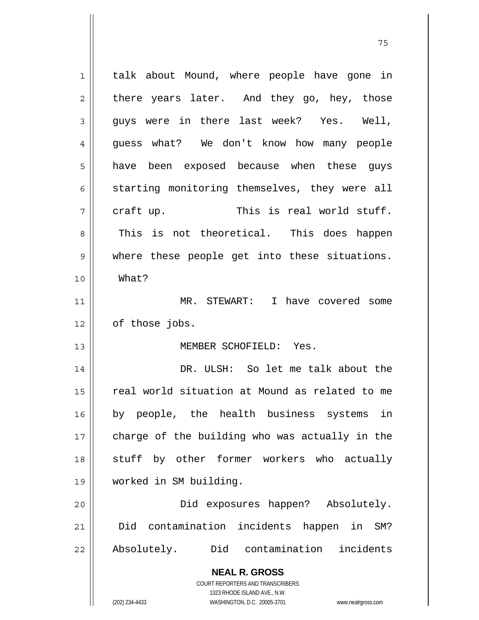| $\mathbf 1$ | talk about Mound, where people have gone in                         |
|-------------|---------------------------------------------------------------------|
| 2           | there years later. And they go, hey, those                          |
| 3           | guys were in there last week? Yes. Well,                            |
| 4           | guess what? We don't know how many people                           |
| 5           | have been exposed because when these guys                           |
| 6           | starting monitoring themselves, they were all                       |
| 7           | This is real world stuff.<br>craft up.                              |
| 8           | This is not theoretical. This does happen                           |
| $\mathsf 9$ | where these people get into these situations.                       |
| 10          | What?                                                               |
| 11          | MR. STEWART: I have covered some                                    |
| 12          | of those jobs.                                                      |
| 13          | MEMBER SCHOFIELD: Yes.                                              |
| 14          | DR. ULSH: So let me talk about the                                  |
| 15          | real world situation at Mound as related to me                      |
| 16          | by people, the health business systems<br>in                        |
| 17          | charge of the building who was actually in the                      |
| 18          | stuff by other former workers who actually                          |
| 19          | worked in SM building.                                              |
| 20          | Did exposures happen? Absolutely.                                   |
| 21          | contamination incidents happen in SM?<br>Did                        |
| 22          | Did contamination incidents<br>Absolutely.                          |
|             | <b>NEAL R. GROSS</b>                                                |
|             | <b>COURT REPORTERS AND TRANSCRIBERS</b>                             |
|             | 1323 RHODE ISLAND AVE., N.W.                                        |
|             | (202) 234-4433<br>WASHINGTON, D.C. 20005-3701<br>www.nealrgross.com |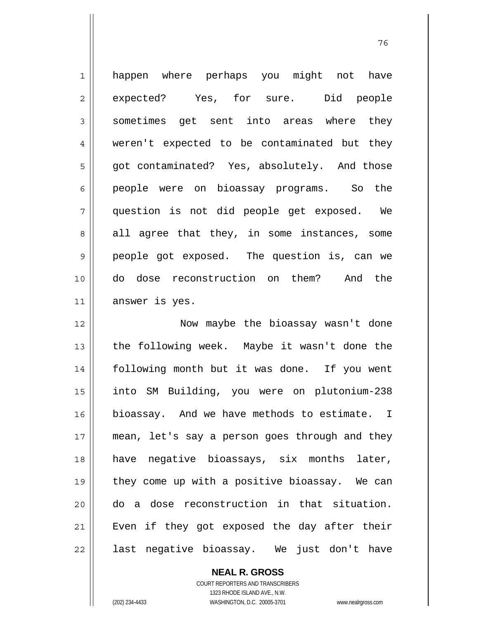| $\mathbf 1$    | happen where perhaps you might not have        |
|----------------|------------------------------------------------|
| $\overline{c}$ | expected? Yes, for sure. Did people            |
| $\mathfrak{Z}$ | sometimes get sent into areas where they       |
| $\overline{4}$ | weren't expected to be contaminated but they   |
| 5              | got contaminated? Yes, absolutely. And those   |
| 6              | people were on bioassay programs. So the       |
| 7              | question is not did people get exposed. We     |
| 8              | all agree that they, in some instances, some   |
| $\mathsf{S}$   | people got exposed. The question is, can we    |
| 10             | do dose reconstruction on them? And the        |
| 11             | answer is yes.                                 |
|                |                                                |
| 12             | Now maybe the bioassay wasn't done             |
| 13             | the following week. Maybe it wasn't done the   |
| 14             | following month but it was done. If you went   |
| 15             | into SM Building, you were on plutonium-238    |
| 16             | bioassay. And we have methods to estimate. I   |
| $17$           | mean, let's say a person goes through and they |
| 18             | have negative bioassays, six months later,     |
| 19             | they come up with a positive bioassay. We can  |
| 20             | do a dose reconstruction in that situation.    |
| 21             | Even if they got exposed the day after their   |

и процесс в политическиот представление в 176 године. В 176 године в 176 године. В 176 године в 176 године в 1<br>В 176 године в 176 године в 176 године в 176 године в 176 године в 176 године в 176 године в 176 године в 176

**NEAL R. GROSS** COURT REPORTERS AND TRANSCRIBERS 1323 RHODE ISLAND AVE., N.W.

 $\mathsf{II}$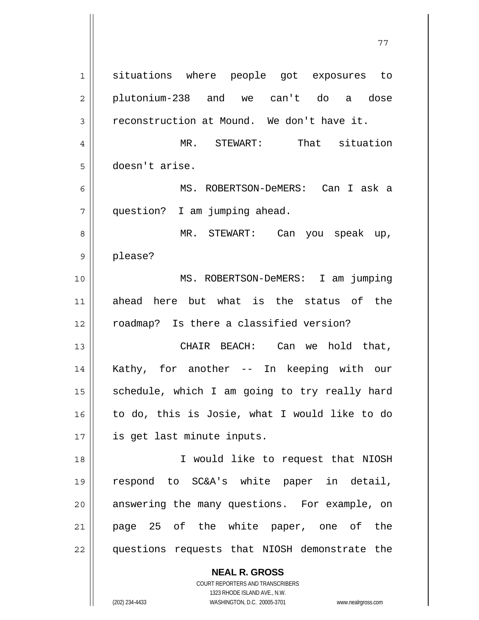**NEAL R. GROSS** 1 2 3 4 5 6 7 8 9 10 11 12 13 14 15 16 17 18 19 20 21 22 situations where people got exposures to plutonium-238 and we can't do a dose reconstruction at Mound. We don't have it. MR. STEWART: That situation doesn't arise. MS. ROBERTSON-DeMERS: Can I ask a question? I am jumping ahead. MR. STEWART: Can you speak up, please? MS. ROBERTSON-DeMERS: I am jumping ahead here but what is the status of the roadmap? Is there a classified version? CHAIR BEACH: Can we hold that, Kathy, for another -- In keeping with our schedule, which I am going to try really hard to do, this is Josie, what I would like to do is get last minute inputs. I would like to request that NIOSH respond to SC&A's white paper in detail, answering the many questions. For example, on page 25 of the white paper, one of the questions requests that NIOSH demonstrate the

77

COURT REPORTERS AND TRANSCRIBERS 1323 RHODE ISLAND AVE., N.W.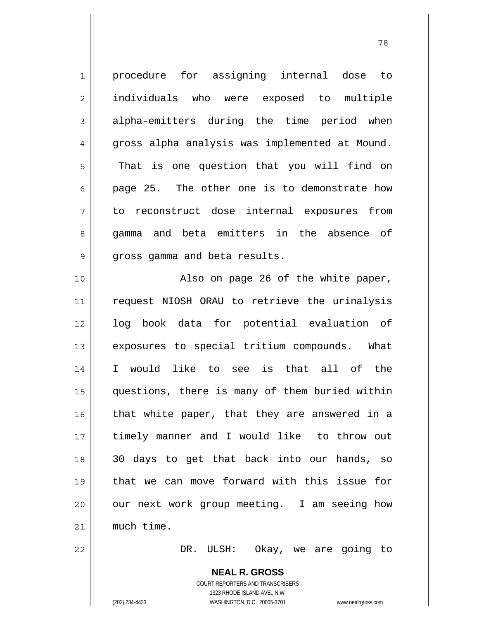1 2 3 4 5 6 7 8 9 10 11 12 13 14 15 16 17 18 19 20 21 procedure for assigning internal dose to individuals who were exposed to multiple alpha-emitters during the time period when gross alpha analysis was implemented at Mound. That is one question that you will find on page 25. The other one is to demonstrate how to reconstruct dose internal exposures from gamma and beta emitters in the absence of gross gamma and beta results. Also on page 26 of the white paper, request NIOSH ORAU to retrieve the urinalysis log book data for potential evaluation of exposures to special tritium compounds. What I would like to see is that all of the questions, there is many of them buried within that white paper, that they are answered in a timely manner and I would like to throw out 30 days to get that back into our hands, so that we can move forward with this issue for our next work group meeting. I am seeing how much time.

78

DR. ULSH: Okay, we are going to

**NEAL R. GROSS** COURT REPORTERS AND TRANSCRIBERS 1323 RHODE ISLAND AVE., N.W. (202) 234-4433 WASHINGTON, D.C. 20005-3701 www.nealrgross.com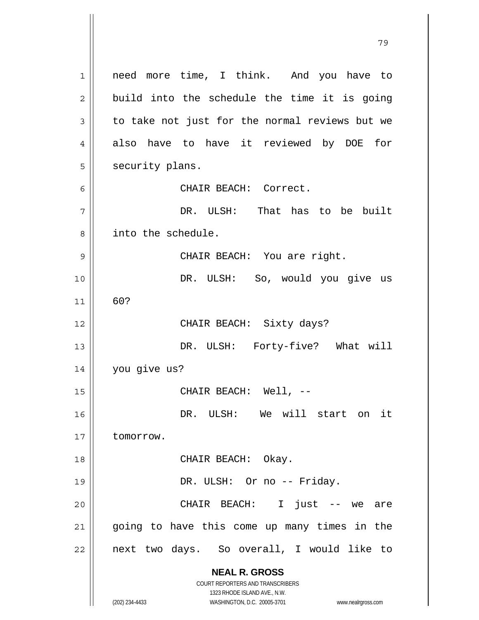**NEAL R. GROSS** COURT REPORTERS AND TRANSCRIBERS 1323 RHODE ISLAND AVE., N.W. (202) 234-4433 WASHINGTON, D.C. 20005-3701 www.nealrgross.com 1 2 3 4 5 6 7 8 9 10 11 12 13 14 15 16 17 18 19 20 21 22 need more time, I think. And you have to build into the schedule the time it is going to take not just for the normal reviews but we also have to have it reviewed by DOE for security plans. CHAIR BEACH: Correct. DR. ULSH: That has to be built into the schedule. CHAIR BEACH: You are right. DR. ULSH: So, would you give us 60? CHAIR BEACH: Sixty days? DR. ULSH: Forty-five? What will you give us? CHAIR BEACH: Well, -- DR. ULSH: We will start on it tomorrow. CHAIR BEACH: Okay. DR. ULSH: Or no -- Friday. CHAIR BEACH: I just -- we are going to have this come up many times in the next two days. So overall, I would like to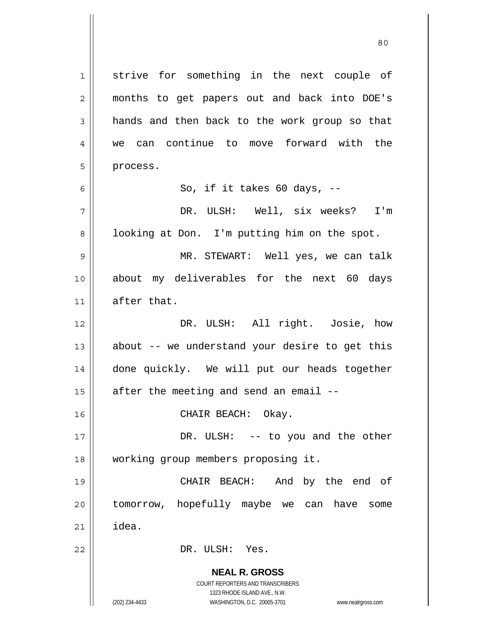**NEAL R. GROSS** COURT REPORTERS AND TRANSCRIBERS 1323 RHODE ISLAND AVE., N.W. (202) 234-4433 WASHINGTON, D.C. 20005-3701 www.nealrgross.com 1 2 3 4 5 6 7 8 9 10 11 12 13 14 15 16 17 18 19 20 21 22 strive for something in the next couple of months to get papers out and back into DOE's hands and then back to the work group so that we can continue to move forward with the process. So, if it takes 60 days, -- DR. ULSH: Well, six weeks? I'm looking at Don. I'm putting him on the spot. MR. STEWART: Well yes, we can talk about my deliverables for the next 60 days after that. DR. ULSH: All right. Josie, how about -- we understand your desire to get this done quickly. We will put our heads together after the meeting and send an email -- CHAIR BEACH: Okay. DR. ULSH: -- to you and the other working group members proposing it. CHAIR BEACH: And by the end of tomorrow, hopefully maybe we can have some idea. DR. ULSH: Yes.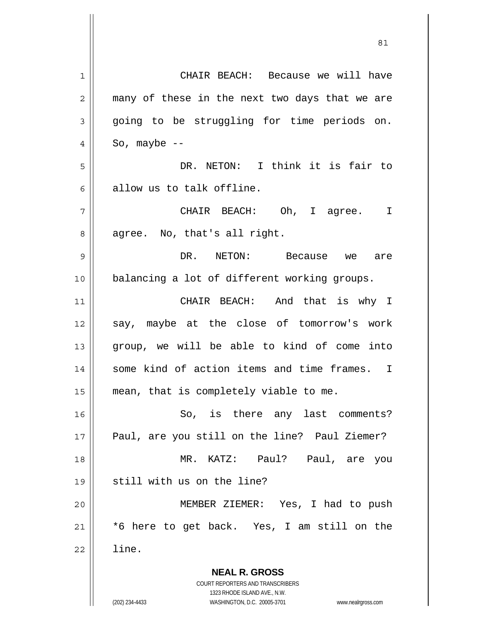**NEAL R. GROSS** COURT REPORTERS AND TRANSCRIBERS 1323 RHODE ISLAND AVE., N.W. 1 2 3 4 5 6 7 8 9 10 11 12 13 14 15 16 17 18 19 20 21 22 CHAIR BEACH: Because we will have many of these in the next two days that we are going to be struggling for time periods on. So, maybe -- DR. NETON: I think it is fair to allow us to talk offline. CHAIR BEACH: Oh, I agree. I agree. No, that's all right. DR. NETON: Because we are balancing a lot of different working groups. CHAIR BEACH: And that is why I say, maybe at the close of tomorrow's work group, we will be able to kind of come into some kind of action items and time frames. I mean, that is completely viable to me. So, is there any last comments? Paul, are you still on the line? Paul Ziemer? MR. KATZ: Paul? Paul, are you still with us on the line? MEMBER ZIEMER: Yes, I had to push \*6 here to get back. Yes, I am still on the line.

<u>81</u>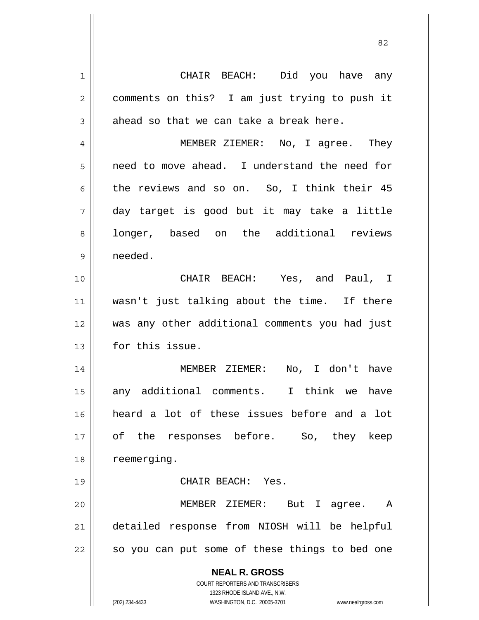**NEAL R. GROSS** COURT REPORTERS AND TRANSCRIBERS 1323 RHODE ISLAND AVE., N.W. (202) 234-4433 WASHINGTON, D.C. 20005-3701 www.nealrgross.com 1 2 3 4 5 6 7 8 9 10 11 12 13 14 15 16 17 18 19 20 21 22 CHAIR BEACH: Did you have any comments on this? I am just trying to push it ahead so that we can take a break here. MEMBER ZIEMER: No, I agree. They need to move ahead. I understand the need for the reviews and so on. So, I think their 45 day target is good but it may take a little longer, based on the additional reviews needed. CHAIR BEACH: Yes, and Paul, I wasn't just talking about the time. If there was any other additional comments you had just for this issue. MEMBER ZIEMER: No, I don't have any additional comments. I think we have heard a lot of these issues before and a lot of the responses before. So, they keep reemerging. CHAIR BEACH: Yes. MEMBER ZIEMER: But I agree. A detailed response from NIOSH will be helpful so you can put some of these things to bed one

<u>82</u>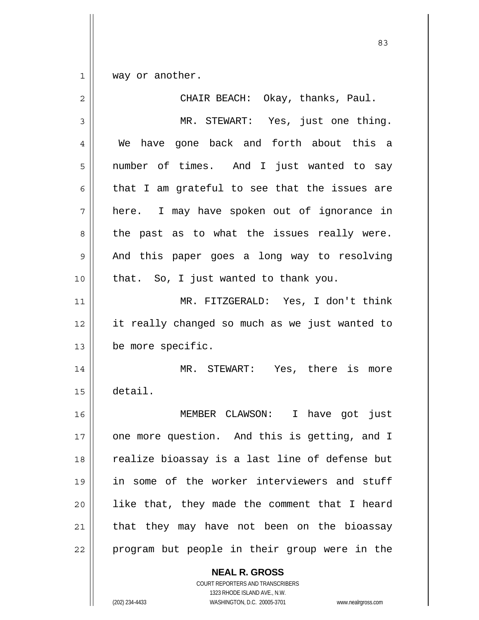1 way or another.

| $\overline{2}$ | CHAIR BEACH: Okay, thanks, Paul.               |
|----------------|------------------------------------------------|
| 3              | MR. STEWART: Yes, just one thing.              |
| 4              | We have gone back and forth about this a       |
| 5              | number of times. And I just wanted to say      |
| 6              | that I am grateful to see that the issues are  |
| 7              | here. I may have spoken out of ignorance in    |
| 8              | the past as to what the issues really were.    |
| $\mathsf 9$    | And this paper goes a long way to resolving    |
| 10             | that. So, I just wanted to thank you.          |
| 11             | MR. FITZGERALD: Yes, I don't think             |
| 12             | it really changed so much as we just wanted to |
| 13             | be more specific.                              |
| 14             | MR. STEWART: Yes, there is more                |
| 15             | detail.                                        |
| 16             | MEMBER CLAWSON: I have got just                |
| 17             | one more question. And this is getting, and I  |
| 18             | realize bioassay is a last line of defense but |
| 19             | in some of the worker interviewers and stuff   |
| 20             | like that, they made the comment that I heard  |
| 21             | that they may have not been on the bioassay    |
| 22             | program but people in their group were in the  |

**NEAL R. GROSS** COURT REPORTERS AND TRANSCRIBERS

1323 RHODE ISLAND AVE., N.W.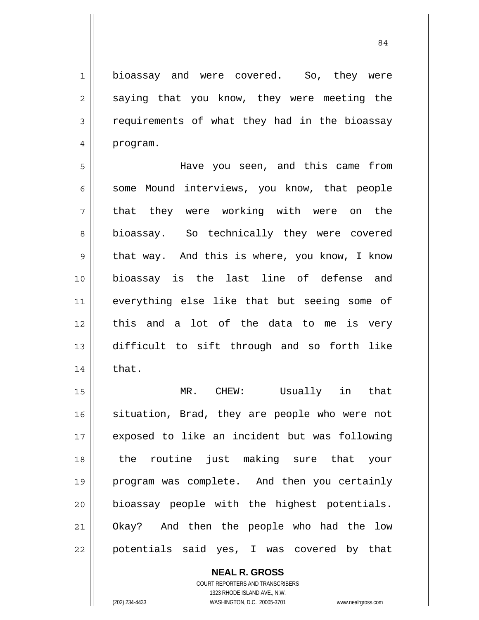bioassay and were covered. So, they were saying that you know, they were meeting the requirements of what they had in the bioassay

5 6 7 8 9 10 11 12 13 14 Have you seen, and this came from some Mound interviews, you know, that people that they were working with were on the bioassay. So technically they were covered that way. And this is where, you know, I know bioassay is the last line of defense and everything else like that but seeing some of this and a lot of the data to me is very difficult to sift through and so forth like that.

15 16 17 18 19 20 21 22 MR. CHEW: Usually in that situation, Brad, they are people who were not exposed to like an incident but was following the routine just making sure that your program was complete. And then you certainly bioassay people with the highest potentials. Okay? And then the people who had the low potentials said yes, I was covered by that

> COURT REPORTERS AND TRANSCRIBERS 1323 RHODE ISLAND AVE., N.W. (202) 234-4433 WASHINGTON, D.C. 20005-3701 www.nealrgross.com

**NEAL R. GROSS**

1

2

3

4

program.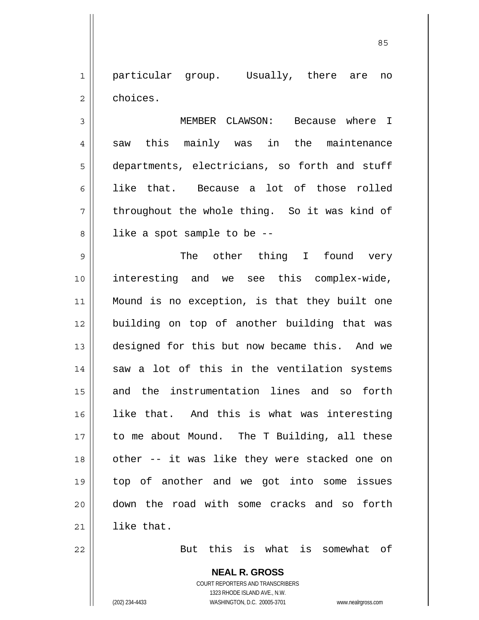1 2 particular group. Usually, there are no choices.

<u>85 and 2001 and 2001 and 2001 and 2001 and 2001 and 2001 and 2001 and 2001 and 2001 and 2001 and 2001 and 200</u>

3 4 5 6 7 8 MEMBER CLAWSON: Because where I saw this mainly was in the maintenance departments, electricians, so forth and stuff like that. Because a lot of those rolled throughout the whole thing. So it was kind of like a spot sample to be --

9 10 11 12 13 14 15 16 17 18 19 20 21 The other thing I found very interesting and we see this complex-wide, Mound is no exception, is that they built one building on top of another building that was designed for this but now became this. And we saw a lot of this in the ventilation systems and the instrumentation lines and so forth like that. And this is what was interesting to me about Mound. The T Building, all these other -- it was like they were stacked one on top of another and we got into some issues down the road with some cracks and so forth like that.

22

But this is what is somewhat of

**NEAL R. GROSS** COURT REPORTERS AND TRANSCRIBERS 1323 RHODE ISLAND AVE., N.W. (202) 234-4433 WASHINGTON, D.C. 20005-3701 www.nealrgross.com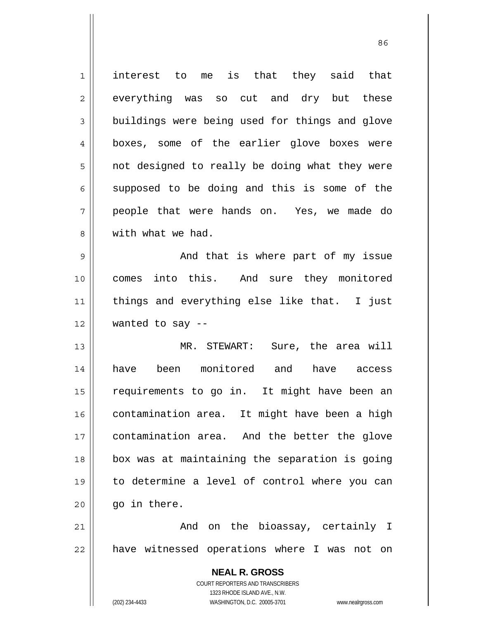**NEAL R. GROSS** COURT REPORTERS AND TRANSCRIBERS 1323 RHODE ISLAND AVE., N.W. (202) 234-4433 WASHINGTON, D.C. 20005-3701 www.nealrgross.com 1 2 3 4 5 6 7 8 9 10 11 12 13 14 15 16 17 18 19 20 21 22 interest to me is that they said that everything was so cut and dry but these buildings were being used for things and glove boxes, some of the earlier glove boxes were not designed to really be doing what they were supposed to be doing and this is some of the people that were hands on. Yes, we made do with what we had. And that is where part of my issue comes into this. And sure they monitored things and everything else like that. I just wanted to say -- MR. STEWART: Sure, the area will have been monitored and have access requirements to go in. It might have been an contamination area. It might have been a high contamination area. And the better the glove box was at maintaining the separation is going to determine a level of control where you can go in there. And on the bioassay, certainly I have witnessed operations where I was not on

<u>86 and 2001 and 2002 and 2003 and 2003 and 2003 and 2003 and 2003 and 2003 and 2003 and 2003 and 2003 and 200</u>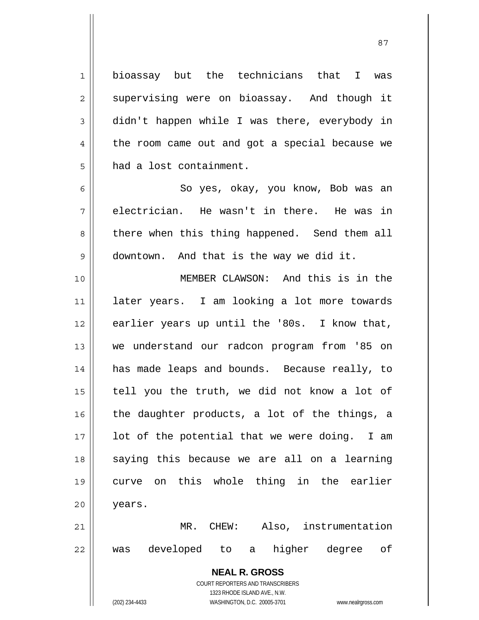1 2 3 4 5 bioassay but the technicians that I was supervising were on bioassay. And though it didn't happen while I was there, everybody in the room came out and got a special because we had a lost containment.

7 So yes, okay, you know, Bob was an electrician. He wasn't in there. He was in there when this thing happened. Send them all downtown. And that is the way we did it.

10 11 12 13 14 15 16 17 18 19 20 21 MEMBER CLAWSON: And this is in the later years. I am looking a lot more towards earlier years up until the '80s. I know that, we understand our radcon program from '85 on has made leaps and bounds. Because really, to tell you the truth, we did not know a lot of the daughter products, a lot of the things, a lot of the potential that we were doing. I am saying this because we are all on a learning curve on this whole thing in the earlier years. MR. CHEW: Also, instrumentation

22 was developed to a higher degree of

> **NEAL R. GROSS** COURT REPORTERS AND TRANSCRIBERS 1323 RHODE ISLAND AVE., N.W.

6

8

9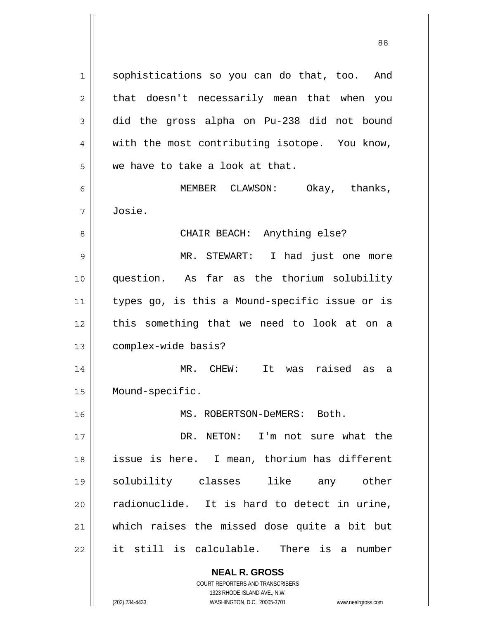sophistications so you can do that, too. And that doesn't necessarily mean that when you did the gross alpha on Pu-238 did not bound with the most contributing isotope. You know, we have to take a look at that. MEMBER CLAWSON: Okay, thanks,

Josie.

CHAIR BEACH: Anything else?

9 10 11 12 13 MR. STEWART: I had just one more question. As far as the thorium solubility types go, is this a Mound-specific issue or is this something that we need to look at on a complex-wide basis?

14 15 MR. CHEW: It was raised as a Mound-specific.

MS. ROBERTSON-DeMERS: Both.

17 18 19 20 21 22 DR. NETON: I'm not sure what the issue is here. I mean, thorium has different solubility classes like any other radionuclide. It is hard to detect in urine, which raises the missed dose quite a bit but it still is calculable. There is a number

> **NEAL R. GROSS** COURT REPORTERS AND TRANSCRIBERS

1

2

3

4

5

6

7

8

16

1323 RHODE ISLAND AVE., N.W. (202) 234-4433 WASHINGTON, D.C. 20005-3701 www.nealrgross.com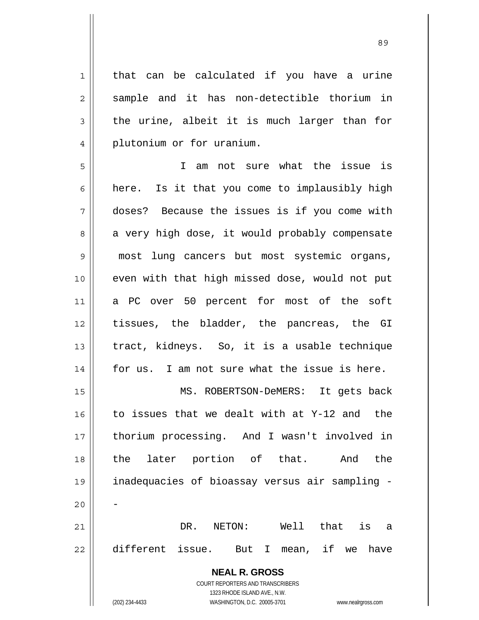that can be calculated if you have a urine sample and it has non-detectible thorium in the urine, albeit it is much larger than for plutonium or for uranium.

5 6 7 8 9 10 11 12 13 14 15 16 17 18 19 20 21 22 I am not sure what the issue is here. Is it that you come to implausibly high doses? Because the issues is if you come with a very high dose, it would probably compensate most lung cancers but most systemic organs, even with that high missed dose, would not put a PC over 50 percent for most of the soft tissues, the bladder, the pancreas, the GI tract, kidneys. So, it is a usable technique for us. I am not sure what the issue is here. MS. ROBERTSON-DeMERS: It gets back to issues that we dealt with at Y-12 and the thorium processing. And I wasn't involved in the later portion of that. And the inadequacies of bioassay versus air sampling - - DR. NETON: Well that is a different issue. But I mean, if we have

> **NEAL R. GROSS** COURT REPORTERS AND TRANSCRIBERS

> > 1323 RHODE ISLAND AVE., N.W.

1

2

3

4

(202) 234-4433 WASHINGTON, D.C. 20005-3701 www.nealrgross.com

<u>89 and 2001 and 2002 and 2003 and 2003 and 2003 and 2003 and 2003 and 2003 and 2003 and 2003 and 2003 and 200</u>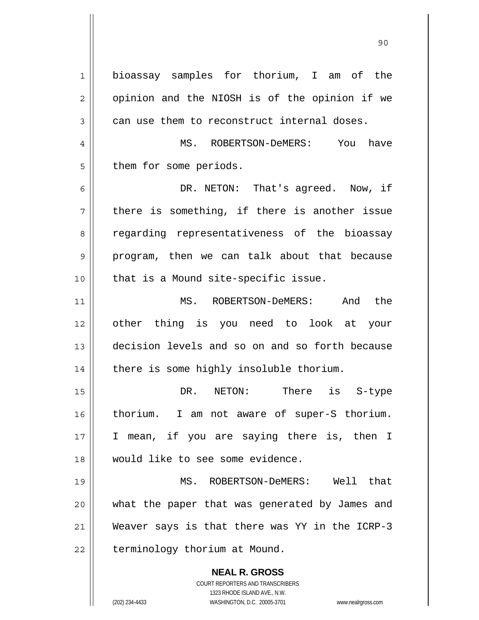**NEAL R. GROSS** COURT REPORTERS AND TRANSCRIBERS 1323 RHODE ISLAND AVE., N.W. 1 2 3 4 5 6 7 8 9 10 11 12 13 14 15 16 17 18 19 20 21 22 bioassay samples for thorium, I am of the opinion and the NIOSH is of the opinion if we can use them to reconstruct internal doses. MS. ROBERTSON-DeMERS: You have them for some periods. DR. NETON: That's agreed. Now, if there is something, if there is another issue regarding representativeness of the bioassay program, then we can talk about that because that is a Mound site-specific issue. MS. ROBERTSON-DeMERS: And the other thing is you need to look at your decision levels and so on and so forth because there is some highly insoluble thorium. DR. NETON: There is S-type thorium. I am not aware of super-S thorium. I mean, if you are saying there is, then I would like to see some evidence. MS. ROBERTSON-DeMERS: Well that what the paper that was generated by James and Weaver says is that there was YY in the ICRP-3 terminology thorium at Mound.

90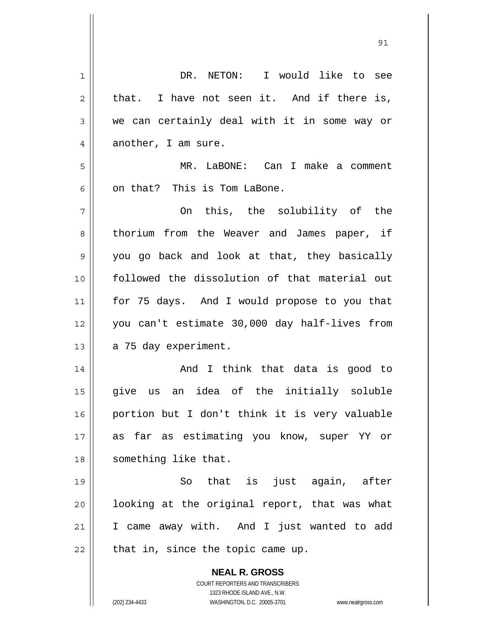| 1              | DR. NETON: I would like to see                                      |
|----------------|---------------------------------------------------------------------|
| $\overline{2}$ | that. I have not seen it. And if there is,                          |
| 3              | we can certainly deal with it in some way or                        |
| 4              | another, I am sure.                                                 |
| 5              | MR. LaBONE: Can I make a comment                                    |
| 6              | on that? This is Tom LaBone.                                        |
| 7              | On this, the solubility of the                                      |
| 8              | thorium from the Weaver and James paper, if                         |
| 9              | you go back and look at that, they basically                        |
| 10             | followed the dissolution of that material out                       |
| 11             | for 75 days. And I would propose to you that                        |
| 12             | you can't estimate 30,000 day half-lives from                       |
| 13             | a 75 day experiment.                                                |
| 14             | And I think that data is good to                                    |
| 15             | an idea of the initially soluble<br>give<br>us                      |
| 16             | portion but I don't think it is very valuable                       |
| 17             | as far as estimating you know, super YY or                          |
| 18             | something like that.                                                |
| 19             | that is just again, after<br>So                                     |
| 20             | looking at the original report, that was what                       |
| 21             | I came away with. And I just wanted to add                          |
| 22             | that in, since the topic came up.                                   |
|                | <b>NEAL R. GROSS</b>                                                |
|                | COURT REPORTERS AND TRANSCRIBERS                                    |
|                | 1323 RHODE ISLAND AVE., N.W.                                        |
|                | (202) 234-4433<br>WASHINGTON, D.C. 20005-3701<br>www.nealrgross.com |

<u>91</u>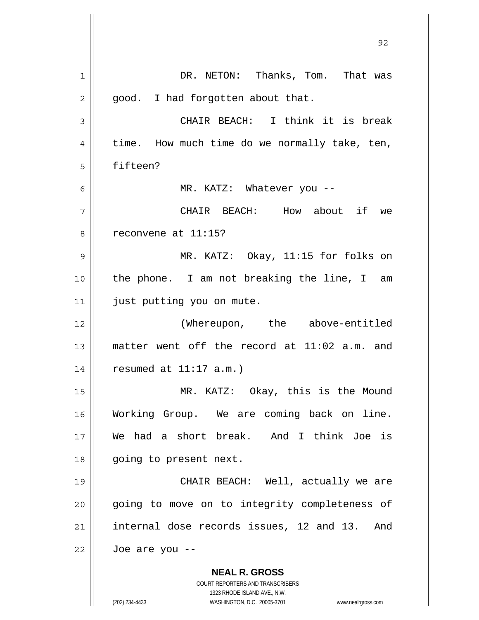| 92                                                                                                  |
|-----------------------------------------------------------------------------------------------------|
| DR. NETON: Thanks, Tom. That was                                                                    |
| good. I had forgotten about that.                                                                   |
| CHAIR BEACH: I think it is break                                                                    |
| time. How much time do we normally take, ten,                                                       |
| fifteen?                                                                                            |
| MR. KATZ: Whatever you --                                                                           |
| CHAIR BEACH: How about if we                                                                        |
| reconvene at 11:15?                                                                                 |
| MR. KATZ: Okay, 11:15 for folks on                                                                  |
| the phone. I am not breaking the line, I am                                                         |
| just putting you on mute.                                                                           |
| (Whereupon, the above-entitled                                                                      |
| matter went off the record at 11:02 a.m. and                                                        |
| resumed at $11:17$ a.m.)                                                                            |
| MR. KATZ: Okay, this is the Mound                                                                   |
| Working Group. We are coming back on line.                                                          |
| We had a short break. And I think Joe is                                                            |
| going to present next.                                                                              |
| CHAIR BEACH: Well, actually we are                                                                  |
| going to move on to integrity completeness of                                                       |
| internal dose records issues, 12 and 13.<br>And                                                     |
| Joe are you --                                                                                      |
| <b>NEAL R. GROSS</b><br>COURT REPORTERS AND TRANSCRIBERS                                            |
| 1323 RHODE ISLAND AVE., N.W.<br>(202) 234-4433<br>WASHINGTON, D.C. 20005-3701<br>www.nealrgross.com |
|                                                                                                     |

 $\mathsf{l}$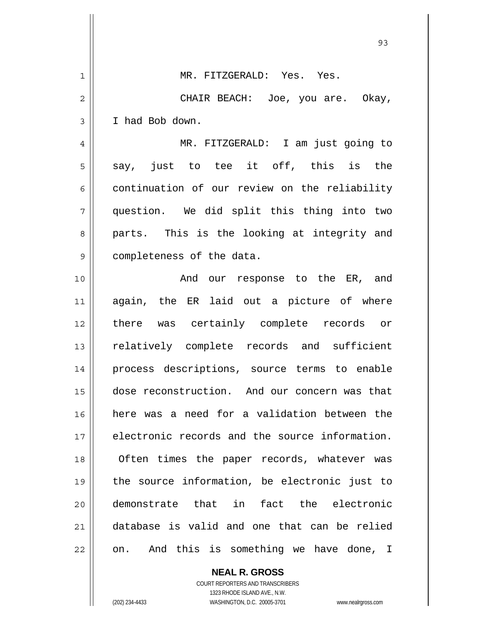|              | 93                                             |
|--------------|------------------------------------------------|
| $\mathbf{1}$ | MR. FITZGERALD: Yes. Yes.                      |
| 2            | CHAIR BEACH: Joe, you are. Okay,               |
| 3            | I had Bob down.                                |
| 4            | MR. FITZGERALD: I am just going to             |
| 5            | say, just to tee it off, this is the           |
| 6            | continuation of our review on the reliability  |
| 7            | question. We did split this thing into two     |
| 8            | parts. This is the looking at integrity and    |
| 9            | completeness of the data.                      |
| 10           | And our response to the ER, and                |
| 11           | again, the ER laid out a picture of where      |
| 12           | there was certainly complete records or        |
| 13           | relatively complete records and sufficient     |
| 14           | process descriptions, source terms to enable   |
| 15           | dose reconstruction. And our concern was that  |
| 16           | here was a need for a validation between the   |
| 17           | electronic records and the source information. |
| 18           | Often times the paper records, whatever was    |
| 19           | the source information, be electronic just to  |
| 20           | demonstrate that in fact the electronic        |
| 21           | database is valid and one that can be relied   |
| 22           | on. And this is something we have done, I      |

**NEAL R. GROSS** COURT REPORTERS AND TRANSCRIBERS 1323 RHODE ISLAND AVE., N.W.

 $\mathbf{I}$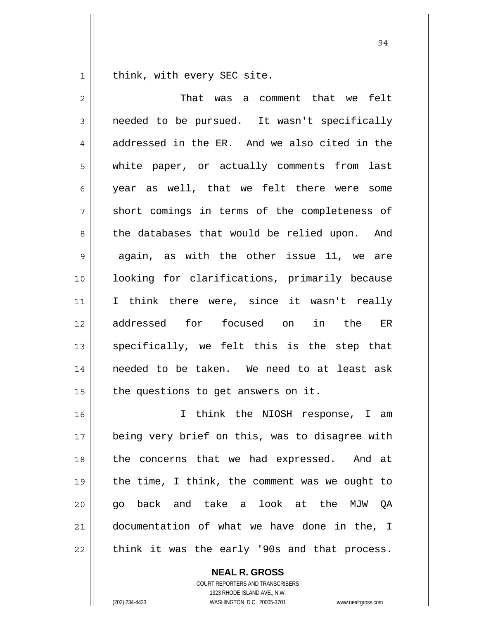1 think, with every SEC site.

| $\overline{2}$ | That was a comment that we felt                |
|----------------|------------------------------------------------|
| 3              | needed to be pursued. It wasn't specifically   |
| 4              | addressed in the ER. And we also cited in the  |
| 5              | white paper, or actually comments from last    |
| 6              | year as well, that we felt there were some     |
| 7              | short comings in terms of the completeness of  |
| 8              | the databases that would be relied upon. And   |
| 9              | again, as with the other issue 11, we are      |
| 10             | looking for clarifications, primarily because  |
| 11             | I think there were, since it wasn't really     |
| 12             | addressed for focused on<br>in the ER          |
| 13             | specifically, we felt this is the step that    |
| 14             | needed to be taken. We need to at least ask    |
| 15             | the questions to get answers on it.            |
| 16             | I think the NIOSH response, I am               |
| 17             | being very brief on this, was to disagree with |
| 18             | the concerns that we had expressed. And at     |
| 19             | the time, I think, the comment was we ought to |
| 20             | go back and take a look at the MJW QA          |
| 21             | documentation of what we have done in the, I   |
| 22             | think it was the early '90s and that process.  |

**NEAL R. GROSS** COURT REPORTERS AND TRANSCRIBERS

1323 RHODE ISLAND AVE., N.W. (202) 234-4433 WASHINGTON, D.C. 20005-3701 www.nealrgross.com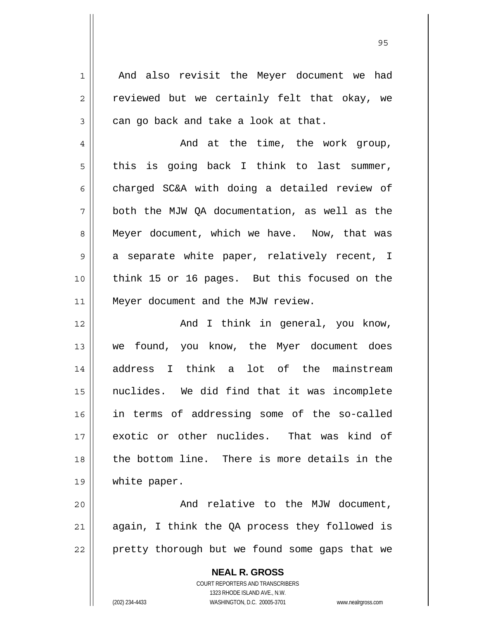And also revisit the Meyer document we had reviewed but we certainly felt that okay, we can go back and take a look at that.

1

2

3

4 5 6 7 8 9 10 11 And at the time, the work group, this is going back I think to last summer, charged SC&A with doing a detailed review of both the MJW QA documentation, as well as the Meyer document, which we have. Now, that was a separate white paper, relatively recent, I think 15 or 16 pages. But this focused on the Meyer document and the MJW review.

12 13 14 15 16 17 18 19 And I think in general, you know, we found, you know, the Myer document does address I think a lot of the mainstream nuclides. We did find that it was incomplete in terms of addressing some of the so-called exotic or other nuclides. That was kind of the bottom line. There is more details in the white paper.

20 21 22 And relative to the MJW document, again, I think the QA process they followed is pretty thorough but we found some gaps that we

> **NEAL R. GROSS** COURT REPORTERS AND TRANSCRIBERS 1323 RHODE ISLAND AVE., N.W. (202) 234-4433 WASHINGTON, D.C. 20005-3701 www.nealrgross.com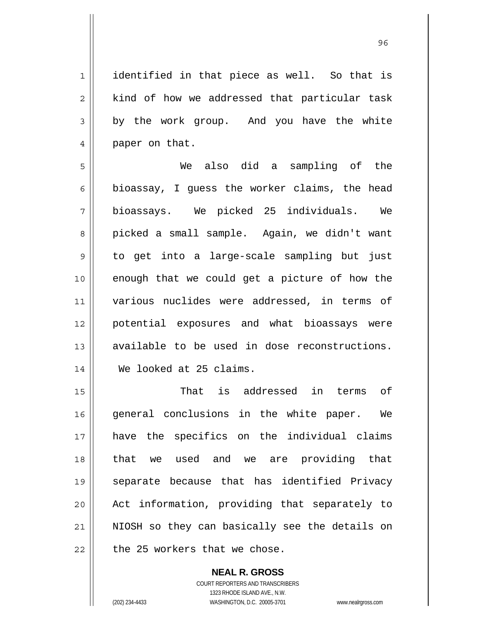1 2 3 4 identified in that piece as well. So that is kind of how we addressed that particular task by the work group. And you have the white paper on that.

5 6 7 8 9 10 11 12 13 14 We also did a sampling of the bioassay, I guess the worker claims, the head bioassays. We picked 25 individuals. We picked a small sample. Again, we didn't want to get into a large-scale sampling but just enough that we could get a picture of how the various nuclides were addressed, in terms of potential exposures and what bioassays were available to be used in dose reconstructions. We looked at 25 claims.

15 16 17 18 19 20 21 22 That is addressed in terms of general conclusions in the white paper. We have the specifics on the individual claims that we used and we are providing that separate because that has identified Privacy Act information, providing that separately to NIOSH so they can basically see the details on the 25 workers that we chose.

> **NEAL R. GROSS** COURT REPORTERS AND TRANSCRIBERS 1323 RHODE ISLAND AVE., N.W. (202) 234-4433 WASHINGTON, D.C. 20005-3701 www.nealrgross.com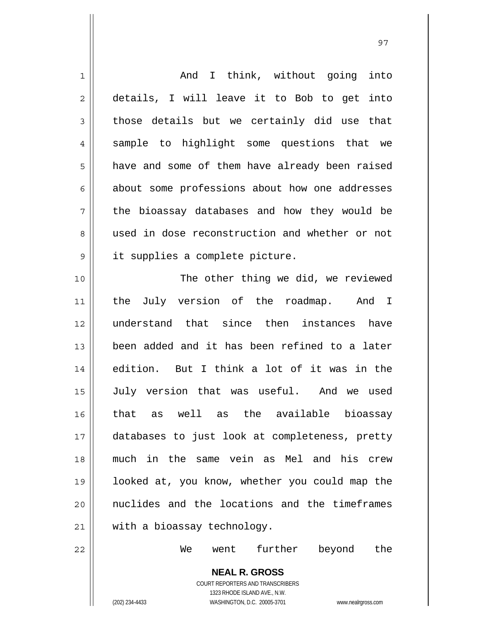| $\mathbf 1$    | And I think, without going into                |
|----------------|------------------------------------------------|
|                |                                                |
| $\overline{2}$ | details, I will leave it to Bob to get into    |
| 3              | those details but we certainly did use that    |
| 4              | sample to highlight some questions that we     |
| 5              | have and some of them have already been raised |
| 6              | about some professions about how one addresses |
| 7              | the bioassay databases and how they would be   |
| 8              | used in dose reconstruction and whether or not |
| $\mathsf 9$    | it supplies a complete picture.                |
| 10             | The other thing we did, we reviewed            |
| 11             | the July version of the roadmap. And I         |
| 12             | understand that since then instances have      |
| 13             | been added and it has been refined to a later  |
| 14             | edition. But I think a lot of it was in the    |
| 15             | July version that was useful. And we used      |
| 16             | as well as the available bioassay<br>that      |
| 17             | databases to just look at completeness, pretty |
| 18             | much in the same vein as Mel and his crew      |
| 19             | looked at, you know, whether you could map the |
| 20             | nuclides and the locations and the timeframes  |
| 21             | with a bioassay technology.                    |
| 22             | further beyond<br>went<br>the<br>We            |
|                | <b>NEAL R. GROSS</b>                           |

97

**NEAL R. GROSS** COURT REPORTERS AND TRANSCRIBERS 1323 RHODE ISLAND AVE., N.W. (202) 234-4433 WASHINGTON, D.C. 20005-3701 www.nealrgross.com

 $\prod$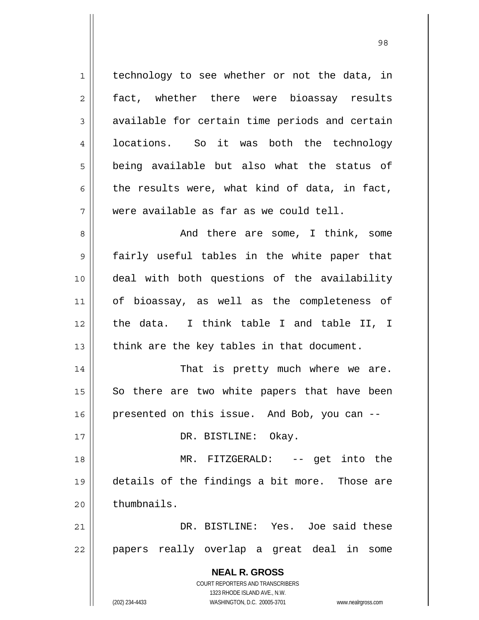**NEAL R. GROSS** COURT REPORTERS AND TRANSCRIBERS 1323 RHODE ISLAND AVE., N.W. 1 2 3 4 5 6 7 8 9 10 11 12 13 14 15 16 17 18 19 20 21 22 technology to see whether or not the data, in fact, whether there were bioassay results available for certain time periods and certain locations. So it was both the technology being available but also what the status of the results were, what kind of data, in fact, were available as far as we could tell. And there are some, I think, some fairly useful tables in the white paper that deal with both questions of the availability of bioassay, as well as the completeness of the data. I think table I and table II, I think are the key tables in that document. That is pretty much where we are. So there are two white papers that have been presented on this issue. And Bob, you can -- DR. BISTLINE: Okay. MR. FITZGERALD: -- get into the details of the findings a bit more. Those are thumbnails. DR. BISTLINE: Yes. Joe said these papers really overlap a great deal in some

98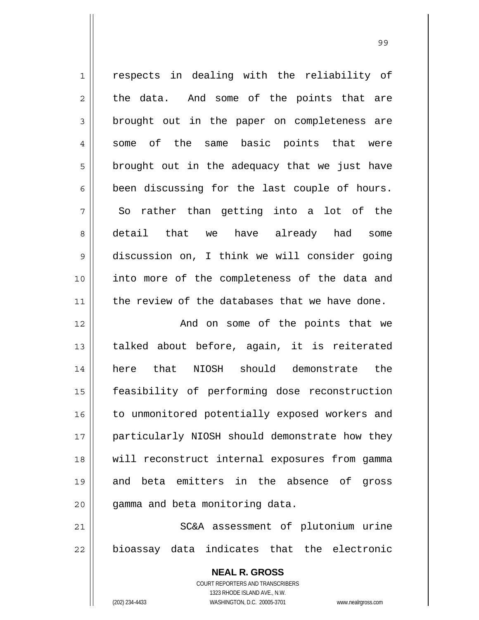1 2 3 4 5 6 7 8 9 10 11 12 13 14 15 respects in dealing with the reliability of the data. And some of the points that are brought out in the paper on completeness are some of the same basic points that were brought out in the adequacy that we just have been discussing for the last couple of hours. So rather than getting into a lot of the detail that we have already had some discussion on, I think we will consider going into more of the completeness of the data and the review of the databases that we have done. And on some of the points that we talked about before, again, it is reiterated here that NIOSH should demonstrate the feasibility of performing dose reconstruction

19 20 21 22 and beta emitters in the absence of gross gamma and beta monitoring data. SC&A assessment of plutonium urine bioassay data indicates that the electronic

to unmonitored potentially exposed workers and

particularly NIOSH should demonstrate how they

will reconstruct internal exposures from gamma

**NEAL R. GROSS** COURT REPORTERS AND TRANSCRIBERS 1323 RHODE ISLAND AVE., N.W. (202) 234-4433 WASHINGTON, D.C. 20005-3701 www.nealrgross.com

16

17

18

99 - Paul Barbara, poeta e a contra de 1999 - Paul Barbara, español de 1999 - Paul Barbara, español de 1999 -<br>1990 - Paul Barbara, poeta español de 1990 - Paul Barbara, español de 1990 - Paul Barbara, español de 1990 -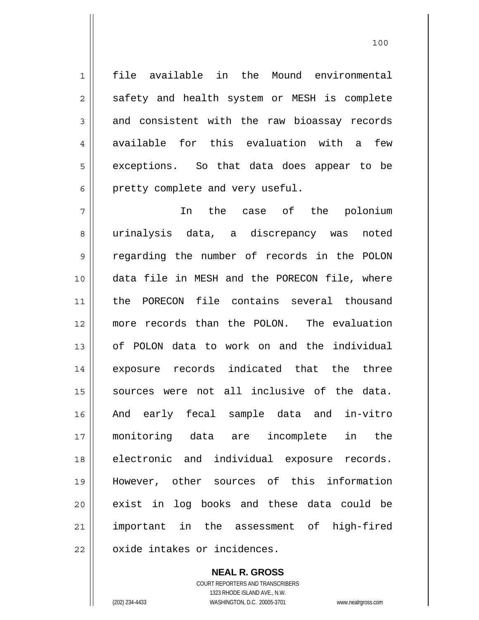file available in the Mound environmental safety and health system or MESH is complete and consistent with the raw bioassay records available for this evaluation with a few exceptions. So that data does appear to be pretty complete and very useful.

7 8 9 10 11 12 13 14 15 16 17 18 19 20 21 22 In the case of the polonium urinalysis data, a discrepancy was noted regarding the number of records in the POLON data file in MESH and the PORECON file, where the PORECON file contains several thousand more records than the POLON. The evaluation of POLON data to work on and the individual exposure records indicated that the three sources were not all inclusive of the data. And early fecal sample data and in-vitro monitoring data are incomplete in the electronic and individual exposure records. However, other sources of this information exist in log books and these data could be important in the assessment of high-fired oxide intakes or incidences.

> **NEAL R. GROSS** COURT REPORTERS AND TRANSCRIBERS 1323 RHODE ISLAND AVE., N.W. (202) 234-4433 WASHINGTON, D.C. 20005-3701 www.nealrgross.com

1

2

3

4

5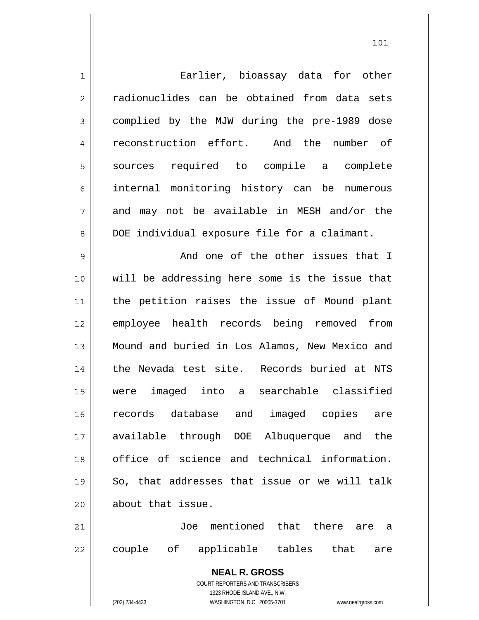| $\mathbf 1$    | Earlier, bioassay data for other                                    |
|----------------|---------------------------------------------------------------------|
| $\overline{2}$ | radionuclides can be obtained from data sets                        |
| 3              | complied by the MJW during the pre-1989 dose                        |
| $\overline{4}$ | reconstruction effort. And the number of                            |
| 5              | sources required to compile a complete                              |
| 6              | internal monitoring history can be numerous                         |
| 7              | and may not be available in MESH and/or the                         |
| 8              | DOE individual exposure file for a claimant.                        |
| 9              | And one of the other issues that I                                  |
| 10             | will be addressing here some is the issue that                      |
| 11             | the petition raises the issue of Mound plant                        |
| 12             | employee health records being removed from                          |
| 13             | Mound and buried in Los Alamos, New Mexico and                      |
| 14             | the Nevada test site. Records buried at NTS                         |
| 15             | were imaged into a searchable classified                            |
| 16             | records database and imaged copies are                              |
| 17             | available through DOE Albuquerque and the                           |
| 18             | office of science and technical information.                        |
| 19             | So, that addresses that issue or we will talk                       |
| 20             | about that issue.                                                   |
| 21             | Joe mentioned that there are a                                      |
| 22             | couple of<br>applicable tables that are                             |
|                | <b>NEAL R. GROSS</b><br>COURT REPORTERS AND TRANSCRIBERS            |
|                | 1323 RHODE ISLAND AVE., N.W.                                        |
|                | (202) 234-4433<br>WASHINGTON, D.C. 20005-3701<br>www.nealrgross.com |

 $\mathsf{I}$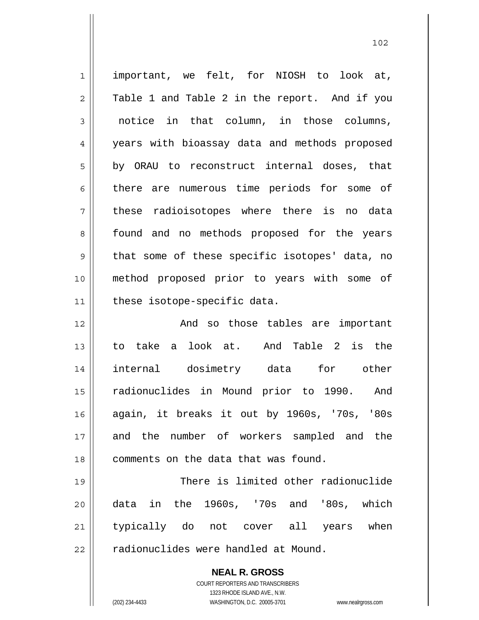**NEAL R. GROSS** 1 2 3 4 5 6 7 8 9 10 11 12 13 14 15 16 17 18 19 20 21 22 important, we felt, for NIOSH to look at, Table 1 and Table 2 in the report. And if you notice in that column, in those columns, years with bioassay data and methods proposed by ORAU to reconstruct internal doses, that there are numerous time periods for some of these radioisotopes where there is no data found and no methods proposed for the years that some of these specific isotopes' data, no method proposed prior to years with some of these isotope-specific data. And so those tables are important to take a look at. And Table 2 is the internal dosimetry data for other radionuclides in Mound prior to 1990. And again, it breaks it out by 1960s, '70s, '80s and the number of workers sampled and the comments on the data that was found. There is limited other radionuclide data in the 1960s, '70s and '80s, which typically do not cover all years when radionuclides were handled at Mound.

102

1323 RHODE ISLAND AVE., N.W. (202) 234-4433 WASHINGTON, D.C. 20005-3701 www.nealrgross.com

COURT REPORTERS AND TRANSCRIBERS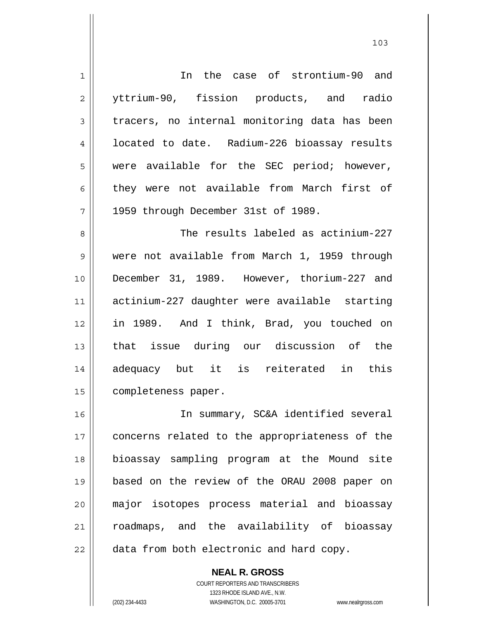1 2 3 4 5 6 7 8 9 10 11 12 13 14 15 16 17 18 19 20 21 22 In the case of strontium-90 and yttrium-90, fission products, and radio tracers, no internal monitoring data has been located to date. Radium-226 bioassay results were available for the SEC period; however, they were not available from March first of 1959 through December 31st of 1989. The results labeled as actinium-227 were not available from March 1, 1959 through December 31, 1989. However, thorium-227 and actinium-227 daughter were available starting in 1989. And I think, Brad, you touched on that issue during our discussion of the adequacy but it is reiterated in this completeness paper. In summary, SC&A identified several concerns related to the appropriateness of the bioassay sampling program at the Mound site based on the review of the ORAU 2008 paper on major isotopes process material and bioassay roadmaps, and the availability of bioassay data from both electronic and hard copy.

**NEAL R. GROSS**

COURT REPORTERS AND TRANSCRIBERS 1323 RHODE ISLAND AVE., N.W. (202) 234-4433 WASHINGTON, D.C. 20005-3701 www.nealrgross.com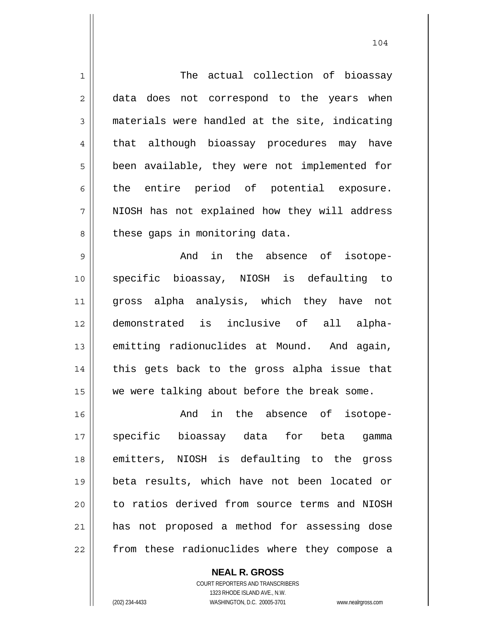| $\mathbf 1$    | The actual collection of bioassay              |
|----------------|------------------------------------------------|
| $\overline{2}$ | data does not correspond to the years when     |
| $\mathfrak{Z}$ | materials were handled at the site, indicating |
| $\overline{4}$ | that although bioassay procedures may have     |
| 5              | been available, they were not implemented for  |
| 6              | the entire period of potential exposure.       |
| 7              | NIOSH has not explained how they will address  |
| 8              | these gaps in monitoring data.                 |
| $\mathcal{G}$  | And in the absence of isotope-                 |
| 10             | specific bioassay, NIOSH is defaulting to      |
| 11             | gross alpha analysis, which they have not      |
| 12             | demonstrated is inclusive of all alpha-        |
| 13             | emitting radionuclides at Mound. And again,    |
| 14             | this gets back to the gross alpha issue that   |
| 15             | we were talking about before the break some.   |
| 16             |                                                |
|                | And in the absence of isotope-                 |
| 17             | specific bioassay data for beta gamma          |
| 18             | emitters, NIOSH is defaulting to the gross     |
| 19             | beta results, which have not been located or   |
| 20             | to ratios derived from source terms and NIOSH  |
| 21             | has not proposed a method for assessing dose   |

COURT REPORTERS AND TRANSCRIBERS 1323 RHODE ISLAND AVE., N.W. (202) 234-4433 WASHINGTON, D.C. 20005-3701 www.nealrgross.com

**NEAL R. GROSS**

 $\mathsf{II}$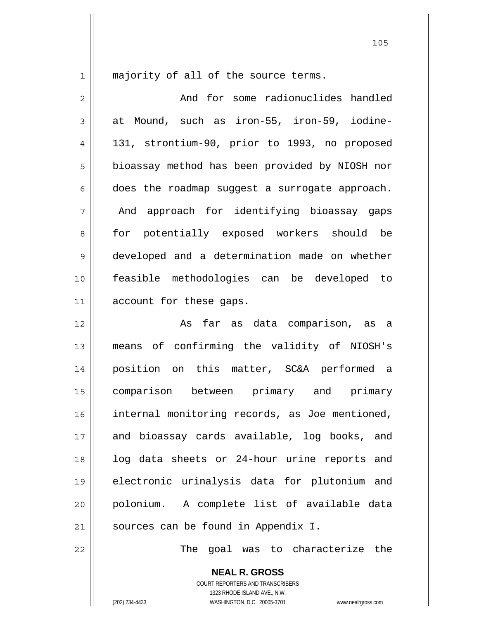1

majority of all of the source terms.

2 3 4 5 6 7 8 9 10 11 12 13 14 15 And for some radionuclides handled at Mound, such as iron-55, iron-59, iodine-131, strontium-90, prior to 1993, no proposed bioassay method has been provided by NIOSH nor does the roadmap suggest a surrogate approach. And approach for identifying bioassay gaps for potentially exposed workers should be developed and a determination made on whether feasible methodologies can be developed to account for these gaps. As far as data comparison, as a means of confirming the validity of NIOSH's position on this matter, SC&A performed a

16 17 18 19 20 21 comparison between primary and primary internal monitoring records, as Joe mentioned, and bioassay cards available, log books, and log data sheets or 24-hour urine reports and electronic urinalysis data for plutonium and polonium. A complete list of available data sources can be found in Appendix I.

The goal was to characterize the

**NEAL R. GROSS** COURT REPORTERS AND TRANSCRIBERS 1323 RHODE ISLAND AVE., N.W. (202) 234-4433 WASHINGTON, D.C. 20005-3701 www.nealrgross.com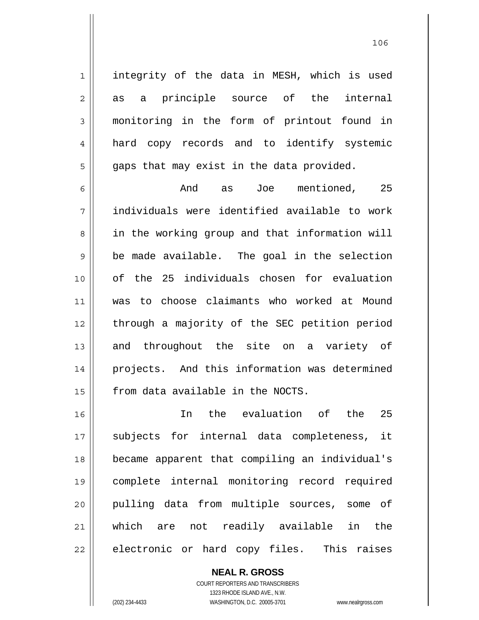integrity of the data in MESH, which is used as a principle source of the internal monitoring in the form of printout found in hard copy records and to identify systemic gaps that may exist in the data provided.

6 7 8 9 10 11 12 13 14 15 And as Joe mentioned, 25 individuals were identified available to work in the working group and that information will be made available. The goal in the selection of the 25 individuals chosen for evaluation was to choose claimants who worked at Mound through a majority of the SEC petition period and throughout the site on a variety of projects. And this information was determined from data available in the NOCTS.

16 17 18 19 20 21 22 In the evaluation of the 25 subjects for internal data completeness, it became apparent that compiling an individual's complete internal monitoring record required pulling data from multiple sources, some of which are not readily available in the electronic or hard copy files. This raises

**NEAL R. GROSS**

COURT REPORTERS AND TRANSCRIBERS 1323 RHODE ISLAND AVE., N.W. (202) 234-4433 WASHINGTON, D.C. 20005-3701 www.nealrgross.com

1

2

3

4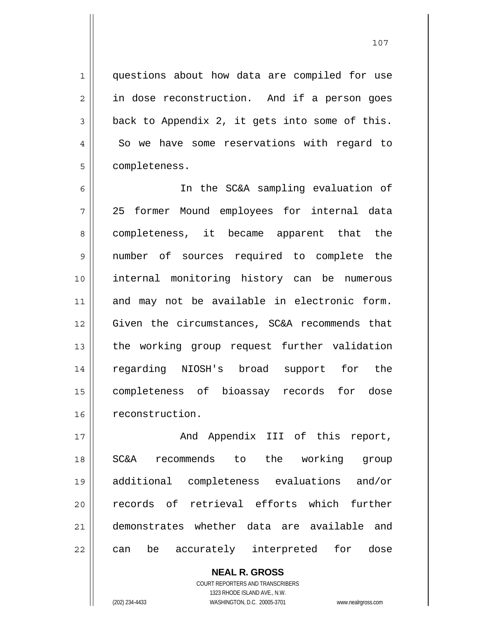questions about how data are compiled for use in dose reconstruction. And if a person goes back to Appendix 2, it gets into some of this. So we have some reservations with regard to

6 7 8 9 10 11 12 13 14 15 16 In the SC&A sampling evaluation of 25 former Mound employees for internal data completeness, it became apparent that the number of sources required to complete the internal monitoring history can be numerous and may not be available in electronic form. Given the circumstances, SC&A recommends that the working group request further validation regarding NIOSH's broad support for the completeness of bioassay records for dose reconstruction.

17 18 19 20 21 22 And Appendix III of this report, SC&A recommends to the working group additional completeness evaluations and/or records of retrieval efforts which further demonstrates whether data are available and can be accurately interpreted for dose

> COURT REPORTERS AND TRANSCRIBERS 1323 RHODE ISLAND AVE., N.W. (202) 234-4433 WASHINGTON, D.C. 20005-3701 www.nealrgross.com

**NEAL R. GROSS**

1

2

3

4

5

completeness.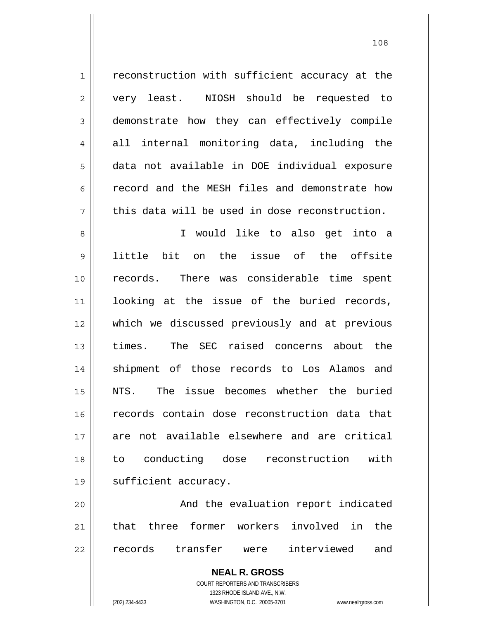1 2 3 4 5 6 7 8 9 10 11 12 13 14 15 16 17 18 19 20 reconstruction with sufficient accuracy at the very least. NIOSH should be requested to demonstrate how they can effectively compile all internal monitoring data, including the data not available in DOE individual exposure record and the MESH files and demonstrate how this data will be used in dose reconstruction. I would like to also get into a little bit on the issue of the offsite records. There was considerable time spent looking at the issue of the buried records, which we discussed previously and at previous times. The SEC raised concerns about the shipment of those records to Los Alamos and NTS. The issue becomes whether the buried records contain dose reconstruction data that are not available elsewhere and are critical to conducting dose reconstruction with sufficient accuracy. And the evaluation report indicated

21 22 that three former workers involved in the records transfer were interviewed and

> **NEAL R. GROSS** COURT REPORTERS AND TRANSCRIBERS 1323 RHODE ISLAND AVE., N.W.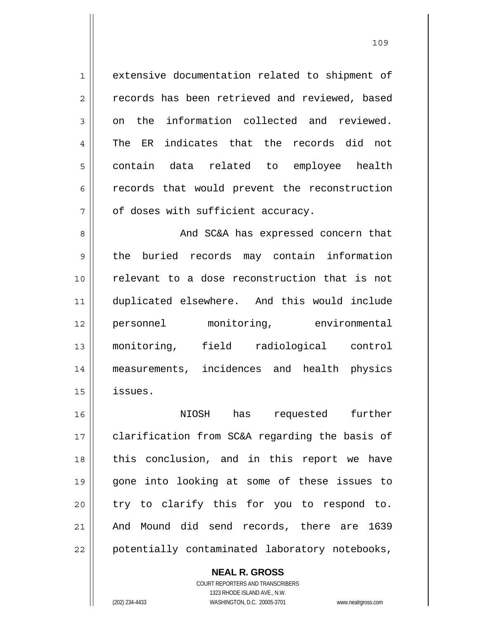1 2 3 4 5 6 7 extensive documentation related to shipment of records has been retrieved and reviewed, based on the information collected and reviewed. The ER indicates that the records did not contain data related to employee health records that would prevent the reconstruction of doses with sufficient accuracy.

8 9 10 11 12 13 14 15 And SC&A has expressed concern that the buried records may contain information relevant to a dose reconstruction that is not duplicated elsewhere. And this would include personnel monitoring, environmental monitoring, field radiological control measurements, incidences and health physics issues.

16 17 18 19 20 21 22 NIOSH has requested further clarification from SC&A regarding the basis of this conclusion, and in this report we have gone into looking at some of these issues to try to clarify this for you to respond to. And Mound did send records, there are 1639 potentially contaminated laboratory notebooks,

**NEAL R. GROSS**

COURT REPORTERS AND TRANSCRIBERS 1323 RHODE ISLAND AVE., N.W. (202) 234-4433 WASHINGTON, D.C. 20005-3701 www.nealrgross.com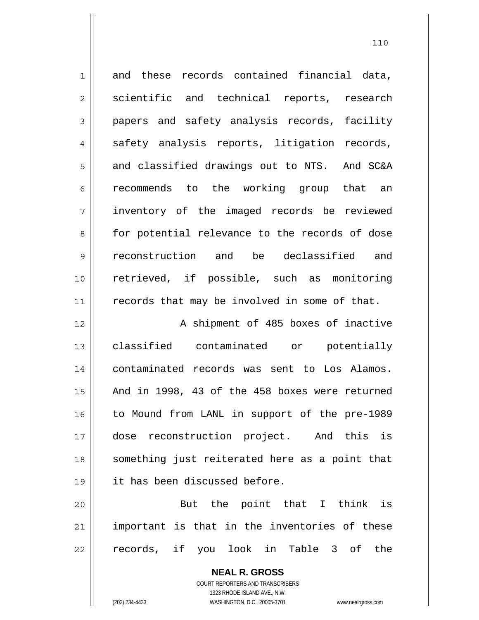| $\mathbf 1$    | and these records contained financial data,    |
|----------------|------------------------------------------------|
| $\overline{c}$ | scientific and technical reports, research     |
| $\mathfrak{Z}$ | papers and safety analysis records, facility   |
| $\overline{4}$ | safety analysis reports, litigation records,   |
| 5              | and classified drawings out to NTS. And SC&A   |
| 6              | recommends to the working group that an        |
| 7              | inventory of the imaged records be reviewed    |
| 8              | for potential relevance to the records of dose |
| 9              | reconstruction and be declassified and         |
| 10             | retrieved, if possible, such as monitoring     |
| 11             | records that may be involved in some of that.  |
| 12             | A shipment of 485 boxes of inactive            |
| 13             | classified contaminated or<br>potentially      |
| 14             | contaminated records was sent to Los Alamos.   |
| 15             | And in 1998, 43 of the 458 boxes were returned |
| 16             | to Mound from LANL in support of the pre-1989  |
| 17             | reconstruction project. And this<br>is<br>dose |
| 18             | something just reiterated here as a point that |
| 19             | it has been discussed before.                  |
|                |                                                |

20 21 22 But the point that I think is important is that in the inventories of these records, if you look in Table 3 of the

> **NEAL R. GROSS** COURT REPORTERS AND TRANSCRIBERS 1323 RHODE ISLAND AVE., N.W. (202) 234-4433 WASHINGTON, D.C. 20005-3701 www.nealrgross.com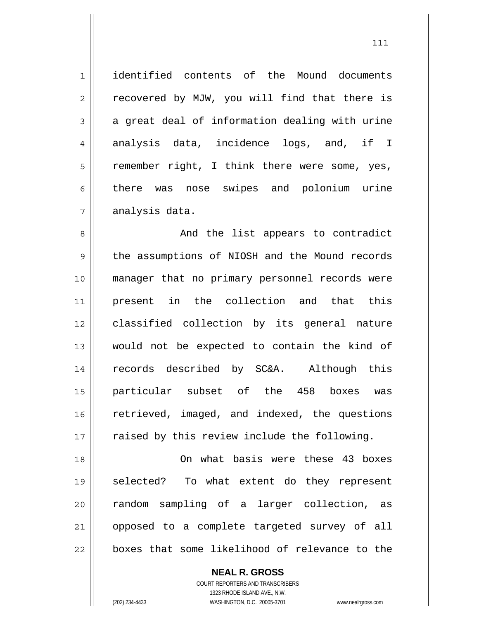1 7 identified contents of the Mound documents recovered by MJW, you will find that there is a great deal of information dealing with urine analysis data, incidence logs, and, if I remember right, I think there were some, yes, there was nose swipes and polonium urine analysis data.

8 9 10 11 12 13 14 15 16 17 And the list appears to contradict the assumptions of NIOSH and the Mound records manager that no primary personnel records were present in the collection and that this classified collection by its general nature would not be expected to contain the kind of records described by SC&A. Although this particular subset of the 458 boxes was retrieved, imaged, and indexed, the questions raised by this review include the following.

18 19 20 21 22 On what basis were these 43 boxes selected? To what extent do they represent random sampling of a larger collection, as opposed to a complete targeted survey of all boxes that some likelihood of relevance to the

**NEAL R. GROSS**

COURT REPORTERS AND TRANSCRIBERS 1323 RHODE ISLAND AVE., N.W. (202) 234-4433 WASHINGTON, D.C. 20005-3701 www.nealrgross.com

2

3

4

5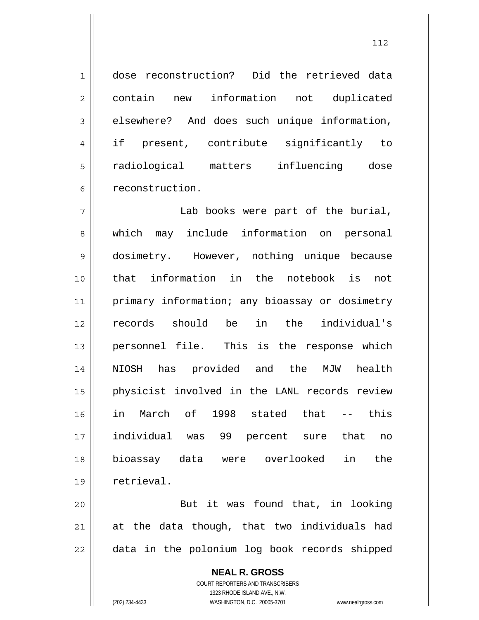dose reconstruction? Did the retrieved data contain new information not duplicated elsewhere? And does such unique information, if present, contribute significantly to radiological matters influencing dose reconstruction.

7 8 9 10 11 12 13 14 15 16 17 18 19 Lab books were part of the burial, which may include information on personal dosimetry. However, nothing unique because that information in the notebook is not primary information; any bioassay or dosimetry records should be in the individual's personnel file. This is the response which NIOSH has provided and the MJW health physicist involved in the LANL records review in March of 1998 stated that -- this individual was 99 percent sure that no bioassay data were overlooked in the retrieval.

20 21 22 But it was found that, in looking at the data though, that two individuals had data in the polonium log book records shipped

> **NEAL R. GROSS** COURT REPORTERS AND TRANSCRIBERS 1323 RHODE ISLAND AVE., N.W. (202) 234-4433 WASHINGTON, D.C. 20005-3701 www.nealrgross.com

1

2

3

4

5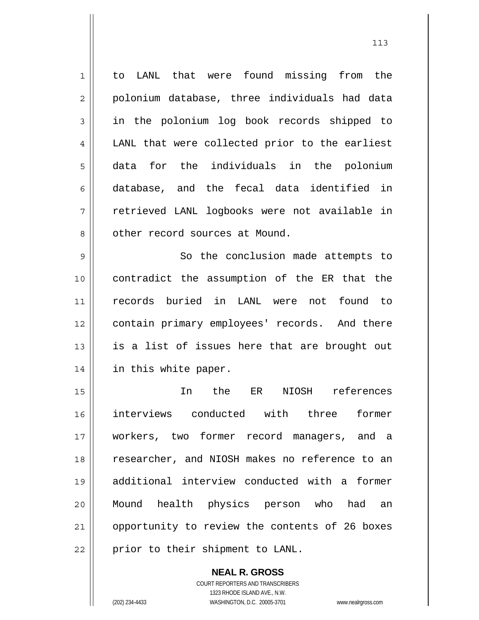1 2 3 4 5 6 7 8 9 10 to LANL that were found missing from the polonium database, three individuals had data in the polonium log book records shipped to LANL that were collected prior to the earliest data for the individuals in the polonium database, and the fecal data identified in retrieved LANL logbooks were not available in other record sources at Mound. So the conclusion made attempts to contradict the assumption of the ER that the

11 12 13 14 records buried in LANL were not found to contain primary employees' records. And there is a list of issues here that are brought out in this white paper.

15 16 17 18 19 20 21 22 In the ER NIOSH references interviews conducted with three former workers, two former record managers, and a researcher, and NIOSH makes no reference to an additional interview conducted with a former Mound health physics person who had an opportunity to review the contents of 26 boxes prior to their shipment to LANL.

> **NEAL R. GROSS** COURT REPORTERS AND TRANSCRIBERS 1323 RHODE ISLAND AVE., N.W. (202) 234-4433 WASHINGTON, D.C. 20005-3701 www.nealrgross.com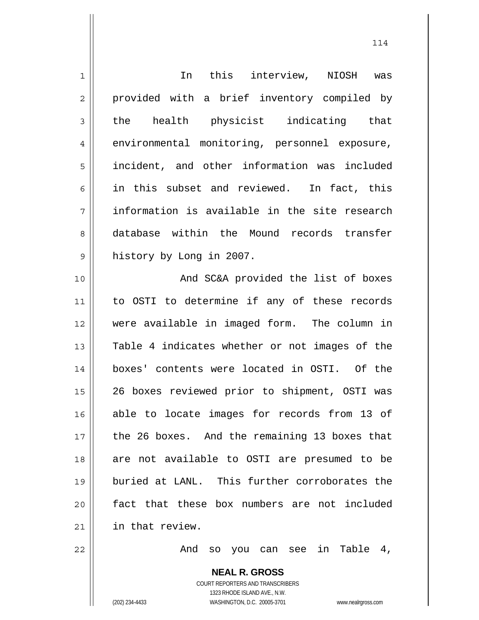| $\mathbf 1$ | In this interview, NIOSH was                             |
|-------------|----------------------------------------------------------|
| 2           | provided with a brief inventory compiled by              |
|             |                                                          |
| 3           | health physicist indicating that<br>the                  |
| 4           | environmental monitoring, personnel exposure,            |
| 5           | incident, and other information was included             |
| 6           | in this subset and reviewed. In fact, this               |
| 7           | information is available in the site research            |
| 8           | database within the Mound records transfer               |
| 9           | history by Long in 2007.                                 |
| 10          | And SC&A provided the list of boxes                      |
| 11          | to OSTI to determine if any of these records             |
| 12          | were available in imaged form. The column in             |
| 13          | Table 4 indicates whether or not images of the           |
| 14          | boxes' contents were located in OSTI. Of the             |
| 15          | 26 boxes reviewed prior to shipment, OSTI was            |
| 16          | able to locate images for records from 13 of             |
| 17          | the 26 boxes. And the remaining 13 boxes that            |
| 18          | are not available to OSTI are presumed to be             |
| 19          | buried at LANL. This further corroborates the            |
| 20          | fact that these box numbers are not included             |
| 21          | in that review.                                          |
| 22          | And so you can see in Table 4,                           |
|             | <b>NEAL R. GROSS</b><br>COURT REPORTERS AND TRANSCRIBERS |

1323 RHODE ISLAND AVE., N.W.

 $\prod$ 

(202) 234-4433 WASHINGTON, D.C. 20005-3701 www.nealrgross.com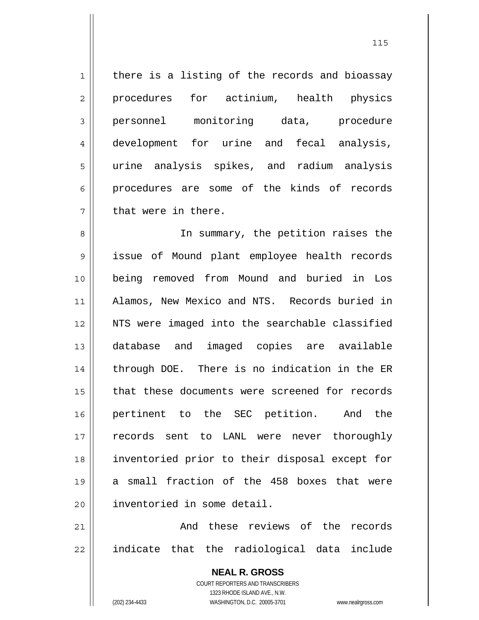1 2 3 4 5 6 7 there is a listing of the records and bioassay procedures for actinium, health physics personnel monitoring data, procedure development for urine and fecal analysis, urine analysis spikes, and radium analysis procedures are some of the kinds of records that were in there.

8 9 10 11 12 13 14 15 16 17 18 19 20 In summary, the petition raises the issue of Mound plant employee health records being removed from Mound and buried in Los Alamos, New Mexico and NTS. Records buried in NTS were imaged into the searchable classified database and imaged copies are available through DOE. There is no indication in the ER that these documents were screened for records pertinent to the SEC petition. And the records sent to LANL were never thoroughly inventoried prior to their disposal except for a small fraction of the 458 boxes that were inventoried in some detail.

21 22 And these reviews of the records indicate that the radiological data include

> **NEAL R. GROSS** COURT REPORTERS AND TRANSCRIBERS 1323 RHODE ISLAND AVE., N.W. (202) 234-4433 WASHINGTON, D.C. 20005-3701 www.nealrgross.com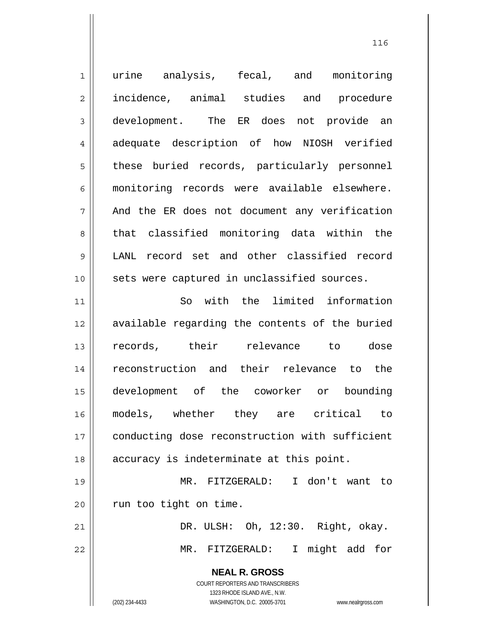**NEAL R. GROSS** COURT REPORTERS AND TRANSCRIBERS 1323 RHODE ISLAND AVE., N.W. 1 2 3 4 5 6 7 8 9 10 11 12 13 14 15 16 17 18 19 20 21 22 urine analysis, fecal, and monitoring incidence, animal studies and procedure development. The ER does not provide an adequate description of how NIOSH verified these buried records, particularly personnel monitoring records were available elsewhere. And the ER does not document any verification that classified monitoring data within the LANL record set and other classified record sets were captured in unclassified sources. So with the limited information available regarding the contents of the buried records, their relevance to dose reconstruction and their relevance to the development of the coworker or bounding models, whether they are critical to conducting dose reconstruction with sufficient accuracy is indeterminate at this point. MR. FITZGERALD: I don't want to run too tight on time. DR. ULSH: Oh, 12:30. Right, okay. MR. FITZGERALD: I might add for

(202) 234-4433 WASHINGTON, D.C. 20005-3701 www.nealrgross.com

<u>116</u>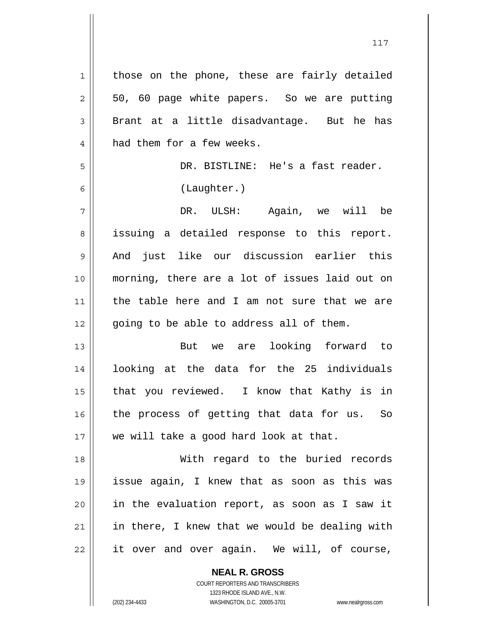1 2 3 4 5 6 7 8 9 10 11 12 13 14 15 16 17 18 19 20 21 22 those on the phone, these are fairly detailed 50, 60 page white papers. So we are putting Brant at a little disadvantage. But he has had them for a few weeks. DR. BISTLINE: He's a fast reader. (Laughter.) DR. ULSH: Again, we will be issuing a detailed response to this report. And just like our discussion earlier this morning, there are a lot of issues laid out on the table here and I am not sure that we are going to be able to address all of them. But we are looking forward to looking at the data for the 25 individuals that you reviewed. I know that Kathy is in the process of getting that data for us. So we will take a good hard look at that. With regard to the buried records issue again, I knew that as soon as this was in the evaluation report, as soon as I saw it in there, I knew that we would be dealing with it over and over again. We will, of course,

117

COURT REPORTERS AND TRANSCRIBERS 1323 RHODE ISLAND AVE., N.W. (202) 234-4433 WASHINGTON, D.C. 20005-3701 www.nealrgross.com

**NEAL R. GROSS**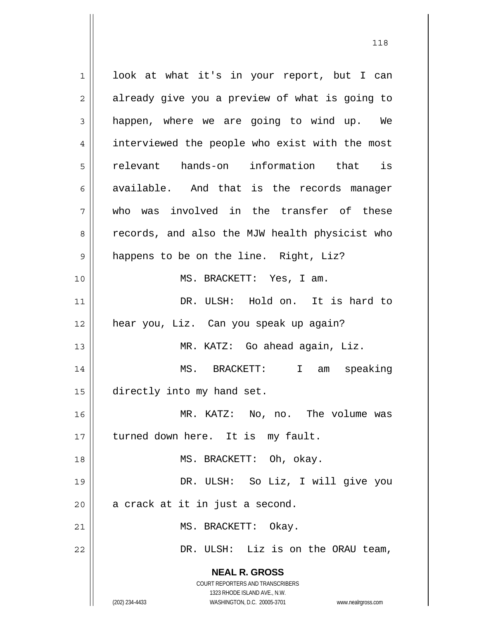**NEAL R. GROSS** COURT REPORTERS AND TRANSCRIBERS 1323 RHODE ISLAND AVE., N.W. 1 2 3 4 5 6 7 8 9 10 11 12 13 14 15 16 17 18 19 20 21 22 look at what it's in your report, but I can already give you a preview of what is going to happen, where we are going to wind up. We interviewed the people who exist with the most relevant hands-on information that is available. And that is the records manager who was involved in the transfer of these records, and also the MJW health physicist who happens to be on the line. Right, Liz? MS. BRACKETT: Yes, I am. DR. ULSH: Hold on. It is hard to hear you, Liz. Can you speak up again? MR. KATZ: Go ahead again, Liz. MS. BRACKETT: I am speaking directly into my hand set. MR. KATZ: No, no. The volume was turned down here. It is my fault. MS. BRACKETT: Oh, okay. DR. ULSH: So Liz, I will give you a crack at it in just a second. MS. BRACKETT: Okay. DR. ULSH: Liz is on the ORAU team,

118

(202) 234-4433 WASHINGTON, D.C. 20005-3701 www.nealrgross.com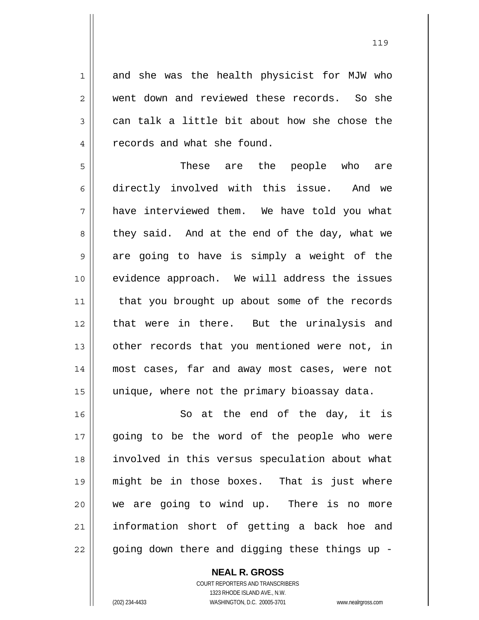and she was the health physicist for MJW who went down and reviewed these records. So she can talk a little bit about how she chose the records and what she found.

5 6 7 8 9 10 11 12 13 14 15 These are the people who are directly involved with this issue. And we have interviewed them. We have told you what they said. And at the end of the day, what we are going to have is simply a weight of the evidence approach. We will address the issues that you brought up about some of the records that were in there. But the urinalysis and other records that you mentioned were not, in most cases, far and away most cases, were not unique, where not the primary bioassay data.

16 17 18 19 20 21 22 So at the end of the day, it is going to be the word of the people who were involved in this versus speculation about what might be in those boxes. That is just where we are going to wind up. There is no more information short of getting a back hoe and going down there and digging these things up -

**NEAL R. GROSS**

COURT REPORTERS AND TRANSCRIBERS 1323 RHODE ISLAND AVE., N.W. (202) 234-4433 WASHINGTON, D.C. 20005-3701 www.nealrgross.com

1

2

3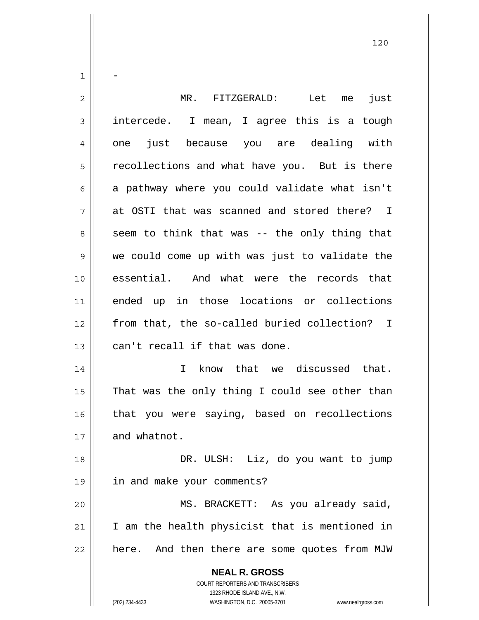| 1  |                                                                                                     |
|----|-----------------------------------------------------------------------------------------------------|
| 2  | MR. FITZGERALD:<br>Let<br>just<br>me                                                                |
| 3  | intercede. I mean, I agree this is a tough                                                          |
| 4  | one just because you are dealing with                                                               |
| 5  | recollections and what have you. But is there                                                       |
| 6  | a pathway where you could validate what isn't                                                       |
| 7  | at OSTI that was scanned and stored there? I                                                        |
| 8  | seem to think that was -- the only thing that                                                       |
| 9  | we could come up with was just to validate the                                                      |
| 10 | essential. And what were the records that                                                           |
| 11 | ended up in those locations or collections                                                          |
| 12 | from that, the so-called buried collection? I                                                       |
| 13 | can't recall if that was done.                                                                      |
| 14 | know that we discussed that.<br>$\mathbf{I}$                                                        |
| 15 | That was the only thing I could see other than                                                      |
| 16 | that you were saying, based on recollections                                                        |
| 17 | and whatnot.                                                                                        |
| 18 | DR. ULSH: Liz, do you want to jump                                                                  |
| 19 | in and make your comments?                                                                          |
| 20 | MS. BRACKETT: As you already said,                                                                  |
| 21 | I am the health physicist that is mentioned in                                                      |
| 22 | here. And then there are some quotes from MJW                                                       |
|    | <b>NEAL R. GROSS</b>                                                                                |
|    | <b>COURT REPORTERS AND TRANSCRIBERS</b>                                                             |
|    | 1323 RHODE ISLAND AVE., N.W.<br>(202) 234-4433<br>WASHINGTON, D.C. 20005-3701<br>www.nealrgross.com |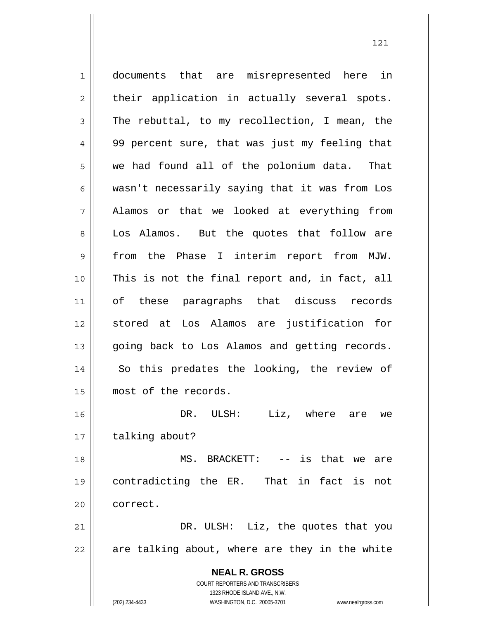**NEAL R. GROSS** COURT REPORTERS AND TRANSCRIBERS 1323 RHODE ISLAND AVE., N.W. 1 2 3 4 5 6 7 8 9 10 11 12 13 14 15 16 17 18 19 20 21 22 documents that are misrepresented here in their application in actually several spots. The rebuttal, to my recollection, I mean, the 99 percent sure, that was just my feeling that we had found all of the polonium data. That wasn't necessarily saying that it was from Los Alamos or that we looked at everything from Los Alamos. But the quotes that follow are from the Phase I interim report from MJW. This is not the final report and, in fact, all of these paragraphs that discuss records stored at Los Alamos are justification for going back to Los Alamos and getting records. So this predates the looking, the review of most of the records. DR. ULSH: Liz, where are we talking about? MS. BRACKETT: -- is that we are contradicting the ER. That in fact is not correct. DR. ULSH: Liz, the quotes that you are talking about, where are they in the white

121

(202) 234-4433 WASHINGTON, D.C. 20005-3701 www.nealrgross.com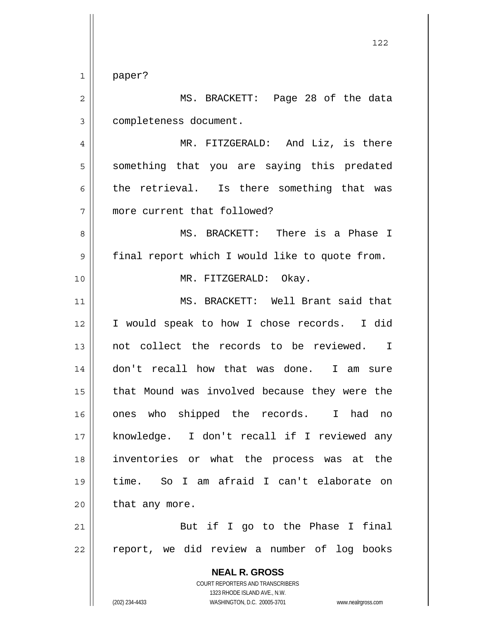1 paper?

**NEAL R. GROSS** COURT REPORTERS AND TRANSCRIBERS 2 3 4 5 6 7 8 9 10 11 12 13 14 15 16 17 18 19 20 21 22 MS. BRACKETT: Page 28 of the data completeness document. MR. FITZGERALD: And Liz, is there something that you are saying this predated the retrieval. Is there something that was more current that followed? MS. BRACKETT: There is a Phase I final report which I would like to quote from. MR. FITZGERALD: Okay. MS. BRACKETT: Well Brant said that I would speak to how I chose records. I did not collect the records to be reviewed. I don't recall how that was done. I am sure that Mound was involved because they were the ones who shipped the records. I had no knowledge. I don't recall if I reviewed any inventories or what the process was at the time. So I am afraid I can't elaborate on that any more. But if I go to the Phase I final report, we did review a number of log books

1323 RHODE ISLAND AVE., N.W.

(202) 234-4433 WASHINGTON, D.C. 20005-3701 www.nealrgross.com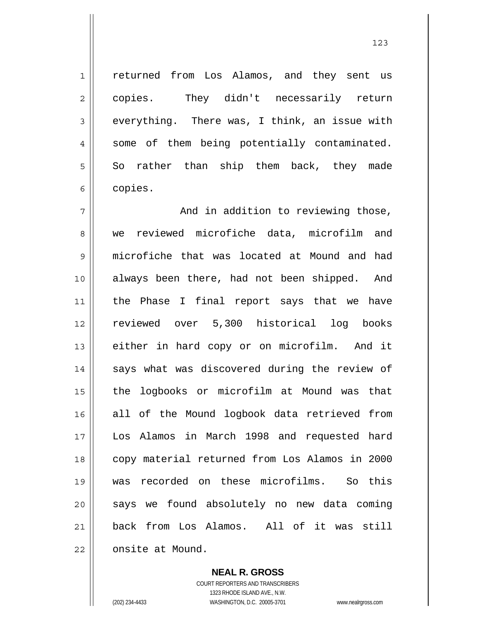returned from Los Alamos, and they sent us copies. They didn't necessarily return everything. There was, I think, an issue with some of them being potentially contaminated. So rather than ship them back, they made copies.

7 8 9 10 11 12 13 14 15 16 17 18 19 20 21 22 And in addition to reviewing those, we reviewed microfiche data, microfilm and microfiche that was located at Mound and had always been there, had not been shipped. And the Phase I final report says that we have reviewed over 5,300 historical log books either in hard copy or on microfilm. And it says what was discovered during the review of the logbooks or microfilm at Mound was that all of the Mound logbook data retrieved from Los Alamos in March 1998 and requested hard copy material returned from Los Alamos in 2000 was recorded on these microfilms. So this says we found absolutely no new data coming back from Los Alamos. All of it was still onsite at Mound.

> **NEAL R. GROSS** COURT REPORTERS AND TRANSCRIBERS 1323 RHODE ISLAND AVE., N.W. (202) 234-4433 WASHINGTON, D.C. 20005-3701 www.nealrgross.com

1

2

3

4

5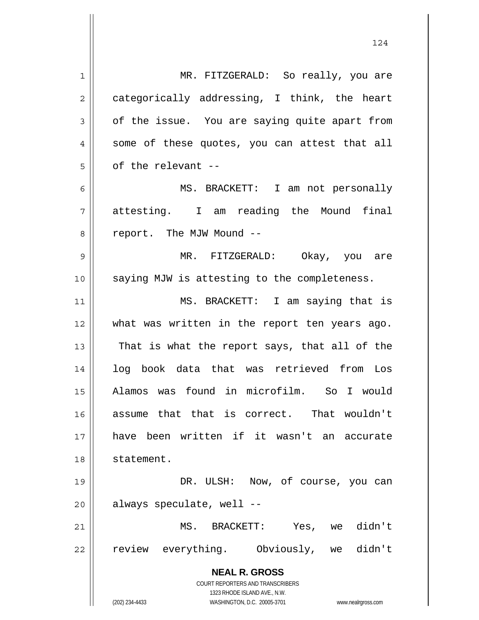**NEAL R. GROSS** COURT REPORTERS AND TRANSCRIBERS 1323 RHODE ISLAND AVE., N.W. (202) 234-4433 WASHINGTON, D.C. 20005-3701 www.nealrgross.com 1 2 3 4 5 6 7 8 9 10 11 12 13 14 15 16 17 18 19 20 21 22 MR. FITZGERALD: So really, you are categorically addressing, I think, the heart of the issue. You are saying quite apart from some of these quotes, you can attest that all of the relevant -- MS. BRACKETT: I am not personally attesting. I am reading the Mound final report. The MJW Mound -- MR. FITZGERALD: Okay, you are saying MJW is attesting to the completeness. MS. BRACKETT: I am saying that is what was written in the report ten years ago. That is what the report says, that all of the log book data that was retrieved from Los Alamos was found in microfilm. So I would assume that that is correct. That wouldn't have been written if it wasn't an accurate statement. DR. ULSH: Now, of course, you can always speculate, well -- MS. BRACKETT: Yes, we didn't review everything. Obviously, we didn't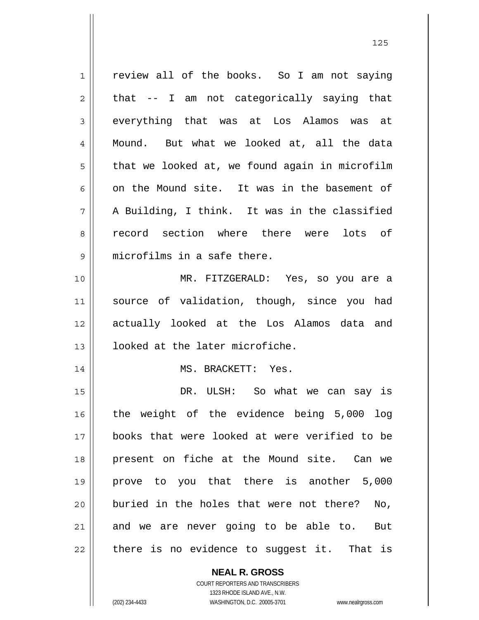1 2 3 4 5 6 7 8 9 10 11 12 13 14 15 16 17 18 19 20 21 22 review all of the books. So I am not saying that -- I am not categorically saying that everything that was at Los Alamos was at Mound. But what we looked at, all the data that we looked at, we found again in microfilm on the Mound site. It was in the basement of A Building, I think. It was in the classified record section where there were lots of microfilms in a safe there. MR. FITZGERALD: Yes, so you are a source of validation, though, since you had actually looked at the Los Alamos data and looked at the later microfiche. MS. BRACKETT: Yes. DR. ULSH: So what we can say is the weight of the evidence being 5,000 log books that were looked at were verified to be present on fiche at the Mound site. Can we prove to you that there is another 5,000 buried in the holes that were not there? No, and we are never going to be able to. But there is no evidence to suggest it. That is

<u>125</u>

**NEAL R. GROSS** COURT REPORTERS AND TRANSCRIBERS

1323 RHODE ISLAND AVE., N.W.

(202) 234-4433 WASHINGTON, D.C. 20005-3701 www.nealrgross.com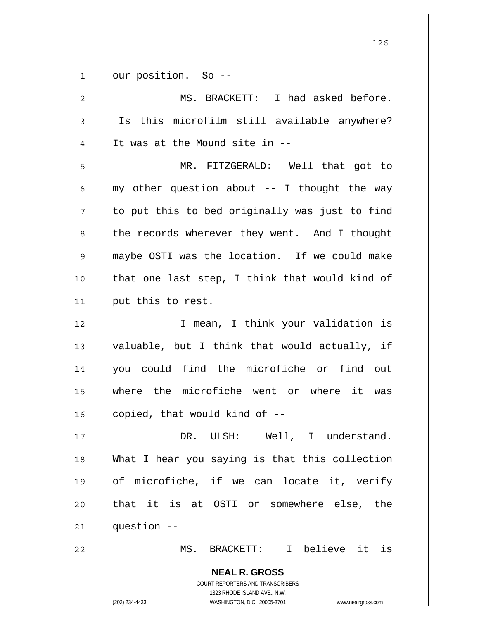| $\mathbf 1$ | our position. So --                                                                                 |
|-------------|-----------------------------------------------------------------------------------------------------|
| 2           | MS. BRACKETT: I had asked before.                                                                   |
| 3           | Is this microfilm still available anywhere?                                                         |
| 4           | It was at the Mound site in --                                                                      |
| 5           | MR. FITZGERALD: Well that got to                                                                    |
| 6           | my other question about -- I thought the way                                                        |
| 7           | to put this to bed originally was just to find                                                      |
| 8           | the records wherever they went. And I thought                                                       |
| 9           | maybe OSTI was the location. If we could make                                                       |
| 10          | that one last step, I think that would kind of                                                      |
| 11          | put this to rest.                                                                                   |
| 12          | I mean, I think your validation is                                                                  |
| 13          | valuable, but I think that would actually, if                                                       |
| 14          | you could find the microfiche or find out                                                           |
| 15          | where the microfiche went or where it was                                                           |
| 16          | copied, that would kind of --                                                                       |
| 17          | DR. ULSH: Well, I understand.                                                                       |
| 18          | What I hear you saying is that this collection                                                      |
| 19          | of microfiche, if we can locate it, verify                                                          |
| 20          | that it is at OSTI or somewhere else, the                                                           |
| 21          | question --                                                                                         |
| 22          | MS. BRACKETT: I believe it is                                                                       |
|             | <b>NEAL R. GROSS</b>                                                                                |
|             | COURT REPORTERS AND TRANSCRIBERS                                                                    |
|             | 1323 RHODE ISLAND AVE., N.W.<br>(202) 234-4433<br>WASHINGTON, D.C. 20005-3701<br>www.nealrgross.com |
|             |                                                                                                     |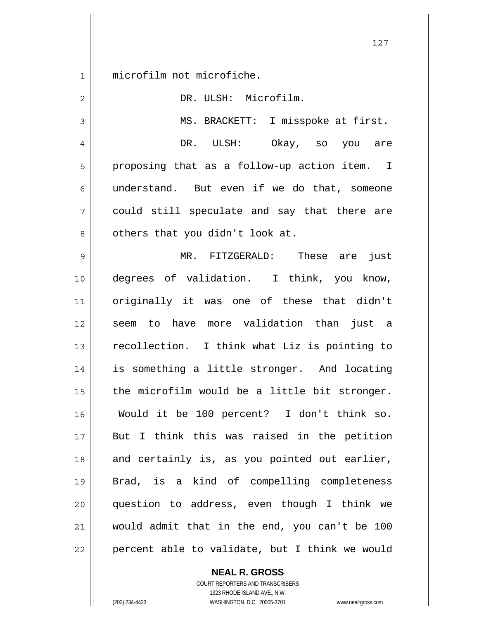1 microfilm not microfiche.

| $\overline{2}$ | DR. ULSH: Microfilm.                           |
|----------------|------------------------------------------------|
| 3              | MS. BRACKETT: I misspoke at first.             |
| 4              | DR. ULSH: Okay, so you are                     |
| 5              | proposing that as a follow-up action item. I   |
| 6              | understand. But even if we do that, someone    |
| 7              | could still speculate and say that there are   |
| 8              | others that you didn't look at.                |
| $\mathsf 9$    | MR. FITZGERALD: These are just                 |
| 10             | degrees of validation. I think, you know,      |
| 11             | originally it was one of these that didn't     |
| 12             | seem to have more validation than just a       |
| 13             | recollection. I think what Liz is pointing to  |
| 14             | is something a little stronger. And locating   |
| 15             | the microfilm would be a little bit stronger.  |
| 16             | Would it be 100 percent? I don't think so.     |
| 17             | But I think this was raised in the petition    |
| 18             | and certainly is, as you pointed out earlier,  |
| 19             | Brad, is a kind of compelling completeness     |
| 20             | question to address, even though I think we    |
| 21             | would admit that in the end, you can't be 100  |
| 22             | percent able to validate, but I think we would |

**NEAL R. GROSS** COURT REPORTERS AND TRANSCRIBERS

1323 RHODE ISLAND AVE., N.W. (202) 234-4433 WASHINGTON, D.C. 20005-3701 www.nealrgross.com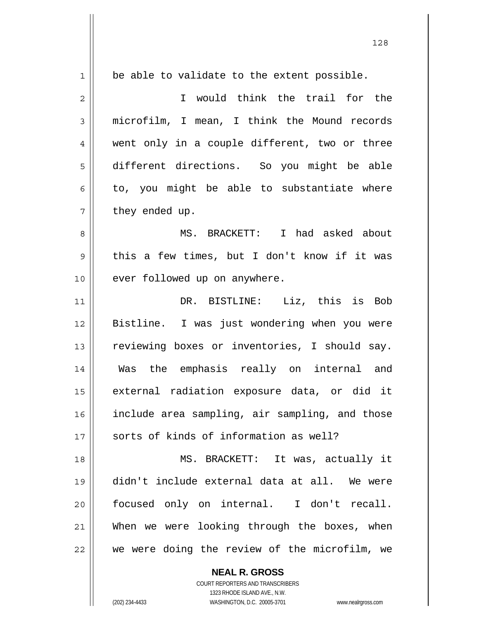| $\mathbf{1}$   |                                                |
|----------------|------------------------------------------------|
|                | be able to validate to the extent possible.    |
| $\overline{c}$ | I would think the trail for the                |
| 3              | microfilm, I mean, I think the Mound records   |
| 4              | went only in a couple different, two or three  |
| 5              | different directions. So you might be able     |
| 6              | to, you might be able to substantiate where    |
| 7              | they ended up.                                 |
| 8              | MS. BRACKETT: I had asked about                |
| 9              | this a few times, but I don't know if it was   |
| 10             | ever followed up on anywhere.                  |
| 11             | DR. BISTLINE: Liz, this is Bob                 |
| 12             | Bistline. I was just wondering when you were   |
| 13             | reviewing boxes or inventories, I should say.  |
| 14             | Was the emphasis really on internal and        |
| 15             | external radiation exposure data, or did it    |
| 16             | include area sampling, air sampling, and those |
| 17             | sorts of kinds of information as well?         |
| 18             | MS. BRACKETT: It was, actually it              |
| 19             | didn't include external data at all. We were   |
| 20             | focused only on internal. I don't recall.      |
| 21             | When we were looking through the boxes, when   |
| 22             | we were doing the review of the microfilm, we  |

**NEAL R. GROSS** COURT REPORTERS AND TRANSCRIBERS 1323 RHODE ISLAND AVE., N.W.

 $\mathsf{II}$ 

(202) 234-4433 WASHINGTON, D.C. 20005-3701 www.nealrgross.com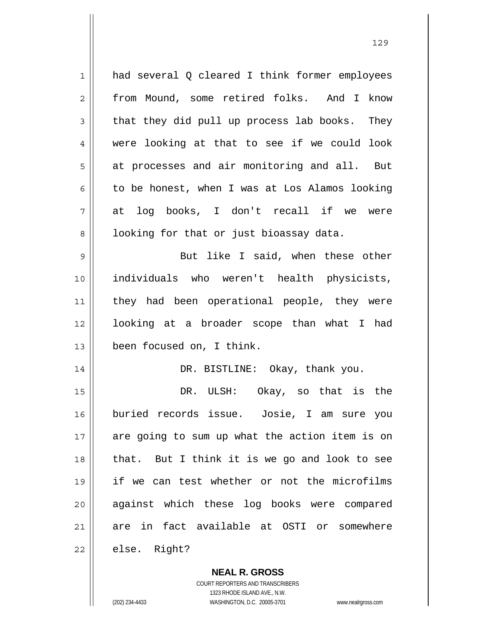1 2 3 4 5 6 7 8 9 10 11 12 13 14 15 16 17 18 19 20 21 22 had several Q cleared I think former employees from Mound, some retired folks. And I know that they did pull up process lab books. They were looking at that to see if we could look at processes and air monitoring and all. But to be honest, when I was at Los Alamos looking at log books, I don't recall if we were looking for that or just bioassay data. But like I said, when these other individuals who weren't health physicists, they had been operational people, they were looking at a broader scope than what I had been focused on, I think. DR. BISTLINE: Okay, thank you. DR. ULSH: Okay, so that is the buried records issue. Josie, I am sure you are going to sum up what the action item is on that. But I think it is we go and look to see if we can test whether or not the microfilms against which these log books were compared are in fact available at OSTI or somewhere else. Right?

> COURT REPORTERS AND TRANSCRIBERS 1323 RHODE ISLAND AVE., N.W. (202) 234-4433 WASHINGTON, D.C. 20005-3701 www.nealrgross.com

**NEAL R. GROSS**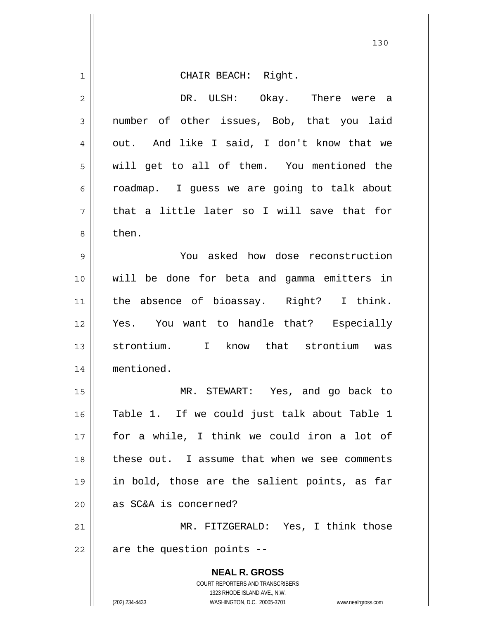| $\mathbf 1$    | CHAIR BEACH: Right.                                                                                 |
|----------------|-----------------------------------------------------------------------------------------------------|
| $\overline{2}$ | DR. ULSH: Okay. There were a                                                                        |
| 3              | number of other issues, Bob, that you laid                                                          |
| 4              | out. And like I said, I don't know that we                                                          |
| 5              | will get to all of them. You mentioned the                                                          |
| 6              | roadmap. I guess we are going to talk about                                                         |
| 7              | that a little later so I will save that for                                                         |
| 8              | then.                                                                                               |
| $\mathsf 9$    | You asked how dose reconstruction                                                                   |
| 10             | will be done for beta and gamma emitters in                                                         |
| 11             | the absence of bioassay. Right? I think.                                                            |
| 12             | Yes. You want to handle that? Especially                                                            |
| 13             | strontium. I know that strontium was                                                                |
| 14             | mentioned.                                                                                          |
| 15             | MR. STEWART: Yes, and go back to                                                                    |
| 16             | Table 1. If we could just talk about Table 1                                                        |
| 17             | for a while, I think we could iron a lot of                                                         |
| 18             | these out. I assume that when we see comments                                                       |
| 19             | in bold, those are the salient points, as far                                                       |
| 20             | as SC&A is concerned?                                                                               |
| 21             | MR. FITZGERALD: Yes, I think those                                                                  |
| 22             | are the question points --                                                                          |
|                | <b>NEAL R. GROSS</b>                                                                                |
|                | COURT REPORTERS AND TRANSCRIBERS                                                                    |
|                | 1323 RHODE ISLAND AVE., N.W.<br>(202) 234-4433<br>WASHINGTON, D.C. 20005-3701<br>www.nealrgross.com |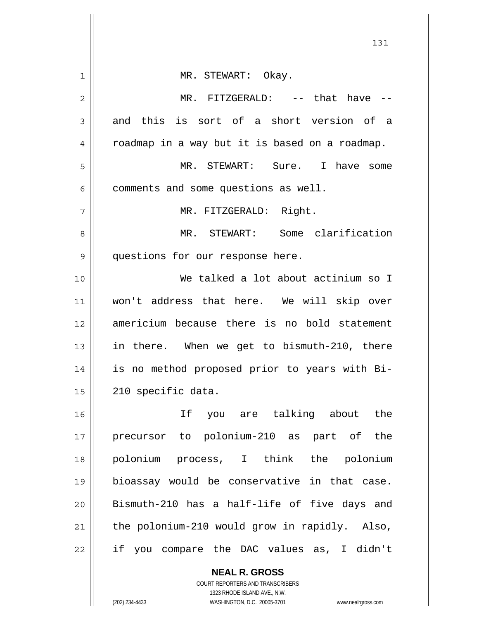|              | 131                                                      |
|--------------|----------------------------------------------------------|
| $\mathbf{1}$ | MR. STEWART: Okay.                                       |
| 2            | MR. FITZGERALD: -- that have --                          |
| 3            | and this is sort of a short version of a                 |
| 4            | roadmap in a way but it is based on a roadmap.           |
| 5            | MR. STEWART: Sure. I have some                           |
| 6            | comments and some questions as well.                     |
| 7            | MR. FITZGERALD: Right.                                   |
| 8            | MR. STEWART: Some clarification                          |
| 9            | questions for our response here.                         |
| 10           | We talked a lot about actinium so I                      |
| 11           | won't address that here. We will skip over               |
| 12           | americium because there is no bold statement             |
| 13           | in there. When we get to bismuth-210, there              |
| 14           | is no method proposed prior to years with Bi-            |
| 15           | 210 specific data.                                       |
| 16           | If you are talking about the                             |
| 17           | precursor to polonium-210 as part of the                 |
| 18           | polonium process, I think the polonium                   |
| 19           | bioassay would be conservative in that case.             |
| 20           | Bismuth-210 has a half-life of five days and             |
| 21           | the polonium-210 would grow in rapidly. Also,            |
| 22           | if you compare the DAC values as, I didn't               |
|              | <b>NEAL R. GROSS</b><br>COURT REPORTERS AND TRANSCRIBERS |

1323 RHODE ISLAND AVE., N.W.

 $\prod$ 

 $\mathsf{I}$ 

(202) 234-4433 WASHINGTON, D.C. 20005-3701 www.nealrgross.com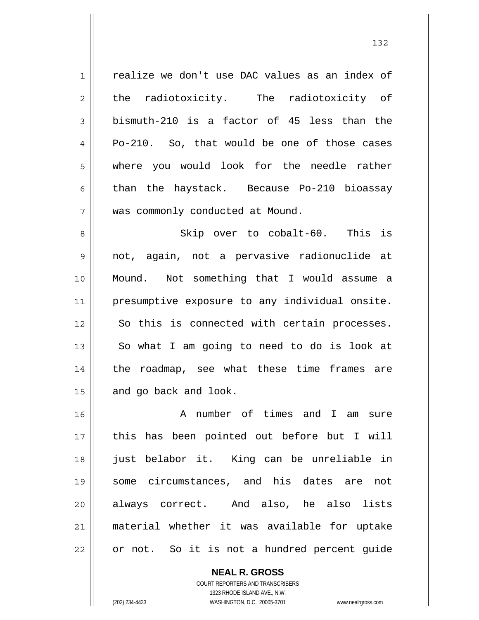1 2 3 4 5 6 7 8 9 10 11 realize we don't use DAC values as an index of the radiotoxicity. The radiotoxicity of bismuth-210 is a factor of 45 less than the Po-210. So, that would be one of those cases where you would look for the needle rather than the haystack. Because Po-210 bioassay was commonly conducted at Mound. Skip over to cobalt-60. This is not, again, not a pervasive radionuclide at Mound. Not something that I would assume a presumptive exposure to any individual onsite.

So this is connected with certain processes.

So what I am going to need to do is look at

the roadmap, see what these time frames are

16 17 18 19 20 21 22 A number of times and I am sure this has been pointed out before but I will just belabor it. King can be unreliable in some circumstances, and his dates are not always correct. And also, he also lists material whether it was available for uptake or not. So it is not a hundred percent guide

and go back and look.

COURT REPORTERS AND TRANSCRIBERS 1323 RHODE ISLAND AVE., N.W. (202) 234-4433 WASHINGTON, D.C. 20005-3701 www.nealrgross.com

**NEAL R. GROSS**

12

13

14

15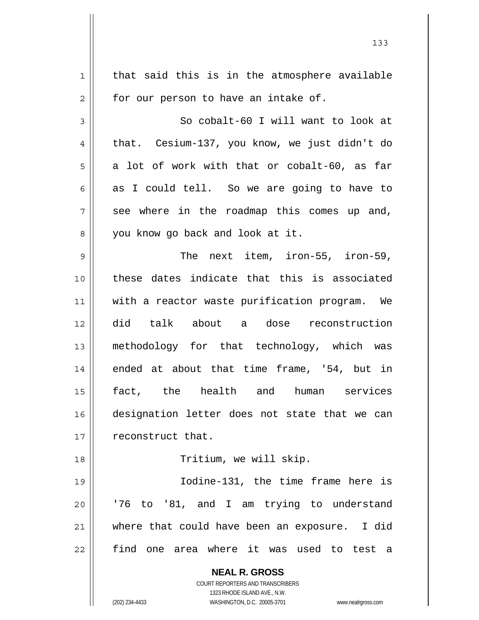**NEAL R. GROSS** COURT REPORTERS AND TRANSCRIBERS 1323 RHODE ISLAND AVE., N.W. (202) 234-4433 WASHINGTON, D.C. 20005-3701 www.nealrgross.com 1 2 3 4 5 6 7 8 9 10 11 12 13 14 15 16 17 18 19 20 21 22 that said this is in the atmosphere available for our person to have an intake of. So cobalt-60 I will want to look at that. Cesium-137, you know, we just didn't do a lot of work with that or cobalt-60, as far as I could tell. So we are going to have to see where in the roadmap this comes up and, you know go back and look at it. The next item, iron-55, iron-59, these dates indicate that this is associated with a reactor waste purification program. We did talk about a dose reconstruction methodology for that technology, which was ended at about that time frame, '54, but in fact, the health and human services designation letter does not state that we can reconstruct that. Tritium, we will skip. Iodine-131, the time frame here is '76 to '81, and I am trying to understand where that could have been an exposure. I did find one area where it was used to test a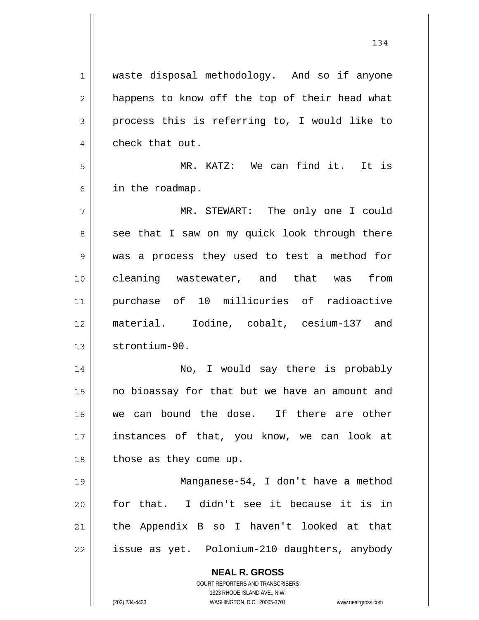**NEAL R. GROSS** COURT REPORTERS AND TRANSCRIBERS 1323 RHODE ISLAND AVE., N.W. 1 2 3 4 5 6 7 8 9 10 11 12 13 14 15 16 17 18 19 20 21 22 waste disposal methodology. And so if anyone happens to know off the top of their head what process this is referring to, I would like to check that out. MR. KATZ: We can find it. It is in the roadmap. MR. STEWART: The only one I could see that I saw on my quick look through there was a process they used to test a method for cleaning wastewater, and that was from purchase of 10 millicuries of radioactive material. Iodine, cobalt, cesium-137 and strontium-90. No, I would say there is probably no bioassay for that but we have an amount and we can bound the dose. If there are other instances of that, you know, we can look at those as they come up. Manganese-54, I don't have a method for that. I didn't see it because it is in the Appendix B so I haven't looked at that issue as yet. Polonium-210 daughters, anybody

(202) 234-4433 WASHINGTON, D.C. 20005-3701 www.nealrgross.com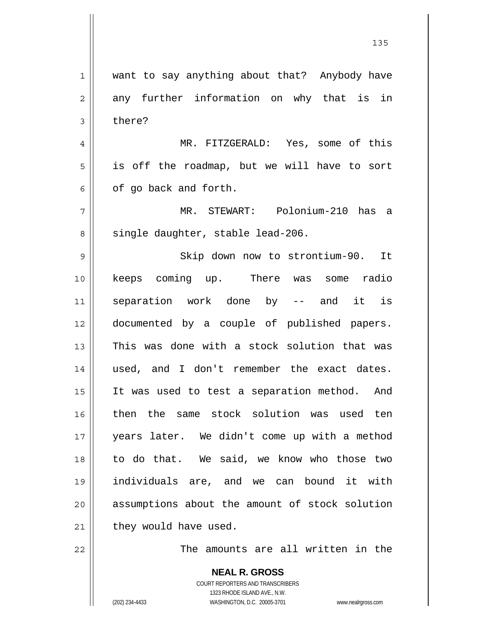| $\mathbf 1$ | want to say anything about that? Anybody have  |
|-------------|------------------------------------------------|
| 2           | any further information on why that is in      |
| 3           | there?                                         |
| 4           | MR. FITZGERALD: Yes, some of this              |
| 5           | is off the roadmap, but we will have to sort   |
| 6           | of go back and forth.                          |
| 7           | MR. STEWART: Polonium-210 has a                |
| 8           | single daughter, stable lead-206.              |
| 9           | Skip down now to strontium-90. It              |
| 10          | keeps coming up. There was some radio          |
| 11          | separation work done by -- and it is           |
| 12          | documented by a couple of published papers.    |
| 13          | This was done with a stock solution that was   |
| 14          | used, and I don't remember the exact dates.    |
| 15          | It was used to test a separation method. And   |
| 16          | then the same stock solution was used ten      |
| 17          | years later. We didn't come up with a method   |
| 18          | to do that. We said, we know who those two     |
| 19          | individuals are, and we can bound it with      |
| 20          | assumptions about the amount of stock solution |
| 21          | they would have used.                          |
| 22          | The amounts are all written in the             |

<u>135</u>

**NEAL R. GROSS** COURT REPORTERS AND TRANSCRIBERS 1323 RHODE ISLAND AVE., N.W. (202) 234-4433 WASHINGTON, D.C. 20005-3701 www.nealrgross.com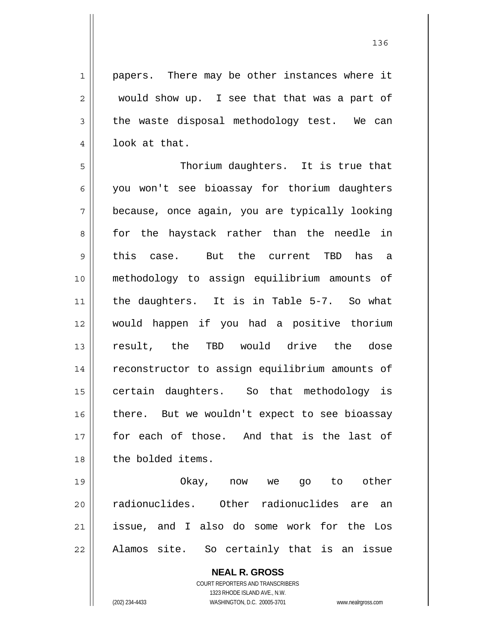1 2 3 4 papers. There may be other instances where it would show up. I see that that was a part of the waste disposal methodology test. We can look at that.

5 6 7 8 9 10 11 12 13 14 15 16 17 18 Thorium daughters. It is true that you won't see bioassay for thorium daughters because, once again, you are typically looking for the haystack rather than the needle in this case. But the current TBD has a methodology to assign equilibrium amounts of the daughters. It is in Table 5-7. So what would happen if you had a positive thorium result, the TBD would drive the dose reconstructor to assign equilibrium amounts of certain daughters. So that methodology is there. But we wouldn't expect to see bioassay for each of those. And that is the last of the bolded items.

19 20 21 22 Okay, now we go to other radionuclides. Other radionuclides are an issue, and I also do some work for the Los Alamos site. So certainly that is an issue

> **NEAL R. GROSS** COURT REPORTERS AND TRANSCRIBERS 1323 RHODE ISLAND AVE., N.W.

(202) 234-4433 WASHINGTON, D.C. 20005-3701 www.nealrgross.com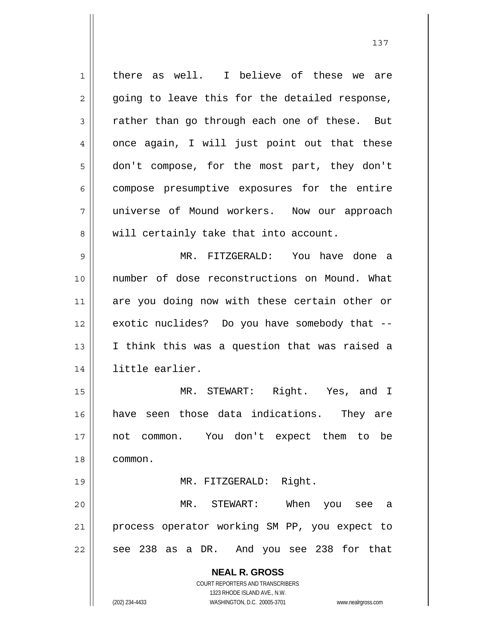**NEAL R. GROSS** COURT REPORTERS AND TRANSCRIBERS 1323 RHODE ISLAND AVE., N.W. 1 2 3 4 5 6 7 8 9 10 11 12 13 14 15 16 17 18 19 20 21 22 there as well. I believe of these we are going to leave this for the detailed response, rather than go through each one of these. But once again, I will just point out that these don't compose, for the most part, they don't compose presumptive exposures for the entire universe of Mound workers. Now our approach will certainly take that into account. MR. FITZGERALD: You have done a number of dose reconstructions on Mound. What are you doing now with these certain other or exotic nuclides? Do you have somebody that -- I think this was a question that was raised a little earlier. MR. STEWART: Right. Yes, and I have seen those data indications. They are not common. You don't expect them to be common. MR. FITZGERALD: Right. MR. STEWART: When you see a process operator working SM PP, you expect to see 238 as a DR. And you see 238 for that

(202) 234-4433 WASHINGTON, D.C. 20005-3701 www.nealrgross.com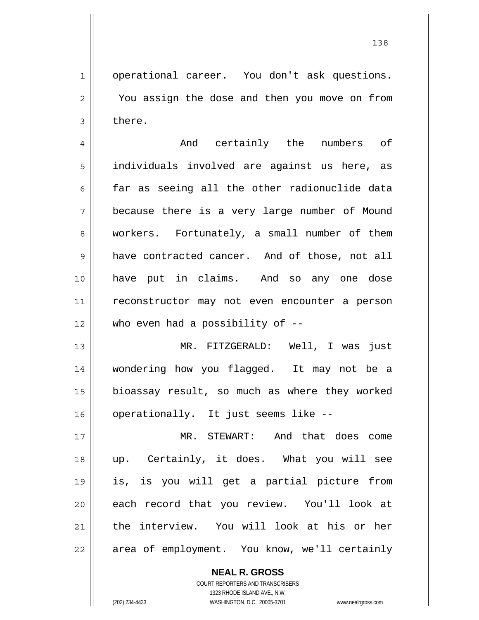operational career. You don't ask questions. You assign the dose and then you move on from there.

1

2

3

4 5 6 7 8 9 10 11 12 And certainly the numbers of individuals involved are against us here, as far as seeing all the other radionuclide data because there is a very large number of Mound workers. Fortunately, a small number of them have contracted cancer. And of those, not all have put in claims. And so any one dose reconstructor may not even encounter a person who even had a possibility of --

13 14 15 16 MR. FITZGERALD: Well, I was just wondering how you flagged. It may not be a bioassay result, so much as where they worked operationally. It just seems like --

17 18 19 20 21 22 MR. STEWART: And that does come up. Certainly, it does. What you will see is, is you will get a partial picture from each record that you review. You'll look at the interview. You will look at his or her area of employment. You know, we'll certainly

> **NEAL R. GROSS** COURT REPORTERS AND TRANSCRIBERS 1323 RHODE ISLAND AVE., N.W. (202) 234-4433 WASHINGTON, D.C. 20005-3701 www.nealrgross.com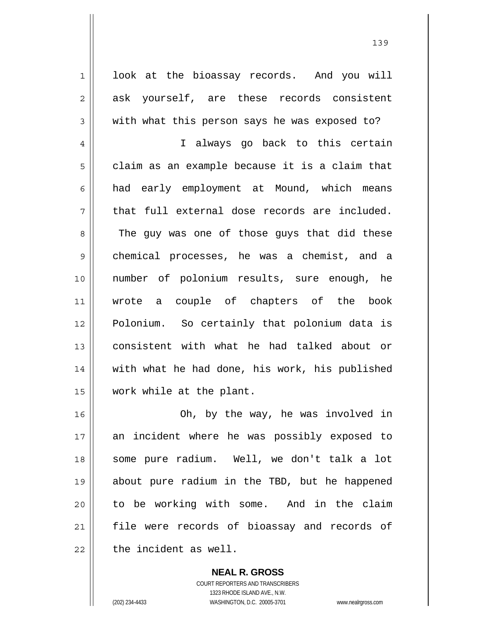look at the bioassay records. And you will ask yourself, are these records consistent with what this person says he was exposed to?

4 5 6 7 8 9 10 11 12 13 14 15 I always go back to this certain claim as an example because it is a claim that had early employment at Mound, which means that full external dose records are included. The guy was one of those guys that did these chemical processes, he was a chemist, and a number of polonium results, sure enough, he wrote a couple of chapters of the book Polonium. So certainly that polonium data is consistent with what he had talked about or with what he had done, his work, his published work while at the plant.

16 17 18 19 20 21 22 Oh, by the way, he was involved in an incident where he was possibly exposed to some pure radium. Well, we don't talk a lot about pure radium in the TBD, but he happened to be working with some. And in the claim file were records of bioassay and records of the incident as well.

> **NEAL R. GROSS** COURT REPORTERS AND TRANSCRIBERS 1323 RHODE ISLAND AVE., N.W. (202) 234-4433 WASHINGTON, D.C. 20005-3701 www.nealrgross.com

1

2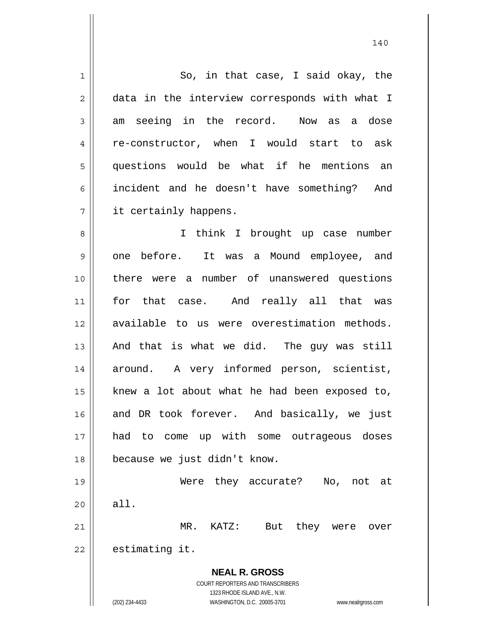| $\mathbf 1$    | So, in that case, I said okay, the                                  |
|----------------|---------------------------------------------------------------------|
| $\overline{c}$ | data in the interview corresponds with what I                       |
| 3              | am seeing in the record. Now as a dose                              |
| 4              | re-constructor, when I would start to ask                           |
| 5              | questions would be what if he mentions an                           |
| 6              | incident and he doesn't have something? And                         |
| 7              | it certainly happens.                                               |
| 8              | I think I brought up case number                                    |
| 9              | It was a Mound employee, and<br>one before.                         |
| 10             | there were a number of unanswered questions                         |
| 11             | for that case. And really all that was                              |
| 12             | available to us were overestimation methods.                        |
| 13             | And that is what we did. The guy was still                          |
| 14             | around. A very informed person, scientist,                          |
| 15             | knew a lot about what he had been exposed to,                       |
| 16             | and DR took forever. And basically, we just                         |
| 17             | had to come up with some outrageous doses                           |
| 18             | because we just didn't know.                                        |
| 19             | Were they accurate?<br>No,<br>not at                                |
| 20             | all.                                                                |
| 21             | But<br>they were<br>MR. KATZ:<br>over                               |
| 22             | estimating it.                                                      |
|                | <b>NEAL R. GROSS</b>                                                |
|                | COURT REPORTERS AND TRANSCRIBERS                                    |
|                | 1323 RHODE ISLAND AVE., N.W.                                        |
|                | (202) 234-4433<br>WASHINGTON, D.C. 20005-3701<br>www.nealrgross.com |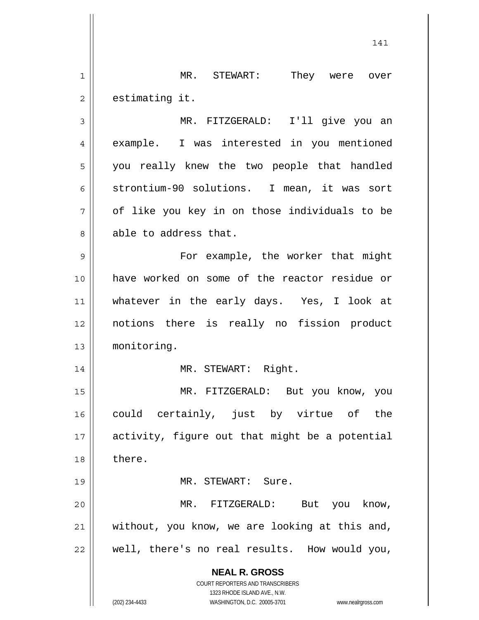**NEAL R. GROSS** COURT REPORTERS AND TRANSCRIBERS 1323 RHODE ISLAND AVE., N.W. 141 1 2 3 4 5 6 7 8 9 10 11 12 13 14 15 16 17 18 19 20 21 22 MR. STEWART: They were over estimating it. MR. FITZGERALD: I'll give you an example. I was interested in you mentioned you really knew the two people that handled strontium-90 solutions. I mean, it was sort of like you key in on those individuals to be able to address that. For example, the worker that might have worked on some of the reactor residue or whatever in the early days. Yes, I look at notions there is really no fission product monitoring. MR. STEWART: Right. MR. FITZGERALD: But you know, you could certainly, just by virtue of the activity, figure out that might be a potential there. MR. STEWART: Sure. MR. FITZGERALD: But you know, without, you know, we are looking at this and, well, there's no real results. How would you,

(202) 234-4433 WASHINGTON, D.C. 20005-3701 www.nealrgross.com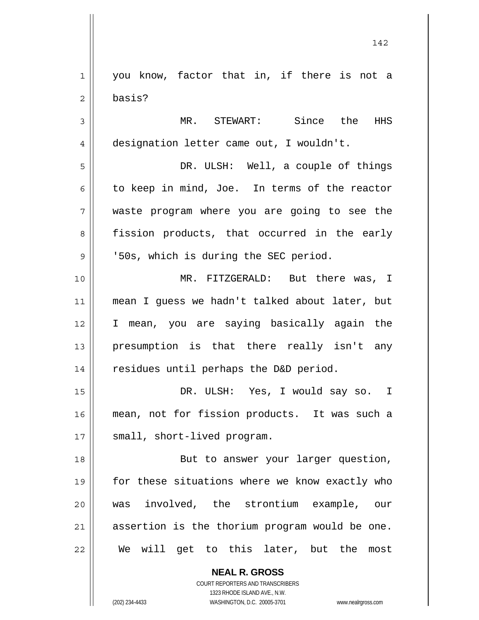**NEAL R. GROSS** 1 2 3 4 5 6 7 8 9 10 11 12 13 14 15 16 17 18 19 20 21 22 you know, factor that in, if there is not a basis? MR. STEWART: Since the HHS designation letter came out, I wouldn't. DR. ULSH: Well, a couple of things to keep in mind, Joe. In terms of the reactor waste program where you are going to see the fission products, that occurred in the early '50s, which is during the SEC period. MR. FITZGERALD: But there was, I mean I guess we hadn't talked about later, but I mean, you are saying basically again the presumption is that there really isn't any residues until perhaps the D&D period. DR. ULSH: Yes, I would say so. I mean, not for fission products. It was such a small, short-lived program. But to answer your larger question, for these situations where we know exactly who was involved, the strontium example, our assertion is the thorium program would be one. We will get to this later, but the most

142

COURT REPORTERS AND TRANSCRIBERS 1323 RHODE ISLAND AVE., N.W.

(202) 234-4433 WASHINGTON, D.C. 20005-3701 www.nealrgross.com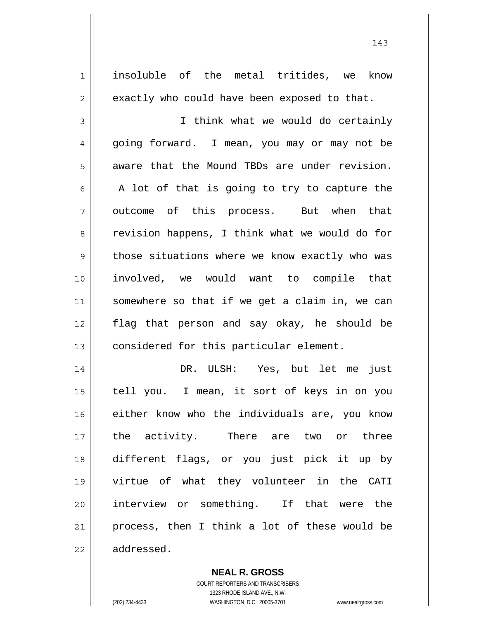1 2 3 4 5 6 7 8 9 10 11 12 13 14 15 16 17 18 19 20 21 22 insoluble of the metal tritides, we know exactly who could have been exposed to that. I think what we would do certainly going forward. I mean, you may or may not be aware that the Mound TBDs are under revision. A lot of that is going to try to capture the outcome of this process. But when that revision happens, I think what we would do for those situations where we know exactly who was involved, we would want to compile that somewhere so that if we get a claim in, we can flag that person and say okay, he should be considered for this particular element. DR. ULSH: Yes, but let me just tell you. I mean, it sort of keys in on you either know who the individuals are, you know the activity. There are two or three different flags, or you just pick it up by virtue of what they volunteer in the CATI interview or something. If that were the process, then I think a lot of these would be addressed.

143

COURT REPORTERS AND TRANSCRIBERS 1323 RHODE ISLAND AVE., N.W. (202) 234-4433 WASHINGTON, D.C. 20005-3701 www.nealrgross.com

**NEAL R. GROSS**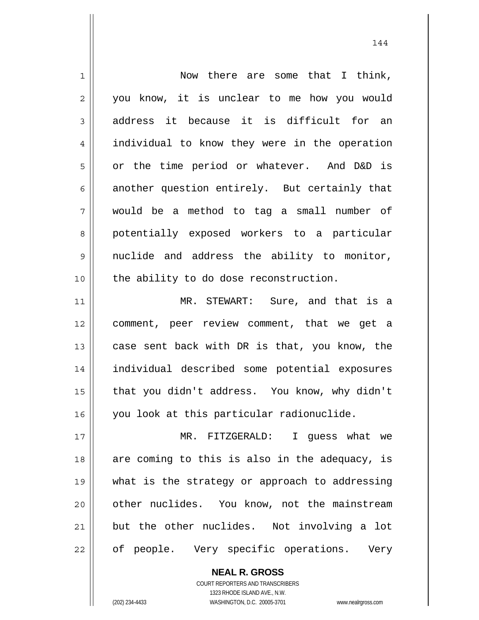| $\mathbf 1$    | Now there are some that I think,               |
|----------------|------------------------------------------------|
| $\overline{c}$ | you know, it is unclear to me how you would    |
| $\mathfrak{Z}$ | address it because it is difficult for an      |
| 4              | individual to know they were in the operation  |
| 5              | or the time period or whatever. And D&D is     |
| 6              | another question entirely. But certainly that  |
| 7              | would be a method to tag a small number of     |
| 8              | potentially exposed workers to a particular    |
| $\mathsf 9$    | nuclide and address the ability to monitor,    |
| 10             | the ability to do dose reconstruction.         |
| 11             | MR. STEWART: Sure, and that is a               |
| 12             | comment, peer review comment, that we get a    |
| 13             | case sent back with DR is that, you know, the  |
| 14             | individual described some potential exposures  |
| 15             | that you didn't address. You know, why didn't  |
| 16             | you look at this particular radionuclide.      |
| 17             | MR. FITZGERALD: I guess what we                |
| 18             | are coming to this is also in the adequacy, is |
| 19             | what is the strategy or approach to addressing |
| 20             | other nuclides. You know, not the mainstream   |
| 21             | but the other nuclides. Not involving a lot    |
| 22             | of people. Very specific operations. Very      |

COURT REPORTERS AND TRANSCRIBERS 1323 RHODE ISLAND AVE., N.W. (202) 234-4433 WASHINGTON, D.C. 20005-3701 www.nealrgross.com

**NEAL R. GROSS**

 $\mathsf{II}$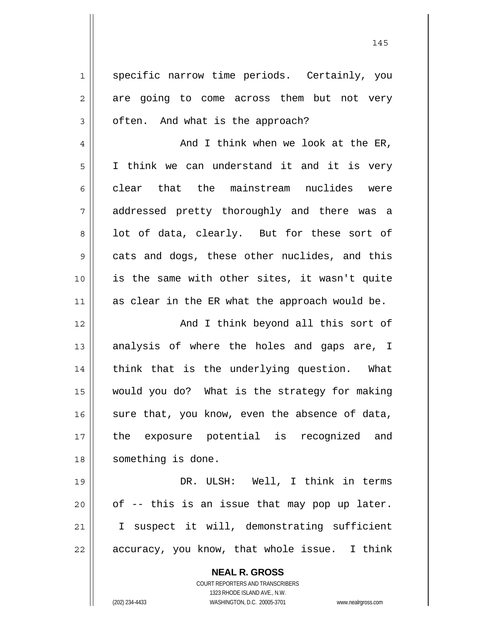1 2 3 4 5 6 7 8 9 10 11 12 13 14 15 16 17 18 19 20 21 22 specific narrow time periods. Certainly, you are going to come across them but not very often. And what is the approach? And I think when we look at the ER, I think we can understand it and it is very clear that the mainstream nuclides were addressed pretty thoroughly and there was a lot of data, clearly. But for these sort of cats and dogs, these other nuclides, and this is the same with other sites, it wasn't quite as clear in the ER what the approach would be. And I think beyond all this sort of analysis of where the holes and gaps are, I think that is the underlying question. What would you do? What is the strategy for making sure that, you know, even the absence of data, the exposure potential is recognized and something is done. DR. ULSH: Well, I think in terms of -- this is an issue that may pop up later. I suspect it will, demonstrating sufficient accuracy, you know, that whole issue. I think

> **NEAL R. GROSS** COURT REPORTERS AND TRANSCRIBERS

> > 1323 RHODE ISLAND AVE., N.W.

(202) 234-4433 WASHINGTON, D.C. 20005-3701 www.nealrgross.com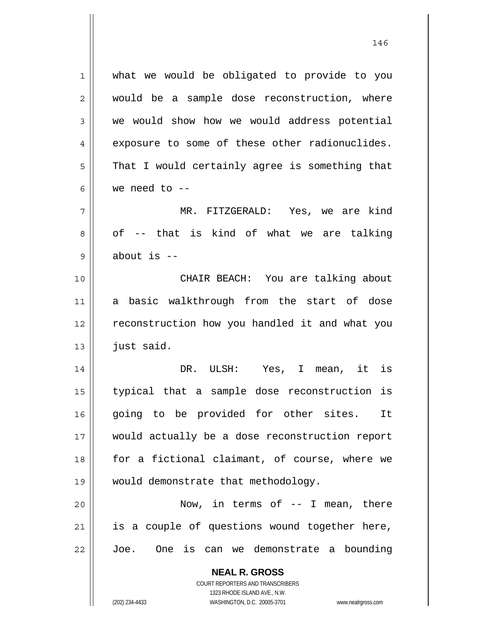**NEAL R. GROSS** COURT REPORTERS AND TRANSCRIBERS 1 2 3 4 5 6 7 8 9 10 11 12 13 14 15 16 17 18 19 20 21 22 what we would be obligated to provide to you would be a sample dose reconstruction, where we would show how we would address potential exposure to some of these other radionuclides. That I would certainly agree is something that we need to  $-$  MR. FITZGERALD: Yes, we are kind of -- that is kind of what we are talking about is -- CHAIR BEACH: You are talking about a basic walkthrough from the start of dose reconstruction how you handled it and what you just said. DR. ULSH: Yes, I mean, it is typical that a sample dose reconstruction is going to be provided for other sites. It would actually be a dose reconstruction report for a fictional claimant, of course, where we would demonstrate that methodology. Now, in terms of  $-$  I mean, there is a couple of questions wound together here, Joe. One is can we demonstrate a bounding

1323 RHODE ISLAND AVE., N.W.

(202) 234-4433 WASHINGTON, D.C. 20005-3701 www.nealrgross.com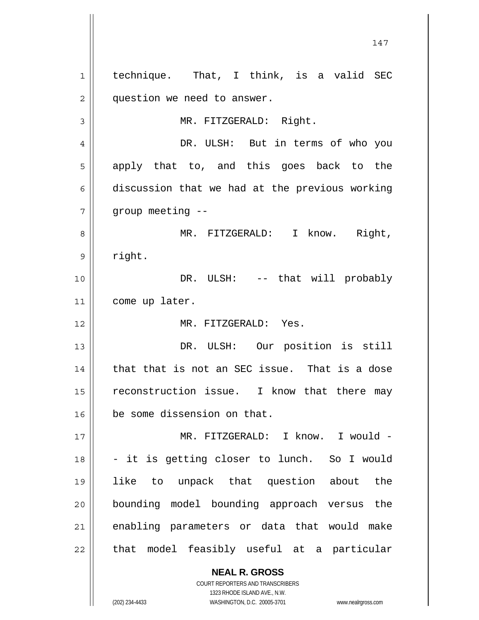**NEAL R. GROSS** 1 2 3 4 5 6 7 8 9 10 11 12 13 14 15 16 17 18 19 20 21 22 technique. That, I think, is a valid SEC question we need to answer. MR. FITZGERALD: Right. DR. ULSH: But in terms of who you apply that to, and this goes back to the discussion that we had at the previous working group meeting -- MR. FITZGERALD: I know. Right, right. DR. ULSH: -- that will probably come up later. MR. FITZGERALD: Yes. DR. ULSH: Our position is still that that is not an SEC issue. That is a dose reconstruction issue. I know that there may be some dissension on that. MR. FITZGERALD: I know. I would -- it is getting closer to lunch. So I would like to unpack that question about the bounding model bounding approach versus the enabling parameters or data that would make that model feasibly useful at a particular

147

COURT REPORTERS AND TRANSCRIBERS 1323 RHODE ISLAND AVE., N.W.

(202) 234-4433 WASHINGTON, D.C. 20005-3701 www.nealrgross.com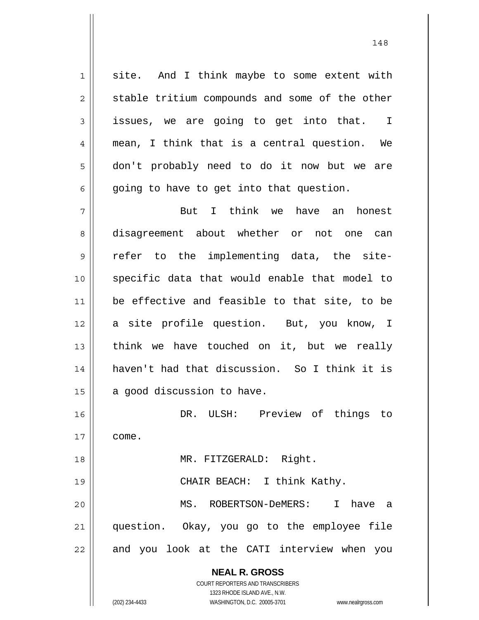1 2 3 4 5 6 site. And I think maybe to some extent with stable tritium compounds and some of the other issues, we are going to get into that. I mean, I think that is a central question. We don't probably need to do it now but we are going to have to get into that question.

7 8 9 10 11 12 13 14 15 But I think we have an honest disagreement about whether or not one can refer to the implementing data, the sitespecific data that would enable that model to be effective and feasible to that site, to be a site profile question. But, you know, I think we have touched on it, but we really haven't had that discussion. So I think it is a good discussion to have.

16 17 18 19 20 21 22 DR. ULSH: Preview of things to come. MR. FITZGERALD: Right. CHAIR BEACH: I think Kathy. MS. ROBERTSON-DeMERS: I have a question. Okay, you go to the employee file and you look at the CATI interview when you

> **NEAL R. GROSS** COURT REPORTERS AND TRANSCRIBERS

1323 RHODE ISLAND AVE., N.W. (202) 234-4433 WASHINGTON, D.C. 20005-3701 www.nealrgross.com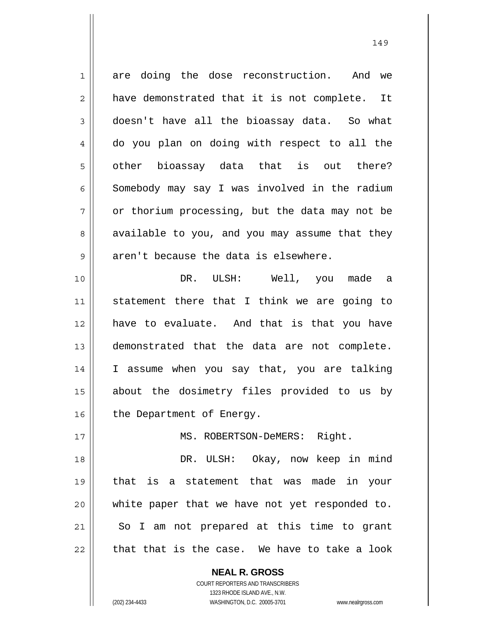1 2 3 4 5 6 7 8 9 10 11 12 13 14 15 are doing the dose reconstruction. And we have demonstrated that it is not complete. It doesn't have all the bioassay data. So what do you plan on doing with respect to all the other bioassay data that is out there? Somebody may say I was involved in the radium or thorium processing, but the data may not be available to you, and you may assume that they aren't because the data is elsewhere. DR. ULSH: Well, you made a statement there that I think we are going to have to evaluate. And that is that you have demonstrated that the data are not complete. I assume when you say that, you are talking about the dosimetry files provided to us by

149

16 the Department of Energy.

MS. ROBERTSON-DeMERS: Right.

18 19 20 21 22 DR. ULSH: Okay, now keep in mind that is a statement that was made in your white paper that we have not yet responded to. So I am not prepared at this time to grant that that is the case. We have to take a look

> **NEAL R. GROSS** COURT REPORTERS AND TRANSCRIBERS

> > 1323 RHODE ISLAND AVE., N.W.

17

(202) 234-4433 WASHINGTON, D.C. 20005-3701 www.nealrgross.com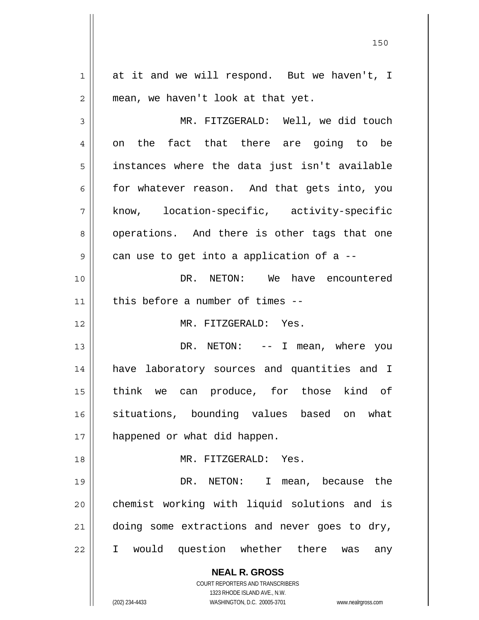**NEAL R. GROSS** COURT REPORTERS AND TRANSCRIBERS 1323 RHODE ISLAND AVE., N.W. (202) 234-4433 WASHINGTON, D.C. 20005-3701 www.nealrgross.com 1 2 3 4 5 6 7 8 9 10 11 12 13 14 15 16 17 18 19 20 21 22 at it and we will respond. But we haven't, I mean, we haven't look at that yet. MR. FITZGERALD: Well, we did touch on the fact that there are going to be instances where the data just isn't available for whatever reason. And that gets into, you know, location-specific, activity-specific operations. And there is other tags that one can use to get into a application of a -- DR. NETON: We have encountered this before a number of times -- MR. FITZGERALD: Yes. DR. NETON: -- I mean, where you have laboratory sources and quantities and I think we can produce, for those kind of situations, bounding values based on what happened or what did happen. MR. FITZGERALD: Yes. DR. NETON: I mean, because the chemist working with liquid solutions and is doing some extractions and never goes to dry, I would question whether there was any

<u>150</u>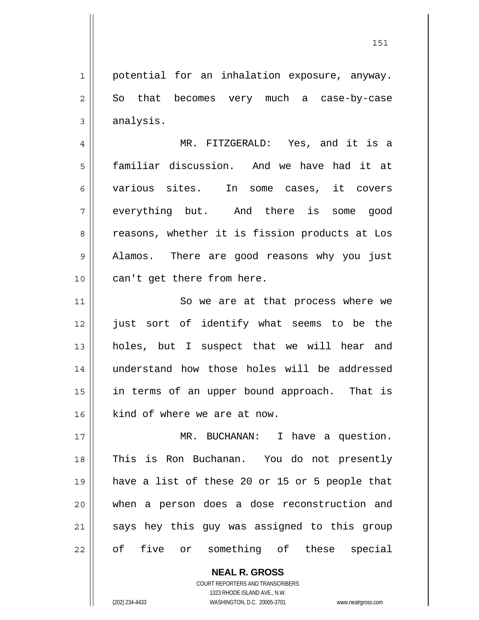1 2 3 potential for an inhalation exposure, anyway. So that becomes very much a case-by-case analysis.

4 5 6 7 8 9 10 MR. FITZGERALD: Yes, and it is a familiar discussion. And we have had it at various sites. In some cases, it covers everything but. And there is some good reasons, whether it is fission products at Los Alamos. There are good reasons why you just can't get there from here.

11 12 13 14 15 16 So we are at that process where we just sort of identify what seems to be the holes, but I suspect that we will hear and understand how those holes will be addressed in terms of an upper bound approach. That is kind of where we are at now.

17 18 19 20 21 22 MR. BUCHANAN: I have a question. This is Ron Buchanan. You do not presently have a list of these 20 or 15 or 5 people that when a person does a dose reconstruction and says hey this guy was assigned to this group of five or something of these special

> **NEAL R. GROSS** COURT REPORTERS AND TRANSCRIBERS 1323 RHODE ISLAND AVE., N.W. (202) 234-4433 WASHINGTON, D.C. 20005-3701 www.nealrgross.com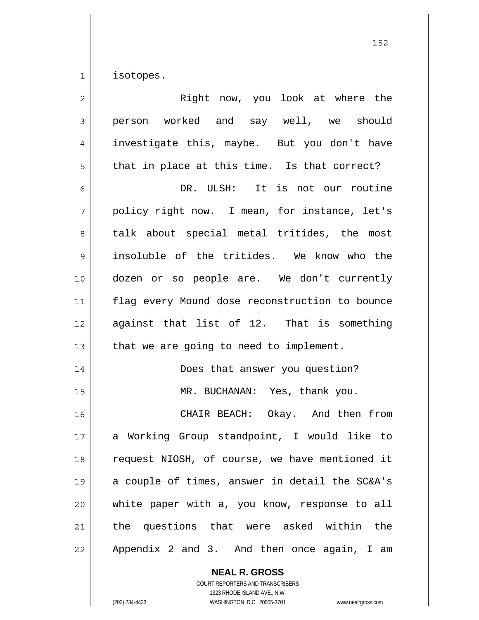1 isotopes.

| $\overline{2}$ | Right now, you look at where the               |
|----------------|------------------------------------------------|
| 3              | person worked and say well, we should          |
| 4              | investigate this, maybe. But you don't have    |
| 5              | that in place at this time. Is that correct?   |
| 6              | DR. ULSH: It is not our routine                |
| 7              | policy right now. I mean, for instance, let's  |
| 8              | talk about special metal tritides, the most    |
| 9              | insoluble of the tritides. We know who the     |
| 10             | dozen or so people are. We don't currently     |
| 11             | flag every Mound dose reconstruction to bounce |
| 12             | against that list of 12. That is something     |
| 13             | that we are going to need to implement.        |
| 14             | Does that answer you question?                 |
| 15             | MR. BUCHANAN: Yes, thank you.                  |
| 16             | CHAIR BEACH: Okay. And then from               |
| 17             | Working Group standpoint, I would like to<br>a |
| 18             | request NIOSH, of course, we have mentioned it |
| 19             | a couple of times, answer in detail the SC&A's |
| 20             | white paper with a, you know, response to all  |
| 21             | the questions that were asked within the       |
| 22             | Appendix 2 and 3. And then once again, I am    |

**NEAL R. GROSS** COURT REPORTERS AND TRANSCRIBERS 1323 RHODE ISLAND AVE., N.W.

(202) 234-4433 WASHINGTON, D.C. 20005-3701 www.nealrgross.com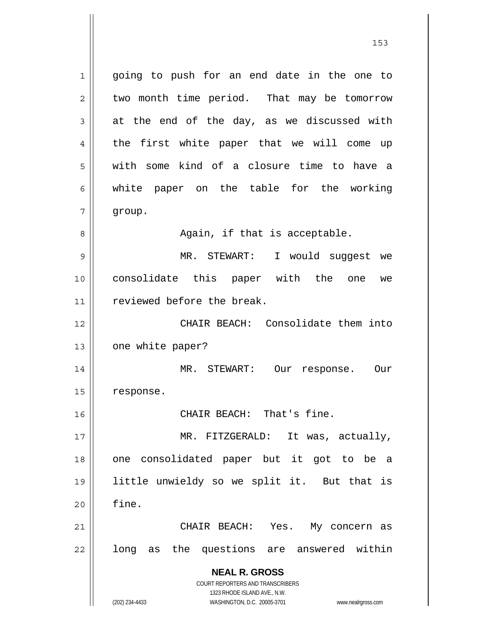**NEAL R. GROSS** COURT REPORTERS AND TRANSCRIBERS 1323 RHODE ISLAND AVE., N.W. 1 2 3 4 5 6 7 8 9 10 11 12 13 14 15 16 17 18 19 20 21 22 going to push for an end date in the one to two month time period. That may be tomorrow at the end of the day, as we discussed with the first white paper that we will come up with some kind of a closure time to have a white paper on the table for the working group. Again, if that is acceptable. MR. STEWART: I would suggest we consolidate this paper with the one we reviewed before the break. CHAIR BEACH: Consolidate them into one white paper? MR. STEWART: Our response. Our response. CHAIR BEACH: That's fine. MR. FITZGERALD: It was, actually, one consolidated paper but it got to be a little unwieldy so we split it. But that is fine. CHAIR BEACH: Yes. My concern as long as the questions are answered within

(202) 234-4433 WASHINGTON, D.C. 20005-3701 www.nealrgross.com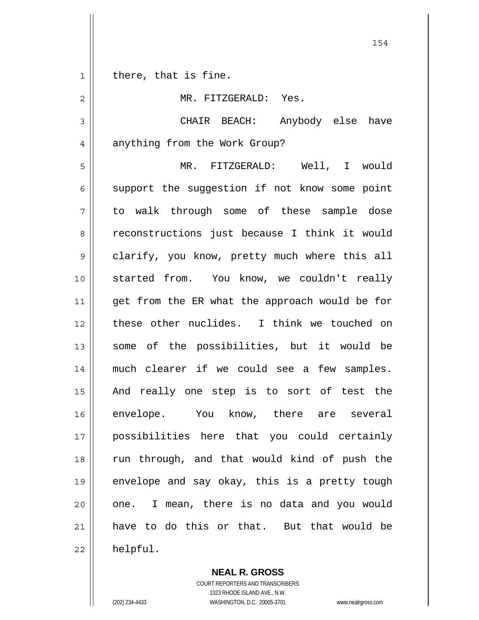1 there, that is fine.

2

MR. FITZGERALD: Yes.

3 4 CHAIR BEACH: Anybody else have anything from the Work Group?

5 6 7 8 9 10 11 12 13 14 15 16 17 18 19 20 21 22 MR. FITZGERALD: Well, I would support the suggestion if not know some point to walk through some of these sample dose reconstructions just because I think it would clarify, you know, pretty much where this all started from. You know, we couldn't really get from the ER what the approach would be for these other nuclides. I think we touched on some of the possibilities, but it would be much clearer if we could see a few samples. And really one step is to sort of test the envelope. You know, there are several possibilities here that you could certainly run through, and that would kind of push the envelope and say okay, this is a pretty tough one. I mean, there is no data and you would have to do this or that. But that would be helpful.

> **NEAL R. GROSS** COURT REPORTERS AND TRANSCRIBERS 1323 RHODE ISLAND AVE., N.W.

(202) 234-4433 WASHINGTON, D.C. 20005-3701 www.nealrgross.com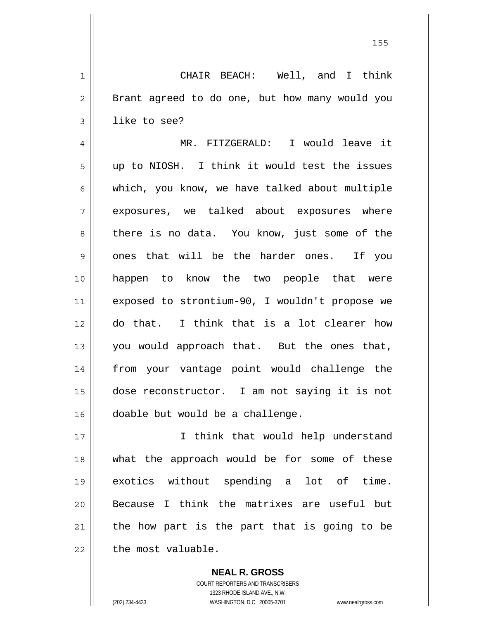<u>155 میں اس کی استعمال کرتا ہے۔ اس کی اس کی اس کی اس کی اس کی اس کی اس کی اس کی اس کی اس کی اس کی اس کی اس کی</u>

1 2 3 4 5 6 7 8 9 10 11 12 13 14 15 CHAIR BEACH: Well, and I think Brant agreed to do one, but how many would you like to see? MR. FITZGERALD: I would leave it up to NIOSH. I think it would test the issues which, you know, we have talked about multiple exposures, we talked about exposures where there is no data. You know, just some of the ones that will be the harder ones. If you happen to know the two people that were exposed to strontium-90, I wouldn't propose we do that. I think that is a lot clearer how you would approach that. But the ones that, from your vantage point would challenge the dose reconstructor. I am not saying it is not

17 18 19 20 21 22 I think that would help understand what the approach would be for some of these exotics without spending a lot of time. Because I think the matrixes are useful but the how part is the part that is going to be the most valuable.

doable but would be a challenge.

**NEAL R. GROSS** COURT REPORTERS AND TRANSCRIBERS 1323 RHODE ISLAND AVE., N.W. (202) 234-4433 WASHINGTON, D.C. 20005-3701 www.nealrgross.com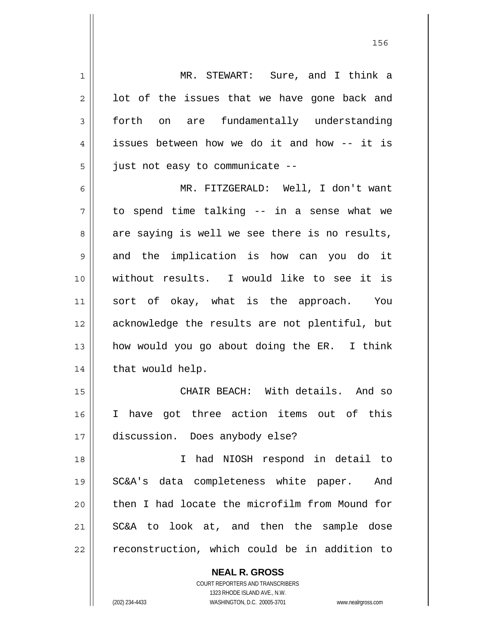| 1              | MR. STEWART: Sure, and I think a                         |
|----------------|----------------------------------------------------------|
| $\overline{2}$ | lot of the issues that we have gone back and             |
| 3              | forth on are fundamentally understanding                 |
| 4              | issues between how we do it and how -- it is             |
| 5              | just not easy to communicate --                          |
| 6              | MR. FITZGERALD: Well, I don't want                       |
| 7              | to spend time talking -- in a sense what we              |
| 8              | are saying is well we see there is no results,           |
| 9              | and the implication is how can you do it                 |
| 10             | without results. I would like to see it is               |
| 11             | sort of okay, what is the approach. You                  |
| 12             | acknowledge the results are not plentiful, but           |
| 13             | how would you go about doing the ER. I think             |
| 14             | that would help.                                         |
| 15             | CHAIR BEACH: With details. And so                        |
| 16             | I have got three action items out of this                |
| 17             | discussion. Does anybody else?                           |
| 18             | had NIOSH respond in detail to<br>$\mathbf{I}$           |
| 19             | SC&A's data completeness white paper. And                |
| 20             | then I had locate the microfilm from Mound for           |
| 21             | SC&A to look at, and then the sample dose                |
| 22             | reconstruction, which could be in addition to            |
|                | <b>NEAL R. GROSS</b><br>COURT REPORTERS AND TRANSCRIBERS |

1323 RHODE ISLAND AVE., N.W.

 $\mathsf{II}$ 

(202) 234-4433 WASHINGTON, D.C. 20005-3701 www.nealrgross.com

<u>156 - Animal Stephen Barbara, amerikan pendadaran pengaran pengaran pengaran pengaran pengaran pengaran penga</u>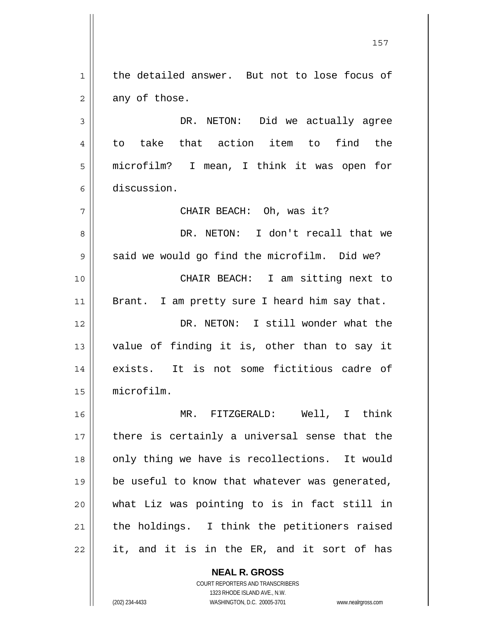1 2 3 4 5 6 7 8 9 10 11 12 13 14 15 16 17 18 19 20 21 22 the detailed answer. But not to lose focus of any of those. DR. NETON: Did we actually agree to take that action item to find the microfilm? I mean, I think it was open for discussion. CHAIR BEACH: Oh, was it? DR. NETON: I don't recall that we said we would go find the microfilm. Did we? CHAIR BEACH: I am sitting next to Brant. I am pretty sure I heard him say that. DR. NETON: I still wonder what the value of finding it is, other than to say it exists. It is not some fictitious cadre of microfilm. MR. FITZGERALD: Well, I think there is certainly a universal sense that the only thing we have is recollections. It would be useful to know that whatever was generated, what Liz was pointing to is in fact still in the holdings. I think the petitioners raised it, and it is in the ER, and it sort of has

> **NEAL R. GROSS** COURT REPORTERS AND TRANSCRIBERS 1323 RHODE ISLAND AVE., N.W.

(202) 234-4433 WASHINGTON, D.C. 20005-3701 www.nealrgross.com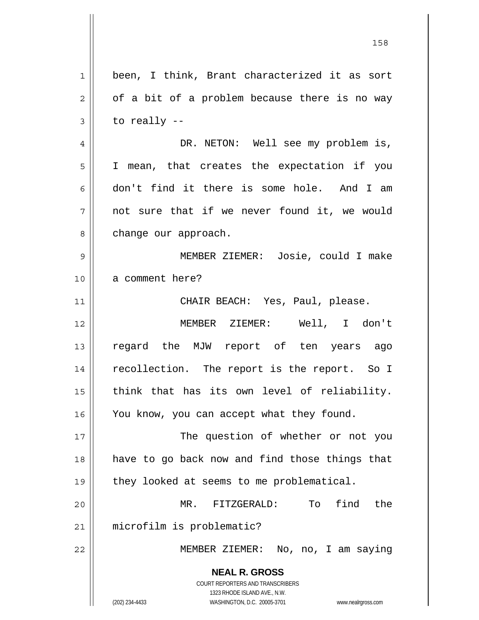|                | 158                                                                 |
|----------------|---------------------------------------------------------------------|
| $\mathbf 1$    | been, I think, Brant characterized it as sort                       |
| $\mathbf 2$    | of a bit of a problem because there is no way                       |
| $\mathfrak{Z}$ | to really $-$                                                       |
| $\overline{4}$ | DR. NETON: Well see my problem is,                                  |
| 5              | I mean, that creates the expectation if you                         |
| 6              | don't find it there is some hole. And I am                          |
| 7              | not sure that if we never found it, we would                        |
| 8              | change our approach.                                                |
| $\mathsf 9$    | MEMBER ZIEMER: Josie, could I make                                  |
| 10             | a comment here?                                                     |
| 11             | CHAIR BEACH: Yes, Paul, please.                                     |
| 12             | MEMBER ZIEMER: Well, I don't                                        |
| 13             | regard the MJW report of ten years ago                              |
| 14             | recollection. The report is the report. So I                        |
| 15             | think that has its own level of reliability.                        |
| 16             | You know, you can accept what they found.                           |
| 17             | The question of whether or not you                                  |
| 18             | have to go back now and find those things that                      |
| 19             | they looked at seems to me problematical.                           |
| 20             | find<br>the<br>MR. FITZGERALD:<br>To                                |
| 21             | microfilm is problematic?                                           |
| 22             | MEMBER ZIEMER: No, no, I am saying                                  |
|                | <b>NEAL R. GROSS</b><br>COURT REPORTERS AND TRANSCRIBERS            |
|                | 1323 RHODE ISLAND AVE., N.W.                                        |
|                | (202) 234-4433<br>WASHINGTON, D.C. 20005-3701<br>www.nealrgross.com |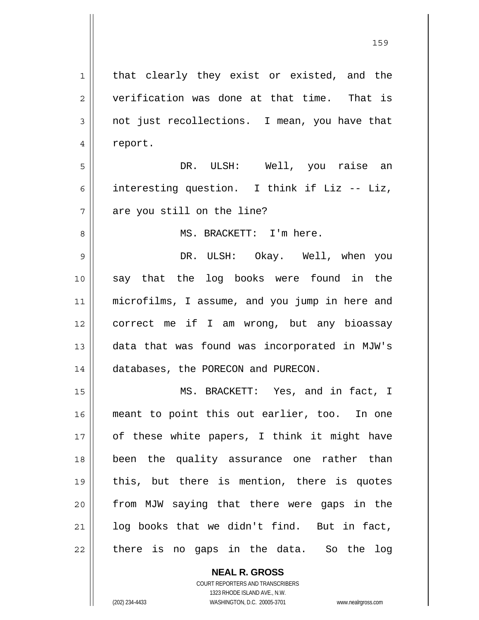1 2 3 4 5 6 7 8 9 10 11 12 13 14 15 16 17 18 19 20 21 22 that clearly they exist or existed, and the verification was done at that time. That is not just recollections. I mean, you have that report. DR. ULSH: Well, you raise an interesting question. I think if Liz -- Liz, are you still on the line? MS. BRACKETT: I'm here. DR. ULSH: Okay. Well, when you say that the log books were found in the microfilms, I assume, and you jump in here and correct me if I am wrong, but any bioassay data that was found was incorporated in MJW's databases, the PORECON and PURECON. MS. BRACKETT: Yes, and in fact, I meant to point this out earlier, too. In one of these white papers, I think it might have been the quality assurance one rather than this, but there is mention, there is quotes from MJW saying that there were gaps in the log books that we didn't find. But in fact, there is no gaps in the data. So the log

> **NEAL R. GROSS** COURT REPORTERS AND TRANSCRIBERS

> > 1323 RHODE ISLAND AVE., N.W.

(202) 234-4433 WASHINGTON, D.C. 20005-3701 www.nealrgross.com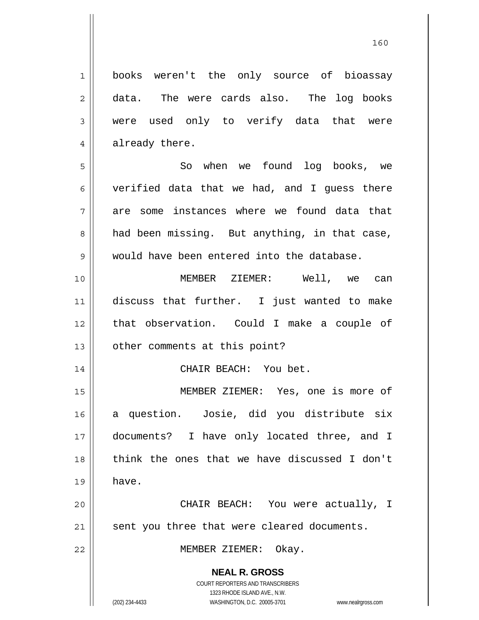books weren't the only source of bioassay data. The were cards also. The log books were used only to verify data that were already there.

160

5 6 7 8 9 So when we found log books, we verified data that we had, and I guess there are some instances where we found data that had been missing. But anything, in that case, would have been entered into the database.

10 11 12 13 MEMBER ZIEMER: Well, we can discuss that further. I just wanted to make that observation. Could I make a couple of other comments at this point?

CHAIR BEACH: You bet.

15 16 17 18 19 MEMBER ZIEMER: Yes, one is more of a question. Josie, did you distribute six documents? I have only located three, and I think the ones that we have discussed I don't have.

20 21 CHAIR BEACH: You were actually, I sent you three that were cleared documents.

MEMBER ZIEMER: Okay.

**NEAL R. GROSS** COURT REPORTERS AND TRANSCRIBERS

1

2

3

4

14

22

1323 RHODE ISLAND AVE., N.W. (202) 234-4433 WASHINGTON, D.C. 20005-3701 www.nealrgross.com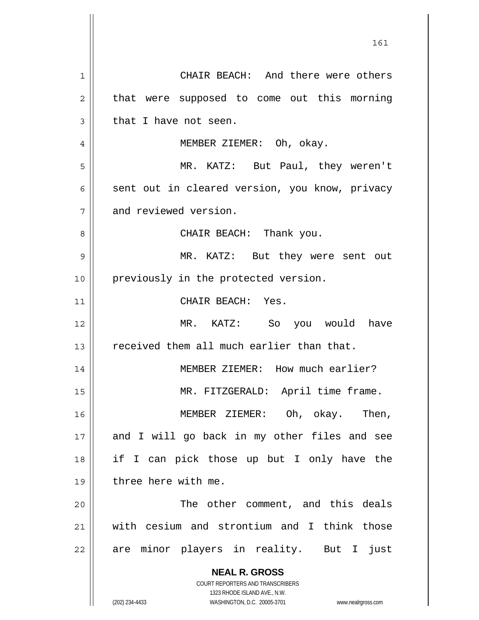**NEAL R. GROSS** COURT REPORTERS AND TRANSCRIBERS 1323 RHODE ISLAND AVE., N.W. (202) 234-4433 WASHINGTON, D.C. 20005-3701 www.nealrgross.com 161 1 2 3 4 5 6 7 8 9 10 11 12 13 14 15 16 17 18 19 20 21 22 CHAIR BEACH: And there were others that were supposed to come out this morning that I have not seen. MEMBER ZIEMER: Oh, okay. MR. KATZ: But Paul, they weren't sent out in cleared version, you know, privacy and reviewed version. CHAIR BEACH: Thank you. MR. KATZ: But they were sent out previously in the protected version. CHAIR BEACH: Yes. MR. KATZ: So you would have received them all much earlier than that. MEMBER ZIEMER: How much earlier? MR. FITZGERALD: April time frame. MEMBER ZIEMER: Oh, okay. Then, and I will go back in my other files and see if I can pick those up but I only have the three here with me. The other comment, and this deals with cesium and strontium and I think those are minor players in reality. But I just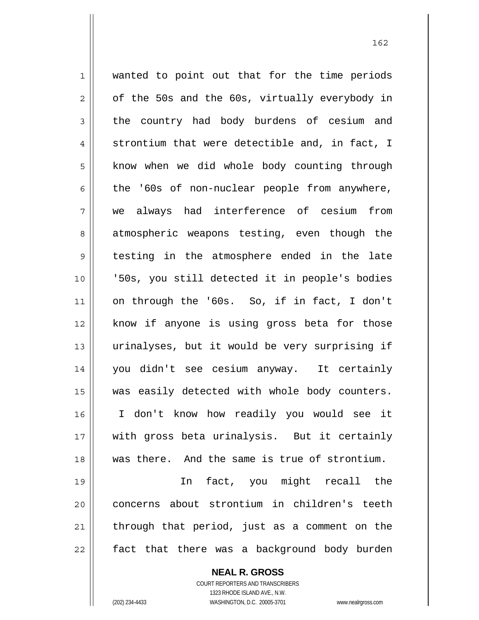1 2 3 4 5 6 7 8 9 10 11 12 13 14 15 16 17 18 wanted to point out that for the time periods of the 50s and the 60s, virtually everybody in the country had body burdens of cesium and strontium that were detectible and, in fact, I know when we did whole body counting through the '60s of non-nuclear people from anywhere, we always had interference of cesium from atmospheric weapons testing, even though the testing in the atmosphere ended in the late '50s, you still detected it in people's bodies on through the '60s. So, if in fact, I don't know if anyone is using gross beta for those urinalyses, but it would be very surprising if you didn't see cesium anyway. It certainly was easily detected with whole body counters. I don't know how readily you would see it with gross beta urinalysis. But it certainly was there. And the same is true of strontium.

19 20 21 22 In fact, you might recall the concerns about strontium in children's teeth through that period, just as a comment on the fact that there was a background body burden

> **NEAL R. GROSS** COURT REPORTERS AND TRANSCRIBERS 1323 RHODE ISLAND AVE., N.W. (202) 234-4433 WASHINGTON, D.C. 20005-3701 www.nealrgross.com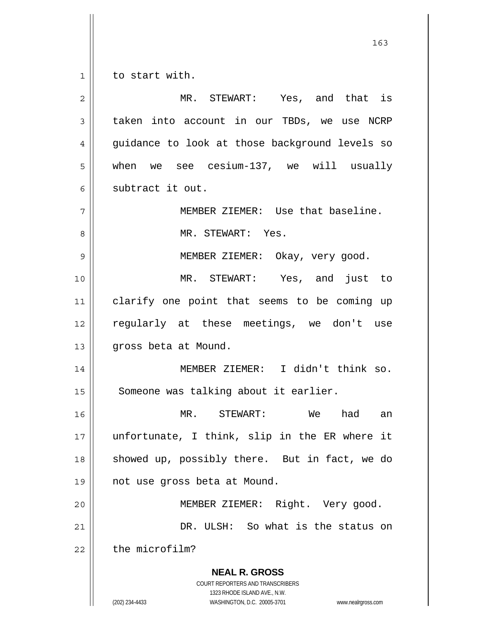1 to start with.

**NEAL R. GROSS** COURT REPORTERS AND TRANSCRIBERS 1323 RHODE ISLAND AVE., N.W. (202) 234-4433 WASHINGTON, D.C. 20005-3701 www.nealrgross.com 2 3 4 5 6 7 8 9 10 11 12 13 14 15 16 17 18 19 20 21 22 MR. STEWART: Yes, and that is taken into account in our TBDs, we use NCRP guidance to look at those background levels so when we see cesium-137, we will usually subtract it out. MEMBER ZIEMER: Use that baseline. MR. STEWART: Yes. MEMBER ZIEMER: Okay, very good. MR. STEWART: Yes, and just to clarify one point that seems to be coming up regularly at these meetings, we don't use gross beta at Mound. MEMBER ZIEMER: I didn't think so. Someone was talking about it earlier. MR. STEWART: We had an unfortunate, I think, slip in the ER where it showed up, possibly there. But in fact, we do not use gross beta at Mound. MEMBER ZIEMER: Right. Very good. DR. ULSH: So what is the status on the microfilm?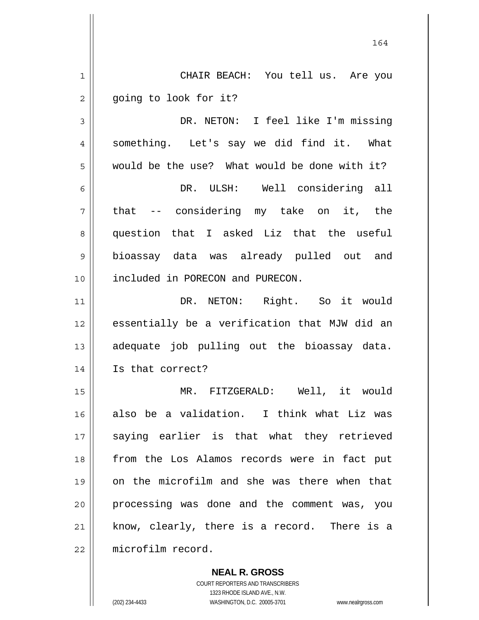164 1 2 3 4 5 6 7 8 9 10 11 12 13 14 15 16 17 18 19 20 21 22 CHAIR BEACH: You tell us. Are you going to look for it? DR. NETON: I feel like I'm missing something. Let's say we did find it. What would be the use? What would be done with it? DR. ULSH: Well considering all that -- considering my take on it, the question that I asked Liz that the useful bioassay data was already pulled out and included in PORECON and PURECON. DR. NETON: Right. So it would essentially be a verification that MJW did an adequate job pulling out the bioassay data. Is that correct? MR. FITZGERALD: Well, it would also be a validation. I think what Liz was saying earlier is that what they retrieved from the Los Alamos records were in fact put on the microfilm and she was there when that processing was done and the comment was, you know, clearly, there is a record. There is a microfilm record.

> COURT REPORTERS AND TRANSCRIBERS 1323 RHODE ISLAND AVE., N.W. (202) 234-4433 WASHINGTON, D.C. 20005-3701 www.nealrgross.com

**NEAL R. GROSS**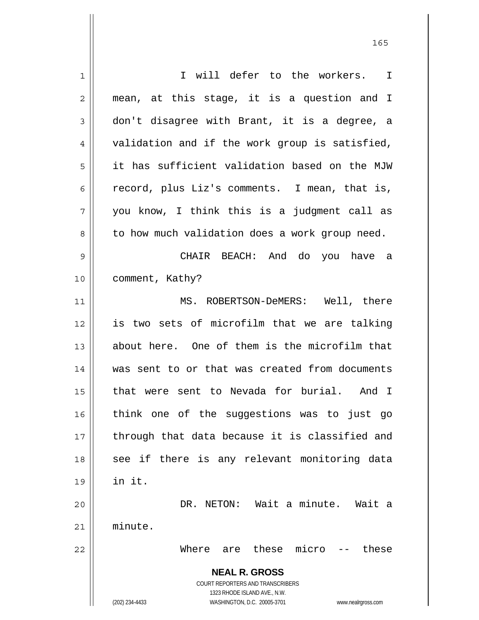**NEAL R. GROSS** COURT REPORTERS AND TRANSCRIBERS 1323 RHODE ISLAND AVE., N.W. (202) 234-4433 WASHINGTON, D.C. 20005-3701 www.nealrgross.com 1 2 3 4 5 6 7 8 9 10 11 12 13 14 15 16 17 18 19 20 21 22 I will defer to the workers. I mean, at this stage, it is a question and I don't disagree with Brant, it is a degree, a validation and if the work group is satisfied, it has sufficient validation based on the MJW record, plus Liz's comments. I mean, that is, you know, I think this is a judgment call as to how much validation does a work group need. CHAIR BEACH: And do you have a comment, Kathy? MS. ROBERTSON-DeMERS: Well, there is two sets of microfilm that we are talking about here. One of them is the microfilm that was sent to or that was created from documents that were sent to Nevada for burial. And I think one of the suggestions was to just go through that data because it is classified and see if there is any relevant monitoring data in it. DR. NETON: Wait a minute. Wait a minute. Where are these micro -- these

<u>165</u>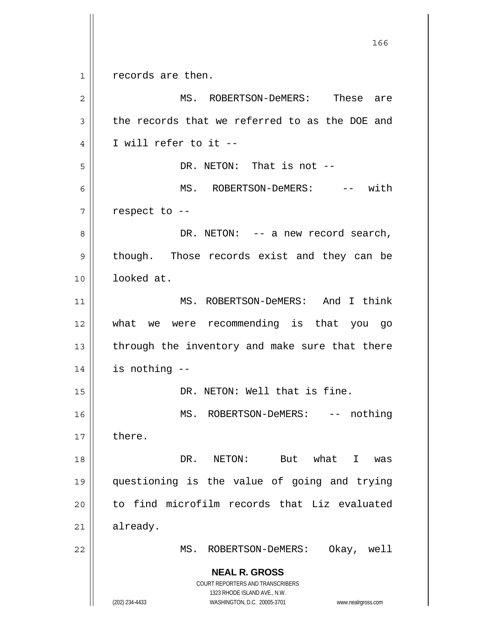**NEAL R. GROSS** COURT REPORTERS AND TRANSCRIBERS 1323 RHODE ISLAND AVE., N.W. (202) 234-4433 WASHINGTON, D.C. 20005-3701 www.nealrgross.com <u>166</u> 1 2 3 4 5 6 7 8 9 10 11 12 13 14 15 16 17 18 19 20 21 22 records are then. MS. ROBERTSON-DeMERS: These are the records that we referred to as the DOE and I will refer to it -- DR. NETON: That is not --MS. ROBERTSON-DeMERS: -- with respect to -- DR. NETON: -- a new record search, though. Those records exist and they can be looked at. MS. ROBERTSON-DeMERS: And I think what we were recommending is that you go through the inventory and make sure that there is nothing -- DR. NETON: Well that is fine. MS. ROBERTSON-DeMERS: -- nothing there. DR. NETON: But what I was questioning is the value of going and trying to find microfilm records that Liz evaluated already. MS. ROBERTSON-DeMERS: Okay, well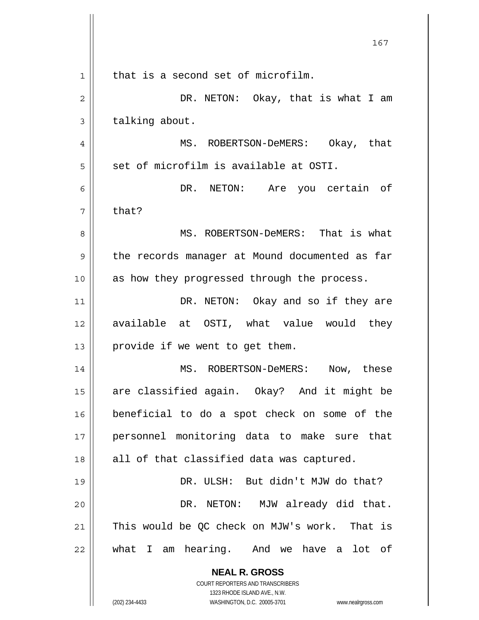|    | 167                                                                 |
|----|---------------------------------------------------------------------|
| 1  | that is a second set of microfilm.                                  |
| 2  | DR. NETON: Okay, that is what I am                                  |
| 3  | talking about.                                                      |
| 4  | MS. ROBERTSON-DeMERS: Okay, that                                    |
| 5  | set of microfilm is available at OSTI.                              |
| 6  | DR. NETON: Are you certain of                                       |
| 7  | that?                                                               |
| 8  | MS. ROBERTSON-DeMERS: That is what                                  |
| 9  | the records manager at Mound documented as far                      |
| 10 | as how they progressed through the process.                         |
| 11 | DR. NETON: Okay and so if they are                                  |
| 12 | available at OSTI, what value would they                            |
| 13 | provide if we went to get them.                                     |
| 14 | MS. ROBERTSON-DeMERS: Now, these                                    |
| 15 | are classified again. Okay? And it might be                         |
| 16 | beneficial to do a spot check on some of the                        |
| 17 | personnel monitoring data to make sure that                         |
| 18 | all of that classified data was captured.                           |
| 19 | DR. ULSH: But didn't MJW do that?                                   |
| 20 | DR. NETON: MJW already did that.                                    |
| 21 | This would be QC check on MJW's work. That is                       |
| 22 | what I am hearing. And we have a lot of                             |
|    | <b>NEAL R. GROSS</b>                                                |
|    | COURT REPORTERS AND TRANSCRIBERS<br>1323 RHODE ISLAND AVE., N.W.    |
|    | (202) 234-4433<br>WASHINGTON, D.C. 20005-3701<br>www.nealrgross.com |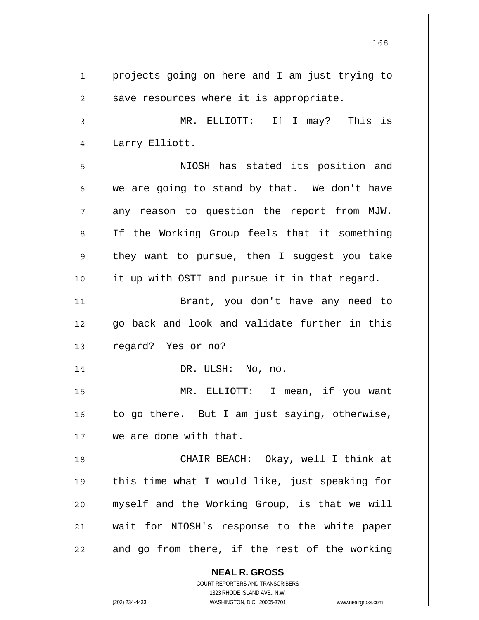**NEAL R. GROSS** 1 2 3 4 5 6 7 8 9 10 11 12 13 14 15 16 17 18 19 20 21 22 projects going on here and I am just trying to save resources where it is appropriate. MR. ELLIOTT: If I may? This is Larry Elliott. NIOSH has stated its position and we are going to stand by that. We don't have any reason to question the report from MJW. If the Working Group feels that it something they want to pursue, then I suggest you take it up with OSTI and pursue it in that regard. Brant, you don't have any need to go back and look and validate further in this regard? Yes or no? DR. ULSH: No, no. MR. ELLIOTT: I mean, if you want to go there. But I am just saying, otherwise, we are done with that. CHAIR BEACH: Okay, well I think at this time what I would like, just speaking for myself and the Working Group, is that we will wait for NIOSH's response to the white paper and go from there, if the rest of the working

> COURT REPORTERS AND TRANSCRIBERS 1323 RHODE ISLAND AVE., N.W.

(202) 234-4433 WASHINGTON, D.C. 20005-3701 www.nealrgross.com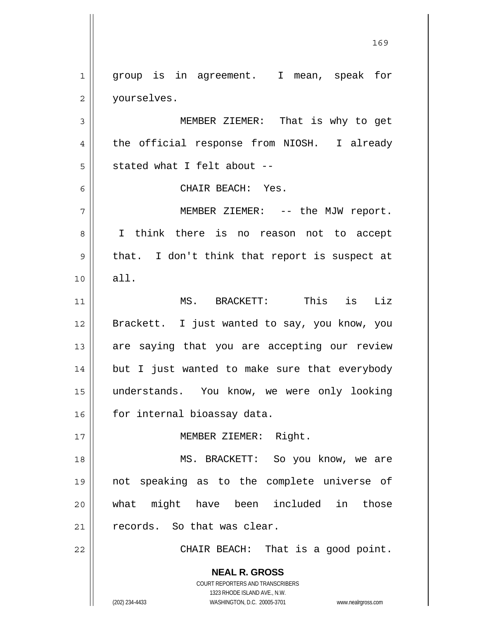**NEAL R. GROSS** COURT REPORTERS AND TRANSCRIBERS 1323 RHODE ISLAND AVE., N.W. (202) 234-4433 WASHINGTON, D.C. 20005-3701 www.nealrgross.com 1 2 3 4 5 6 7 8 9 10 11 12 13 14 15 16 17 18 19 20 21 22 group is in agreement. I mean, speak for yourselves. MEMBER ZIEMER: That is why to get the official response from NIOSH. I already stated what I felt about -- CHAIR BEACH: Yes. MEMBER ZIEMER: -- the MJW report. I think there is no reason not to accept that. I don't think that report is suspect at all. MS. BRACKETT: This is Liz Brackett. I just wanted to say, you know, you are saying that you are accepting our review but I just wanted to make sure that everybody understands. You know, we were only looking for internal bioassay data. MEMBER ZIEMER: Right. MS. BRACKETT: So you know, we are not speaking as to the complete universe of what might have been included in those records. So that was clear. CHAIR BEACH: That is a good point.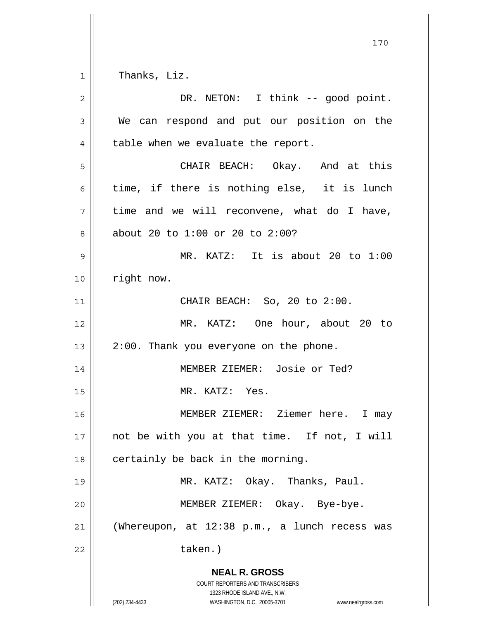170 1 2 3 4 5 6 7 8 9 10 11 12 13 14 15 16 17 Thanks, Liz. DR. NETON: I think -- good point. We can respond and put our position on the table when we evaluate the report. CHAIR BEACH: Okay. And at this time, if there is nothing else, it is lunch time and we will reconvene, what do I have, about 20 to 1:00 or 20 to 2:00? MR. KATZ: It is about 20 to 1:00 right now. CHAIR BEACH: So, 20 to 2:00. MR. KATZ: One hour, about 20 to 2:00. Thank you everyone on the phone. MEMBER ZIEMER: Josie or Ted? MR. KATZ: Yes. MEMBER ZIEMER: Ziemer here. I may not be with you at that time. If not, I will

18 19 20 21 certainly be back in the morning. MR. KATZ: Okay. Thanks, Paul. MEMBER ZIEMER: Okay. Bye-bye. (Whereupon, at 12:38 p.m., a lunch recess was

taken.)

## **NEAL R. GROSS**

COURT REPORTERS AND TRANSCRIBERS 1323 RHODE ISLAND AVE., N.W. (202) 234-4433 WASHINGTON, D.C. 20005-3701 www.nealrgross.com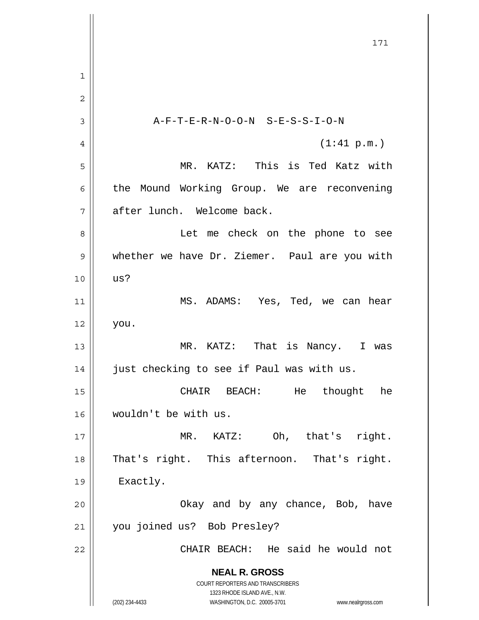**NEAL R. GROSS** COURT REPORTERS AND TRANSCRIBERS 1323 RHODE ISLAND AVE., N.W. (202) 234-4433 WASHINGTON, D.C. 20005-3701 www.nealrgross.com 171 1 2 3 4 5 6 7 8 9 10 11 12 13 14 15 16 17 18 19 20 21 22 A-F-T-E-R-N-O-O-N S-E-S-S-I-O-N (1:41 p.m.) MR. KATZ: This is Ted Katz with the Mound Working Group. We are reconvening after lunch. Welcome back. Let me check on the phone to see whether we have Dr. Ziemer. Paul are you with us? MS. ADAMS: Yes, Ted, we can hear you. MR. KATZ: That is Nancy. I was just checking to see if Paul was with us. CHAIR BEACH: He thought he wouldn't be with us. MR. KATZ: Oh, that's right. That's right. This afternoon. That's right. Exactly. Okay and by any chance, Bob, have you joined us? Bob Presley? CHAIR BEACH: He said he would not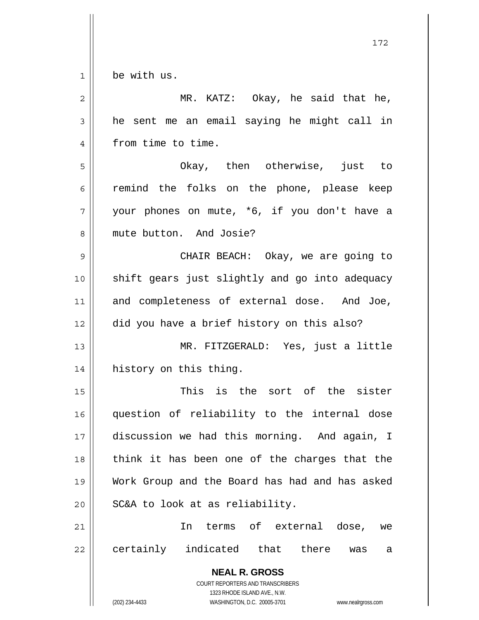$1$ 

be with us.

| $\overline{c}$ | MR. KATZ: Okay, he said that he,                                                                                                                                |
|----------------|-----------------------------------------------------------------------------------------------------------------------------------------------------------------|
| 3              | he sent me an email saying he might call in                                                                                                                     |
| 4              | from time to time.                                                                                                                                              |
| 5              | Okay, then otherwise, just to                                                                                                                                   |
| 6              | remind the folks on the phone, please keep                                                                                                                      |
| 7              | your phones on mute, *6, if you don't have a                                                                                                                    |
| 8              | mute button. And Josie?                                                                                                                                         |
| 9              | CHAIR BEACH: Okay, we are going to                                                                                                                              |
| 10             | shift gears just slightly and go into adequacy                                                                                                                  |
| 11             | and completeness of external dose. And Joe,                                                                                                                     |
| 12             | did you have a brief history on this also?                                                                                                                      |
| 13             | MR. FITZGERALD: Yes, just a little                                                                                                                              |
| 14             | history on this thing.                                                                                                                                          |
| 15             | This is the sort of the sister                                                                                                                                  |
| 16             | question of reliability to the internal dose                                                                                                                    |
| 17             | discussion we had this morning. And again, I                                                                                                                    |
| 18             | think it has been one of the charges that the                                                                                                                   |
| 19             | Work Group and the Board has had and has asked                                                                                                                  |
| 20             | SC&A to look at as reliability.                                                                                                                                 |
| 21             | terms of external dose,<br>In<br>we                                                                                                                             |
| 22             | certainly indicated that there<br>was<br>а                                                                                                                      |
|                | <b>NEAL R. GROSS</b><br>COURT REPORTERS AND TRANSCRIBERS<br>1323 RHODE ISLAND AVE., N.W.<br>(202) 234-4433<br>WASHINGTON, D.C. 20005-3701<br>www.nealrgross.com |
|                |                                                                                                                                                                 |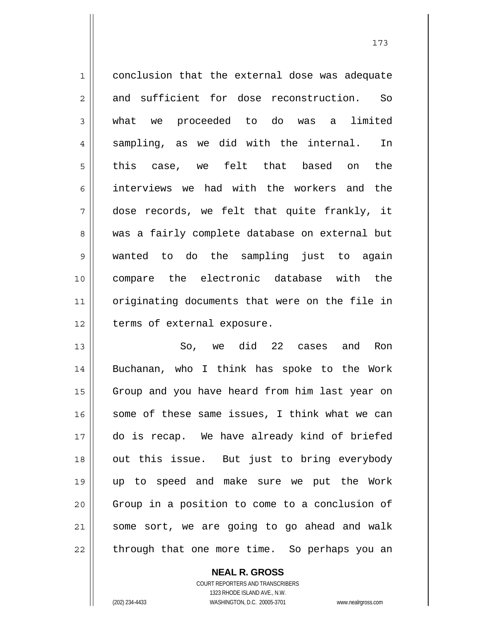1 2 3 4 5 6 7 8 9 10 11 12 conclusion that the external dose was adequate and sufficient for dose reconstruction. So what we proceeded to do was a limited sampling, as we did with the internal. In this case, we felt that based on the interviews we had with the workers and the dose records, we felt that quite frankly, it was a fairly complete database on external but wanted to do the sampling just to again compare the electronic database with the originating documents that were on the file in terms of external exposure.

13 14 15 16 17 18 19 20 21 22 So, we did 22 cases and Ron Buchanan, who I think has spoke to the Work Group and you have heard from him last year on some of these same issues, I think what we can do is recap. We have already kind of briefed out this issue. But just to bring everybody up to speed and make sure we put the Work Group in a position to come to a conclusion of some sort, we are going to go ahead and walk through that one more time. So perhaps you an

**NEAL R. GROSS**

COURT REPORTERS AND TRANSCRIBERS 1323 RHODE ISLAND AVE., N.W. (202) 234-4433 WASHINGTON, D.C. 20005-3701 www.nealrgross.com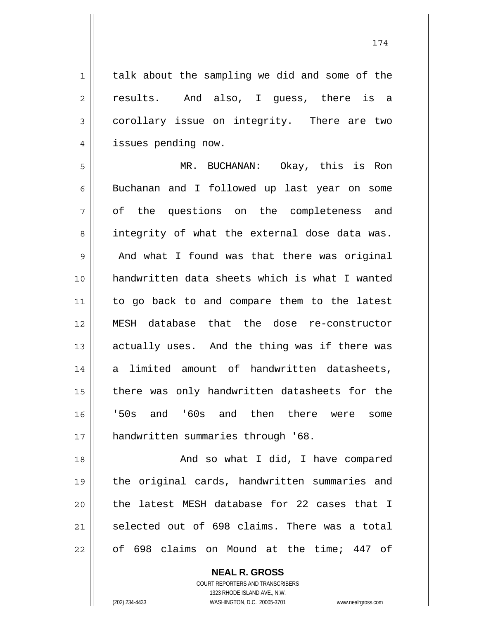talk about the sampling we did and some of the results. And also, I guess, there is a corollary issue on integrity. There are two issues pending now.

5 6 7 8 9 10 11 12 13 14 15 16 17 MR. BUCHANAN: Okay, this is Ron Buchanan and I followed up last year on some of the questions on the completeness and integrity of what the external dose data was. And what I found was that there was original handwritten data sheets which is what I wanted to go back to and compare them to the latest MESH database that the dose re-constructor actually uses. And the thing was if there was a limited amount of handwritten datasheets, there was only handwritten datasheets for the '50s and '60s and then there were some handwritten summaries through '68.

18 19 20 21 22 And so what I did, I have compared the original cards, handwritten summaries and the latest MESH database for 22 cases that I selected out of 698 claims. There was a total of 698 claims on Mound at the time; 447 of

> **NEAL R. GROSS** COURT REPORTERS AND TRANSCRIBERS 1323 RHODE ISLAND AVE., N.W. (202) 234-4433 WASHINGTON, D.C. 20005-3701 www.nealrgross.com

1

2

3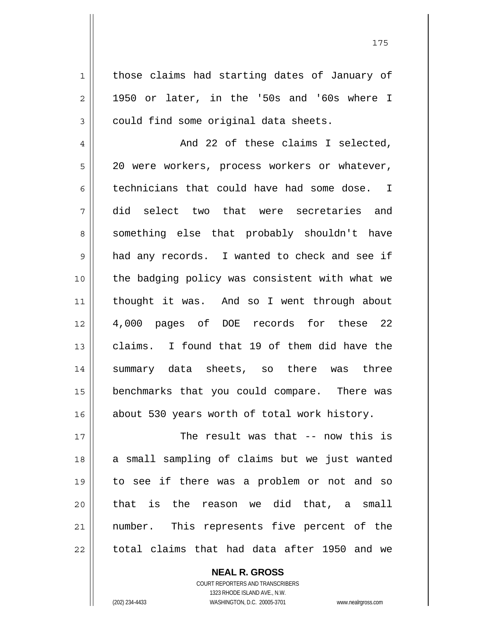those claims had starting dates of January of 1950 or later, in the '50s and '60s where I could find some original data sheets.

4 5 6 7 8 9 10 11 12 13 14 15 16 And 22 of these claims I selected, 20 were workers, process workers or whatever, technicians that could have had some dose. I did select two that were secretaries and something else that probably shouldn't have had any records. I wanted to check and see if the badging policy was consistent with what we thought it was. And so I went through about 4,000 pages of DOE records for these 22 claims. I found that 19 of them did have the summary data sheets, so there was three benchmarks that you could compare. There was about 530 years worth of total work history.

17 18 19 20 21 22 The result was that -- now this is a small sampling of claims but we just wanted to see if there was a problem or not and so that is the reason we did that, a small number. This represents five percent of the total claims that had data after 1950 and we

> COURT REPORTERS AND TRANSCRIBERS 1323 RHODE ISLAND AVE., N.W. (202) 234-4433 WASHINGTON, D.C. 20005-3701 www.nealrgross.com

**NEAL R. GROSS**

1

2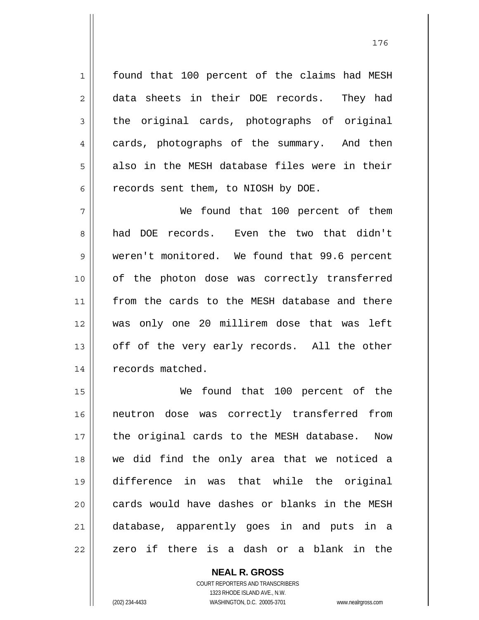found that 100 percent of the claims had MESH data sheets in their DOE records. They had the original cards, photographs of original cards, photographs of the summary. And then also in the MESH database files were in their records sent them, to NIOSH by DOE.

7 8 9 10 11 12 13 14 We found that 100 percent of them had DOE records. Even the two that didn't weren't monitored. We found that 99.6 percent of the photon dose was correctly transferred from the cards to the MESH database and there was only one 20 millirem dose that was left off of the very early records. All the other records matched.

15 16 17 18 19 20 21 22 We found that 100 percent of the neutron dose was correctly transferred from the original cards to the MESH database. Now we did find the only area that we noticed a difference in was that while the original cards would have dashes or blanks in the MESH database, apparently goes in and puts in a zero if there is a dash or a blank in the

> COURT REPORTERS AND TRANSCRIBERS 1323 RHODE ISLAND AVE., N.W. (202) 234-4433 WASHINGTON, D.C. 20005-3701 www.nealrgross.com

**NEAL R. GROSS**

1

2

3

4

5

6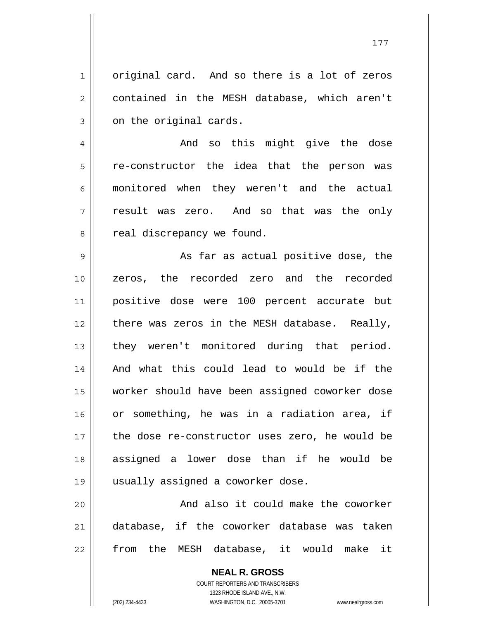original card. And so there is a lot of zeros contained in the MESH database, which aren't on the original cards.

1

2

3

4 5 6 7 8 And so this might give the dose re-constructor the idea that the person was monitored when they weren't and the actual result was zero. And so that was the only real discrepancy we found.

9 10 11 12 13 14 15 16 17 18 19 As far as actual positive dose, the zeros, the recorded zero and the recorded positive dose were 100 percent accurate but there was zeros in the MESH database. Really, they weren't monitored during that period. And what this could lead to would be if the worker should have been assigned coworker dose or something, he was in a radiation area, if the dose re-constructor uses zero, he would be assigned a lower dose than if he would be usually assigned a coworker dose.

20 21 22 And also it could make the coworker database, if the coworker database was taken from the MESH database, it would make it

> **NEAL R. GROSS** COURT REPORTERS AND TRANSCRIBERS 1323 RHODE ISLAND AVE., N.W. (202) 234-4433 WASHINGTON, D.C. 20005-3701 www.nealrgross.com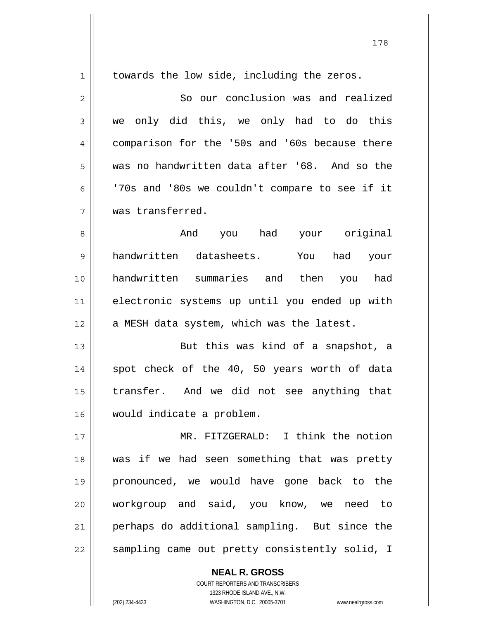| $\mathbf 1$    | towards the low side, including the zeros.     |
|----------------|------------------------------------------------|
| $\overline{2}$ | So our conclusion was and realized             |
| 3              | only did this, we only had to do this<br>we    |
| 4              | comparison for the '50s and '60s because there |
| 5              | was no handwritten data after '68. And so the  |
| 6              | '70s and '80s we couldn't compare to see if it |
| 7              | was transferred.                               |
| 8              | you had your original<br>And                   |
| 9              | handwritten datasheets.<br>had your<br>You     |
| 10             | handwritten summaries and then<br>you had      |
| 11             | electronic systems up until you ended up with  |
| 12             | a MESH data system, which was the latest.      |
| 13             | But this was kind of a snapshot, a             |
| 14             | spot check of the 40, 50 years worth of data   |
| 15             | transfer. And we did not see anything that     |
| 16             | would indicate a problem.                      |
| $17$           | MR. FITZGERALD: I think the notion             |
| 18             | was if we had seen something that was pretty   |
| 19             | pronounced, we would have gone back to the     |
| 20             | workgroup and said, you know, we need to       |
| 21             | perhaps do additional sampling. But since the  |
| 22             | sampling came out pretty consistently solid, I |
|                | <b>NEAL R. GROSS</b>                           |

COURT REPORTERS AND TRANSCRIBERS 1323 RHODE ISLAND AVE., N.W. (202) 234-4433 WASHINGTON, D.C. 20005-3701 www.nealrgross.com

178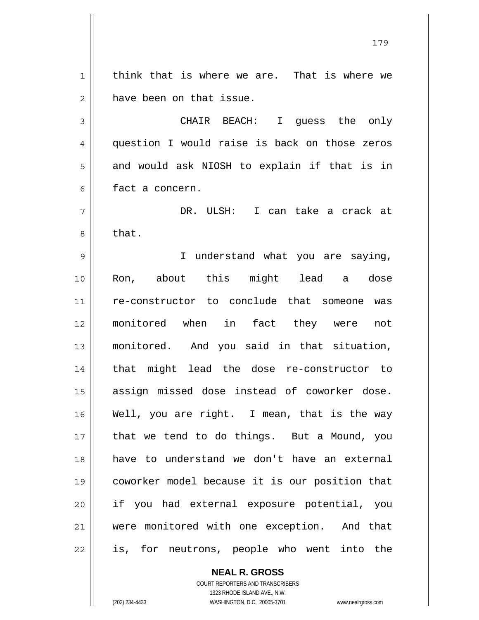1 2 think that is where we are. That is where we have been on that issue.

3 4 5 6 CHAIR BEACH: I guess the only question I would raise is back on those zeros and would ask NIOSH to explain if that is in fact a concern.

7 8 DR. ULSH: I can take a crack at that.

9 10 11 12 13 14 15 16 17 18 19 20 21 22 I understand what you are saying, Ron, about this might lead a dose re-constructor to conclude that someone was monitored when in fact they were not monitored. And you said in that situation, that might lead the dose re-constructor to assign missed dose instead of coworker dose. Well, you are right. I mean, that is the way that we tend to do things. But a Mound, you have to understand we don't have an external coworker model because it is our position that if you had external exposure potential, you were monitored with one exception. And that is, for neutrons, people who went into the

**NEAL R. GROSS**

COURT REPORTERS AND TRANSCRIBERS 1323 RHODE ISLAND AVE., N.W. (202) 234-4433 WASHINGTON, D.C. 20005-3701 www.nealrgross.com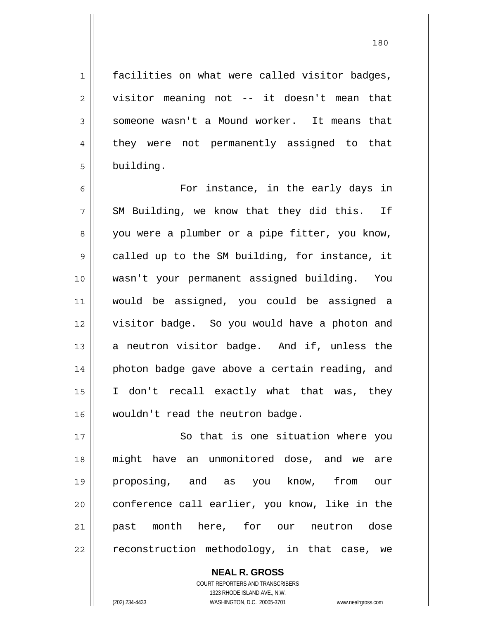180

facilities on what were called visitor badges, visitor meaning not -- it doesn't mean that someone wasn't a Mound worker. It means that they were not permanently assigned to that building.

6 7 8 9 10 11 12 13 14 15 16 For instance, in the early days in SM Building, we know that they did this. If you were a plumber or a pipe fitter, you know, called up to the SM building, for instance, it wasn't your permanent assigned building. You would be assigned, you could be assigned a visitor badge. So you would have a photon and a neutron visitor badge. And if, unless the photon badge gave above a certain reading, and I don't recall exactly what that was, they wouldn't read the neutron badge.

17 18 19 20 21 22 So that is one situation where you might have an unmonitored dose, and we are proposing, and as you know, from our conference call earlier, you know, like in the past month here, for our neutron dose reconstruction methodology, in that case, we

> **NEAL R. GROSS** COURT REPORTERS AND TRANSCRIBERS 1323 RHODE ISLAND AVE., N.W. (202) 234-4433 WASHINGTON, D.C. 20005-3701 www.nealrgross.com

1

2

3

4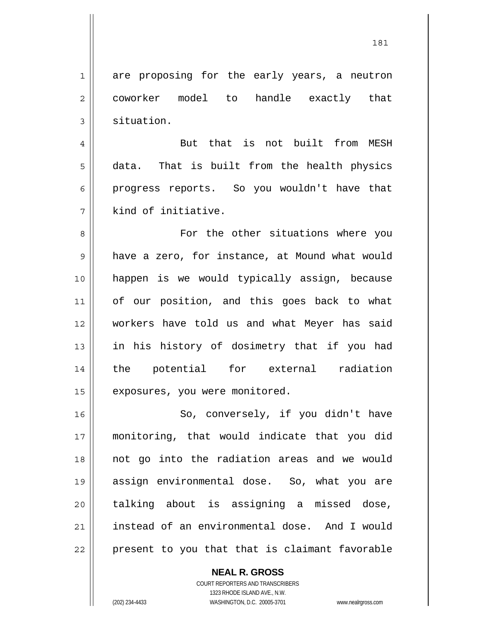1 2 3 are proposing for the early years, a neutron coworker model to handle exactly that situation.

4 5 6 7 But that is not built from MESH data. That is built from the health physics progress reports. So you wouldn't have that kind of initiative.

8 9 10 11 12 13 14 15 For the other situations where you have a zero, for instance, at Mound what would happen is we would typically assign, because of our position, and this goes back to what workers have told us and what Meyer has said in his history of dosimetry that if you had the potential for external radiation exposures, you were monitored.

16 17 18 19 20 21 22 So, conversely, if you didn't have monitoring, that would indicate that you did not go into the radiation areas and we would assign environmental dose. So, what you are talking about is assigning a missed dose, instead of an environmental dose. And I would present to you that that is claimant favorable

> **NEAL R. GROSS** COURT REPORTERS AND TRANSCRIBERS 1323 RHODE ISLAND AVE., N.W. (202) 234-4433 WASHINGTON, D.C. 20005-3701 www.nealrgross.com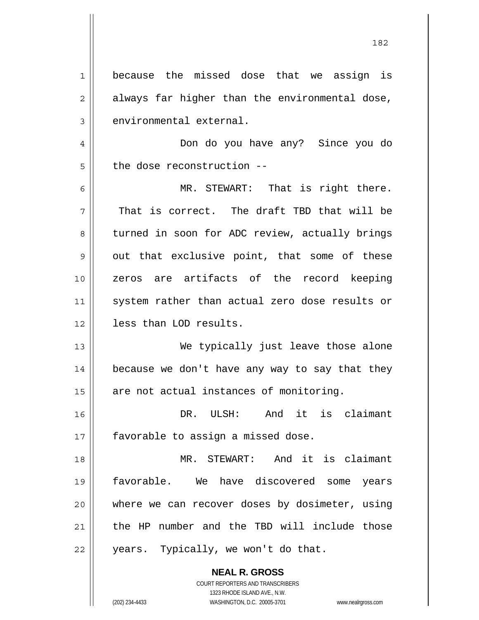1 2 3 4 5 6 7 8 9 10 11 12 13 14 15 16 17 18 19 20 21 22 because the missed dose that we assign is always far higher than the environmental dose, environmental external. Don do you have any? Since you do the dose reconstruction -- MR. STEWART: That is right there. That is correct. The draft TBD that will be turned in soon for ADC review, actually brings out that exclusive point, that some of these zeros are artifacts of the record keeping system rather than actual zero dose results or less than LOD results. We typically just leave those alone because we don't have any way to say that they are not actual instances of monitoring. DR. ULSH: And it is claimant favorable to assign a missed dose. MR. STEWART: And it is claimant favorable. We have discovered some years where we can recover doses by dosimeter, using the HP number and the TBD will include those years. Typically, we won't do that.

182

**NEAL R. GROSS** COURT REPORTERS AND TRANSCRIBERS 1323 RHODE ISLAND AVE., N.W.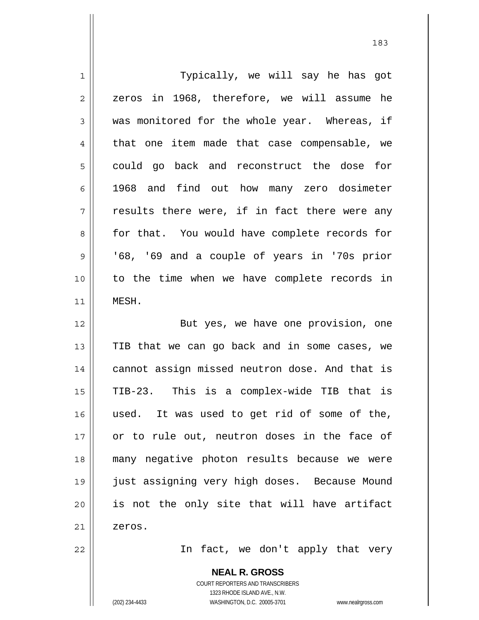1 2 3 4 5 6 7 8 9 10 11 12 13 14 15 16 17 18 19 20 21 22 Typically, we will say he has got zeros in 1968, therefore, we will assume he was monitored for the whole year. Whereas, if that one item made that case compensable, we could go back and reconstruct the dose for 1968 and find out how many zero dosimeter results there were, if in fact there were any for that. You would have complete records for '68, '69 and a couple of years in '70s prior to the time when we have complete records in MESH. But yes, we have one provision, one TIB that we can go back and in some cases, we cannot assign missed neutron dose. And that is TIB-23. This is a complex-wide TIB that is used. It was used to get rid of some of the, or to rule out, neutron doses in the face of many negative photon results because we were just assigning very high doses. Because Mound is not the only site that will have artifact zeros. In fact, we don't apply that very

> **NEAL R. GROSS** COURT REPORTERS AND TRANSCRIBERS

> > 1323 RHODE ISLAND AVE., N.W.

(202) 234-4433 WASHINGTON, D.C. 20005-3701 www.nealrgross.com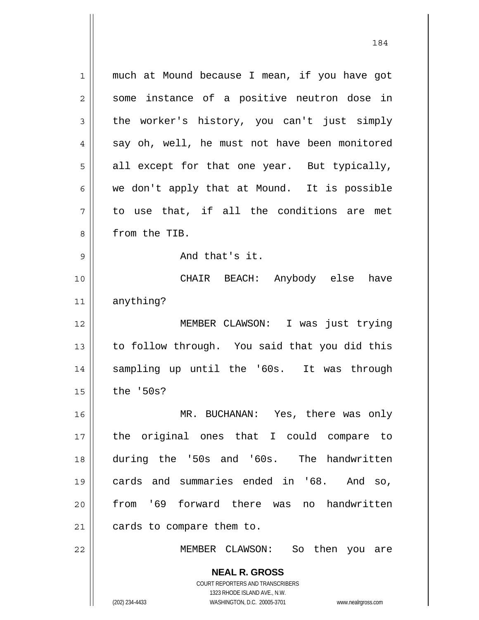**NEAL R. GROSS** COURT REPORTERS AND TRANSCRIBERS 1 2 3 4 5 6 7 8 9 10 11 12 13 14 15 16 17 18 19 20 21 22 much at Mound because I mean, if you have got some instance of a positive neutron dose in the worker's history, you can't just simply say oh, well, he must not have been monitored all except for that one year. But typically, we don't apply that at Mound. It is possible to use that, if all the conditions are met from the TIB. And that's it. CHAIR BEACH: Anybody else have anything? MEMBER CLAWSON: I was just trying to follow through. You said that you did this sampling up until the '60s. It was through the '50s? MR. BUCHANAN: Yes, there was only the original ones that I could compare to during the '50s and '60s. The handwritten cards and summaries ended in '68. And so, from '69 forward there was no handwritten cards to compare them to. MEMBER CLAWSON: So then you are

1323 RHODE ISLAND AVE., N.W.

184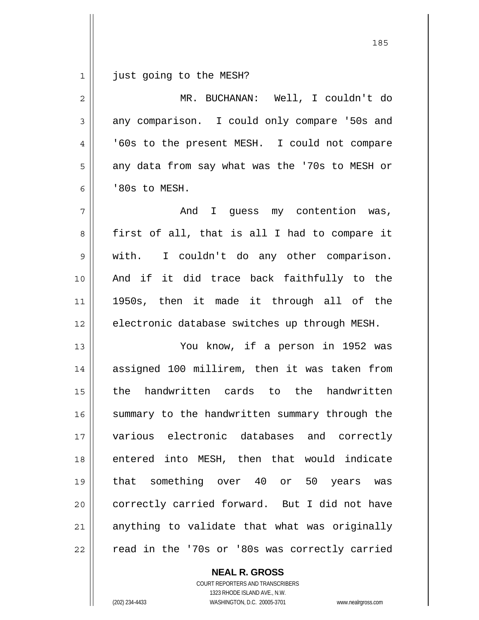1 just going to the MESH?

| $\overline{2}$ | MR. BUCHANAN: Well, I couldn't do              |
|----------------|------------------------------------------------|
| 3              | any comparison. I could only compare '50s and  |
| 4              | '60s to the present MESH. I could not compare  |
| 5              | any data from say what was the '70s to MESH or |
| 6              | '80s to MESH.                                  |
| 7              | And I guess my contention was,                 |
| 8              | first of all, that is all I had to compare it  |
| $\mathsf{S}$   | I couldn't do any other comparison.<br>with.   |
| 10             | And if it did trace back faithfully to the     |
| 11             | 1950s, then it made it through all of the      |
| 12             | electronic database switches up through MESH.  |
| 13             | You know, if a person in 1952 was              |
| 14             | assigned 100 millirem, then it was taken from  |
| 15             | the handwritten cards to the handwritten       |
| 16             | summary to the handwritten summary through the |
| 17             | various electronic databases and correctly     |
| 18             | entered into MESH, then that would indicate    |
| 19             | that something over 40 or 50 years was         |
| 20             | correctly carried forward. But I did not have  |
| 21             | anything to validate that what was originally  |
| 22             | read in the '70s or '80s was correctly carried |

COURT REPORTERS AND TRANSCRIBERS 1323 RHODE ISLAND AVE., N.W. (202) 234-4433 WASHINGTON, D.C. 20005-3701 www.nealrgross.com

**NEAL R. GROSS**

<u>185</u>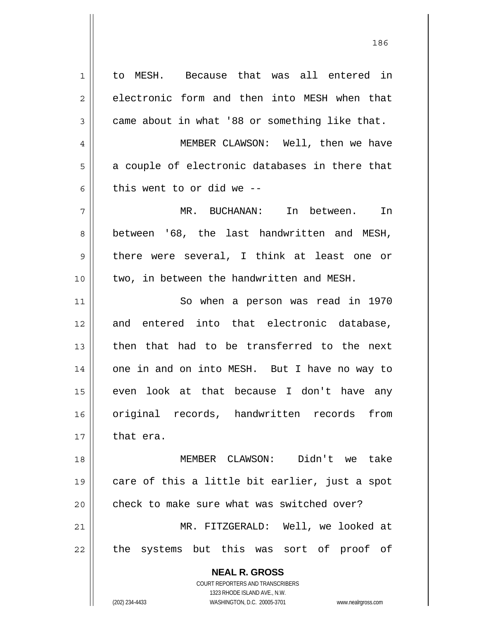**NEAL R. GROSS** COURT REPORTERS AND TRANSCRIBERS 1323 RHODE ISLAND AVE., N.W. 1 2 3 4 5 6 7 8 9 10 11 12 13 14 15 16 17 18 19 20 21 22 to MESH. Because that was all entered in electronic form and then into MESH when that came about in what '88 or something like that. MEMBER CLAWSON: Well, then we have a couple of electronic databases in there that this went to or did we -- MR. BUCHANAN: In between. In between '68, the last handwritten and MESH, there were several, I think at least one or two, in between the handwritten and MESH. So when a person was read in 1970 and entered into that electronic database, then that had to be transferred to the next one in and on into MESH. But I have no way to even look at that because I don't have any original records, handwritten records from that era. MEMBER CLAWSON: Didn't we take care of this a little bit earlier, just a spot check to make sure what was switched over? MR. FITZGERALD: Well, we looked at the systems but this was sort of proof of

186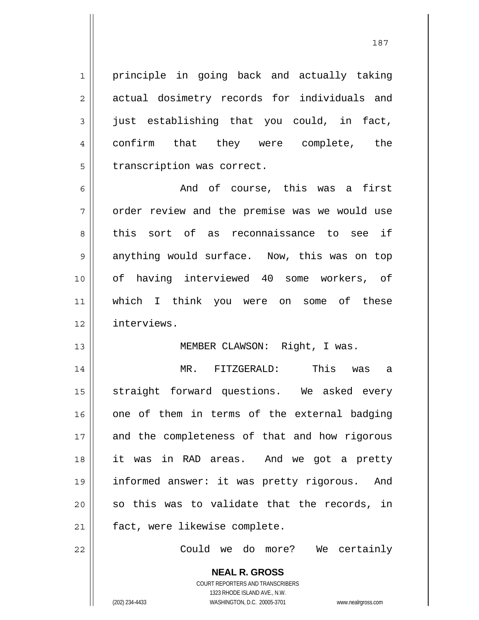principle in going back and actually taking actual dosimetry records for individuals and just establishing that you could, in fact, confirm that they were complete, the transcription was correct.

6 7 8 9 10 11 12 And of course, this was a first order review and the premise was we would use this sort of as reconnaissance to see if anything would surface. Now, this was on top of having interviewed 40 some workers, of which I think you were on some of these interviews.

## MEMBER CLAWSON: Right, I was.

14 15 16 17 18 19 20 21 MR. FITZGERALD: This was a straight forward questions. We asked every one of them in terms of the external badging and the completeness of that and how rigorous it was in RAD areas. And we got a pretty informed answer: it was pretty rigorous. And so this was to validate that the records, in fact, were likewise complete.

22

1

2

3

4

5

13

Could we do more? We certainly

**NEAL R. GROSS** COURT REPORTERS AND TRANSCRIBERS 1323 RHODE ISLAND AVE., N.W. (202) 234-4433 WASHINGTON, D.C. 20005-3701 www.nealrgross.com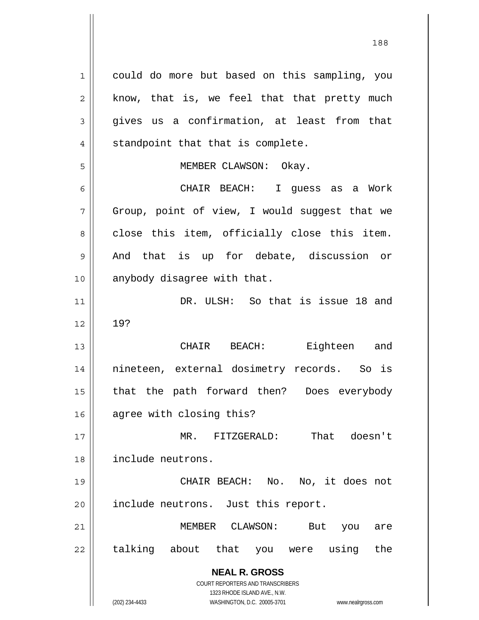**NEAL R. GROSS** COURT REPORTERS AND TRANSCRIBERS 1323 RHODE ISLAND AVE., N.W. 1 2 3 4 5 6 7 8 9 10 11 12 13 14 15 16 17 18 19 20 21 22 could do more but based on this sampling, you know, that is, we feel that that pretty much gives us a confirmation, at least from that standpoint that that is complete. MEMBER CLAWSON: Okay. CHAIR BEACH: I guess as a Work Group, point of view, I would suggest that we close this item, officially close this item. And that is up for debate, discussion or anybody disagree with that. DR. ULSH: So that is issue 18 and 19? CHAIR BEACH: Eighteen and nineteen, external dosimetry records. So is that the path forward then? Does everybody agree with closing this? MR. FITZGERALD: That doesn't include neutrons. CHAIR BEACH: No. No, it does not include neutrons. Just this report. MEMBER CLAWSON: But you are talking about that you were using the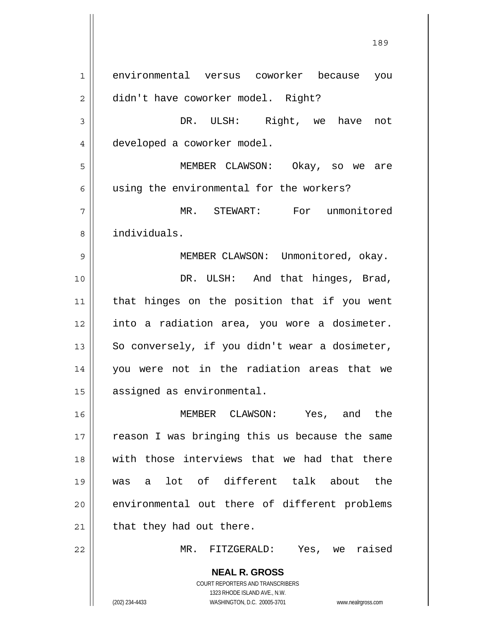**NEAL R. GROSS** COURT REPORTERS AND TRANSCRIBERS 1323 RHODE ISLAND AVE., N.W. 1 2 3 4 5 6 7 8 9 10 11 12 13 14 15 16 17 18 19 20 21 22 environmental versus coworker because you didn't have coworker model. Right? DR. ULSH: Right, we have not developed a coworker model. MEMBER CLAWSON: Okay, so we are using the environmental for the workers? MR. STEWART: For unmonitored individuals. MEMBER CLAWSON: Unmonitored, okay. DR. ULSH: And that hinges, Brad, that hinges on the position that if you went into a radiation area, you wore a dosimeter. So conversely, if you didn't wear a dosimeter, you were not in the radiation areas that we assigned as environmental. MEMBER CLAWSON: Yes, and the reason I was bringing this us because the same with those interviews that we had that there was a lot of different talk about the environmental out there of different problems that they had out there. MR. FITZGERALD: Yes, we raised

189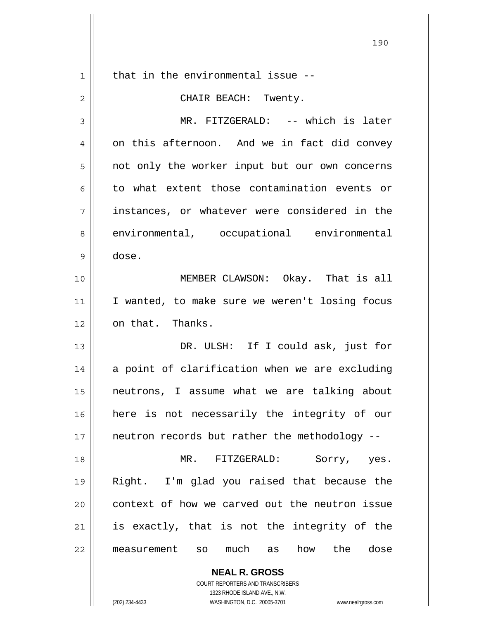| 1  | that in the environmental issue --                                                                  |
|----|-----------------------------------------------------------------------------------------------------|
| 2  | CHAIR BEACH: Twenty.                                                                                |
| 3  | MR. FITZGERALD: -- which is later                                                                   |
| 4  | on this afternoon. And we in fact did convey                                                        |
| 5  | not only the worker input but our own concerns                                                      |
| 6  | to what extent those contamination events or                                                        |
| 7  | instances, or whatever were considered in the                                                       |
| 8  | environmental, occupational environmental                                                           |
| 9  | dose.                                                                                               |
| 10 | MEMBER CLAWSON: Okay. That is all                                                                   |
| 11 | I wanted, to make sure we weren't losing focus                                                      |
| 12 | on that. Thanks.                                                                                    |
| 13 | DR. ULSH: If I could ask, just for                                                                  |
| 14 | a point of clarification when we are excluding                                                      |
| 15 | neutrons, I assume what we are talking about                                                        |
| 16 | here is not necessarily the integrity of our                                                        |
| 17 | neutron records but rather the methodology --                                                       |
| 18 | MR. FITZGERALD:<br>Sorry, yes.                                                                      |
| 19 | Right. I'm glad you raised that because the                                                         |
| 20 | context of how we carved out the neutron issue                                                      |
| 21 | is exactly, that is not the integrity of the                                                        |
| 22 | the<br>much<br>how<br>dose<br>measurement<br>SO<br>as                                               |
|    | <b>NEAL R. GROSS</b>                                                                                |
|    | COURT REPORTERS AND TRANSCRIBERS                                                                    |
|    | 1323 RHODE ISLAND AVE., N.W.<br>(202) 234-4433<br>WASHINGTON, D.C. 20005-3701<br>www.nealrgross.com |

<u>190</u>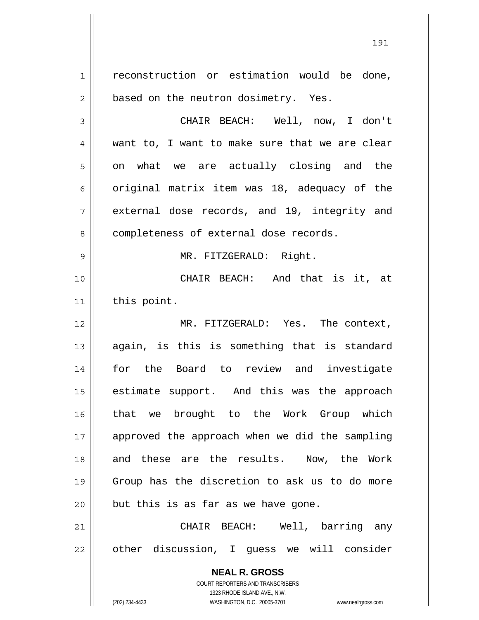**NEAL R. GROSS** COURT REPORTERS AND TRANSCRIBERS 1323 RHODE ISLAND AVE., N.W. 1 2 3 4 5 6 7 8 9 10 11 12 13 14 15 16 17 18 19 20 21 22 reconstruction or estimation would be done, based on the neutron dosimetry. Yes. CHAIR BEACH: Well, now, I don't want to, I want to make sure that we are clear on what we are actually closing and the original matrix item was 18, adequacy of the external dose records, and 19, integrity and completeness of external dose records. MR. FITZGERALD: Right. CHAIR BEACH: And that is it, at this point. MR. FITZGERALD: Yes. The context, again, is this is something that is standard for the Board to review and investigate estimate support. And this was the approach that we brought to the Work Group which approved the approach when we did the sampling and these are the results. Now, the Work Group has the discretion to ask us to do more but this is as far as we have gone. CHAIR BEACH: Well, barring any other discussion, I guess we will consider

191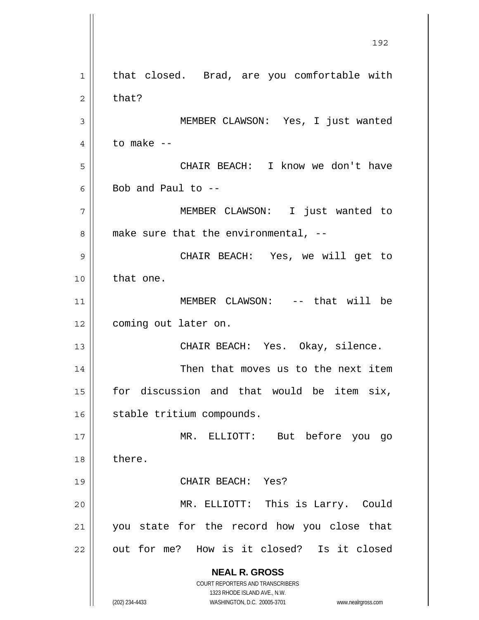**NEAL R. GROSS** COURT REPORTERS AND TRANSCRIBERS 1323 RHODE ISLAND AVE., N.W. (202) 234-4433 WASHINGTON, D.C. 20005-3701 www.nealrgross.com 192 1 2 3 4 5 6 7 8 9 10 11 12 13 14 15 16 17 18 19 20 21 22 that closed. Brad, are you comfortable with that? MEMBER CLAWSON: Yes, I just wanted to make -- CHAIR BEACH: I know we don't have Bob and Paul to  $-$  MEMBER CLAWSON: I just wanted to make sure that the environmental, -- CHAIR BEACH: Yes, we will get to that one. MEMBER CLAWSON: -- that will be coming out later on. CHAIR BEACH: Yes. Okay, silence. Then that moves us to the next item for discussion and that would be item six, stable tritium compounds. MR. ELLIOTT: But before you go there. CHAIR BEACH: Yes? MR. ELLIOTT: This is Larry. Could you state for the record how you close that out for me? How is it closed? Is it closed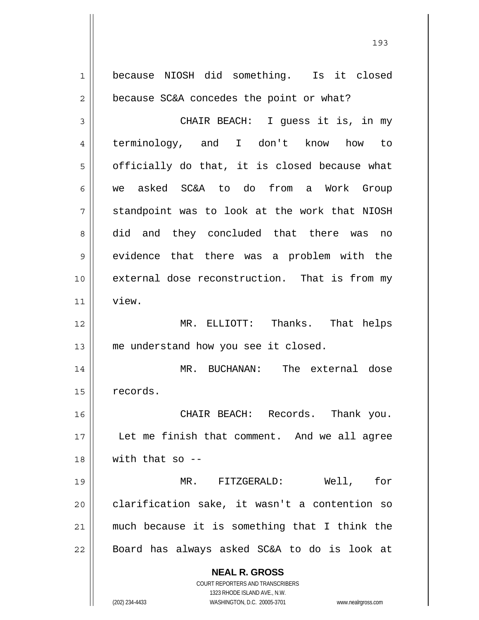**NEAL R. GROSS** COURT REPORTERS AND TRANSCRIBERS 1323 RHODE ISLAND AVE., N.W. (202) 234-4433 WASHINGTON, D.C. 20005-3701 www.nealrgross.com 1 2 3 4 5 6 7 8 9 10 11 12 13 14 15 16 17 18 19 20 21 22 because NIOSH did something. Is it closed because SC&A concedes the point or what? CHAIR BEACH: I guess it is, in my terminology, and I don't know how to officially do that, it is closed because what we asked SC&A to do from a Work Group standpoint was to look at the work that NIOSH did and they concluded that there was no evidence that there was a problem with the external dose reconstruction. That is from my view. MR. ELLIOTT: Thanks. That helps me understand how you see it closed. MR. BUCHANAN: The external dose records. CHAIR BEACH: Records. Thank you. Let me finish that comment. And we all agree with that so -- MR. FITZGERALD: Well, for clarification sake, it wasn't a contention so much because it is something that I think the Board has always asked SC&A to do is look at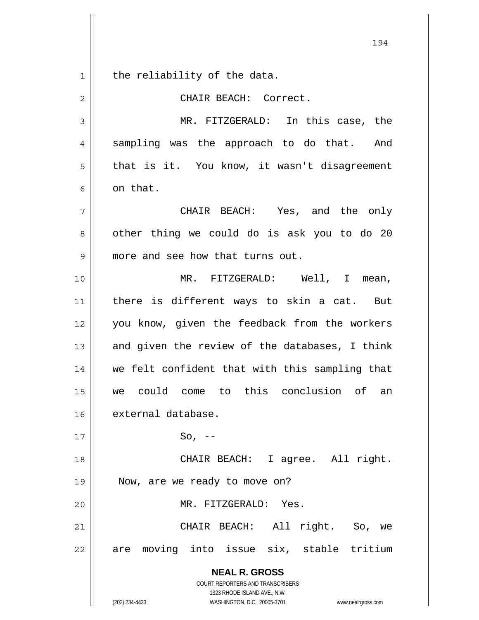194 1 2 3 4 5 6 7 8 9 10 11 12 13 14 15 16 17 18 19 the reliability of the data. CHAIR BEACH: Correct. MR. FITZGERALD: In this case, the sampling was the approach to do that. And that is it. You know, it wasn't disagreement on that. CHAIR BEACH: Yes, and the only other thing we could do is ask you to do 20 more and see how that turns out. MR. FITZGERALD: Well, I mean, there is different ways to skin a cat. But you know, given the feedback from the workers and given the review of the databases, I think we felt confident that with this sampling that we could come to this conclusion of an external database.  $So, --$  CHAIR BEACH: I agree. All right. Now, are we ready to move on?

MR. FITZGERALD: Yes.

21 22 CHAIR BEACH: All right. So, we are moving into issue six, stable tritium

> **NEAL R. GROSS** COURT REPORTERS AND TRANSCRIBERS 1323 RHODE ISLAND AVE., N.W.

20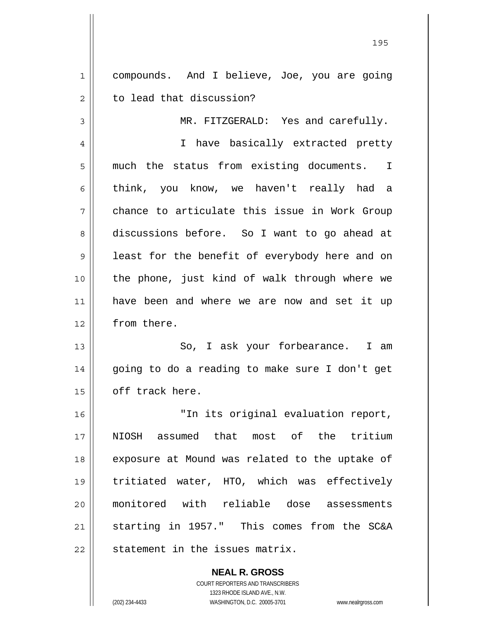1 2 compounds. And I believe, Joe, you are going to lead that discussion?

MR. FITZGERALD: Yes and carefully.

4 5 6 7 8 9 10 11 12 I have basically extracted pretty much the status from existing documents. I think, you know, we haven't really had a chance to articulate this issue in Work Group discussions before. So I want to go ahead at least for the benefit of everybody here and on the phone, just kind of walk through where we have been and where we are now and set it up from there.

13 14 15 So, I ask your forbearance. I am going to do a reading to make sure I don't get off track here.

16 17 18 19 20 21 22 "In its original evaluation report, NIOSH assumed that most of the tritium exposure at Mound was related to the uptake of tritiated water, HTO, which was effectively monitored with reliable dose assessments starting in 1957." This comes from the SC&A statement in the issues matrix.

> **NEAL R. GROSS** COURT REPORTERS AND TRANSCRIBERS 1323 RHODE ISLAND AVE., N.W. (202) 234-4433 WASHINGTON, D.C. 20005-3701 www.nealrgross.com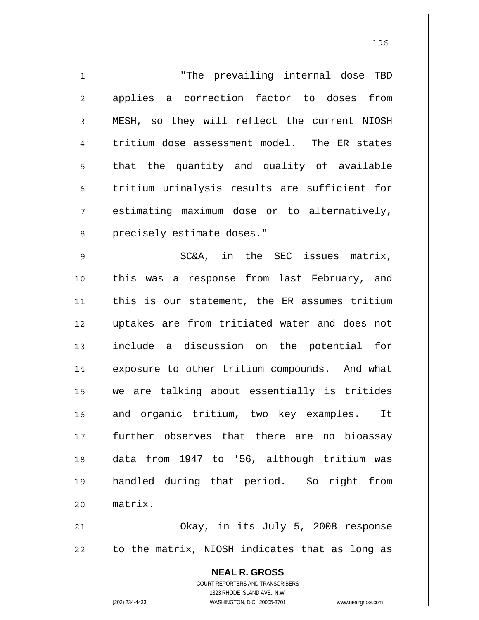**NEAL R. GROSS** COURT REPORTERS AND TRANSCRIBERS 1 2 3 4 5 6 7 8 9 10 11 12 13 14 15 16 17 18 19 20 21 22 "The prevailing internal dose TBD applies a correction factor to doses from MESH, so they will reflect the current NIOSH tritium dose assessment model. The ER states that the quantity and quality of available tritium urinalysis results are sufficient for estimating maximum dose or to alternatively, precisely estimate doses." SC&A, in the SEC issues matrix, this was a response from last February, and this is our statement, the ER assumes tritium uptakes are from tritiated water and does not include a discussion on the potential for exposure to other tritium compounds. And what we are talking about essentially is tritides and organic tritium, two key examples. It further observes that there are no bioassay data from 1947 to '56, although tritium was handled during that period. So right from matrix. Okay, in its July 5, 2008 response to the matrix, NIOSH indicates that as long as

<u>1962 - Johann Stein, Amerikaansk politiker (</u>† 196

1323 RHODE ISLAND AVE., N.W.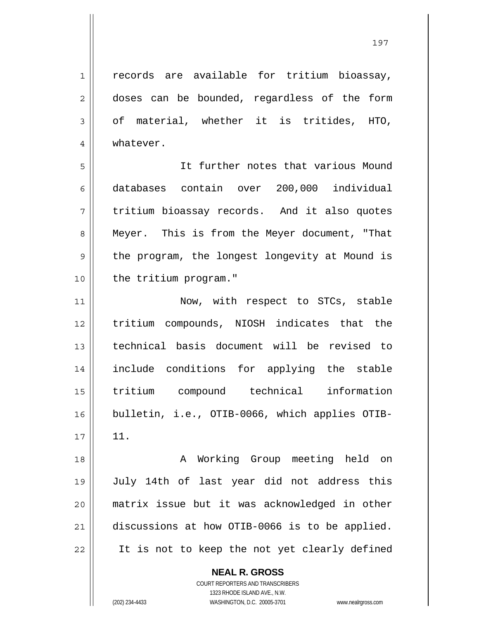1 2 3 4 records are available for tritium bioassay, doses can be bounded, regardless of the form of material, whether it is tritides, HTO, whatever.

5 6 7 8 9 10 It further notes that various Mound databases contain over 200,000 individual tritium bioassay records. And it also quotes Meyer. This is from the Meyer document, "That the program, the longest longevity at Mound is the tritium program."

11 12 13 14 15 16 17 Now, with respect to STCs, stable tritium compounds, NIOSH indicates that the technical basis document will be revised to include conditions for applying the stable tritium compound technical information bulletin, i.e., OTIB-0066, which applies OTIB-11.

18 19 20 21 22 A Working Group meeting held on July 14th of last year did not address this matrix issue but it was acknowledged in other discussions at how OTIB-0066 is to be applied. It is not to keep the not yet clearly defined

> **NEAL R. GROSS** COURT REPORTERS AND TRANSCRIBERS

1323 RHODE ISLAND AVE., N.W. (202) 234-4433 WASHINGTON, D.C. 20005-3701 www.nealrgross.com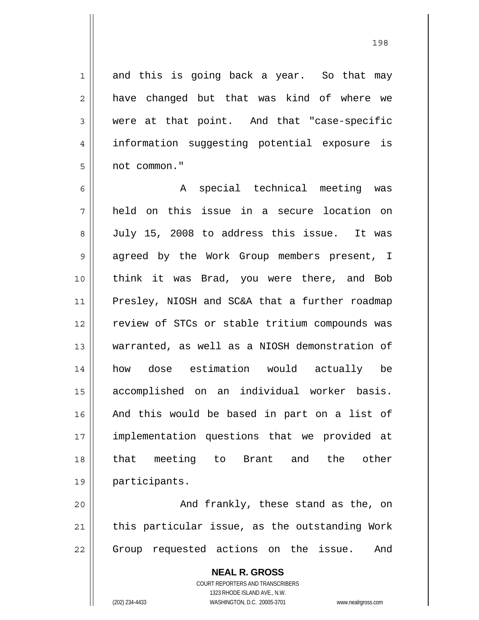198

1 and this is going back a year. So that may have changed but that was kind of where we were at that point. And that "case-specific information suggesting potential exposure is not common."

6 7 8 9 10 11 12 13 14 15 16 17 18 19 A special technical meeting was held on this issue in a secure location on July 15, 2008 to address this issue. It was agreed by the Work Group members present, I think it was Brad, you were there, and Bob Presley, NIOSH and SC&A that a further roadmap review of STCs or stable tritium compounds was warranted, as well as a NIOSH demonstration of how dose estimation would actually be accomplished on an individual worker basis. And this would be based in part on a list of implementation questions that we provided at that meeting to Brant and the other participants.

20 21 22 And frankly, these stand as the, on this particular issue, as the outstanding Work Group requested actions on the issue. And

> **NEAL R. GROSS** COURT REPORTERS AND TRANSCRIBERS 1323 RHODE ISLAND AVE., N.W. (202) 234-4433 WASHINGTON, D.C. 20005-3701 www.nealrgross.com

2

3

4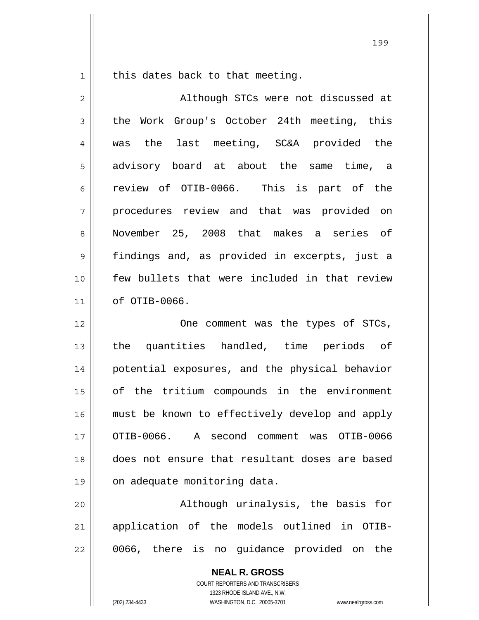this dates back to that meeting.

1

2 3 4 5 6 7 8 9 10 11 12 13 14 15 16 Although STCs were not discussed at the Work Group's October 24th meeting, this was the last meeting, SC&A provided the advisory board at about the same time, a review of OTIB-0066. This is part of the procedures review and that was provided on November 25, 2008 that makes a series of findings and, as provided in excerpts, just a few bullets that were included in that review of OTIB-0066. One comment was the types of STCs, the quantities handled, time periods of potential exposures, and the physical behavior of the tritium compounds in the environment must be known to effectively develop and apply

17 18 19 OTIB-0066. A second comment was OTIB-0066 does not ensure that resultant doses are based on adequate monitoring data.

20 21 22 Although urinalysis, the basis for application of the models outlined in OTIB-0066, there is no guidance provided on the

> **NEAL R. GROSS** COURT REPORTERS AND TRANSCRIBERS 1323 RHODE ISLAND AVE., N.W. (202) 234-4433 WASHINGTON, D.C. 20005-3701 www.nealrgross.com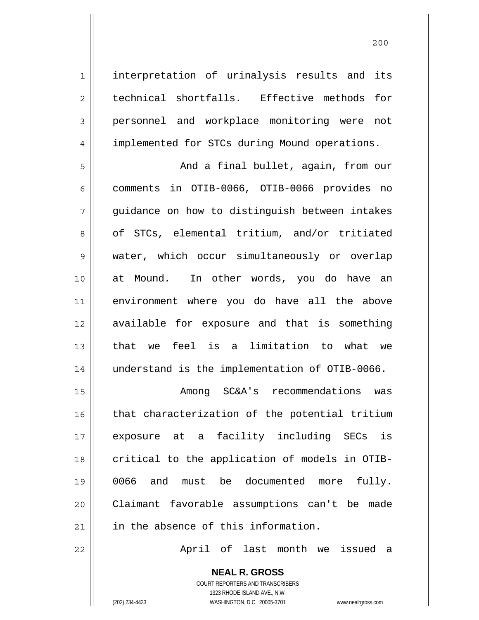interpretation of urinalysis results and its technical shortfalls. Effective methods for personnel and workplace monitoring were not implemented for STCs during Mound operations.

5 6 7 8 9 10 11 12 13 14 And a final bullet, again, from our comments in OTIB-0066, OTIB-0066 provides no guidance on how to distinguish between intakes of STCs, elemental tritium, and/or tritiated water, which occur simultaneously or overlap at Mound. In other words, you do have an environment where you do have all the above available for exposure and that is something that we feel is a limitation to what we understand is the implementation of OTIB-0066.

15 16 17 18 19 20 21 Among SC&A's recommendations was that characterization of the potential tritium exposure at a facility including SECs is critical to the application of models in OTIB-0066 and must be documented more fully. Claimant favorable assumptions can't be made in the absence of this information.

April of last month we issued a

**NEAL R. GROSS** COURT REPORTERS AND TRANSCRIBERS 1323 RHODE ISLAND AVE., N.W. (202) 234-4433 WASHINGTON, D.C. 20005-3701 www.nealrgross.com

22

1

2

3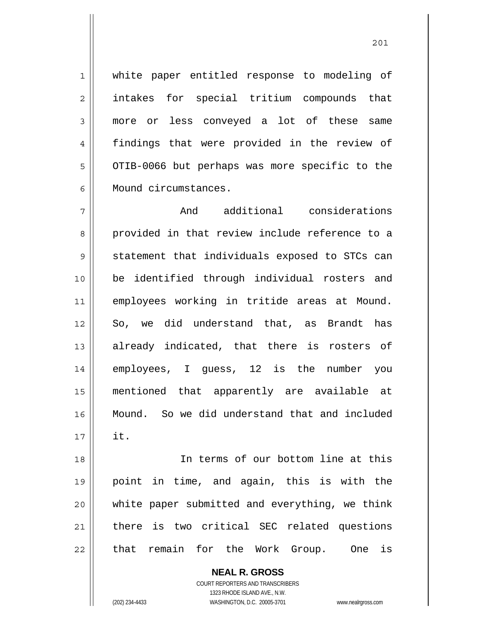white paper entitled response to modeling of intakes for special tritium compounds that more or less conveyed a lot of these same findings that were provided in the review of OTIB-0066 but perhaps was more specific to the Mound circumstances.

1

2

3

4

5

6

7 8 9 10 11 12 13 14 15 16 17 And additional considerations provided in that review include reference to a statement that individuals exposed to STCs can be identified through individual rosters and employees working in tritide areas at Mound. So, we did understand that, as Brandt has already indicated, that there is rosters of employees, I guess, 12 is the number you mentioned that apparently are available at Mound. So we did understand that and included it.

18 19 20 21 22 In terms of our bottom line at this point in time, and again, this is with the white paper submitted and everything, we think there is two critical SEC related questions that remain for the Work Group. One is

> **NEAL R. GROSS** COURT REPORTERS AND TRANSCRIBERS 1323 RHODE ISLAND AVE., N.W. (202) 234-4433 WASHINGTON, D.C. 20005-3701 www.nealrgross.com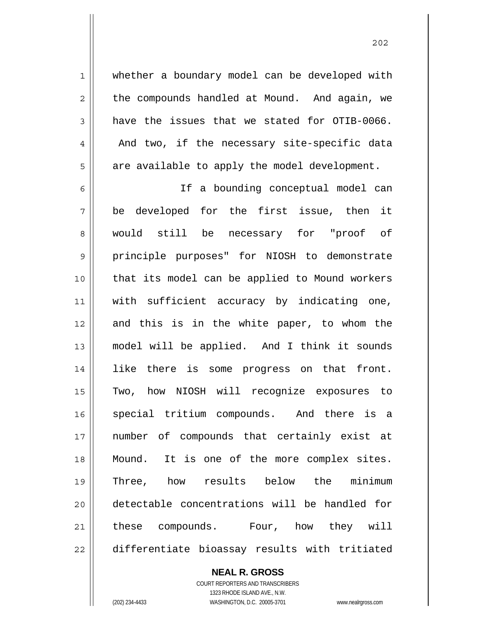whether a boundary model can be developed with the compounds handled at Mound. And again, we have the issues that we stated for OTIB-0066. And two, if the necessary site-specific data

are available to apply the model development.

6 7 8 9 10 11 12 13 14 15 16 17 18 19 20 21 22 If a bounding conceptual model can be developed for the first issue, then it would still be necessary for "proof of principle purposes" for NIOSH to demonstrate that its model can be applied to Mound workers with sufficient accuracy by indicating one, and this is in the white paper, to whom the model will be applied. And I think it sounds like there is some progress on that front. Two, how NIOSH will recognize exposures to special tritium compounds. And there is a number of compounds that certainly exist at Mound. It is one of the more complex sites. Three, how results below the minimum detectable concentrations will be handled for these compounds. Four, how they will differentiate bioassay results with tritiated

> COURT REPORTERS AND TRANSCRIBERS 1323 RHODE ISLAND AVE., N.W. (202) 234-4433 WASHINGTON, D.C. 20005-3701 www.nealrgross.com

**NEAL R. GROSS**

1

2

3

4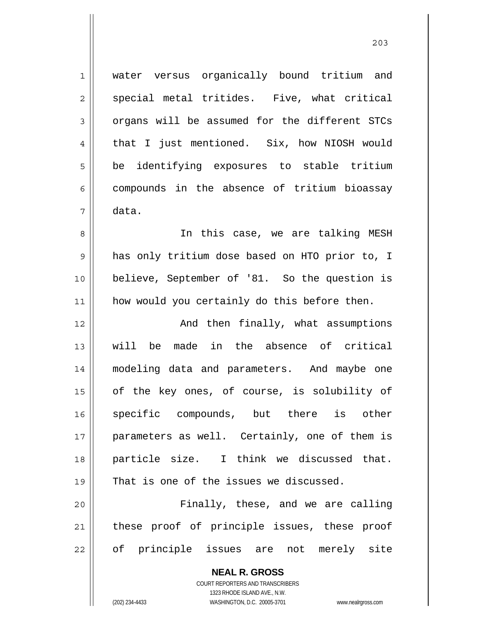1 2 3 4 5 6 7 8 9 10 11 water versus organically bound tritium and special metal tritides. Five, what critical organs will be assumed for the different STCs that I just mentioned. Six, how NIOSH would be identifying exposures to stable tritium compounds in the absence of tritium bioassay data. In this case, we are talking MESH has only tritium dose based on HTO prior to, I believe, September of '81. So the question is how would you certainly do this before then. And then finally, what assumptions

12 13 14 15 16 17 18 19 will be made in the absence of critical modeling data and parameters. And maybe one of the key ones, of course, is solubility of specific compounds, but there is other parameters as well. Certainly, one of them is particle size. I think we discussed that. That is one of the issues we discussed.

20 21 22 Finally, these, and we are calling these proof of principle issues, these proof of principle issues are not merely site

> **NEAL R. GROSS** COURT REPORTERS AND TRANSCRIBERS 1323 RHODE ISLAND AVE., N.W. (202) 234-4433 WASHINGTON, D.C. 20005-3701 www.nealrgross.com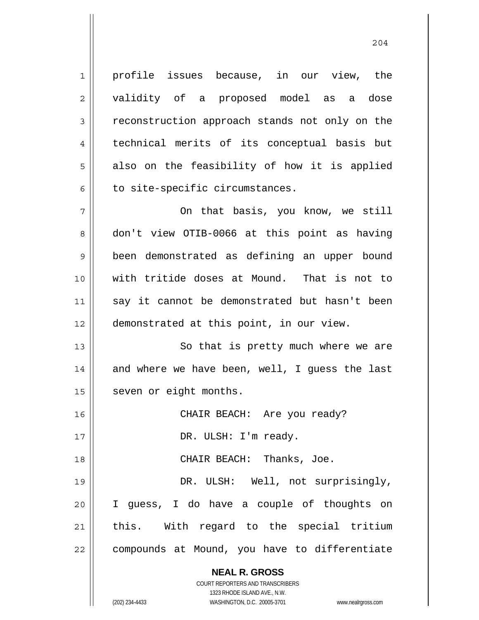profile issues because, in our view, the validity of a proposed model as a dose reconstruction approach stands not only on the technical merits of its conceptual basis but also on the feasibility of how it is applied to site-specific circumstances.

7 8 9 10 11 12 On that basis, you know, we still don't view OTIB-0066 at this point as having been demonstrated as defining an upper bound with tritide doses at Mound. That is not to say it cannot be demonstrated but hasn't been demonstrated at this point, in our view.

13 14 15 So that is pretty much where we are and where we have been, well, I guess the last seven or eight months.

16 17 18 19 20 21 22 CHAIR BEACH: Are you ready? DR. ULSH: I'm ready. CHAIR BEACH: Thanks, Joe. DR. ULSH: Well, not surprisingly, I guess, I do have a couple of thoughts on this. With regard to the special tritium compounds at Mound, you have to differentiate

> **NEAL R. GROSS** COURT REPORTERS AND TRANSCRIBERS

> > 1323 RHODE ISLAND AVE., N.W.

1

2

3

4

5

6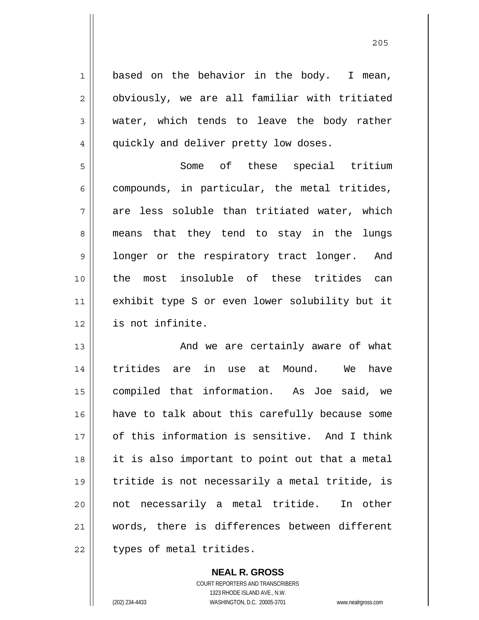1 2 3 4 5 6 7 8 9 10 11 12 13 14 15 16 17 18 19 20 21 22 based on the behavior in the body. I mean, obviously, we are all familiar with tritiated water, which tends to leave the body rather quickly and deliver pretty low doses. Some of these special tritium compounds, in particular, the metal tritides, are less soluble than tritiated water, which means that they tend to stay in the lungs longer or the respiratory tract longer. And the most insoluble of these tritides can exhibit type S or even lower solubility but it is not infinite. And we are certainly aware of what tritides are in use at Mound. We have compiled that information. As Joe said, we have to talk about this carefully because some of this information is sensitive. And I think it is also important to point out that a metal tritide is not necessarily a metal tritide, is not necessarily a metal tritide. In other words, there is differences between different types of metal tritides.

> **NEAL R. GROSS** COURT REPORTERS AND TRANSCRIBERS 1323 RHODE ISLAND AVE., N.W. (202) 234-4433 WASHINGTON, D.C. 20005-3701 www.nealrgross.com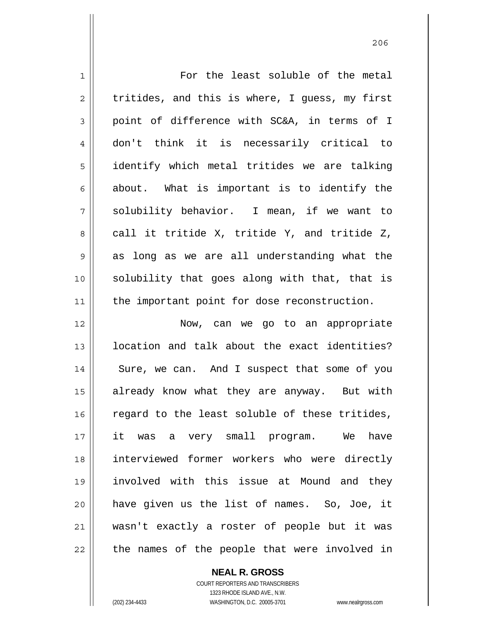| $\mathbf 1$    | For the least soluble of the metal             |
|----------------|------------------------------------------------|
| 2              | tritides, and this is where, I guess, my first |
| $\mathfrak{Z}$ | point of difference with SC&A, in terms of I   |
| 4              | don't think it is necessarily critical to      |
| 5              | identify which metal tritides we are talking   |
| 6              | about. What is important is to identify the    |
| 7              | solubility behavior. I mean, if we want to     |
| 8              | call it tritide X, tritide Y, and tritide Z,   |
| 9              | as long as we are all understanding what the   |
| 10             | solubility that goes along with that, that is  |
| 11             | the important point for dose reconstruction.   |
| 12             | Now, can we go to an appropriate               |
| 13             | location and talk about the exact identities?  |
| 14             | Sure, we can. And I suspect that some of you   |
| 15             | already know what they are anyway. But with    |
| 16             | regard to the least soluble of these tritides, |
| 17             | it was a very small program.<br>We<br>have     |
| 18             | interviewed former workers who were directly   |
| 19             | involved with this issue at Mound and they     |
| 20             | have given us the list of names. So, Joe, it   |
| 21             | wasn't exactly a roster of people but it was   |
| 22             | the names of the people that were involved in  |

COURT REPORTERS AND TRANSCRIBERS 1323 RHODE ISLAND AVE., N.W. (202) 234-4433 WASHINGTON, D.C. 20005-3701 www.nealrgross.com

**NEAL R. GROSS**

 $\mathsf{II}$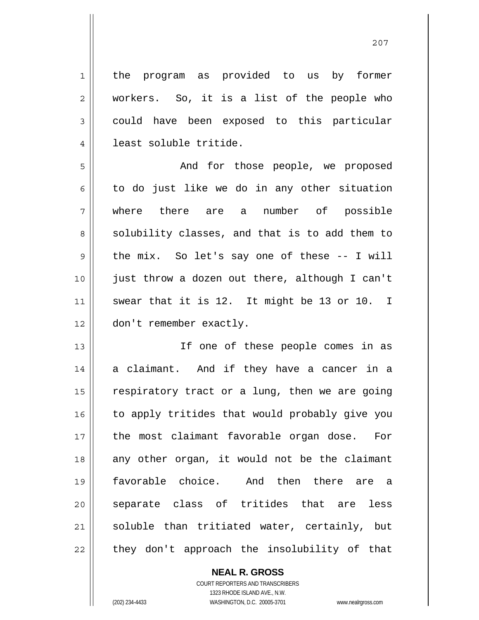the program as provided to us by former workers. So, it is a list of the people who could have been exposed to this particular least soluble tritide.

<u>207</u>

5 6 7 8 9 10 11 12 And for those people, we proposed to do just like we do in any other situation where there are a number of possible solubility classes, and that is to add them to the mix. So let's say one of these -- I will just throw a dozen out there, although I can't swear that it is 12. It might be 13 or 10. I don't remember exactly.

13 14 15 16 17 18 19 20 21 22 If one of these people comes in as a claimant. And if they have a cancer in a respiratory tract or a lung, then we are going to apply tritides that would probably give you the most claimant favorable organ dose. For any other organ, it would not be the claimant favorable choice. And then there are a separate class of tritides that are less soluble than tritiated water, certainly, but they don't approach the insolubility of that

> **NEAL R. GROSS** COURT REPORTERS AND TRANSCRIBERS 1323 RHODE ISLAND AVE., N.W. (202) 234-4433 WASHINGTON, D.C. 20005-3701 www.nealrgross.com

1

2

3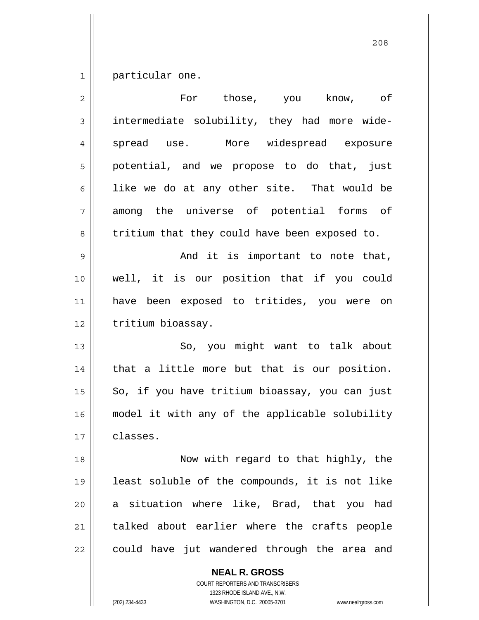1 particular one.

| $\overline{2}$ | For those, you<br>know, of                     |
|----------------|------------------------------------------------|
| 3              | intermediate solubility, they had more wide-   |
| $\overline{4}$ | More widespread exposure<br>spread use.        |
| 5              | potential, and we propose to do that, just     |
| 6              | like we do at any other site. That would be    |
| 7              | among the universe of potential forms of       |
| 8              | tritium that they could have been exposed to.  |
| 9              | And it is important to note that,              |
| 10             | well, it is our position that if you could     |
| 11             | have been exposed to tritides, you were on     |
| 12             | tritium bioassay.                              |
| 13             | So, you might want to talk about               |
| 14             | that a little more but that is our position.   |
| 15             | So, if you have tritium bioassay, you can just |
| 16             | model it with any of the applicable solubility |
| 17             | classes.                                       |
| 18             | Now with regard to that highly, the            |
| 19             | least soluble of the compounds, it is not like |
| 20             | a situation where like, Brad, that you had     |
| 21             | talked about earlier where the crafts people   |
| 22             | could have jut wandered through the area and   |
|                | <b>NEAL R. GROSS</b>                           |

COURT REPORTERS AND TRANSCRIBERS

1323 RHODE ISLAND AVE., N.W. (202) 234-4433 WASHINGTON, D.C. 20005-3701 www.nealrgross.com

<u>208</u>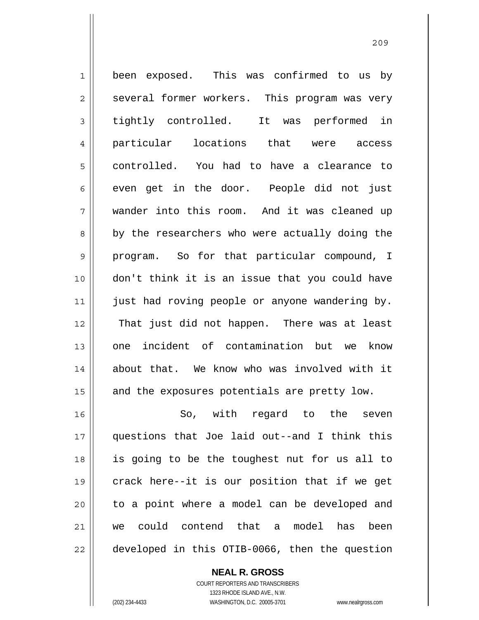1 2 3 4 5 6 7 8 9 10 11 12 13 14 15 16 17 18 19 been exposed. This was confirmed to us by several former workers. This program was very tightly controlled. It was performed in particular locations that were access controlled. You had to have a clearance to even get in the door. People did not just wander into this room. And it was cleaned up by the researchers who were actually doing the program. So for that particular compound, I don't think it is an issue that you could have just had roving people or anyone wandering by. That just did not happen. There was at least one incident of contamination but we know about that. We know who was involved with it and the exposures potentials are pretty low. So, with regard to the seven questions that Joe laid out--and I think this is going to be the toughest nut for us all to crack here--it is our position that if we get

> **NEAL R. GROSS** COURT REPORTERS AND TRANSCRIBERS 1323 RHODE ISLAND AVE., N.W. we could contend that a model has been developed in this OTIB-0066, then the question

> to a point where a model can be developed and

20

21

22

(202) 234-4433 WASHINGTON, D.C. 20005-3701 www.nealrgross.com

<u>209</u>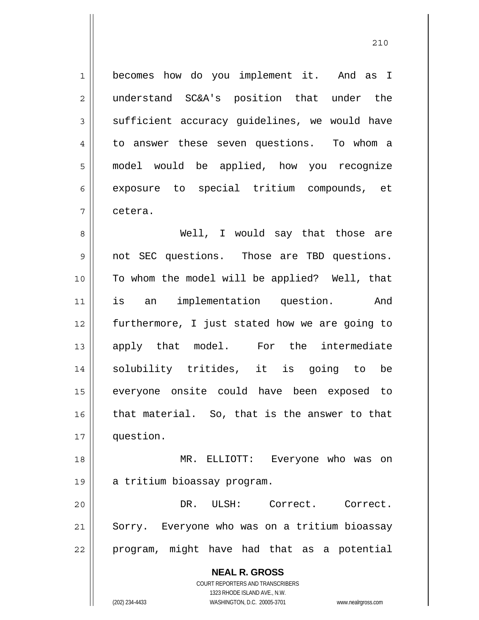1 2 3 4 5 6 7 becomes how do you implement it. And as I understand SC&A's position that under the sufficient accuracy guidelines, we would have to answer these seven questions. To whom a model would be applied, how you recognize exposure to special tritium compounds, et cetera.

8 9 10 11 12 13 14 15 16 17 Well, I would say that those are not SEC questions. Those are TBD questions. To whom the model will be applied? Well, that is an implementation question. And furthermore, I just stated how we are going to apply that model. For the intermediate solubility tritides, it is going to be everyone onsite could have been exposed to that material. So, that is the answer to that question.

18 19 MR. ELLIOTT: Everyone who was on a tritium bioassay program.

20 21 22 DR. ULSH: Correct. Correct. Sorry. Everyone who was on a tritium bioassay program, might have had that as a potential

> **NEAL R. GROSS** COURT REPORTERS AND TRANSCRIBERS 1323 RHODE ISLAND AVE., N.W. (202) 234-4433 WASHINGTON, D.C. 20005-3701 www.nealrgross.com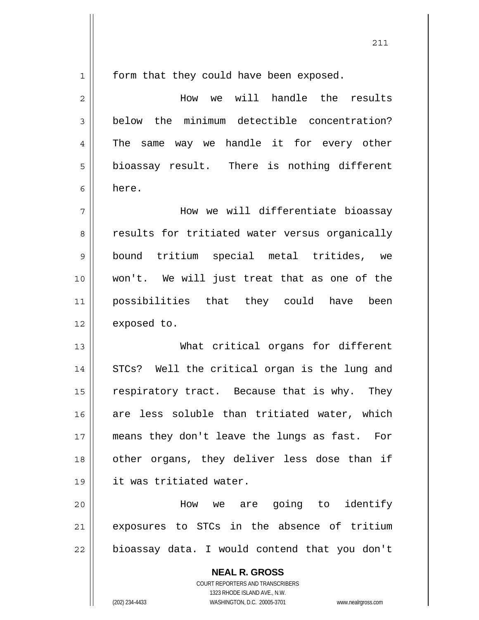211

**NEAL R. GROSS** 1 2 3 4 5 6 7 8 9 10 11 12 13 14 15 16 17 18 19 20 21 22 form that they could have been exposed. How we will handle the results below the minimum detectible concentration? The same way we handle it for every other bioassay result. There is nothing different here. How we will differentiate bioassay results for tritiated water versus organically bound tritium special metal tritides, we won't. We will just treat that as one of the possibilities that they could have been exposed to. What critical organs for different STCs? Well the critical organ is the lung and respiratory tract. Because that is why. They are less soluble than tritiated water, which means they don't leave the lungs as fast. For other organs, they deliver less dose than if it was tritiated water. How we are going to identify exposures to STCs in the absence of tritium bioassay data. I would contend that you don't

> COURT REPORTERS AND TRANSCRIBERS 1323 RHODE ISLAND AVE., N.W.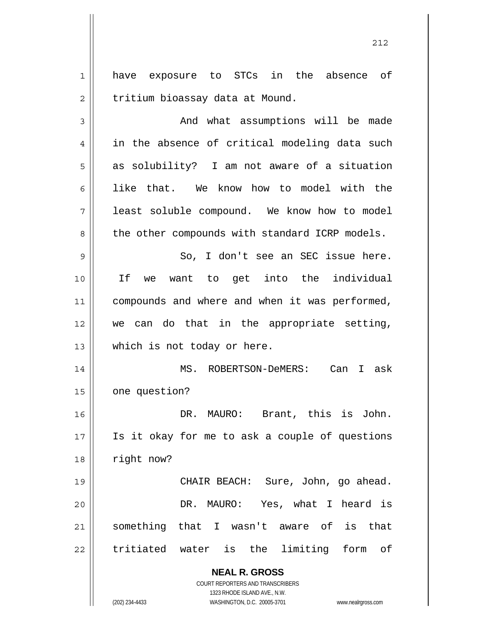1 2 have exposure to STCs in the absence of tritium bioassay data at Mound.

**NEAL R. GROSS** COURT REPORTERS AND TRANSCRIBERS 3 4 5 6 7 8 9 10 11 12 13 14 15 16 17 18 19 20 21 22 And what assumptions will be made in the absence of critical modeling data such as solubility? I am not aware of a situation like that. We know how to model with the least soluble compound. We know how to model the other compounds with standard ICRP models. So, I don't see an SEC issue here. If we want to get into the individual compounds and where and when it was performed, we can do that in the appropriate setting, which is not today or here. MS. ROBERTSON-DeMERS: Can I ask one question? DR. MAURO: Brant, this is John. Is it okay for me to ask a couple of questions right now? CHAIR BEACH: Sure, John, go ahead. DR. MAURO: Yes, what I heard is something that I wasn't aware of is that tritiated water is the limiting form of

1323 RHODE ISLAND AVE., N.W. (202) 234-4433 WASHINGTON, D.C. 20005-3701 www.nealrgross.com

<u>212</u>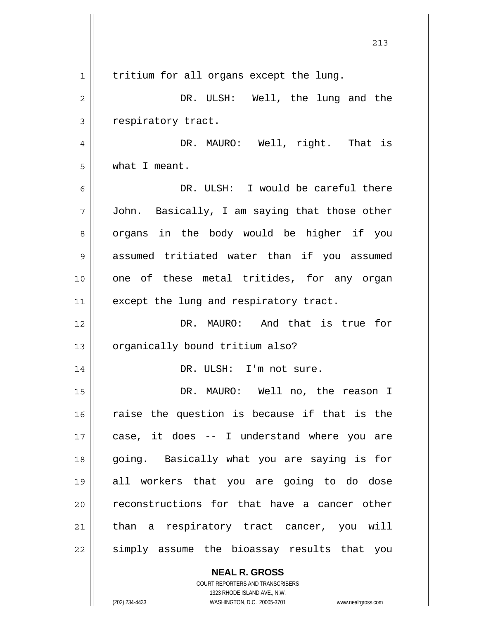|    | 213                                           |
|----|-----------------------------------------------|
| 1  | tritium for all organs except the lung.       |
| 2  | DR. ULSH: Well, the lung and the              |
| 3  | respiratory tract.                            |
| 4  | DR. MAURO: Well, right. That is               |
| 5  | what I meant.                                 |
| 6  | DR. ULSH: I would be careful there            |
| 7  | John. Basically, I am saying that those other |
| 8  | organs in the body would be higher if you     |
| 9  | assumed tritiated water than if you assumed   |
| 10 | one of these metal tritides, for any organ    |
| 11 | except the lung and respiratory tract.        |
| 12 | DR. MAURO: And that is true for               |
| 13 | organically bound tritium also?               |
| 14 | DR. ULSH: I'm not sure.                       |
| 15 | DR. MAURO: Well no, the reason I              |
| 16 | raise the question is because if that is the  |
| 17 | case, it does -- I understand where you are   |
| 18 | going. Basically what you are saying is for   |
| 19 | all workers that you are going to do dose     |
| 20 | reconstructions for that have a cancer other  |
| 21 | than a respiratory tract cancer, you will     |
| 22 | simply assume the bioassay results that you   |
|    | <b>NEAL R. GROSS</b>                          |

COURT REPORTERS AND TRANSCRIBERS 1323 RHODE ISLAND AVE., N.W.

 $\mathsf{II}$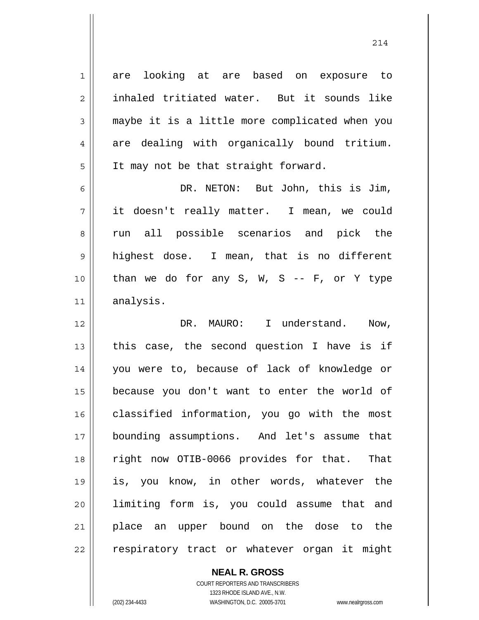are looking at are based on exposure to inhaled tritiated water. But it sounds like maybe it is a little more complicated when you are dealing with organically bound tritium. It may not be that straight forward.

6 7 8 9 10 11 DR. NETON: But John, this is Jim, it doesn't really matter. I mean, we could run all possible scenarios and pick the highest dose. I mean, that is no different than we do for any  $S$ ,  $W$ ,  $S$  --  $F$ , or  $Y$  type analysis.

12 13 14 15 16 17 18 19 20 21 22 DR. MAURO: I understand. Now, this case, the second question I have is if you were to, because of lack of knowledge or because you don't want to enter the world of classified information, you go with the most bounding assumptions. And let's assume that right now OTIB-0066 provides for that. That is, you know, in other words, whatever the limiting form is, you could assume that and place an upper bound on the dose to the respiratory tract or whatever organ it might

**NEAL R. GROSS**

1

2

3

4

5

COURT REPORTERS AND TRANSCRIBERS 1323 RHODE ISLAND AVE., N.W. (202) 234-4433 WASHINGTON, D.C. 20005-3701 www.nealrgross.com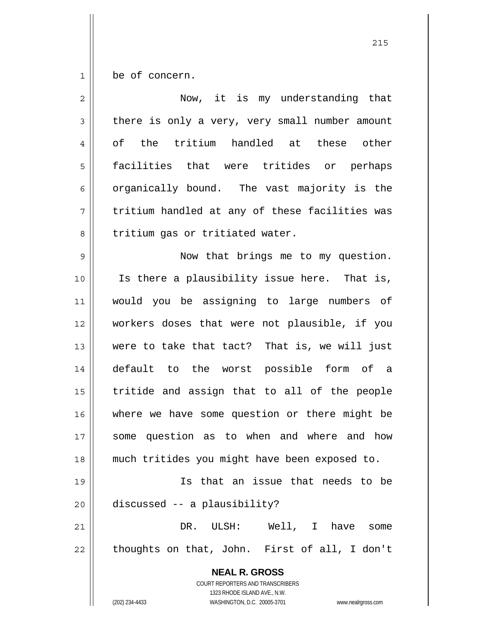1 be of concern.

| $\overline{2}$ | Now, it is my understanding that                                                                                                                                |
|----------------|-----------------------------------------------------------------------------------------------------------------------------------------------------------------|
| 3              | there is only a very, very small number amount                                                                                                                  |
| 4              | of the tritium handled at these other                                                                                                                           |
| 5              | facilities that were tritides or perhaps                                                                                                                        |
| 6              | organically bound. The vast majority is the                                                                                                                     |
| 7              | tritium handled at any of these facilities was                                                                                                                  |
| 8              | tritium gas or tritiated water.                                                                                                                                 |
| 9              | Now that brings me to my question.                                                                                                                              |
| 10             | Is there a plausibility issue here. That is,                                                                                                                    |
| 11             | would you be assigning to large numbers of                                                                                                                      |
| 12             | workers doses that were not plausible, if you                                                                                                                   |
| 13             | were to take that tact? That is, we will just                                                                                                                   |
| 14             | default to the worst possible form of a                                                                                                                         |
| 15             | tritide and assign that to all of the people                                                                                                                    |
| 16             | where we have some question or there might be                                                                                                                   |
| 17             | some question as to when and where and how                                                                                                                      |
| 18             | much tritides you might have been exposed to.                                                                                                                   |
| 19             | Is that an issue that needs to be                                                                                                                               |
| 20             | discussed -- a plausibility?                                                                                                                                    |
| 21             | ULSH: Well, I have<br>DR.<br>some                                                                                                                               |
| 22             | thoughts on that, John. First of all, I don't                                                                                                                   |
|                | <b>NEAL R. GROSS</b><br>COURT REPORTERS AND TRANSCRIBERS<br>1323 RHODE ISLAND AVE., N.W.<br>(202) 234-4433<br>WASHINGTON, D.C. 20005-3701<br>www.nealrgross.com |

<u>215</u>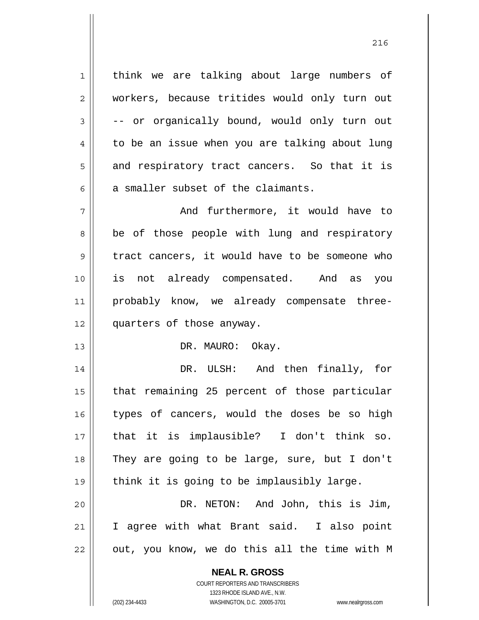1 think we are talking about large numbers of workers, because tritides would only turn out -- or organically bound, would only turn out to be an issue when you are talking about lung and respiratory tract cancers. So that it is a smaller subset of the claimants.

2

3

4

5

6

13

7 8 9 10 11 12 And furthermore, it would have to be of those people with lung and respiratory tract cancers, it would have to be someone who is not already compensated. And as you probably know, we already compensate threequarters of those anyway.

DR. MAURO: Okay.

14 15 16 17 18 19 20 DR. ULSH: And then finally, for that remaining 25 percent of those particular types of cancers, would the doses be so high that it is implausible? I don't think so. They are going to be large, sure, but I don't think it is going to be implausibly large. DR. NETON: And John, this is Jim,

21 22 I agree with what Brant said. I also point out, you know, we do this all the time with M

> **NEAL R. GROSS** COURT REPORTERS AND TRANSCRIBERS

> > 1323 RHODE ISLAND AVE., N.W.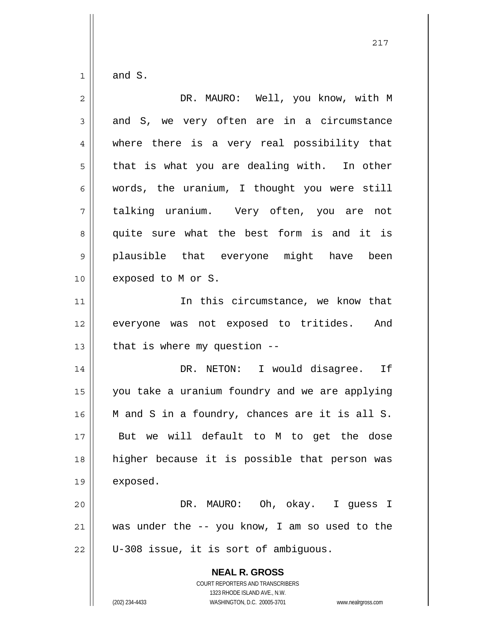1 and S.

| $\overline{2}$ | DR. MAURO: Well, you know, with M                                                                                                                               |
|----------------|-----------------------------------------------------------------------------------------------------------------------------------------------------------------|
| 3              | and S, we very often are in a circumstance                                                                                                                      |
| 4              | where there is a very real possibility that                                                                                                                     |
| 5              | that is what you are dealing with. In other                                                                                                                     |
| 6              | words, the uranium, I thought you were still                                                                                                                    |
| 7              | talking uranium. Very often, you are not                                                                                                                        |
| 8              | quite sure what the best form is and it is                                                                                                                      |
| 9              | plausible that everyone might have been                                                                                                                         |
| 10             | exposed to M or S.                                                                                                                                              |
| 11             | In this circumstance, we know that                                                                                                                              |
| 12             | everyone was not exposed to tritides. And                                                                                                                       |
| 13             | that is where my question $-$ -                                                                                                                                 |
| 14             | DR. NETON: I would disagree. If                                                                                                                                 |
| 15             | you take a uranium foundry and we are applying                                                                                                                  |
| 16             | M and S in a foundry, chances are it is all S.                                                                                                                  |
| 17             | But we will default to M to get the dose                                                                                                                        |
| 18             | higher because it is possible that person was                                                                                                                   |
| 19             | exposed.                                                                                                                                                        |
| 20             | DR. MAURO: Oh, okay. I guess I                                                                                                                                  |
| 21             | was under the -- you know, I am so used to the                                                                                                                  |
| 22             | U-308 issue, it is sort of ambiguous.                                                                                                                           |
|                | <b>NEAL R. GROSS</b><br>COURT REPORTERS AND TRANSCRIBERS<br>1323 RHODE ISLAND AVE., N.W.<br>(202) 234-4433<br>WASHINGTON, D.C. 20005-3701<br>www.nealrgross.com |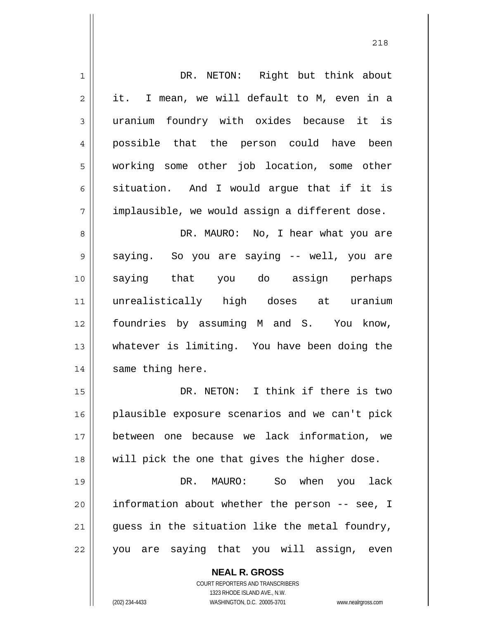| $\mathbf 1$    | DR. NETON: Right but think about               |
|----------------|------------------------------------------------|
| $\overline{2}$ | it. I mean, we will default to M, even in a    |
| $\mathfrak{Z}$ | uranium foundry with oxides because it is      |
| $\overline{4}$ | possible that the person could have been       |
| 5              | working some other job location, some other    |
| $\epsilon$     | situation. And I would argue that if it is     |
| 7              | implausible, we would assign a different dose. |
| $\,8\,$        | DR. MAURO: No, I hear what you are             |
| $\mathsf 9$    | saying. So you are saying -- well, you are     |
| 10             | saying that you do assign perhaps              |
| 11             | unrealistically high doses at uranium          |
| 12             | foundries by assuming M and S. You know,       |
| 13             | whatever is limiting. You have been doing the  |
| 14             | same thing here.                               |
| 15             | DR. NETON: I think if there is two             |
| 16             | plausible exposure scenarios and we can't pick |
| 17             | between one because we lack information, we    |
| 18             | will pick the one that gives the higher dose.  |
| 19             | DR.<br>MAURO: So when you lack                 |
| 20             | information about whether the person -- see, I |
| 21             | guess in the situation like the metal foundry, |
| 22             | you are saying that you will assign, even      |
|                | <b>NEAL R. GROSS</b>                           |

COURT REPORTERS AND TRANSCRIBERS 1323 RHODE ISLAND AVE., N.W.

 $\prod$ 

(202) 234-4433 WASHINGTON, D.C. 20005-3701 www.nealrgross.com

<u>218</u>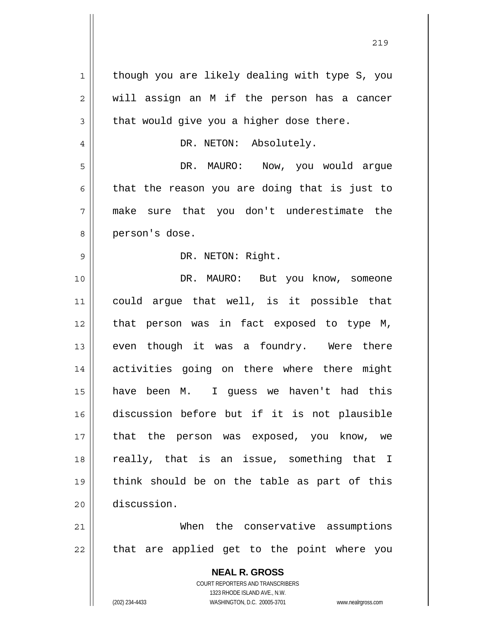**NEAL R. GROSS** COURT REPORTERS AND TRANSCRIBERS 1 2 3 4 5 6 7 8 9 10 11 12 13 14 15 16 17 18 19 20 21 22 though you are likely dealing with type S, you will assign an M if the person has a cancer that would give you a higher dose there. DR. NETON: Absolutely. DR. MAURO: Now, you would argue that the reason you are doing that is just to make sure that you don't underestimate the person's dose. DR. NETON: Right. DR. MAURO: But you know, someone could argue that well, is it possible that that person was in fact exposed to type M, even though it was a foundry. Were there activities going on there where there might have been M. I guess we haven't had this discussion before but if it is not plausible that the person was exposed, you know, we really, that is an issue, something that I think should be on the table as part of this discussion. When the conservative assumptions that are applied get to the point where you

<u>219</u>

1323 RHODE ISLAND AVE., N.W.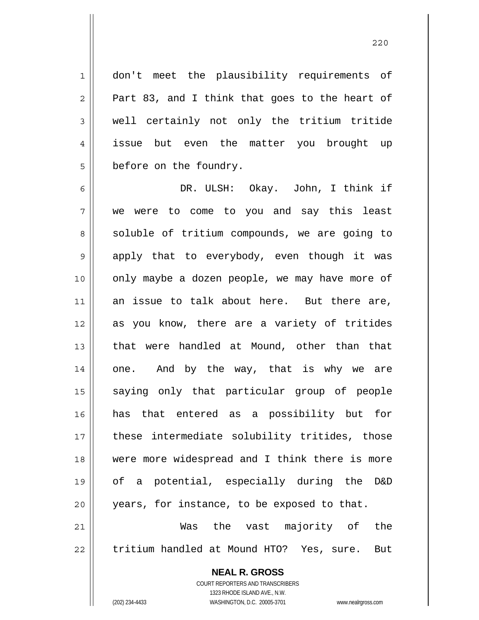don't meet the plausibility requirements of Part 83, and I think that goes to the heart of well certainly not only the tritium tritide issue but even the matter you brought up before on the foundry.

6 7 8 9 10 11 12 13 14 15 16 17 18 19 20 21 DR. ULSH: Okay. John, I think if we were to come to you and say this least soluble of tritium compounds, we are going to apply that to everybody, even though it was only maybe a dozen people, we may have more of an issue to talk about here. But there are, as you know, there are a variety of tritides that were handled at Mound, other than that one. And by the way, that is why we are saying only that particular group of people has that entered as a possibility but for these intermediate solubility tritides, those were more widespread and I think there is more of a potential, especially during the D&D years, for instance, to be exposed to that. Was the vast majority of the

22 tritium handled at Mound HTO? Yes, sure. But

> **NEAL R. GROSS** COURT REPORTERS AND TRANSCRIBERS

1

2

3

4

5

1323 RHODE ISLAND AVE., N.W. (202) 234-4433 WASHINGTON, D.C. 20005-3701 www.nealrgross.com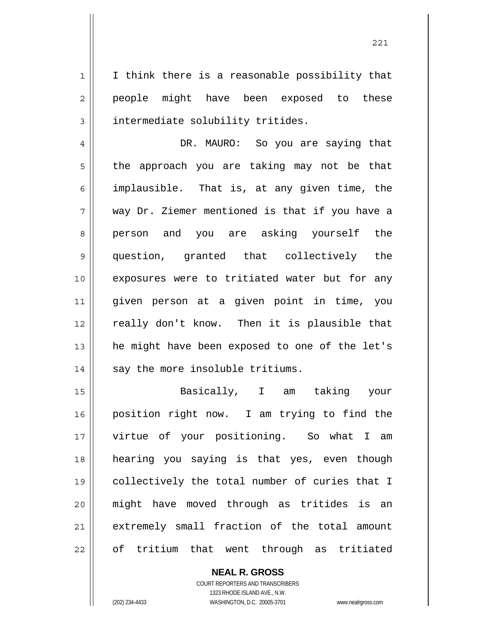I think there is a reasonable possibility that people might have been exposed to these intermediate solubility tritides.

4 5 6 7 8 9 10 11 12 13 14 DR. MAURO: So you are saying that the approach you are taking may not be that implausible. That is, at any given time, the way Dr. Ziemer mentioned is that if you have a person and you are asking yourself the question, granted that collectively the exposures were to tritiated water but for any given person at a given point in time, you really don't know. Then it is plausible that he might have been exposed to one of the let's say the more insoluble tritiums.

15 16 17 18 19 20 21 22 Basically, I am taking your position right now. I am trying to find the virtue of your positioning. So what I am hearing you saying is that yes, even though collectively the total number of curies that I might have moved through as tritides is an extremely small fraction of the total amount of tritium that went through as tritiated

> **NEAL R. GROSS** COURT REPORTERS AND TRANSCRIBERS 1323 RHODE ISLAND AVE., N.W. (202) 234-4433 WASHINGTON, D.C. 20005-3701 www.nealrgross.com

1

2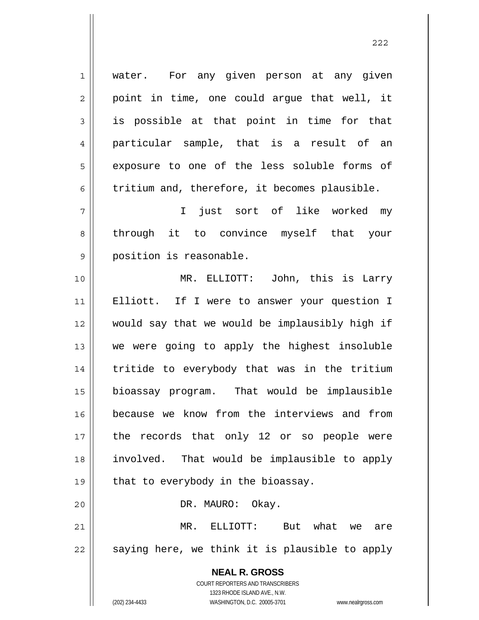**NEAL R. GROSS** 1 2 3 4 5 6 7 8 9 10 11 12 13 14 15 16 17 18 19 20 21 22 water. For any given person at any given point in time, one could argue that well, it is possible at that point in time for that particular sample, that is a result of an exposure to one of the less soluble forms of tritium and, therefore, it becomes plausible. I just sort of like worked my through it to convince myself that your position is reasonable. MR. ELLIOTT: John, this is Larry Elliott. If I were to answer your question I would say that we would be implausibly high if we were going to apply the highest insoluble tritide to everybody that was in the tritium bioassay program. That would be implausible because we know from the interviews and from the records that only 12 or so people were involved. That would be implausible to apply that to everybody in the bioassay. DR. MAURO: Okay. MR. ELLIOTT: But what we are saying here, we think it is plausible to apply

<u>222</u>

1323 RHODE ISLAND AVE., N.W. (202) 234-4433 WASHINGTON, D.C. 20005-3701 www.nealrgross.com

COURT REPORTERS AND TRANSCRIBERS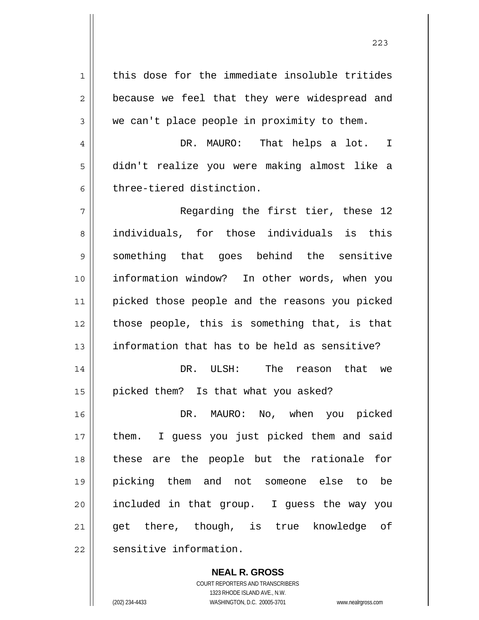1 2 3 4 5 6 7 8 9 10 11 12 13 14 15 16 17 18 19 20 21 22 this dose for the immediate insoluble tritides because we feel that they were widespread and we can't place people in proximity to them. DR. MAURO: That helps a lot. I didn't realize you were making almost like a three-tiered distinction. Regarding the first tier, these 12 individuals, for those individuals is this something that goes behind the sensitive information window? In other words, when you picked those people and the reasons you picked those people, this is something that, is that information that has to be held as sensitive? DR. ULSH: The reason that we picked them? Is that what you asked? DR. MAURO: No, when you picked them. I guess you just picked them and said these are the people but the rationale for picking them and not someone else to be included in that group. I guess the way you get there, though, is true knowledge of sensitive information.

> **NEAL R. GROSS** COURT REPORTERS AND TRANSCRIBERS 1323 RHODE ISLAND AVE., N.W. (202) 234-4433 WASHINGTON, D.C. 20005-3701 www.nealrgross.com

<u>223</u>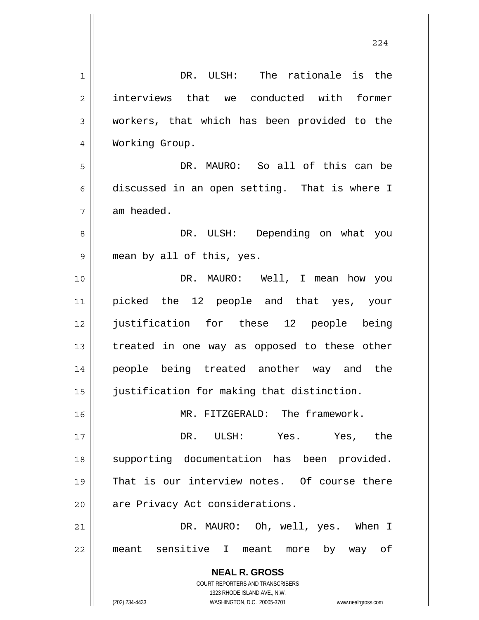| 1  | DR. ULSH: The rationale is the                                      |
|----|---------------------------------------------------------------------|
| 2  | interviews that we conducted with former                            |
| 3  | workers, that which has been provided to the                        |
| 4  | Working Group.                                                      |
| 5  | DR. MAURO: So all of this can be                                    |
| 6  | discussed in an open setting. That is where I                       |
| 7  | am headed.                                                          |
| 8  | DR. ULSH: Depending on what you                                     |
| 9  | mean by all of this, yes.                                           |
| 10 | DR. MAURO: Well, I mean how you                                     |
| 11 | picked the 12 people and that yes, your                             |
| 12 | justification for these 12 people being                             |
| 13 | treated in one way as opposed to these other                        |
| 14 | people being treated another way and the                            |
| 15 | justification for making that distinction.                          |
| 16 | MR. FITZGERALD: The framework.                                      |
| 17 | DR. ULSH: Yes. Yes, the                                             |
| 18 | supporting documentation has been provided.                         |
| 19 | That is our interview notes. Of course there                        |
| 20 | are Privacy Act considerations.                                     |
| 21 | DR. MAURO: Oh, well, yes. When I                                    |
| 22 | meant sensitive I meant more by way of                              |
|    |                                                                     |
|    | <b>NEAL R. GROSS</b><br><b>COURT REPORTERS AND TRANSCRIBERS</b>     |
|    | 1323 RHODE ISLAND AVE., N.W.                                        |
|    | (202) 234-4433<br>WASHINGTON, D.C. 20005-3701<br>www.nealrgross.com |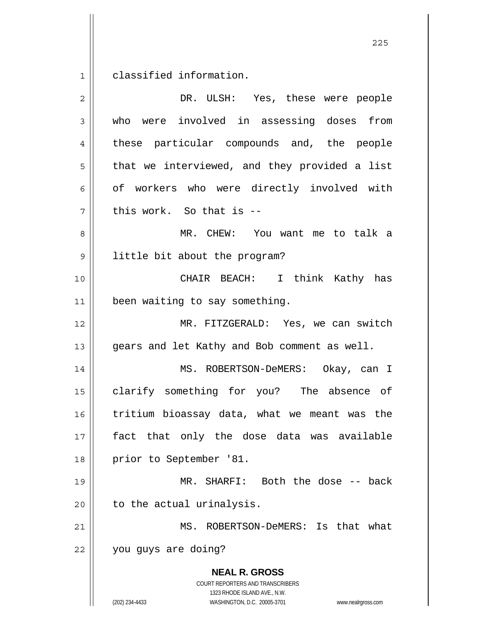$1\vert$ classified information.

| $\overline{2}$ | DR. ULSH: Yes, these were people                                                                                                                                |
|----------------|-----------------------------------------------------------------------------------------------------------------------------------------------------------------|
| 3              | who were involved in assessing doses from                                                                                                                       |
| 4              | these particular compounds and, the people                                                                                                                      |
| 5              | that we interviewed, and they provided a list                                                                                                                   |
| 6              | of workers who were directly involved with                                                                                                                      |
| 7              | this work. So that is --                                                                                                                                        |
| 8              | MR. CHEW: You want me to talk a                                                                                                                                 |
| $\mathsf 9$    | little bit about the program?                                                                                                                                   |
| 10             | CHAIR BEACH: I think Kathy has                                                                                                                                  |
| 11             | been waiting to say something.                                                                                                                                  |
| 12             | MR. FITZGERALD: Yes, we can switch                                                                                                                              |
| 13             | gears and let Kathy and Bob comment as well.                                                                                                                    |
| 14             | MS. ROBERTSON-DeMERS: Okay, can I                                                                                                                               |
| 15             | clarify something for you? The absence of                                                                                                                       |
| 16             | tritium bioassay data, what we meant was the                                                                                                                    |
| 17             | fact that only the dose data was available                                                                                                                      |
| 18             | prior to September '81.                                                                                                                                         |
| 19             | MR. SHARFI: Both the dose -- back                                                                                                                               |
| 20             | to the actual urinalysis.                                                                                                                                       |
| 21             | MS. ROBERTSON-DeMERS: Is that<br>what                                                                                                                           |
| 22             | you guys are doing?                                                                                                                                             |
|                | <b>NEAL R. GROSS</b><br>COURT REPORTERS AND TRANSCRIBERS<br>1323 RHODE ISLAND AVE., N.W.<br>(202) 234-4433<br>WASHINGTON, D.C. 20005-3701<br>www.nealrgross.com |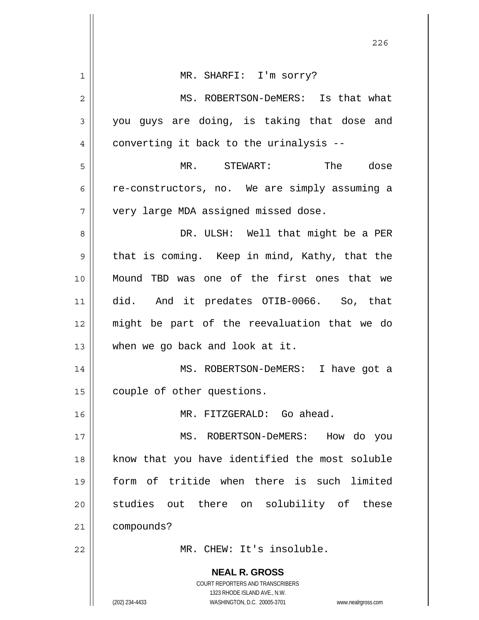|    | 226                                                                 |
|----|---------------------------------------------------------------------|
| 1  | MR. SHARFI: I'm sorry?                                              |
|    |                                                                     |
| 2  | MS. ROBERTSON-DeMERS: Is that what                                  |
| 3  | you guys are doing, is taking that dose and                         |
| 4  | converting it back to the urinalysis --                             |
| 5  | MR. STEWART: The dose                                               |
| 6  | re-constructors, no. We are simply assuming a                       |
| 7  | very large MDA assigned missed dose.                                |
| 8  | DR. ULSH: Well that might be a PER                                  |
| 9  | that is coming. Keep in mind, Kathy, that the                       |
| 10 | Mound TBD was one of the first ones that we                         |
| 11 | did. And it predates OTIB-0066. So, that                            |
| 12 | might be part of the reevaluation that we do                        |
| 13 | when we go back and look at it.                                     |
| 14 | MS. ROBERTSON-DeMERS: I have got a                                  |
| 15 | couple of other questions.                                          |
| 16 | MR. FITZGERALD: Go ahead.                                           |
| 17 | MS.<br>ROBERTSON-DeMERS:<br>How do you                              |
| 18 | know that you have identified the most soluble                      |
| 19 | form of tritide when there is such limited                          |
| 20 | studies out there on solubility of these                            |
| 21 | compounds?                                                          |
| 22 | MR. CHEW: It's insoluble.                                           |
|    | <b>NEAL R. GROSS</b>                                                |
|    | COURT REPORTERS AND TRANSCRIBERS<br>1323 RHODE ISLAND AVE., N.W.    |
|    | (202) 234-4433<br>WASHINGTON, D.C. 20005-3701<br>www.nealrgross.com |

 $\overline{\phantom{a}}$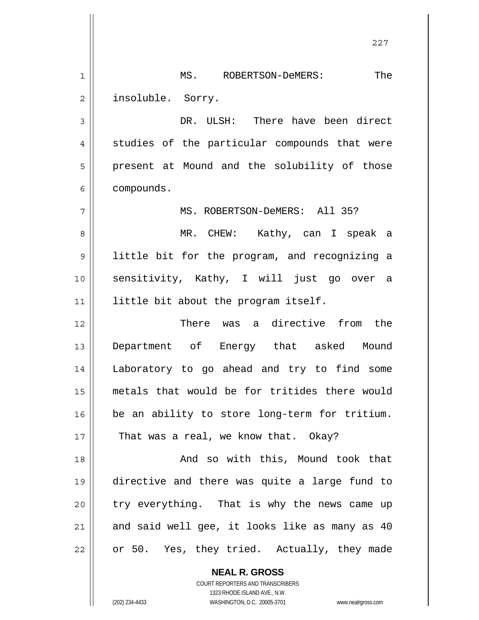1 2 MS. ROBERTSON-DeMERS: The insoluble. Sorry.

3 4 5 6 DR. ULSH: There have been direct studies of the particular compounds that were present at Mound and the solubility of those compounds.

MS. ROBERTSON-DeMERS: All 35?

8 9 10 11 MR. CHEW: Kathy, can I speak a little bit for the program, and recognizing a sensitivity, Kathy, I will just go over a little bit about the program itself.

12 13 14 15 16 17 There was a directive from the Department of Energy that asked Mound Laboratory to go ahead and try to find some metals that would be for tritides there would be an ability to store long-term for tritium. That was a real, we know that. Okay?

18 19 20 21 22 And so with this, Mound took that directive and there was quite a large fund to try everything. That is why the news came up and said well gee, it looks like as many as 40 or 50. Yes, they tried. Actually, they made

> **NEAL R. GROSS** COURT REPORTERS AND TRANSCRIBERS 1323 RHODE ISLAND AVE., N.W. (202) 234-4433 WASHINGTON, D.C. 20005-3701 www.nealrgross.com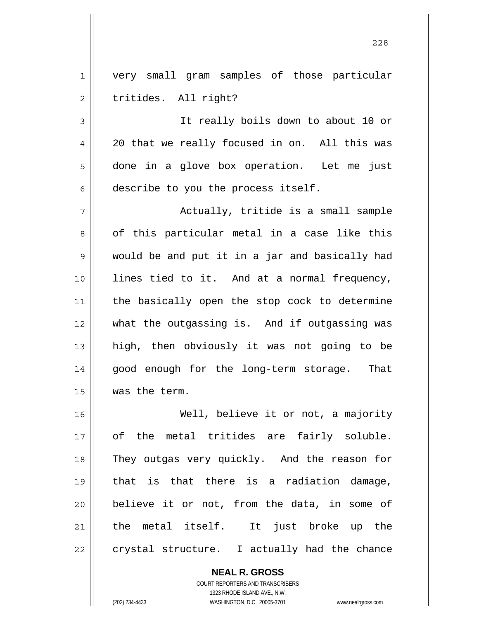1 2 very small gram samples of those particular tritides. All right?

3 4 5 6 It really boils down to about 10 or 20 that we really focused in on. All this was done in a glove box operation. Let me just describe to you the process itself.

7 8 9 10 11 12 13 14 15 Actually, tritide is a small sample of this particular metal in a case like this would be and put it in a jar and basically had lines tied to it. And at a normal frequency, the basically open the stop cock to determine what the outgassing is. And if outgassing was high, then obviously it was not going to be good enough for the long-term storage. That was the term.

16 17 18 19 20 21 22 Well, believe it or not, a majority of the metal tritides are fairly soluble. They outgas very quickly. And the reason for that is that there is a radiation damage, believe it or not, from the data, in some of the metal itself. It just broke up the crystal structure. I actually had the chance

> **NEAL R. GROSS** COURT REPORTERS AND TRANSCRIBERS 1323 RHODE ISLAND AVE., N.W. (202) 234-4433 WASHINGTON, D.C. 20005-3701 www.nealrgross.com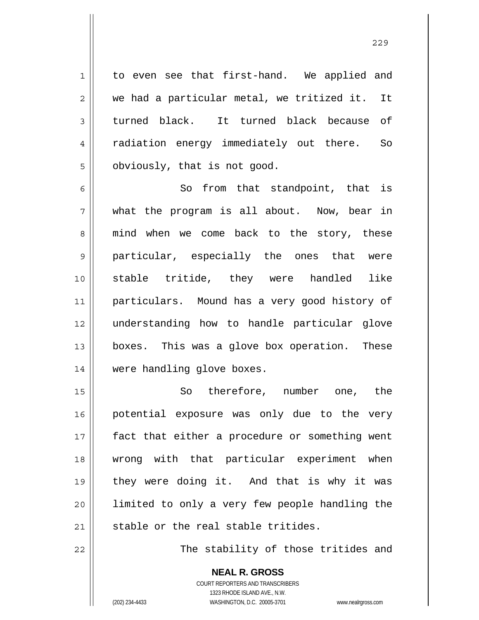to even see that first-hand. We applied and we had a particular metal, we tritized it. It turned black. It turned black because of radiation energy immediately out there. So obviously, that is not good.

6 7 8 9 10 11 12 13 14 So from that standpoint, that is what the program is all about. Now, bear in mind when we come back to the story, these particular, especially the ones that were stable tritide, they were handled like particulars. Mound has a very good history of understanding how to handle particular glove boxes. This was a glove box operation. These were handling glove boxes.

15 16 17 18 19 20 21 So therefore, number one, the potential exposure was only due to the very fact that either a procedure or something went wrong with that particular experiment when they were doing it. And that is why it was limited to only a very few people handling the stable or the real stable tritides.

The stability of those tritides and

**NEAL R. GROSS** COURT REPORTERS AND TRANSCRIBERS 1323 RHODE ISLAND AVE., N.W. (202) 234-4433 WASHINGTON, D.C. 20005-3701 www.nealrgross.com

22

1

2

3

4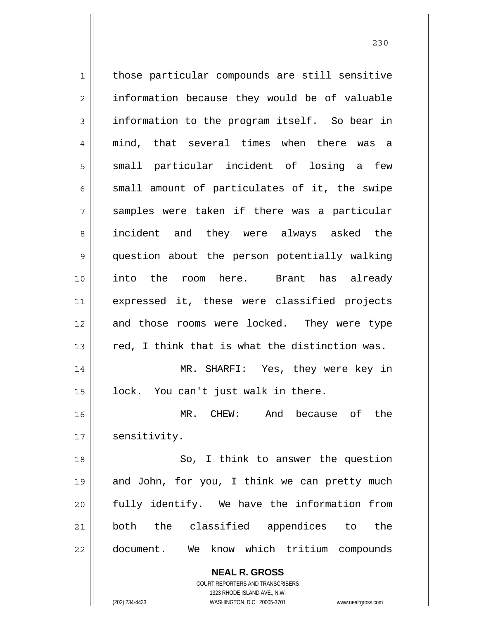1 2 3 4 5 6 7 8 9 10 11 12 13 14 15 16 17 18 19 20 21 22 those particular compounds are still sensitive information because they would be of valuable information to the program itself. So bear in mind, that several times when there was a small particular incident of losing a few small amount of particulates of it, the swipe samples were taken if there was a particular incident and they were always asked the question about the person potentially walking into the room here. Brant has already expressed it, these were classified projects and those rooms were locked. They were type red, I think that is what the distinction was. MR. SHARFI: Yes, they were key in lock. You can't just walk in there. MR. CHEW: And because of the sensitivity. So, I think to answer the question and John, for you, I think we can pretty much fully identify. We have the information from both the classified appendices to the document. We know which tritium compounds

<u>230</u>

(202) 234-4433 WASHINGTON, D.C. 20005-3701 www.nealrgross.com

1323 RHODE ISLAND AVE., N.W.

**NEAL R. GROSS** COURT REPORTERS AND TRANSCRIBERS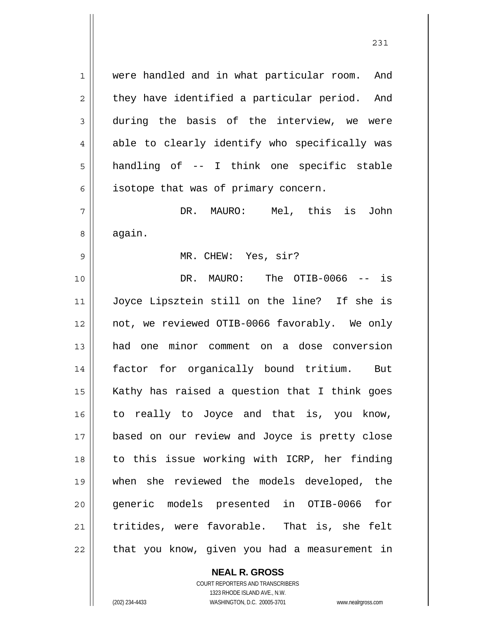were handled and in what particular room. And they have identified a particular period. And during the basis of the interview, we were able to clearly identify who specifically was handling of -- I think one specific stable isotope that was of primary concern.

7 8 DR. MAURO: Mel, this is John again.

MR. CHEW: Yes, sir?

10 11 12 13 14 15 16 17 18 19 20 21 22 DR. MAURO: The OTIB-0066 -- is Joyce Lipsztein still on the line? If she is not, we reviewed OTIB-0066 favorably. We only had one minor comment on a dose conversion factor for organically bound tritium. But Kathy has raised a question that I think goes to really to Joyce and that is, you know, based on our review and Joyce is pretty close to this issue working with ICRP, her finding when she reviewed the models developed, the generic models presented in OTIB-0066 for tritides, were favorable. That is, she felt that you know, given you had a measurement in

> **NEAL R. GROSS** COURT REPORTERS AND TRANSCRIBERS 1323 RHODE ISLAND AVE., N.W.

1

2

3

4

5

6

9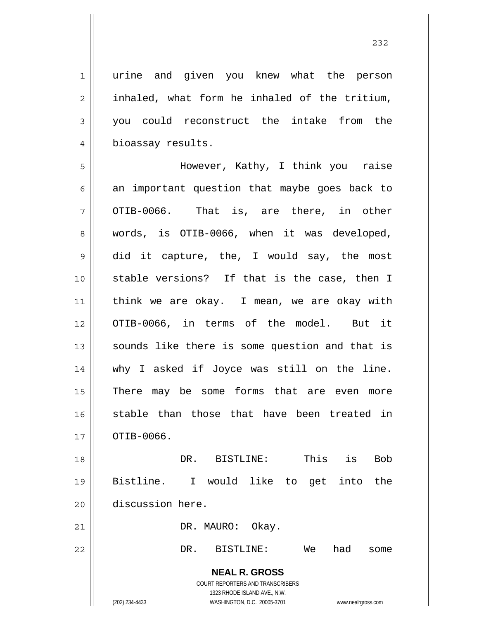<u>232</u>

1 2 3 4 5 6 7 8 9 10 11 12 13 14 15 16 urine and given you knew what the person inhaled, what form he inhaled of the tritium, you could reconstruct the intake from the bioassay results. However, Kathy, I think you raise an important question that maybe goes back to OTIB-0066. That is, are there, in other words, is OTIB-0066, when it was developed, did it capture, the, I would say, the most stable versions? If that is the case, then I think we are okay. I mean, we are okay with OTIB-0066, in terms of the model. But it sounds like there is some question and that is why I asked if Joyce was still on the line. There may be some forms that are even more stable than those that have been treated in

17 OTIB-0066.

18 19 20 DR. BISTLINE: This is Bob Bistline. I would like to get into the discussion here.

DR. MAURO: Okay.

## 22

21

DR. BISTLINE: We had some

**NEAL R. GROSS** COURT REPORTERS AND TRANSCRIBERS 1323 RHODE ISLAND AVE., N.W.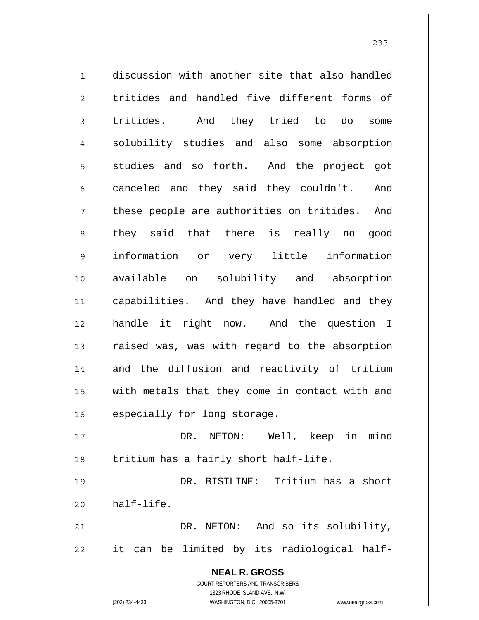**NEAL R. GROSS** COURT REPORTERS AND TRANSCRIBERS 1323 RHODE ISLAND AVE., N.W. 1 2 3 4 5 6 7 8 9 10 11 12 13 14 15 16 17 18 19 20 21 22 discussion with another site that also handled tritides and handled five different forms of tritides. And they tried to do some solubility studies and also some absorption studies and so forth. And the project got canceled and they said they couldn't. And these people are authorities on tritides. And they said that there is really no good information or very little information available on solubility and absorption capabilities. And they have handled and they handle it right now. And the question I raised was, was with regard to the absorption and the diffusion and reactivity of tritium with metals that they come in contact with and especially for long storage. DR. NETON: Well, keep in mind tritium has a fairly short half-life. DR. BISTLINE: Tritium has a short half-life. DR. NETON: And so its solubility, it can be limited by its radiological half-

233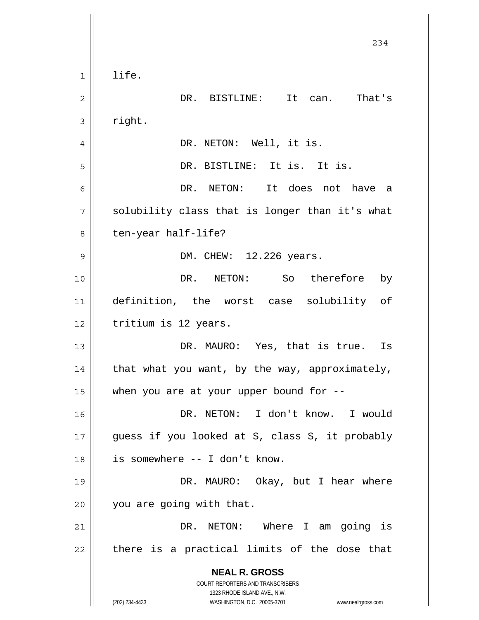|              | 234                                                                                                 |
|--------------|-----------------------------------------------------------------------------------------------------|
| $\mathbf{1}$ | life.                                                                                               |
| 2            | DR. BISTLINE: It can. That's                                                                        |
| 3            | right.                                                                                              |
| 4            | DR. NETON: Well, it is.                                                                             |
| 5            | DR. BISTLINE: It is. It is.                                                                         |
| 6            | DR. NETON: It does not have a                                                                       |
| 7            | solubility class that is longer than it's what                                                      |
| 8            | ten-year half-life?                                                                                 |
| 9            | DM. CHEW: 12.226 years.                                                                             |
| 10           | NETON: So therefore by<br>DR.                                                                       |
| 11           | definition, the worst case solubility of                                                            |
| 12           | tritium is 12 years.                                                                                |
| 13           | DR. MAURO: Yes, that is true. Is                                                                    |
| 14           | that what you want, by the way, approximately,                                                      |
| 15           | when you are at your upper bound for $-$ -                                                          |
| 16           | DR. NETON: I don't know. I would                                                                    |
| 17           | guess if you looked at S, class S, it probably                                                      |
| 18           | is somewhere -- I don't know.                                                                       |
| 19           | DR. MAURO: Okay, but I hear where                                                                   |
| 20           | you are going with that.                                                                            |
| 21           | DR. NETON: Where I am going is                                                                      |
| 22           | there is a practical limits of the dose that                                                        |
|              | <b>NEAL R. GROSS</b><br>COURT REPORTERS AND TRANSCRIBERS                                            |
|              | 1323 RHODE ISLAND AVE., N.W.<br>(202) 234-4433<br>WASHINGTON, D.C. 20005-3701<br>www.nealrgross.com |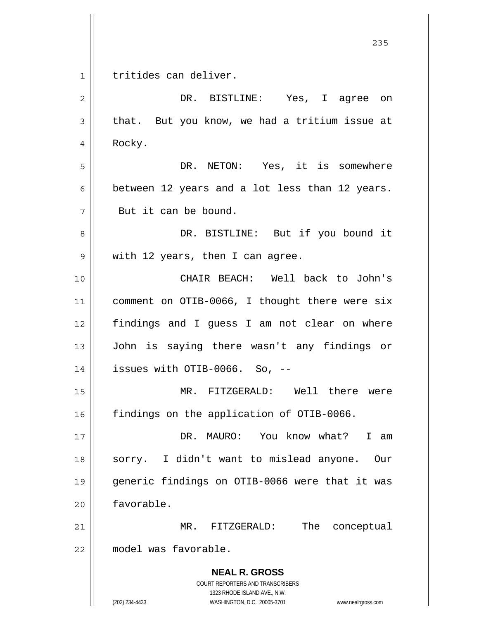**NEAL R. GROSS** COURT REPORTERS AND TRANSCRIBERS 1323 RHODE ISLAND AVE., N.W. <u>235</u> 1 2 3 4 5 6 7 8 9 10 11 12 13 14 15 16 17 18 19 20 21 22 tritides can deliver. DR. BISTLINE: Yes, I agree on that. But you know, we had a tritium issue at Rocky. DR. NETON: Yes, it is somewhere between 12 years and a lot less than 12 years. But it can be bound. DR. BISTLINE: But if you bound it with 12 years, then I can agree. CHAIR BEACH: Well back to John's comment on OTIB-0066, I thought there were six findings and I guess I am not clear on where John is saying there wasn't any findings or issues with OTIB-0066. So, -- MR. FITZGERALD: Well there were findings on the application of OTIB-0066. DR. MAURO: You know what? I am sorry. I didn't want to mislead anyone. Our generic findings on OTIB-0066 were that it was favorable. MR. FITZGERALD: The conceptual model was favorable.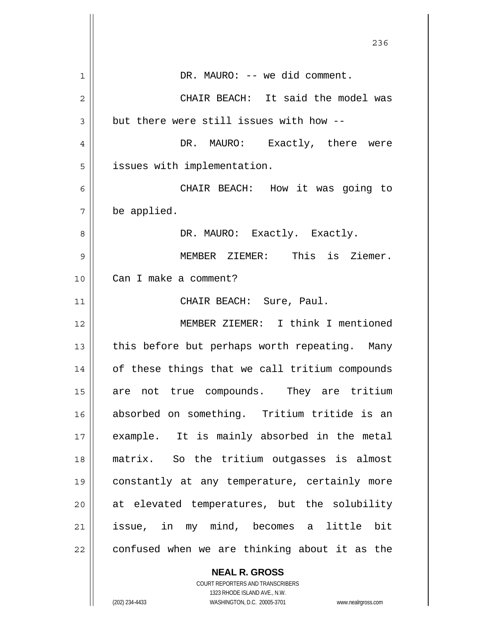|                | 236                                            |
|----------------|------------------------------------------------|
| $\mathbf{1}$   | DR. MAURO: -- we did comment.                  |
| $\overline{2}$ | CHAIR BEACH: It said the model was             |
| 3              | but there were still issues with how --        |
| 4              | DR. MAURO: Exactly, there were                 |
| 5              | issues with implementation.                    |
| 6              | CHAIR BEACH: How it was going to               |
| 7              | be applied.                                    |
| 8              | DR. MAURO: Exactly. Exactly.                   |
| 9              | MEMBER ZIEMER: This is Ziemer.                 |
| 10             | Can I make a comment?                          |
| 11             | CHAIR BEACH: Sure, Paul.                       |
| 12             | MEMBER ZIEMER: I think I mentioned             |
| 13             | this before but perhaps worth repeating. Many  |
| 14             | of these things that we call tritium compounds |
| 15             | are not true compounds. They are tritium       |
| 16             | absorbed on something. Tritium tritide is an   |
| 17             | example. It is mainly absorbed in the metal    |
| 18             | matrix. So the tritium outgasses is almost     |
| 19             | constantly at any temperature, certainly more  |
| 20             | at elevated temperatures, but the solubility   |
| 21             | issue, in my mind, becomes a little bit        |
| 22             | confused when we are thinking about it as the  |
|                | <b>NEAL R. GROSS</b>                           |

COURT REPORTERS AND TRANSCRIBERS 1323 RHODE ISLAND AVE., N.W.

 $\prod$ 

 $\overline{\phantom{a}}$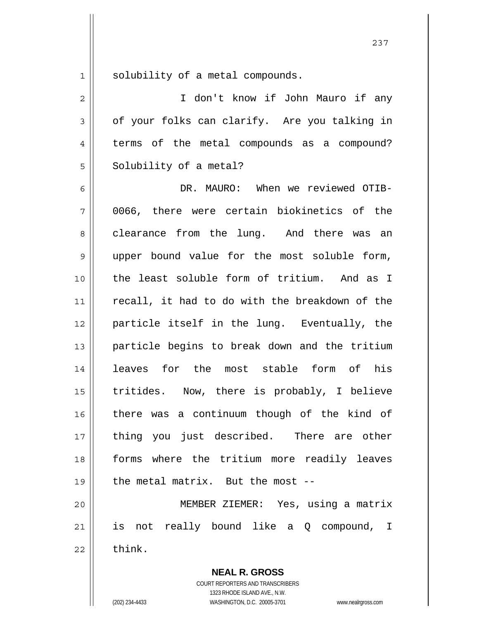1 solubility of a metal compounds.

2 3 4 5 I don't know if John Mauro if any of your folks can clarify. Are you talking in terms of the metal compounds as a compound? Solubility of a metal?

6 7 8 9 10 11 12 13 14 15 16 17 18 19 20 DR. MAURO: When we reviewed OTIB-0066, there were certain biokinetics of the clearance from the lung. And there was an upper bound value for the most soluble form, the least soluble form of tritium. And as I recall, it had to do with the breakdown of the particle itself in the lung. Eventually, the particle begins to break down and the tritium leaves for the most stable form of his tritides. Now, there is probably, I believe there was a continuum though of the kind of thing you just described. There are other forms where the tritium more readily leaves the metal matrix. But the most -- MEMBER ZIEMER: Yes, using a matrix

21 22 is not really bound like a Q compound, I think.

> **NEAL R. GROSS** COURT REPORTERS AND TRANSCRIBERS 1323 RHODE ISLAND AVE., N.W.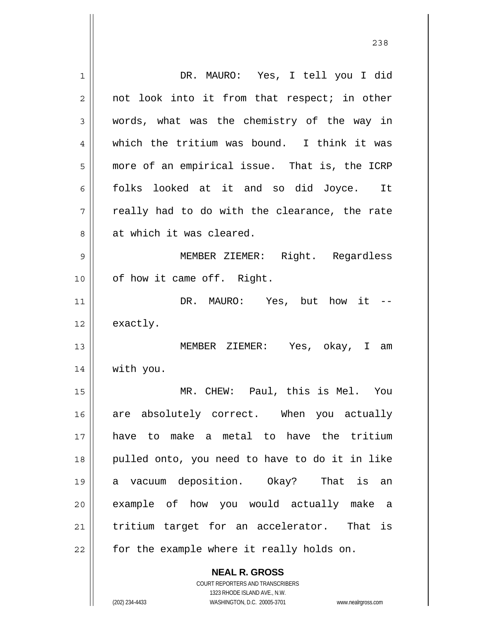| 1  | DR. MAURO: Yes, I tell you I did               |
|----|------------------------------------------------|
| 2  | not look into it from that respect; in other   |
| 3  | words, what was the chemistry of the way in    |
| 4  | which the tritium was bound. I think it was    |
| 5  | more of an empirical issue. That is, the ICRP  |
| 6  | folks looked at it and so did Joyce. It        |
| 7  | really had to do with the clearance, the rate  |
| 8  | at which it was cleared.                       |
| 9  | MEMBER ZIEMER: Right. Regardless               |
| 10 | of how it came off. Right.                     |
| 11 | DR. MAURO: Yes, but how it --                  |
| 12 | exactly.                                       |
| 13 | MEMBER ZIEMER: Yes, okay, I am                 |
| 14 | with you.                                      |
| 15 | MR. CHEW: Paul, this is Mel. You               |
| 16 | are absolutely correct. When you actually      |
| 17 | have to make a metal to have the tritium       |
| 18 | pulled onto, you need to have to do it in like |
| 19 | a vacuum deposition. Okay? That is an          |
| 20 | example of how you would actually make a       |
| 21 | tritium target for an accelerator. That is     |
| 22 | for the example where it really holds on.      |
|    | <b>NEAL R. GROSS</b>                           |

<u>238</u>

COURT REPORTERS AND TRANSCRIBERS 1323 RHODE ISLAND AVE., N.W.

 $\mathsf{II}$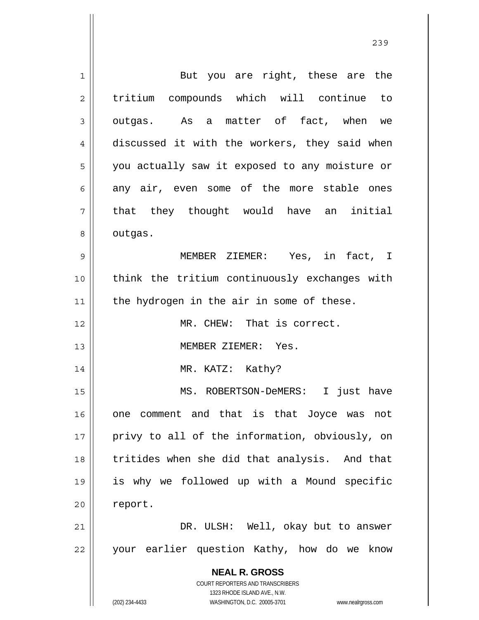**NEAL R. GROSS** COURT REPORTERS AND TRANSCRIBERS 1323 RHODE ISLAND AVE., N.W. (202) 234-4433 WASHINGTON, D.C. 20005-3701 www.nealrgross.com 1 2 3 4 5 6 7 8 9 10 11 12 13 14 15 16 17 18 19 20 21 22 But you are right, these are the tritium compounds which will continue to outgas. As a matter of fact, when we discussed it with the workers, they said when you actually saw it exposed to any moisture or any air, even some of the more stable ones that they thought would have an initial outgas. MEMBER ZIEMER: Yes, in fact, I think the tritium continuously exchanges with the hydrogen in the air in some of these. MR. CHEW: That is correct. MEMBER ZIEMER: Yes. MR. KATZ: Kathy? MS. ROBERTSON-DeMERS: I just have one comment and that is that Joyce was not privy to all of the information, obviously, on tritides when she did that analysis. And that is why we followed up with a Mound specific report. DR. ULSH: Well, okay but to answer your earlier question Kathy, how do we know

<u>239</u>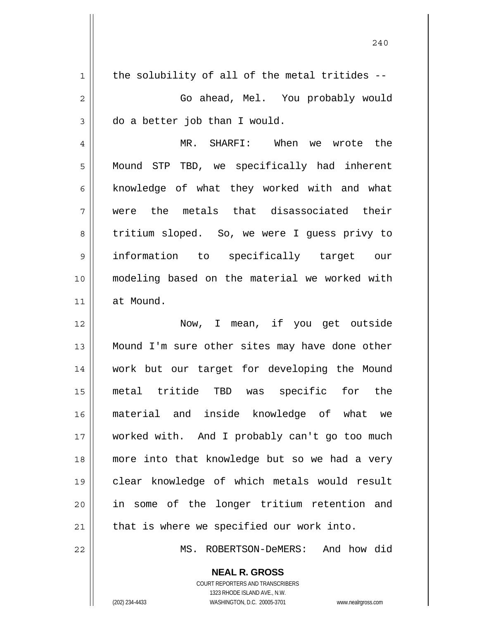| $\mathbf 1$    | the solubility of all of the metal tritides -- |
|----------------|------------------------------------------------|
| $\overline{2}$ | Go ahead, Mel. You probably would              |
| 3              | do a better job than I would.                  |
| 4              | MR. SHARFI: When we wrote the                  |
| 5              | Mound STP TBD, we specifically had inherent    |
| 6              | knowledge of what they worked with and what    |
| 7              | were the metals that disassociated their       |
| 8              | tritium sloped. So, we were I guess privy to   |
| 9              | information to specifically target our         |
| 10             | modeling based on the material we worked with  |
| 11             | at Mound.                                      |
| 12             | Now, I mean, if you get outside                |
| 13             | Mound I'm sure other sites may have done other |
| 14             | work but our target for developing the Mound   |
| 15             | specific for the<br>metal tritide TBD<br>was   |
| 16             | material and inside knowledge of what we       |
| 17             | worked with. And I probably can't go too much  |
| 18             | more into that knowledge but so we had a very  |
| 19             | clear knowledge of which metals would result   |
|                |                                                |
| 20             | in some of the longer tritium retention and    |
| 21             | that is where we specified our work into.      |
| 22             | And how did<br>MS. ROBERTSON-DeMERS:           |

**NEAL R. GROSS** COURT REPORTERS AND TRANSCRIBERS

1323 RHODE ISLAND AVE., N.W.

(202) 234-4433 WASHINGTON, D.C. 20005-3701 www.nealrgross.com

 $\mathsf{II}$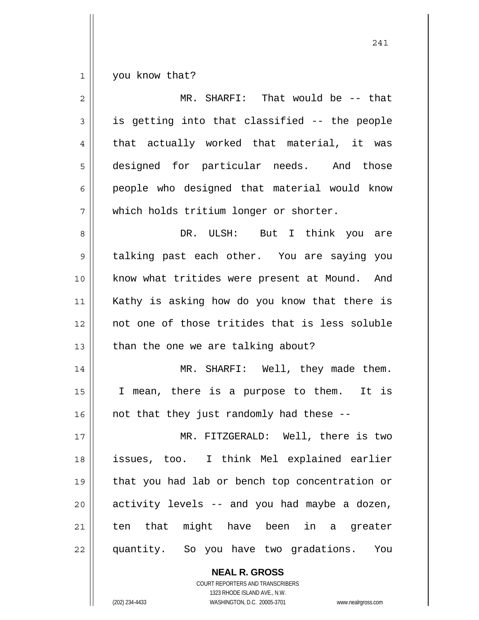1 you know that?

| $\overline{2}$ | MR. SHARFI: That would be -- that              |
|----------------|------------------------------------------------|
| 3              | is getting into that classified -- the people  |
| 4              | that actually worked that material, it was     |
| 5              | designed for particular needs. And those       |
| 6              | people who designed that material would know   |
| 7              | which holds tritium longer or shorter.         |
| 8              | DR. ULSH: But I think you are                  |
| 9              | talking past each other. You are saying you    |
| 10             | know what tritides were present at Mound. And  |
| 11             | Kathy is asking how do you know that there is  |
| 12             | not one of those tritides that is less soluble |
| 13             | than the one we are talking about?             |
| 14             | MR. SHARFI: Well, they made them.              |
| 15             | I mean, there is a purpose to them. It is      |
| 16             | not that they just randomly had these --       |
| 17             | MR. FITZGERALD: Well, there is two             |
| 18             | issues, too. I think Mel explained earlier     |
| 19             | that you had lab or bench top concentration or |
| 20             | activity levels -- and you had maybe a dozen,  |
| 21             | ten that might have been in a greater          |
| 22             | quantity. So you have two gradations. You      |

**NEAL R. GROSS** COURT REPORTERS AND TRANSCRIBERS

1323 RHODE ISLAND AVE., N.W.

(202) 234-4433 WASHINGTON, D.C. 20005-3701 www.nealrgross.com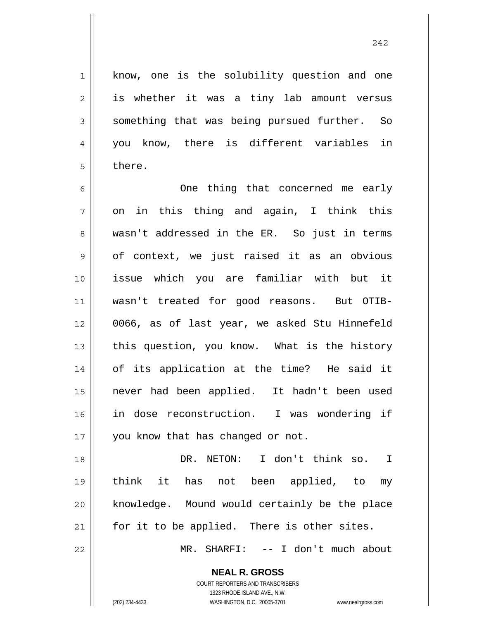know, one is the solubility question and one is whether it was a tiny lab amount versus something that was being pursued further. So you know, there is different variables in there.

6 7 8 9 10 11 12 13 14 15 16 17 One thing that concerned me early on in this thing and again, I think this wasn't addressed in the ER. So just in terms of context, we just raised it as an obvious issue which you are familiar with but it wasn't treated for good reasons. But OTIB-0066, as of last year, we asked Stu Hinnefeld this question, you know. What is the history of its application at the time? He said it never had been applied. It hadn't been used in dose reconstruction. I was wondering if you know that has changed or not.

18 19 20 21 DR. NETON: I don't think so. I think it has not been applied, to my knowledge. Mound would certainly be the place for it to be applied. There is other sites.

MR. SHARFI: -- I don't much about

**NEAL R. GROSS** COURT REPORTERS AND TRANSCRIBERS

22

1

2

3

4

5

1323 RHODE ISLAND AVE., N.W. (202) 234-4433 WASHINGTON, D.C. 20005-3701 www.nealrgross.com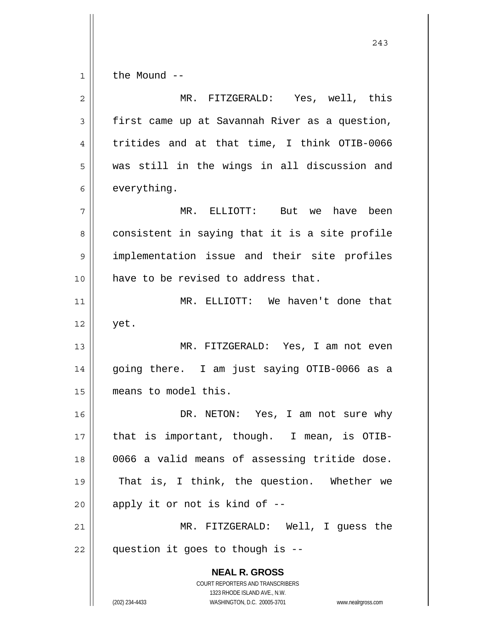1 the Mound --

**NEAL R. GROSS** COURT REPORTERS AND TRANSCRIBERS 1323 RHODE ISLAND AVE., N.W. (202) 234-4433 WASHINGTON, D.C. 20005-3701 www.nealrgross.com 2 3 4 5 6 7 8 9 10 11 12 13 14 15 16 17 18 19 20 21 22 MR. FITZGERALD: Yes, well, this first came up at Savannah River as a question, tritides and at that time, I think OTIB-0066 was still in the wings in all discussion and everything. MR. ELLIOTT: But we have been consistent in saying that it is a site profile implementation issue and their site profiles have to be revised to address that. MR. ELLIOTT: We haven't done that yet. MR. FITZGERALD: Yes, I am not even going there. I am just saying OTIB-0066 as a means to model this. DR. NETON: Yes, I am not sure why that is important, though. I mean, is OTIB-0066 a valid means of assessing tritide dose. That is, I think, the question. Whether we apply it or not is kind of -- MR. FITZGERALD: Well, I guess the question it goes to though is --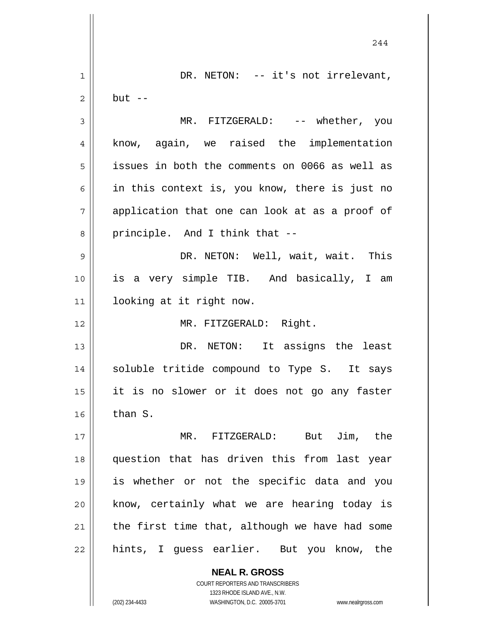|             | 244                                            |
|-------------|------------------------------------------------|
| $\mathbf 1$ | DR. NETON: -- it's not irrelevant,             |
| 2           | $but --$                                       |
| 3           | MR. FITZGERALD: -- whether, you                |
| 4           | know, again, we raised the implementation      |
| 5           | issues in both the comments on 0066 as well as |
| 6           | in this context is, you know, there is just no |
| 7           | application that one can look at as a proof of |
| 8           | principle. And I think that --                 |
| 9           | DR. NETON: Well, wait, wait. This              |
| 10          | is a very simple TIB. And basically, I am      |
| 11          | looking at it right now.                       |
| 12          | MR. FITZGERALD: Right.                         |
| 13          | DR. NETON: It assigns the least                |
| 14          | soluble tritide compound to Type S. It says    |
| 15          | it is no slower or it does not go any faster   |
| 16          | than S.                                        |
| 17          | MR. FITZGERALD: But Jim, the                   |
| 18          | question that has driven this from last year   |
| 19          | is whether or not the specific data and you    |
| 20          | know, certainly what we are hearing today is   |
| 21          | the first time that, although we have had some |
| 22          | hints, I guess earlier. But you know, the      |
|             | <b>NEAL R. GROSS</b>                           |

COURT REPORTERS AND TRANSCRIBERS 1323 RHODE ISLAND AVE., N.W.

 $\prod$ 

 $\mathsf{I}$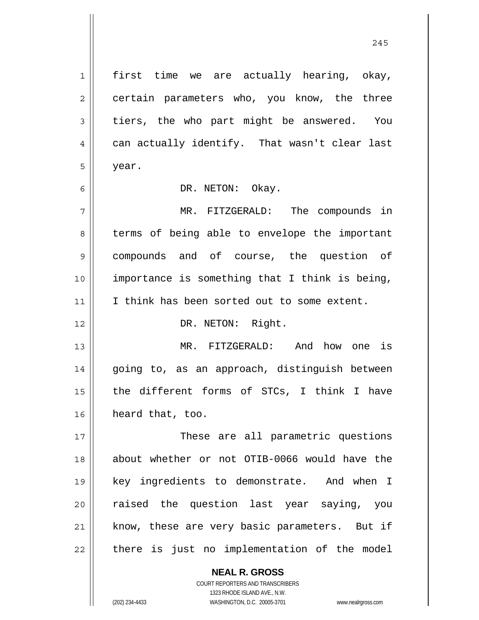1 2 3 4 5 6 7 8 9 10 11 12 13 14 15 16 17 18 19 20 21 22 first time we are actually hearing, okay, certain parameters who, you know, the three tiers, the who part might be answered. You can actually identify. That wasn't clear last year. DR. NETON: Okay. MR. FITZGERALD: The compounds in terms of being able to envelope the important compounds and of course, the question of importance is something that I think is being, I think has been sorted out to some extent. DR. NETON: Right. MR. FITZGERALD: And how one is going to, as an approach, distinguish between the different forms of STCs, I think I have heard that, too. These are all parametric questions about whether or not OTIB-0066 would have the key ingredients to demonstrate. And when I raised the question last year saying, you know, these are very basic parameters. But if there is just no implementation of the model

245

**NEAL R. GROSS** COURT REPORTERS AND TRANSCRIBERS 1323 RHODE ISLAND AVE., N.W. (202) 234-4433 WASHINGTON, D.C. 20005-3701 www.nealrgross.com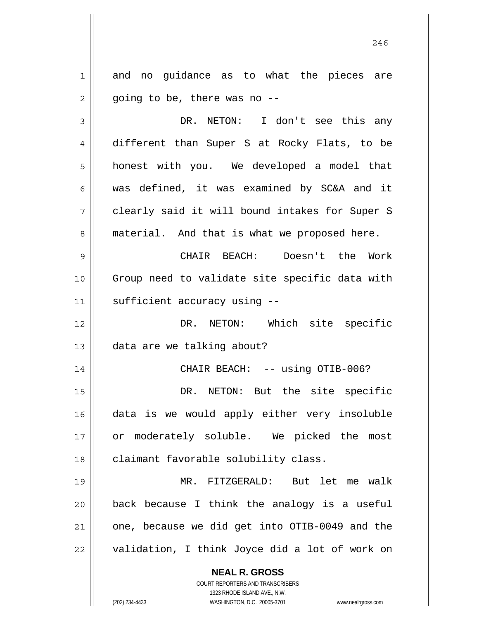1 2 and no guidance as to what the pieces are going to be, there was no --

3 4 5 6 7 8 DR. NETON: I don't see this any different than Super S at Rocky Flats, to be honest with you. We developed a model that was defined, it was examined by SC&A and it clearly said it will bound intakes for Super S material. And that is what we proposed here.

9 10 11 CHAIR BEACH: Doesn't the Work Group need to validate site specific data with sufficient accuracy using --

12 13 DR. NETON: Which site specific data are we talking about?

CHAIR BEACH: -- using OTIB-006?

15 16 17 18 DR. NETON: But the site specific data is we would apply either very insoluble or moderately soluble. We picked the most claimant favorable solubility class.

19 20 21 22 MR. FITZGERALD: But let me walk back because I think the analogy is a useful one, because we did get into OTIB-0049 and the validation, I think Joyce did a lot of work on

> **NEAL R. GROSS** COURT REPORTERS AND TRANSCRIBERS

> > 1323 RHODE ISLAND AVE., N.W.

(202) 234-4433 WASHINGTON, D.C. 20005-3701 www.nealrgross.com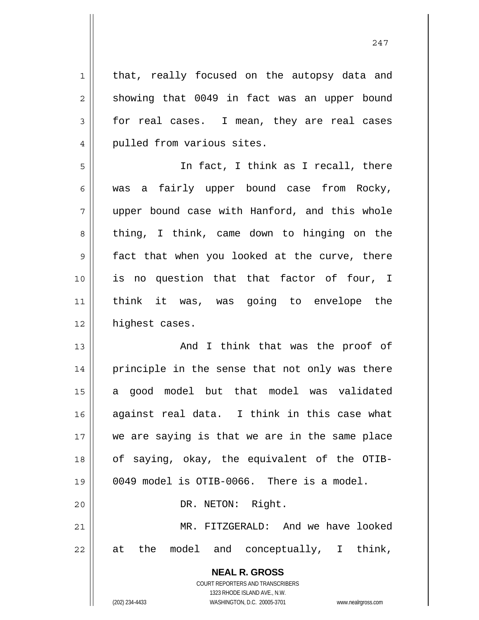| $\mathbf 1$ | that, really focused on the autopsy data and             |
|-------------|----------------------------------------------------------|
| $\sqrt{2}$  | showing that 0049 in fact was an upper bound             |
| 3           | for real cases. I mean, they are real cases              |
| 4           | pulled from various sites.                               |
| 5           | In fact, I think as I recall, there                      |
| 6           | was a fairly upper bound case from Rocky,                |
| 7           | upper bound case with Hanford, and this whole            |
| 8           | thing, I think, came down to hinging on the              |
| $\mathsf 9$ | fact that when you looked at the curve, there            |
| 10          | is no question that that factor of four, I               |
| 11          | think it was, was going to envelope the                  |
| 12          | highest cases.                                           |
| 13          | And I think that was the proof of                        |
| 14          | principle in the sense that not only was there           |
| 15          | a good model but that model was validated                |
| 16          | against real data. I think in this case what             |
| 17          | we are saying is that we are in the same place           |
| 18          | of saying, okay, the equivalent of the OTIB-             |
| 19          | 0049 model is OTIB-0066. There is a model.               |
| 20          | DR. NETON: Right.                                        |
| 21          | MR. FITZGERALD: And we have looked                       |
| 22          | at the model and conceptually, I think,                  |
|             | <b>NEAL R. GROSS</b><br>COURT REPORTERS AND TRANSCRIBERS |

1323 RHODE ISLAND AVE., N.W.

 $\mathsf{I}$  $\prod_{i=1}^{n}$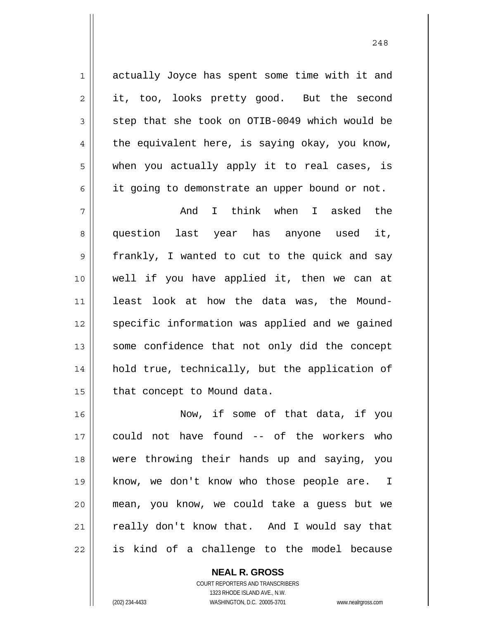actually Joyce has spent some time with it and it, too, looks pretty good. But the second step that she took on OTIB-0049 which would be the equivalent here, is saying okay, you know, when you actually apply it to real cases, is it going to demonstrate an upper bound or not.

1

2

3

4

5

6

7 8 9 10 11 12 13 14 15 And I think when I asked the question last year has anyone used it, frankly, I wanted to cut to the quick and say well if you have applied it, then we can at least look at how the data was, the Moundspecific information was applied and we gained some confidence that not only did the concept hold true, technically, but the application of that concept to Mound data.

16 17 18 19 20 21 22 Now, if some of that data, if you could not have found -- of the workers who were throwing their hands up and saying, you know, we don't know who those people are. I mean, you know, we could take a guess but we really don't know that. And I would say that is kind of a challenge to the model because

> **NEAL R. GROSS** COURT REPORTERS AND TRANSCRIBERS 1323 RHODE ISLAND AVE., N.W. (202) 234-4433 WASHINGTON, D.C. 20005-3701 www.nealrgross.com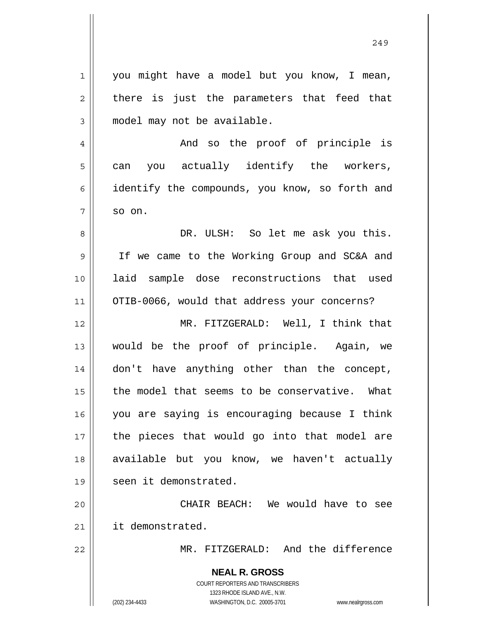| $1\,$          | you might have a model but you know, I mean,                                                        |
|----------------|-----------------------------------------------------------------------------------------------------|
| $\overline{2}$ | there is just the parameters that feed that                                                         |
| 3              | model may not be available.                                                                         |
| 4              | And so the proof of principle is                                                                    |
| 5              | can you actually identify the workers,                                                              |
| 6              | identify the compounds, you know, so forth and                                                      |
| 7              | so on.                                                                                              |
| 8              | DR. ULSH: So let me ask you this.                                                                   |
| 9              | If we came to the Working Group and SC&A and                                                        |
| 10             | laid sample dose reconstructions that used                                                          |
| 11             | OTIB-0066, would that address your concerns?                                                        |
| 12             | MR. FITZGERALD: Well, I think that                                                                  |
| 13             | would be the proof of principle. Again, we                                                          |
| 14             | don't have anything other than the concept,                                                         |
| 15             | the model that seems to be conservative. What                                                       |
| 16             | you are saying is encouraging because I think                                                       |
| 17             | the pieces that would go into that model are                                                        |
| 18             | available but you know, we haven't actually                                                         |
| 19             | seen it demonstrated.                                                                               |
| 20             | CHAIR BEACH: We would have to see                                                                   |
| 21             | it demonstrated.                                                                                    |
| 22             | MR. FITZGERALD: And the difference                                                                  |
|                | <b>NEAL R. GROSS</b>                                                                                |
|                | <b>COURT REPORTERS AND TRANSCRIBERS</b>                                                             |
|                | 1323 RHODE ISLAND AVE., N.W.<br>(202) 234-4433<br>WASHINGTON, D.C. 20005-3701<br>www.nealrgross.com |
|                |                                                                                                     |

 $\mathbf{I}$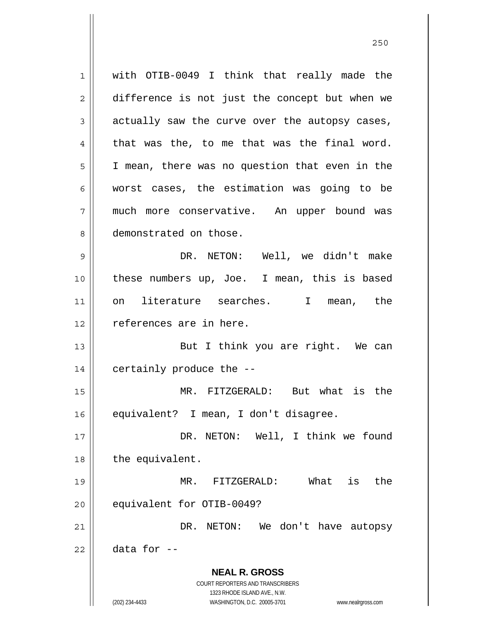**NEAL R. GROSS** COURT REPORTERS AND TRANSCRIBERS 1323 RHODE ISLAND AVE., N.W. (202) 234-4433 WASHINGTON, D.C. 20005-3701 www.nealrgross.com 1 2 3 4 5 6 7 8 9 10 11 12 13 14 15 16 17 18 19 20 21 22 with OTIB-0049 I think that really made the difference is not just the concept but when we actually saw the curve over the autopsy cases, that was the, to me that was the final word. I mean, there was no question that even in the worst cases, the estimation was going to be much more conservative. An upper bound was demonstrated on those. DR. NETON: Well, we didn't make these numbers up, Joe. I mean, this is based on literature searches. I mean, the references are in here. But I think you are right. We can certainly produce the -- MR. FITZGERALD: But what is the equivalent? I mean, I don't disagree. DR. NETON: Well, I think we found the equivalent. MR. FITZGERALD: What is the equivalent for OTIB-0049? DR. NETON: We don't have autopsy data for --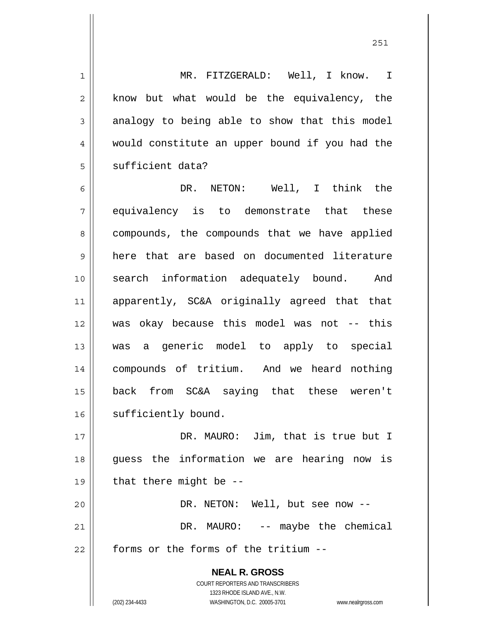1 2 3 4 5 MR. FITZGERALD: Well, I know. I know but what would be the equivalency, the analogy to being able to show that this model would constitute an upper bound if you had the sufficient data?

6 7 8 9 10 11 12 13 14 15 16 DR. NETON: Well, I think the equivalency is to demonstrate that these compounds, the compounds that we have applied here that are based on documented literature search information adequately bound. And apparently, SC&A originally agreed that that was okay because this model was not -- this was a generic model to apply to special compounds of tritium. And we heard nothing back from SC&A saying that these weren't sufficiently bound.

17 18 19 20 21 22 DR. MAURO: Jim, that is true but I guess the information we are hearing now is that there might be -- DR. NETON: Well, but see now --DR. MAURO: -- maybe the chemical forms or the forms of the tritium --

> **NEAL R. GROSS** COURT REPORTERS AND TRANSCRIBERS 1323 RHODE ISLAND AVE., N.W. (202) 234-4433 WASHINGTON, D.C. 20005-3701 www.nealrgross.com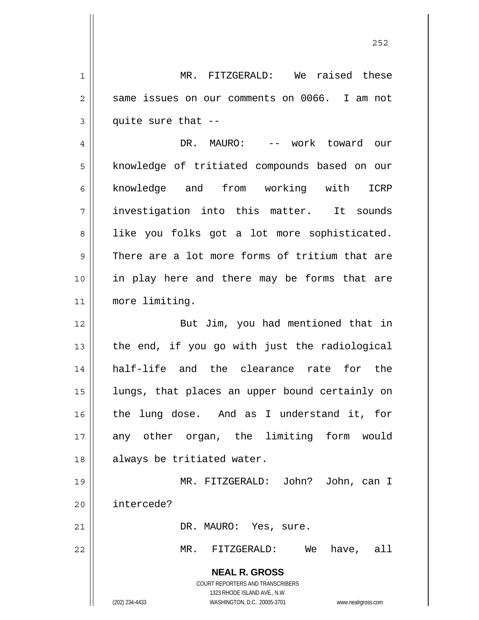1 2 3 MR. FITZGERALD: We raised these same issues on our comments on 0066. I am not quite sure that --

4 5 6 7 8 9 10 11 DR. MAURO: -- work toward our knowledge of tritiated compounds based on our knowledge and from working with ICRP investigation into this matter. It sounds like you folks got a lot more sophisticated. There are a lot more forms of tritium that are in play here and there may be forms that are more limiting.

12 13 14 15 16 17 18 But Jim, you had mentioned that in the end, if you go with just the radiological half-life and the clearance rate for the lungs, that places an upper bound certainly on the lung dose. And as I understand it, for any other organ, the limiting form would always be tritiated water.

19 20 MR. FITZGERALD: John? John, can I intercede?

DR. MAURO: Yes, sure.

MR. FITZGERALD: We have, all

**NEAL R. GROSS** COURT REPORTERS AND TRANSCRIBERS

1323 RHODE ISLAND AVE., N.W.

21

22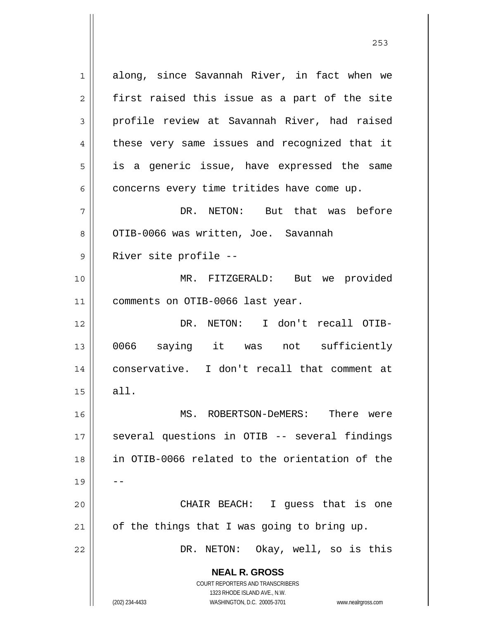**NEAL R. GROSS** COURT REPORTERS AND TRANSCRIBERS 1323 RHODE ISLAND AVE., N.W. 1 2 3 4 5 6 7 8 9 10 11 12 13 14 15 16 17 18 19 20 21 22 along, since Savannah River, in fact when we first raised this issue as a part of the site profile review at Savannah River, had raised these very same issues and recognized that it is a generic issue, have expressed the same concerns every time tritides have come up. DR. NETON: But that was before OTIB-0066 was written, Joe. Savannah River site profile -- MR. FITZGERALD: But we provided comments on OTIB-0066 last year. DR. NETON: I don't recall OTIB-0066 saying it was not sufficiently conservative. I don't recall that comment at all. MS. ROBERTSON-DeMERS: There were several questions in OTIB -- several findings in OTIB-0066 related to the orientation of the -- CHAIR BEACH: I guess that is one of the things that I was going to bring up. DR. NETON: Okay, well, so is this

<u>253</u>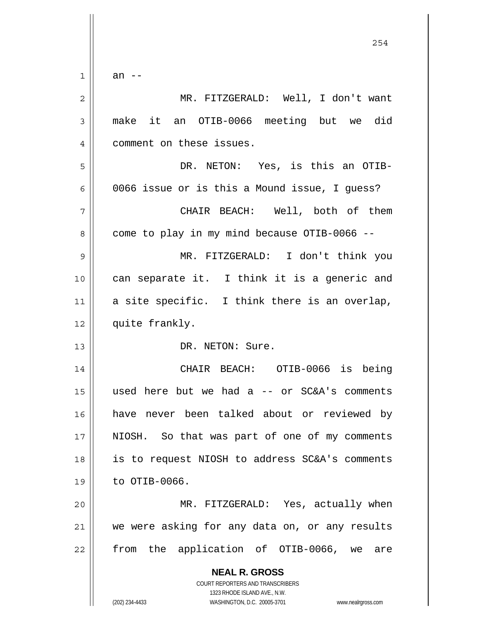$1$ an --

| $\overline{c}$ | MR. FITZGERALD: Well, I don't want                                                                                                                              |
|----------------|-----------------------------------------------------------------------------------------------------------------------------------------------------------------|
| 3              | make it an OTIB-0066 meeting but we did                                                                                                                         |
| 4              | comment on these issues.                                                                                                                                        |
| 5              | DR. NETON: Yes, is this an OTIB-                                                                                                                                |
| 6              | 0066 issue or is this a Mound issue, I quess?                                                                                                                   |
| 7              | CHAIR BEACH: Well, both of them                                                                                                                                 |
| 8              | come to play in my mind because OTIB-0066 --                                                                                                                    |
| 9              | MR. FITZGERALD: I don't think you                                                                                                                               |
| 10             | can separate it. I think it is a generic and                                                                                                                    |
| 11             | a site specific. I think there is an overlap,                                                                                                                   |
| 12             | quite frankly.                                                                                                                                                  |
| 13             | DR. NETON: Sure.                                                                                                                                                |
| 14             | CHAIR BEACH: OTIB-0066 is being                                                                                                                                 |
| 15             | used here but we had a -- or SC&A's comments                                                                                                                    |
| 16             | have never been talked about or reviewed by                                                                                                                     |
| 17             | NIOSH. So that was part of one of my comments                                                                                                                   |
| 18             | is to request NIOSH to address SC&A's comments                                                                                                                  |
| 19             | to OTIB-0066.                                                                                                                                                   |
| 20             | MR. FITZGERALD: Yes, actually when                                                                                                                              |
| 21             | we were asking for any data on, or any results                                                                                                                  |
| 22             | from the application of OTIB-0066, we<br>are                                                                                                                    |
|                | <b>NEAL R. GROSS</b><br>COURT REPORTERS AND TRANSCRIBERS<br>1323 RHODE ISLAND AVE., N.W.<br>(202) 234-4433<br>WASHINGTON, D.C. 20005-3701<br>www.nealrgross.com |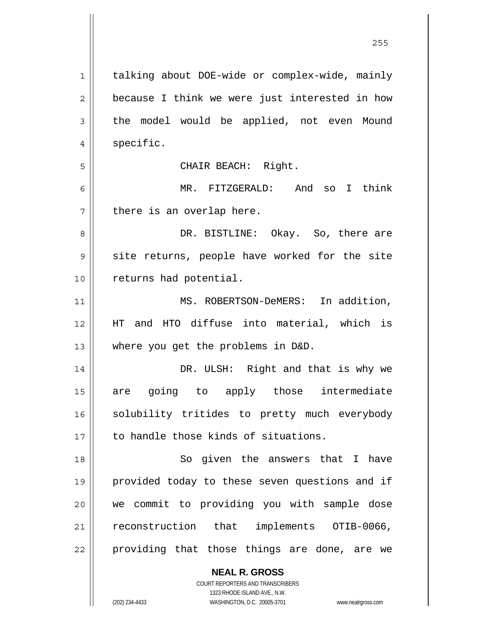| $\mathbf 1$    | talking about DOE-wide or complex-wide, mainly |
|----------------|------------------------------------------------|
| $\overline{2}$ | because I think we were just interested in how |
| 3              | the model would be applied, not even Mound     |
| $\overline{4}$ | specific.                                      |
| 5              | CHAIR BEACH: Right.                            |
| 6              | MR. FITZGERALD: And<br>so I think              |
| 7              | there is an overlap here.                      |
| 8              | DR. BISTLINE: Okay. So, there are              |
| 9              | site returns, people have worked for the site  |
| 10             | returns had potential.                         |
| 11             | MS. ROBERTSON-DeMERS: In addition,             |
| 12             | HT and HTO diffuse into material, which is     |
| 13             | where you get the problems in D&D.             |
| 14             | DR. ULSH: Right and that is why we             |
| 15             | are going to apply those intermediate          |
| 16             | solubility tritides to pretty much everybody   |
| 17             | to handle those kinds of situations.           |
| 18             | So given the answers that I have               |
| 19             | provided today to these seven questions and if |
| 20             | we commit to providing you with sample dose    |
| 21             | reconstruction that implements OTIB-0066,      |
| 22             | providing that those things are done, are we   |
|                | <b>NEAL R. GROSS</b>                           |

<u>255</u>

COURT REPORTERS AND TRANSCRIBERS 1323 RHODE ISLAND AVE., N.W.

 $\mathbf{\mathsf{I}}$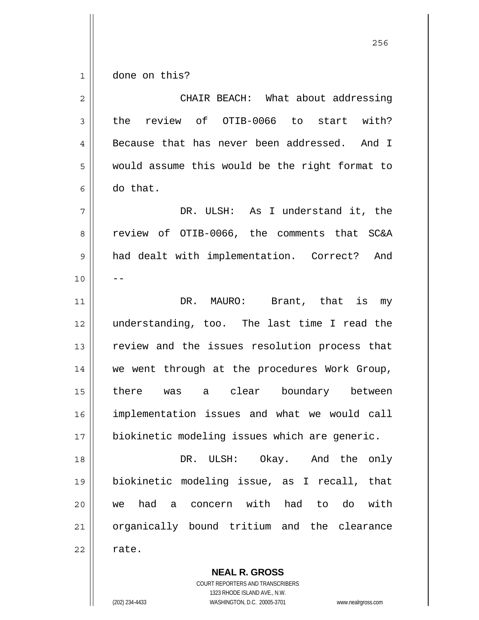1 done on this?

| $\overline{2}$ | CHAIR BEACH: What about addressing              |
|----------------|-------------------------------------------------|
| $\mathbf{3}$   | the review of OTIB-0066 to start with?          |
| 4              | Because that has never been addressed.<br>And I |
| 5              | would assume this would be the right format to  |
| 6              | do that.                                        |
| 7              | DR. ULSH: As I understand it, the               |
| 8              | review of OTIB-0066, the comments that SC&A     |
| 9              | had dealt with implementation. Correct? And     |
| 10             |                                                 |
| 11             | DR. MAURO: Brant, that is<br>my                 |
| 12             | understanding, too. The last time I read the    |
| 13             | review and the issues resolution process that   |
| 14             | we went through at the procedures Work Group,   |
| 15             | there was a clear boundary between              |
| 16             | implementation issues and what we would call    |
| 17             | biokinetic modeling issues which are generic.   |
| 18             | DR. ULSH: Okay. And the only                    |
| 19             | biokinetic modeling issue, as I recall, that    |
| 20             | we had a concern with had to do with            |
| 21             | organically bound tritium and the clearance     |
| 22             | rate.                                           |

**NEAL R. GROSS** COURT REPORTERS AND TRANSCRIBERS 1323 RHODE ISLAND AVE., N.W.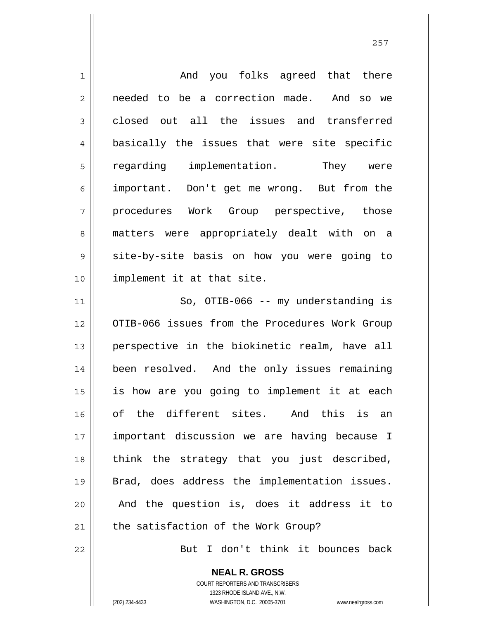| $\mathbf 1$    | And you folks agreed that there                |
|----------------|------------------------------------------------|
| $\overline{c}$ | needed to be a correction made. And so we      |
| 3              | closed out all the issues and transferred      |
| $\overline{4}$ | basically the issues that were site specific   |
| 5              | regarding implementation. They were            |
| 6              | important. Don't get me wrong. But from the    |
| 7              | procedures Work Group perspective, those       |
| 8              | matters were appropriately dealt with on a     |
| 9              | site-by-site basis on how you were going to    |
| 10             | implement it at that site.                     |
| 11             | So, OTIB-066 -- my understanding is            |
| 12             | OTIB-066 issues from the Procedures Work Group |
| 13             | perspective in the biokinetic realm, have all  |
| 14             | been resolved. And the only issues remaining   |
| 15             | is how are you going to implement it at each   |
| 16             | of the different sites. And this is an         |
| 17             | important discussion we are having because I   |
| 18             | think the strategy that you just described,    |
| 19             | Brad, does address the implementation issues.  |
| 20             | And the question is, does it address it to     |
| 21             | the satisfaction of the Work Group?            |
| 22             | But I don't think it bounces back              |

**NEAL R. GROSS** COURT REPORTERS AND TRANSCRIBERS 1323 RHODE ISLAND AVE., N.W. (202) 234-4433 WASHINGTON, D.C. 20005-3701 www.nealrgross.com

 $\mathsf{II}$ 

<u>257 and 257</u>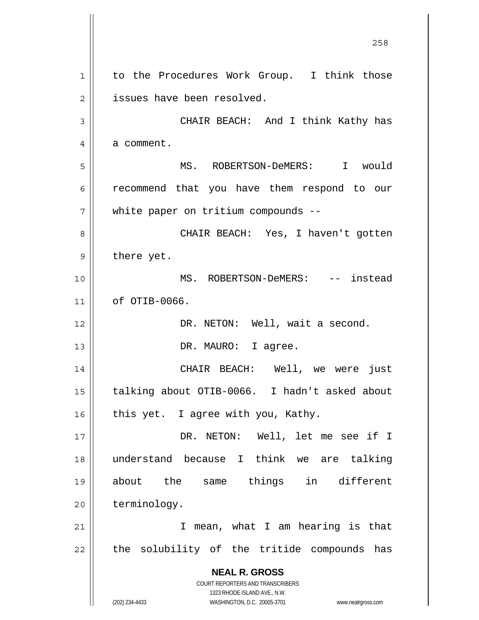**NEAL R. GROSS** COURT REPORTERS AND TRANSCRIBERS 1323 RHODE ISLAND AVE., N.W. (202) 234-4433 WASHINGTON, D.C. 20005-3701 www.nealrgross.com 1 2 3 4 5 6 7 8 9 10 11 12 13 14 15 16 17 18 19 20 21 22 to the Procedures Work Group. I think those issues have been resolved. CHAIR BEACH: And I think Kathy has a comment. MS. ROBERTSON-DeMERS: I would recommend that you have them respond to our white paper on tritium compounds -- CHAIR BEACH: Yes, I haven't gotten there yet. MS. ROBERTSON-DeMERS: -- instead of OTIB-0066. DR. NETON: Well, wait a second. DR. MAURO: I agree. CHAIR BEACH: Well, we were just talking about OTIB-0066. I hadn't asked about this yet. I agree with you, Kathy. DR. NETON: Well, let me see if I understand because I think we are talking about the same things in different terminology. I mean, what I am hearing is that the solubility of the tritide compounds has

<u>258</u>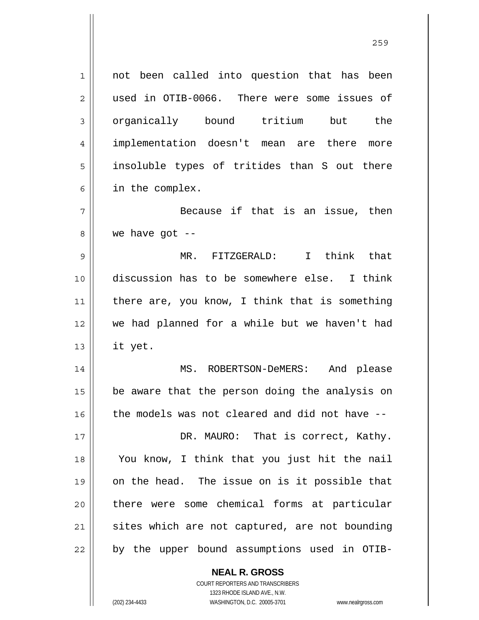| $\mathbf 1$    | not been called into question that has been    |
|----------------|------------------------------------------------|
| $\overline{c}$ | used in OTIB-0066. There were some issues of   |
| 3              | organically bound tritium but the              |
| $\overline{4}$ | implementation doesn't mean are there more     |
| 5              | insoluble types of tritides than S out there   |
| 6              | in the complex.                                |
| 7              | Because if that is an issue, then              |
| 8              | we have got $-$                                |
| 9              | MR. FITZGERALD: I think that                   |
| 10             | discussion has to be somewhere else. I think   |
| 11             | there are, you know, I think that is something |
| 12             | we had planned for a while but we haven't had  |
| 13             | it yet.                                        |
| 14             | MS. ROBERTSON-DeMERS: And please               |
| 15             | be aware that the person doing the analysis on |
| 16             | the models was not cleared and did not have -- |
| 17             | DR. MAURO: That is correct, Kathy.             |
| 18             | You know, I think that you just hit the nail   |
| 19             | on the head. The issue on is it possible that  |
| 20             | there were some chemical forms at particular   |
| 21             | sites which are not captured, are not bounding |
| 22             | by the upper bound assumptions used in OTIB-   |
|                | <b>NEAL R. GROSS</b>                           |

<u>259 میں اس کا اعتبار اور اس کا اعتبار اور اس کا اعتبار اور اس کا اعتبار اور اس کا اعتبار اور اس کا اعتبار اور ا</u>

COURT REPORTERS AND TRANSCRIBERS 1323 RHODE ISLAND AVE., N.W. (202) 234-4433 WASHINGTON, D.C. 20005-3701 www.nealrgross.com

 $\mathsf{II}$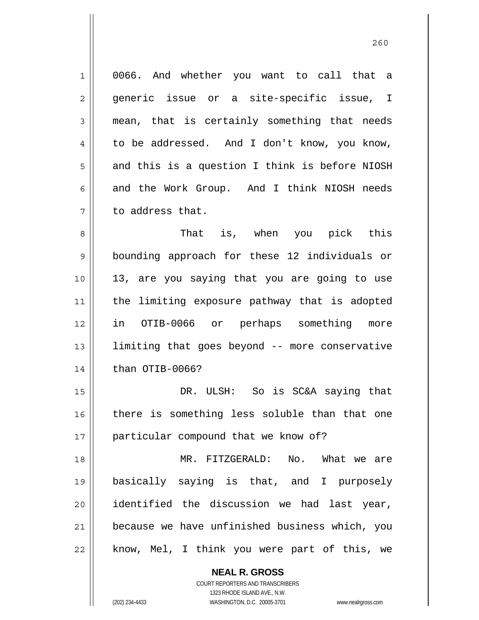1 2 3 4 5 6 7 0066. And whether you want to call that a generic issue or a site-specific issue, I mean, that is certainly something that needs to be addressed. And I don't know, you know, and this is a question I think is before NIOSH and the Work Group. And I think NIOSH needs to address that.

8 9 10 11 12 13 14 That is, when you pick this bounding approach for these 12 individuals or 13, are you saying that you are going to use the limiting exposure pathway that is adopted in OTIB-0066 or perhaps something more limiting that goes beyond -- more conservative than OTIB-0066?

15 16 17 DR. ULSH: So is SC&A saying that there is something less soluble than that one particular compound that we know of?

18 19 20 21 22 MR. FITZGERALD: No. What we are basically saying is that, and I purposely identified the discussion we had last year, because we have unfinished business which, you know, Mel, I think you were part of this, we

**NEAL R. GROSS**

COURT REPORTERS AND TRANSCRIBERS 1323 RHODE ISLAND AVE., N.W. (202) 234-4433 WASHINGTON, D.C. 20005-3701 www.nealrgross.com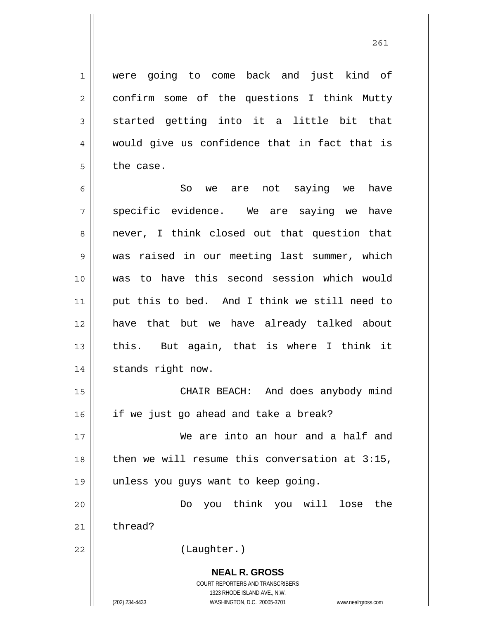were going to come back and just kind of confirm some of the questions I think Mutty started getting into it a little bit that would give us confidence that in fact that is the case.

6 7 8 9 10 11 12 13 14 So we are not saying we have specific evidence. We are saying we have never, I think closed out that question that was raised in our meeting last summer, which was to have this second session which would put this to bed. And I think we still need to have that but we have already talked about this. But again, that is where I think it stands right now.

15 16 CHAIR BEACH: And does anybody mind if we just go ahead and take a break?

17 18 19 We are into an hour and a half and then we will resume this conversation at 3:15, unless you guys want to keep going.

20 21 Do you think you will lose the thread?

22

1

2

3

4

5

(Laughter.)

**NEAL R. GROSS** COURT REPORTERS AND TRANSCRIBERS 1323 RHODE ISLAND AVE., N.W. (202) 234-4433 WASHINGTON, D.C. 20005-3701 www.nealrgross.com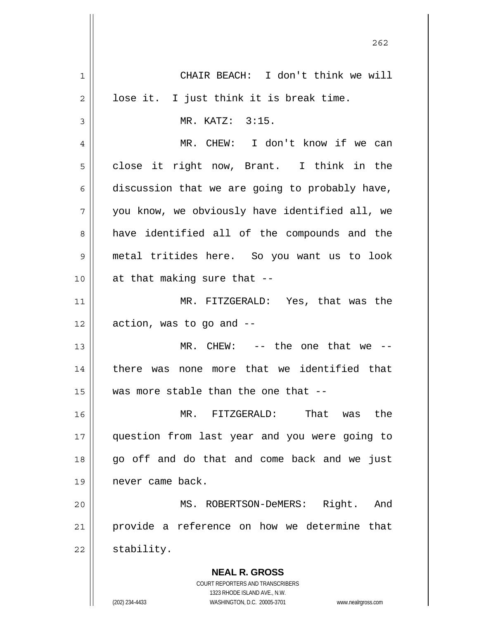|             | 262                                                      |
|-------------|----------------------------------------------------------|
| $\mathbf 1$ | CHAIR BEACH: I don't think we will                       |
| 2           | lose it. I just think it is break time.                  |
| 3           | MR. KATZ: 3:15.                                          |
| 4           | MR. CHEW: I don't know if we can                         |
| 5           | close it right now, Brant. I think in the                |
| 6           | discussion that we are going to probably have,           |
| 7           | you know, we obviously have identified all, we           |
| 8           | have identified all of the compounds and the             |
| 9           | metal tritides here. So you want us to look              |
| 10          | at that making sure that --                              |
| 11          | MR. FITZGERALD: Yes, that was the                        |
| 12          | action, was to go and --                                 |
| 13          | MR. CHEW: $--$ the one that we $--$                      |
| 14          | none more that we identified that<br>there was           |
| 15          | was more stable than the one that --                     |
| 16          | That<br>FITZGERALD:<br>the<br>MR.<br>was                 |
| 17          | question from last year and you were going to            |
| 18          | go off and do that and come back and we just             |
| 19          | never came back.                                         |
| 20          | MS. ROBERTSON-DeMERS: Right.<br>And                      |
| 21          | provide a reference on how we determine that             |
| 22          | stability.                                               |
|             | <b>NEAL R. GROSS</b><br>COURT REPORTERS AND TRANSCRIBERS |

1323 RHODE ISLAND AVE., N.W.

 $\prod$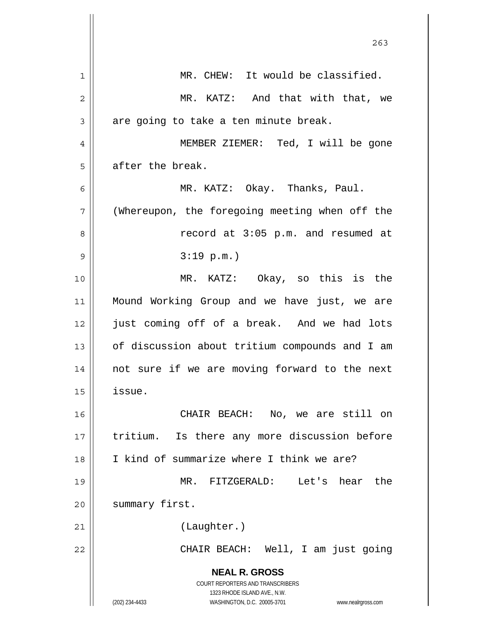|    | 263                                                                                      |
|----|------------------------------------------------------------------------------------------|
| 1  | MR. CHEW: It would be classified.                                                        |
| 2  | MR. KATZ: And that with that, we                                                         |
| 3  | are going to take a ten minute break.                                                    |
| 4  | MEMBER ZIEMER: Ted, I will be gone                                                       |
| 5  | after the break.                                                                         |
| 6  | MR. KATZ: Okay. Thanks, Paul.                                                            |
| 7  | (Whereupon, the foregoing meeting when off the                                           |
| 8  | record at 3:05 p.m. and resumed at                                                       |
| 9  | 3:19 p.m.                                                                                |
| 10 | MR. KATZ: Okay, so this is the                                                           |
| 11 | Mound Working Group and we have just, we are                                             |
| 12 | just coming off of a break. And we had lots                                              |
| 13 | of discussion about tritium compounds and I am                                           |
| 14 | not sure if we are moving forward to the next                                            |
| 15 | issue.                                                                                   |
| 16 | CHAIR BEACH: No, we are still on                                                         |
| 17 | tritium. Is there any more discussion before                                             |
| 18 | I kind of summarize where I think we are?                                                |
| 19 | MR. FITZGERALD: Let's hear the                                                           |
| 20 | summary first.                                                                           |
| 21 | (Laughter.)                                                                              |
| 22 | CHAIR BEACH: Well, I am just going                                                       |
|    | <b>NEAL R. GROSS</b><br>COURT REPORTERS AND TRANSCRIBERS<br>1323 RHODE ISLAND AVE., N.W. |
|    | (202) 234-4433<br>WASHINGTON, D.C. 20005-3701<br>www.nealrgross.com                      |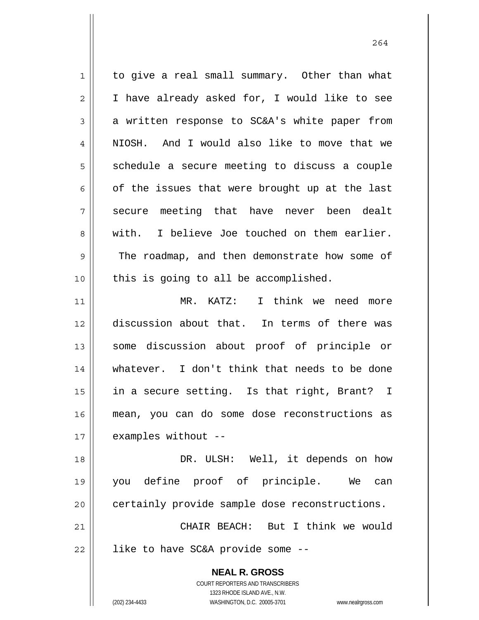**NEAL R. GROSS** COURT REPORTERS AND TRANSCRIBERS 1323 RHODE ISLAND AVE., N.W. (202) 234-4433 WASHINGTON, D.C. 20005-3701 www.nealrgross.com 1 2 3 4 5 6 7 8 9 10 11 12 13 14 15 16 17 18 19 20 21 22 to give a real small summary. Other than what I have already asked for, I would like to see a written response to SC&A's white paper from NIOSH. And I would also like to move that we schedule a secure meeting to discuss a couple of the issues that were brought up at the last secure meeting that have never been dealt with. I believe Joe touched on them earlier. The roadmap, and then demonstrate how some of this is going to all be accomplished. MR. KATZ: I think we need more discussion about that. In terms of there was some discussion about proof of principle or whatever. I don't think that needs to be done in a secure setting. Is that right, Brant? I mean, you can do some dose reconstructions as examples without -- DR. ULSH: Well, it depends on how you define proof of principle. We can certainly provide sample dose reconstructions. CHAIR BEACH: But I think we would like to have SC&A provide some --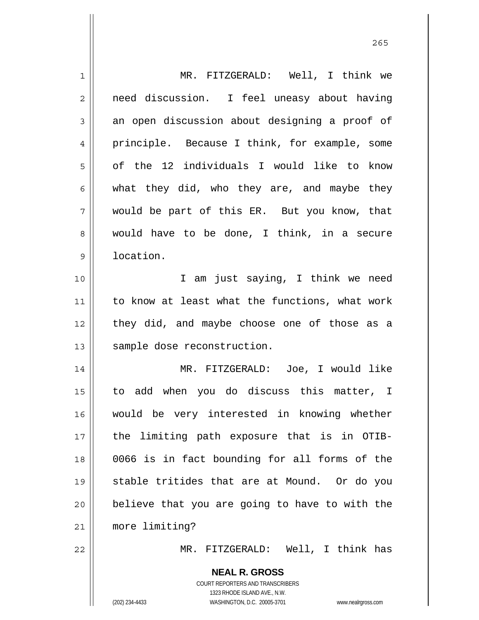| 1              | MR. FITZGERALD: Well, I think we                                    |
|----------------|---------------------------------------------------------------------|
| $\overline{2}$ | need discussion. I feel uneasy about having                         |
| 3              | an open discussion about designing a proof of                       |
| 4              | principle. Because I think, for example, some                       |
| 5              | of the 12 individuals I would like to know                          |
| 6              | what they did, who they are, and maybe they                         |
| 7              | would be part of this ER. But you know, that                        |
| 8              | would have to be done, I think, in a secure                         |
| $\mathsf 9$    | location.                                                           |
| 10             | I am just saying, I think we need                                   |
| 11             | to know at least what the functions, what work                      |
| 12             | they did, and maybe choose one of those as a                        |
| 13             | sample dose reconstruction.                                         |
| 14             | MR. FITZGERALD: Joe, I would like                                   |
| 15             | to add when you do discuss this matter, I                           |
| 16             | would be very interested in knowing whether                         |
| 17             | the limiting path exposure that is in OTIB-                         |
| 18             | 0066 is in fact bounding for all forms of the                       |
| 19             | stable tritides that are at Mound. Or do you                        |
| 20             | believe that you are going to have to with the                      |
| 21             | more limiting?                                                      |
| 22             | MR. FITZGERALD: Well, I think has                                   |
|                | <b>NEAL R. GROSS</b>                                                |
|                | COURT REPORTERS AND TRANSCRIBERS                                    |
|                | 1323 RHODE ISLAND AVE., N.W.                                        |
|                | WASHINGTON, D.C. 20005-3701<br>(202) 234-4433<br>www.nealrgross.com |

<u>265</u>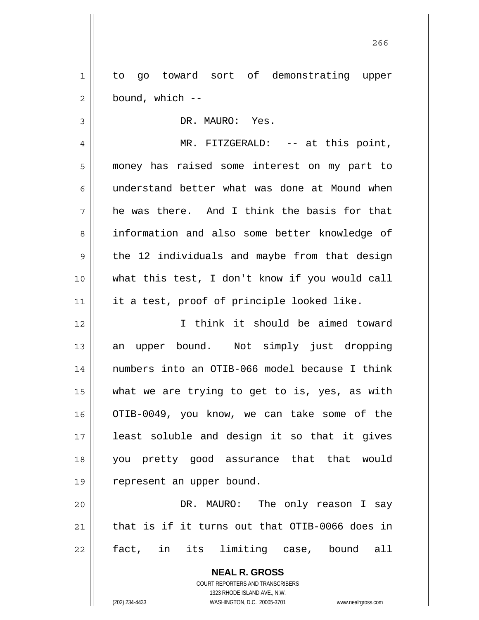1 2 to go toward sort of demonstrating upper bound, which --

3 4 5 6 7 8 9 10 11 DR. MAURO: Yes. MR. FITZGERALD: -- at this point, money has raised some interest on my part to understand better what was done at Mound when he was there. And I think the basis for that information and also some better knowledge of the 12 individuals and maybe from that design what this test, I don't know if you would call it a test, proof of principle looked like.

12 13 14 15 16 17 18 19 I think it should be aimed toward an upper bound. Not simply just dropping numbers into an OTIB-066 model because I think what we are trying to get to is, yes, as with OTIB-0049, you know, we can take some of the least soluble and design it so that it gives you pretty good assurance that that would represent an upper bound.

20 21 22 DR. MAURO: The only reason I say that is if it turns out that OTIB-0066 does in fact, in its limiting case, bound all

> **NEAL R. GROSS** COURT REPORTERS AND TRANSCRIBERS 1323 RHODE ISLAND AVE., N.W. (202) 234-4433 WASHINGTON, D.C. 20005-3701 www.nealrgross.com

проставляют производите в 266 году в 266 году в 266 году в 266 году в 266 году в 266 году в 266 году в 266 год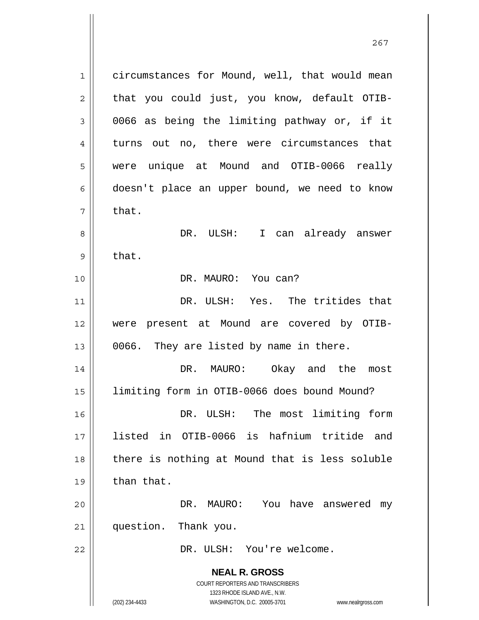**NEAL R. GROSS** COURT REPORTERS AND TRANSCRIBERS 1323 RHODE ISLAND AVE., N.W. (202) 234-4433 WASHINGTON, D.C. 20005-3701 www.nealrgross.com 1 2 3 4 5 6 7 8 9 10 11 12 13 14 15 16 17 18 19 20 21 22 circumstances for Mound, well, that would mean that you could just, you know, default OTIB-0066 as being the limiting pathway or, if it turns out no, there were circumstances that were unique at Mound and OTIB-0066 really doesn't place an upper bound, we need to know that. DR. ULSH: I can already answer that. DR. MAURO: You can? DR. ULSH: Yes. The tritides that were present at Mound are covered by OTIB-0066. They are listed by name in there. DR. MAURO: Okay and the most limiting form in OTIB-0066 does bound Mound? DR. ULSH: The most limiting form listed in OTIB-0066 is hafnium tritide and there is nothing at Mound that is less soluble than that. DR. MAURO: You have answered my question. Thank you. DR. ULSH: You're welcome.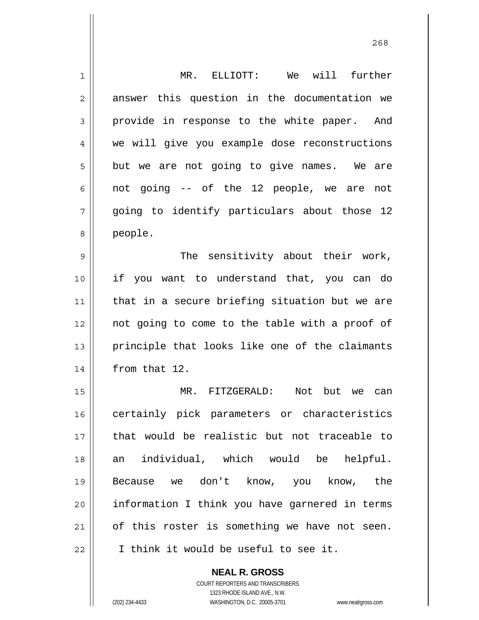| 1              | MR. ELLIOTT: We will further                   |
|----------------|------------------------------------------------|
| $\overline{c}$ | answer this question in the documentation we   |
| 3              | provide in response to the white paper. And    |
| 4              | we will give you example dose reconstructions  |
| 5              | but we are not going to give names. We are     |
| 6              | not going -- of the 12 people, we are<br>not   |
| 7              | going to identify particulars about those 12   |
| 8              | people.                                        |
| 9              | The sensitivity about their work,              |
| 10             | if you want to understand that, you can do     |
| 11             | that in a secure briefing situation but we are |
| 12             | not going to come to the table with a proof of |
| 13             | principle that looks like one of the claimants |
| 14             | from that 12.                                  |
| 15             | MR. FITZGERALD:<br>Not<br>but<br>we<br>can     |
| 16             | certainly pick parameters or characteristics   |
| 17             | that would be realistic but not traceable to   |
| 18             | individual, which would be helpful.<br>an      |
| 19             | Because we don't know, you know, the           |
| 20             | information I think you have garnered in terms |
| 21             | of this roster is something we have not seen.  |
| 22             | I think it would be useful to see it.          |
|                | <b>NEAL R. GROSS</b>                           |

COURT REPORTERS AND TRANSCRIBERS 1323 RHODE ISLAND AVE., N.W.

 $\mathsf{II}$ 

(202) 234-4433 WASHINGTON, D.C. 20005-3701 www.nealrgross.com

<u>268</u>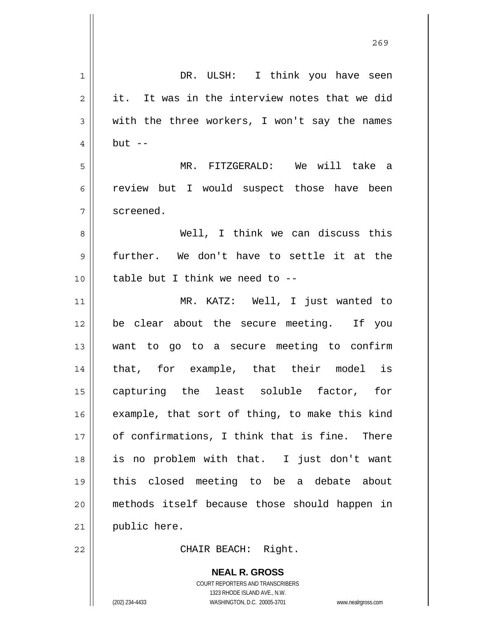|                | 269                                            |
|----------------|------------------------------------------------|
| $\mathbf 1$    | DR. ULSH: I think you have seen                |
| $\overline{c}$ | it. It was in the interview notes that we did  |
| 3              | with the three workers, I won't say the names  |
| 4              | $but --$                                       |
| 5              | MR. FITZGERALD: We will take a                 |
| 6              | review but I would suspect those have been     |
| 7              | screened.                                      |
| 8              | Well, I think we can discuss this              |
| 9              | further. We don't have to settle it at the     |
| 10             | table but I think we need to --                |
| 11             | MR. KATZ: Well, I just wanted to               |
| 12             | be clear about the secure meeting. If you      |
| 13             | want to go to a secure meeting to confirm      |
| 14             | that, for example, that their model is         |
| 15             | capturing the least soluble factor, for        |
| 16             | example, that sort of thing, to make this kind |
| 17             | of confirmations, I think that is fine. There  |
| 18             | is no problem with that. I just don't want     |
| 19             | this closed meeting to be a debate about       |
| 20             | methods itself because those should happen in  |
| 21             | public here.                                   |
| 22             | CHAIR BEACH: Right.                            |

**NEAL R. GROSS** COURT REPORTERS AND TRANSCRIBERS 1323 RHODE ISLAND AVE., N.W. (202) 234-4433 WASHINGTON, D.C. 20005-3701 www.nealrgross.com

 $\mathsf{II}$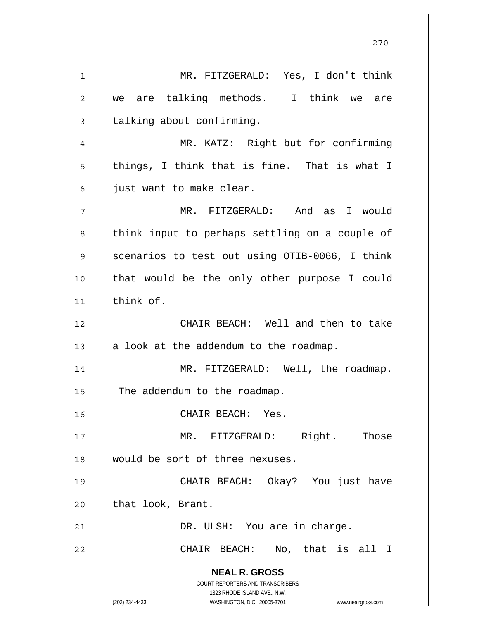**NEAL R. GROSS** COURT REPORTERS AND TRANSCRIBERS 1323 RHODE ISLAND AVE., N.W. (202) 234-4433 WASHINGTON, D.C. 20005-3701 www.nealrgross.com 270 1 2 3 4 5 6 7 8 9 10 11 12 13 14 15 16 17 18 19 20 21 22 MR. FITZGERALD: Yes, I don't think we are talking methods. I think we are talking about confirming. MR. KATZ: Right but for confirming things, I think that is fine. That is what I just want to make clear. MR. FITZGERALD: And as I would think input to perhaps settling on a couple of scenarios to test out using OTIB-0066, I think that would be the only other purpose I could think of. CHAIR BEACH: Well and then to take a look at the addendum to the roadmap. MR. FITZGERALD: Well, the roadmap. The addendum to the roadmap. CHAIR BEACH: Yes. MR. FITZGERALD: Right. Those would be sort of three nexuses. CHAIR BEACH: Okay? You just have that look, Brant. DR. ULSH: You are in charge. CHAIR BEACH: No, that is all I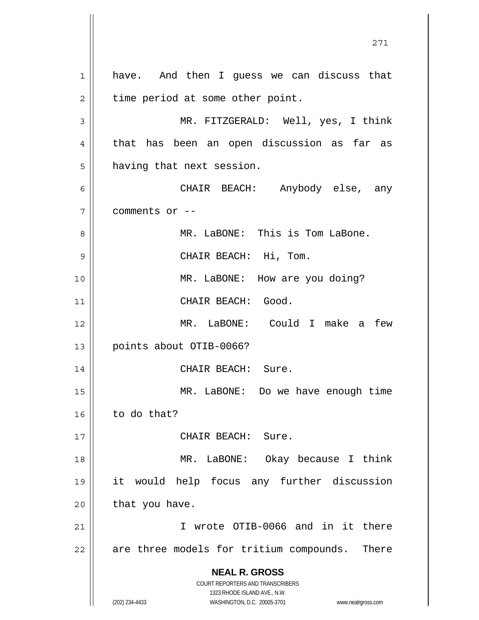**NEAL R. GROSS** COURT REPORTERS AND TRANSCRIBERS 1323 RHODE ISLAND AVE., N.W. (202) 234-4433 WASHINGTON, D.C. 20005-3701 www.nealrgross.com 1 2 3 4 5 6 7 8 9 10 11 12 13 14 15 16 17 18 19 20 21 22 have. And then I guess we can discuss that time period at some other point. MR. FITZGERALD: Well, yes, I think that has been an open discussion as far as having that next session. CHAIR BEACH: Anybody else, any comments or -- MR. LaBONE: This is Tom LaBone. CHAIR BEACH: Hi, Tom. MR. LaBONE: How are you doing? CHAIR BEACH: Good. MR. LaBONE: Could I make a few points about OTIB-0066? CHAIR BEACH: Sure. MR. LaBONE: Do we have enough time to do that? CHAIR BEACH: Sure. MR. LaBONE: Okay because I think it would help focus any further discussion that you have. I wrote OTIB-0066 and in it there are three models for tritium compounds. There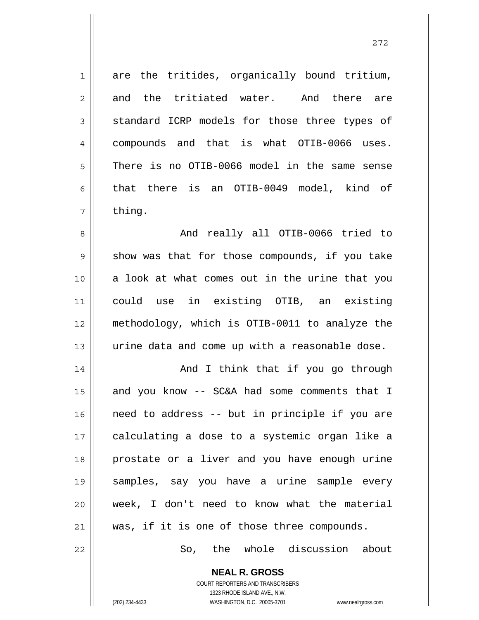1 7 are the tritides, organically bound tritium, and the tritiated water. And there are standard ICRP models for those three types of compounds and that is what OTIB-0066 uses. There is no OTIB-0066 model in the same sense that there is an OTIB-0049 model, kind of thing.

8 9 10 11 12 13 And really all OTIB-0066 tried to show was that for those compounds, if you take a look at what comes out in the urine that you could use in existing OTIB, an existing methodology, which is OTIB-0011 to analyze the urine data and come up with a reasonable dose.

14 15 16 17 18 19 20 21 And I think that if you go through and you know -- SC&A had some comments that I need to address -- but in principle if you are calculating a dose to a systemic organ like a prostate or a liver and you have enough urine samples, say you have a urine sample every week, I don't need to know what the material was, if it is one of those three compounds.

So, the whole discussion about

**NEAL R. GROSS** COURT REPORTERS AND TRANSCRIBERS 1323 RHODE ISLAND AVE., N.W.

22

2

3

4

5

6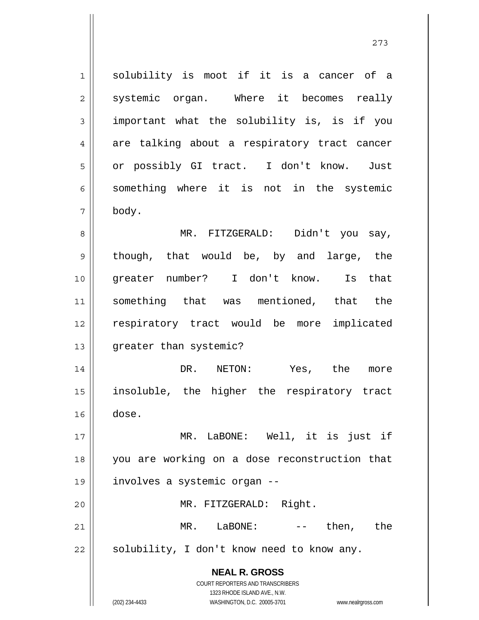1 2 3 4 5 6 7 8 9 10 11 12 13 solubility is moot if it is a cancer of a systemic organ. Where it becomes really important what the solubility is, is if you are talking about a respiratory tract cancer or possibly GI tract. I don't know. Just something where it is not in the systemic body. MR. FITZGERALD: Didn't you say, though, that would be, by and large, the greater number? I don't know. Is that something that was mentioned, that the respiratory tract would be more implicated greater than systemic?

14 15 16 DR. NETON: Yes, the more insoluble, the higher the respiratory tract dose.

17 18 19 20 21 22 MR. LaBONE: Well, it is just if you are working on a dose reconstruction that involves a systemic organ -- MR. FITZGERALD: Right. MR. LaBONE: -- then, the solubility, I don't know need to know any.

> **NEAL R. GROSS** COURT REPORTERS AND TRANSCRIBERS

> > 1323 RHODE ISLAND AVE., N.W.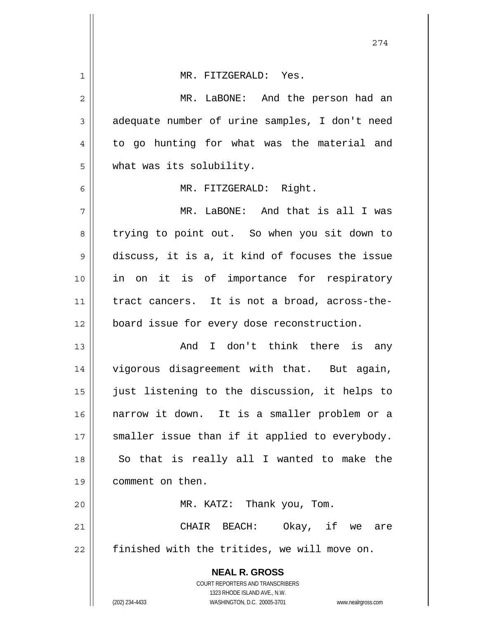| 1  | MR. FITZGERALD: Yes.                                                |
|----|---------------------------------------------------------------------|
| 2  | MR. LaBONE: And the person had an                                   |
| 3  | adequate number of urine samples, I don't need                      |
| 4  | to go hunting for what was the material and                         |
| 5  | what was its solubility.                                            |
| 6  | MR. FITZGERALD: Right.                                              |
| 7  | MR. LaBONE: And that is all I was                                   |
| 8  | trying to point out. So when you sit down to                        |
| 9  | discuss, it is a, it kind of focuses the issue                      |
| 10 | in on it is of importance for respiratory                           |
| 11 | tract cancers. It is not a broad, across-the-                       |
| 12 | board issue for every dose reconstruction.                          |
| 13 | And I don't think there is any                                      |
| 14 | vigorous disagreement with that. But again,                         |
| 15 | just listening to the discussion, it helps to                       |
| 16 | narrow it down. It is a smaller problem or a                        |
| 17 | smaller issue than if it applied to everybody.                      |
| 18 | So that is really all I wanted to make the                          |
| 19 | comment on then.                                                    |
| 20 | MR. KATZ: Thank you, Tom.                                           |
| 21 | CHAIR BEACH: Okay, if we are                                        |
| 22 | finished with the tritides, we will move on.                        |
|    | <b>NEAL R. GROSS</b>                                                |
|    | COURT REPORTERS AND TRANSCRIBERS<br>1323 RHODE ISLAND AVE., N.W.    |
|    | (202) 234-4433<br>WASHINGTON, D.C. 20005-3701<br>www.nealrgross.com |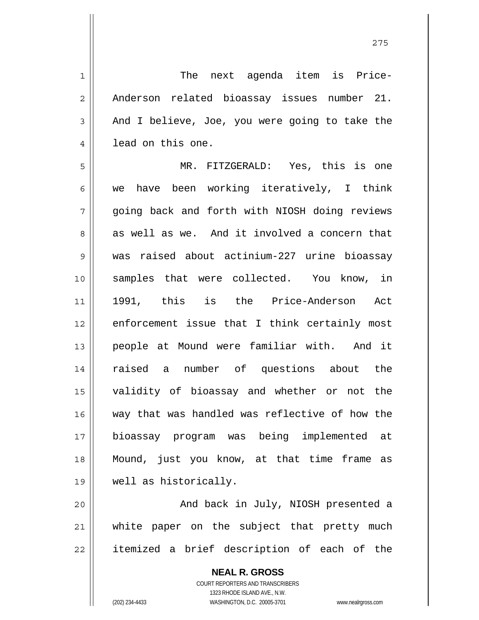The next agenda item is Price-Anderson related bioassay issues number 21. And I believe, Joe, you were going to take the lead on this one.

5 6 7 8 9 10 11 12 13 14 15 16 17 18 19 MR. FITZGERALD: Yes, this is one we have been working iteratively, I think going back and forth with NIOSH doing reviews as well as we. And it involved a concern that was raised about actinium-227 urine bioassay samples that were collected. You know, in 1991, this is the Price-Anderson Act enforcement issue that I think certainly most people at Mound were familiar with. And it raised a number of questions about the validity of bioassay and whether or not the way that was handled was reflective of how the bioassay program was being implemented at Mound, just you know, at that time frame as well as historically.

20 21 22 And back in July, NIOSH presented a white paper on the subject that pretty much itemized a brief description of each of the

> **NEAL R. GROSS** COURT REPORTERS AND TRANSCRIBERS 1323 RHODE ISLAND AVE., N.W. (202) 234-4433 WASHINGTON, D.C. 20005-3701 www.nealrgross.com

1

2

3

4

<u>275</u>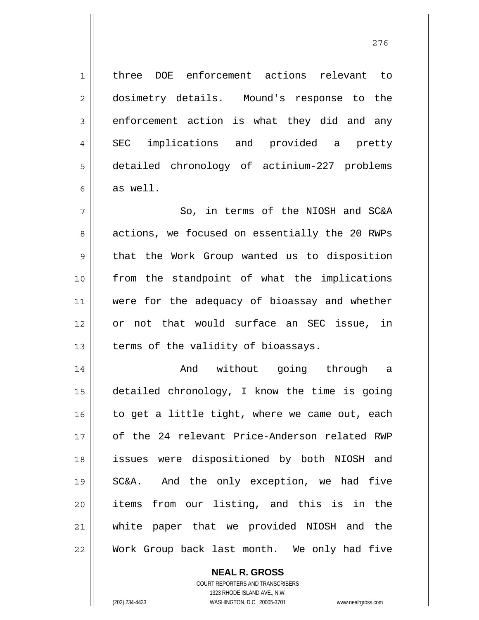1 2 3 4 5 6 7 8 9 10 11 12 13 14 15 16 17 18 19 20 21 22 three DOE enforcement actions relevant to dosimetry details. Mound's response to the enforcement action is what they did and any SEC implications and provided a pretty detailed chronology of actinium-227 problems as well. So, in terms of the NIOSH and SC&A actions, we focused on essentially the 20 RWPs that the Work Group wanted us to disposition from the standpoint of what the implications were for the adequacy of bioassay and whether or not that would surface an SEC issue, in terms of the validity of bioassays. And without going through a detailed chronology, I know the time is going to get a little tight, where we came out, each of the 24 relevant Price-Anderson related RWP issues were dispositioned by both NIOSH and SC&A. And the only exception, we had five items from our listing, and this is in the white paper that we provided NIOSH and the Work Group back last month. We only had five

> **NEAL R. GROSS** COURT REPORTERS AND TRANSCRIBERS

> > 1323 RHODE ISLAND AVE., N.W.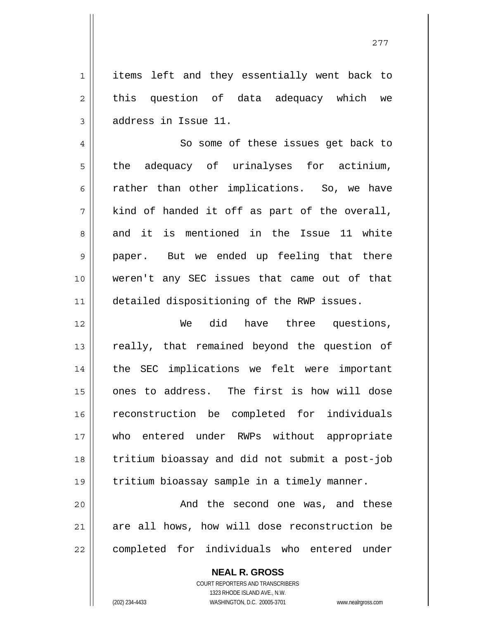items left and they essentially went back to this question of data adequacy which we address in Issue 11.

4 5 6 7 8 9 10 11 So some of these issues get back to the adequacy of urinalyses for actinium, rather than other implications. So, we have kind of handed it off as part of the overall, and it is mentioned in the Issue 11 white paper. But we ended up feeling that there weren't any SEC issues that came out of that detailed dispositioning of the RWP issues.

12 13 14 15 16 17 18 19 We did have three questions, really, that remained beyond the question of the SEC implications we felt were important ones to address. The first is how will dose reconstruction be completed for individuals who entered under RWPs without appropriate tritium bioassay and did not submit a post-job tritium bioassay sample in a timely manner.

20 21 22 And the second one was, and these are all hows, how will dose reconstruction be completed for individuals who entered under

> **NEAL R. GROSS** COURT REPORTERS AND TRANSCRIBERS 1323 RHODE ISLAND AVE., N.W. (202) 234-4433 WASHINGTON, D.C. 20005-3701 www.nealrgross.com

1

2

3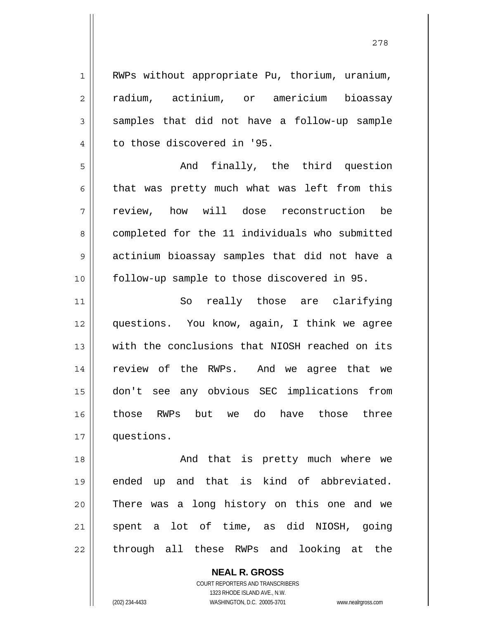| $\mathbf 1$    | RWPs without appropriate Pu, thorium, uranium, |
|----------------|------------------------------------------------|
| $\overline{2}$ | radium, actinium, or americium bioassay        |
| 3              | samples that did not have a follow-up sample   |
| 4              | to those discovered in '95.                    |
| 5              | And finally, the third question                |
| $\epsilon$     | that was pretty much what was left from this   |
| 7              | review, how will dose reconstruction be        |
| 8              | completed for the 11 individuals who submitted |
| 9              | actinium bioassay samples that did not have a  |
| 10             | follow-up sample to those discovered in 95.    |
| 11             | So really those are clarifying                 |
| 12             | questions. You know, again, I think we agree   |
| 13             | with the conclusions that NIOSH reached on its |
| 14             | review of the RWPs. And we agree that we       |
| 15             | don't see any obvious SEC implications from    |
| 16             | those RWPs but we do have those three          |
| 17             | questions.                                     |
| 18             | And that is pretty much where we               |
| 19             | ended up and that is kind of abbreviated.      |
| 20             | There was a long history on this one and we    |
| 21             | spent a lot of time, as did NIOSH, going       |
| 22             | through all these RWPs and looking at the      |

**NEAL R. GROSS** COURT REPORTERS AND TRANSCRIBERS

1323 RHODE ISLAND AVE., N.W.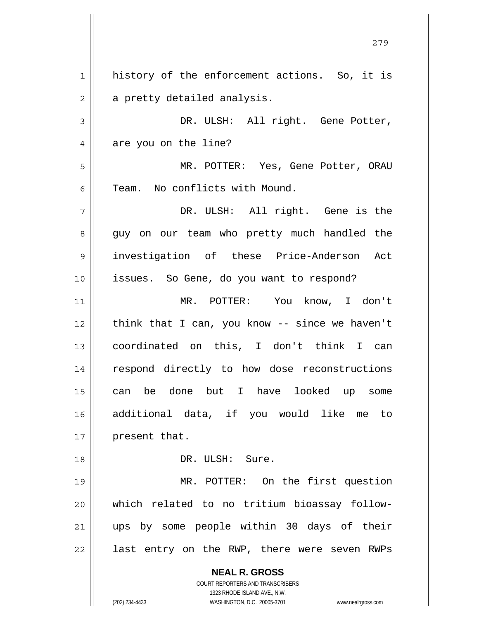**NEAL R. GROSS** COURT REPORTERS AND TRANSCRIBERS 1323 RHODE ISLAND AVE., N.W. (202) 234-4433 WASHINGTON, D.C. 20005-3701 www.nealrgross.com 1 2 3 4 5 6 7 8 9 10 11 12 13 14 15 16 17 18 19 20 21 22 history of the enforcement actions. So, it is a pretty detailed analysis. DR. ULSH: All right. Gene Potter, are you on the line? MR. POTTER: Yes, Gene Potter, ORAU Team. No conflicts with Mound. DR. ULSH: All right. Gene is the guy on our team who pretty much handled the investigation of these Price-Anderson Act issues. So Gene, do you want to respond? MR. POTTER: You know, I don't think that I can, you know -- since we haven't coordinated on this, I don't think I can respond directly to how dose reconstructions can be done but I have looked up some additional data, if you would like me to present that. DR. ULSH: Sure. MR. POTTER: On the first question which related to no tritium bioassay followups by some people within 30 days of their last entry on the RWP, there were seven RWPs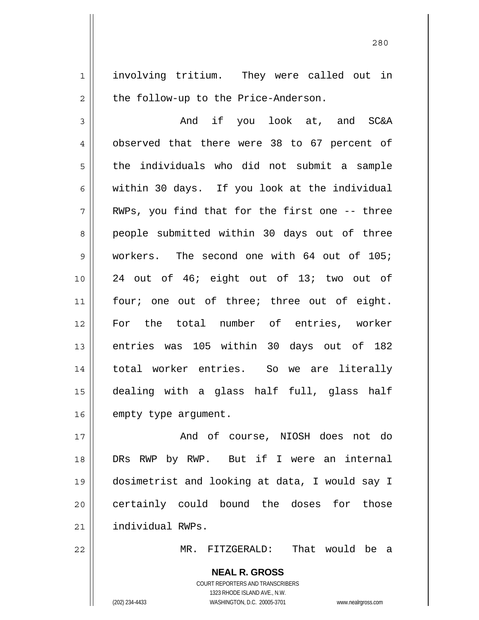involving tritium. They were called out in the follow-up to the Price-Anderson.

<u>280</u>

3 4 5 6 7 8 9 10 11 12 13 14 15 16 And if you look at, and SC&A observed that there were 38 to 67 percent of the individuals who did not submit a sample within 30 days. If you look at the individual RWPs, you find that for the first one -- three people submitted within 30 days out of three workers. The second one with 64 out of 105; 24 out of 46; eight out of 13; two out of four; one out of three; three out of eight. For the total number of entries, worker entries was 105 within 30 days out of 182 total worker entries. So we are literally dealing with a glass half full, glass half empty type argument.

17 18 19 20 21 And of course, NIOSH does not do DRs RWP by RWP. But if I were an internal dosimetrist and looking at data, I would say I certainly could bound the doses for those individual RWPs.

MR. FITZGERALD: That would be a

**NEAL R. GROSS** COURT REPORTERS AND TRANSCRIBERS 1323 RHODE ISLAND AVE., N.W. (202) 234-4433 WASHINGTON, D.C. 20005-3701 www.nealrgross.com

22

1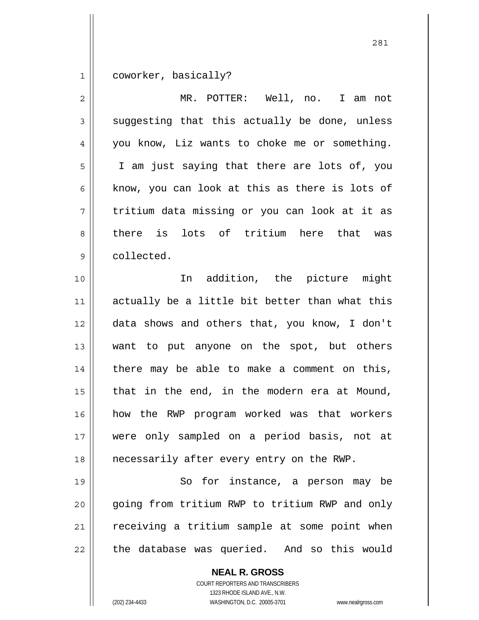1 coworker, basically?

| $\overline{2}$ | MR. POTTER: Well, no. I am not                 |
|----------------|------------------------------------------------|
| 3              | suggesting that this actually be done, unless  |
| 4              | you know, Liz wants to choke me or something.  |
| 5              | I am just saying that there are lots of, you   |
| 6              | know, you can look at this as there is lots of |
| 7              | tritium data missing or you can look at it as  |
| 8              | there is lots of tritium here that was         |
| $\mathsf{S}$   | collected.                                     |
| 10             | In addition, the picture might                 |
| 11             | actually be a little bit better than what this |
| 12             | data shows and others that, you know, I don't  |
| 13             | want to put anyone on the spot, but others     |
| 14             | there may be able to make a comment on this,   |
| 15             | that in the end, in the modern era at Mound,   |
| 16             | how the RWP program worked was that workers    |
| 17             | were only sampled on a period basis, not at    |
| 18             | necessarily after every entry on the RWP.      |
| 19             | So for instance, a person may be               |
| 20             | going from tritium RWP to tritium RWP and only |
| 21             | receiving a tritium sample at some point when  |
| 22             | the database was queried. And so this would    |
|                | <b>NEAL R. GROSS</b>                           |

COURT REPORTERS AND TRANSCRIBERS 1323 RHODE ISLAND AVE., N.W.

(202) 234-4433 WASHINGTON, D.C. 20005-3701 www.nealrgross.com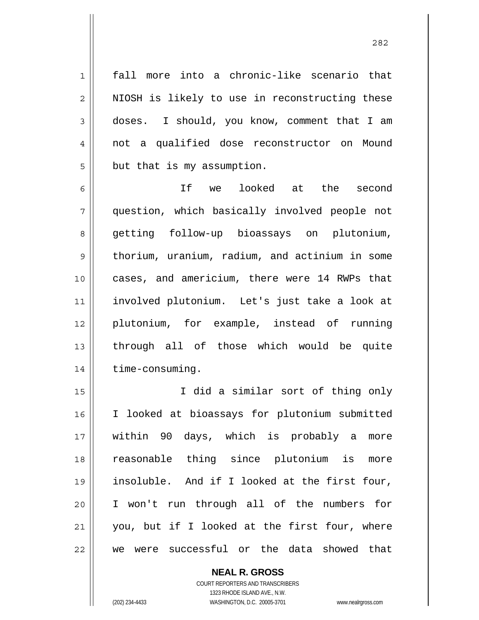fall more into a chronic-like scenario that NIOSH is likely to use in reconstructing these doses. I should, you know, comment that I am not a qualified dose reconstructor on Mound but that is my assumption.

6 7 8 9 10 11 12 13 14 If we looked at the second question, which basically involved people not getting follow-up bioassays on plutonium, thorium, uranium, radium, and actinium in some cases, and americium, there were 14 RWPs that involved plutonium. Let's just take a look at plutonium, for example, instead of running through all of those which would be quite time-consuming.

15 16 17 18 19 20 21 22 I did a similar sort of thing only I looked at bioassays for plutonium submitted within 90 days, which is probably a more reasonable thing since plutonium is more insoluble. And if I looked at the first four, I won't run through all of the numbers for you, but if I looked at the first four, where we were successful or the data showed that

> **NEAL R. GROSS** COURT REPORTERS AND TRANSCRIBERS 1323 RHODE ISLAND AVE., N.W. (202) 234-4433 WASHINGTON, D.C. 20005-3701 www.nealrgross.com

1

2

3

4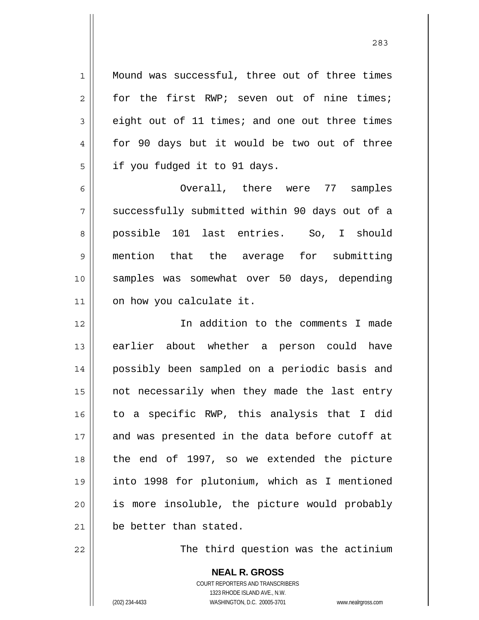Mound was successful, three out of three times for the first RWP; seven out of nine times; eight out of 11 times; and one out three times for 90 days but it would be two out of three if you fudged it to 91 days.

6 7 8 9 10 11 Overall, there were 77 samples successfully submitted within 90 days out of a possible 101 last entries. So, I should mention that the average for submitting samples was somewhat over 50 days, depending on how you calculate it.

12 13 14 15 16 17 18 19 20 21 In addition to the comments I made earlier about whether a person could have possibly been sampled on a periodic basis and not necessarily when they made the last entry to a specific RWP, this analysis that I did and was presented in the data before cutoff at the end of 1997, so we extended the picture into 1998 for plutonium, which as I mentioned is more insoluble, the picture would probably be better than stated.

The third question was the actinium

**NEAL R. GROSS** COURT REPORTERS AND TRANSCRIBERS 1323 RHODE ISLAND AVE., N.W. (202) 234-4433 WASHINGTON, D.C. 20005-3701 www.nealrgross.com

22

1

2

3

4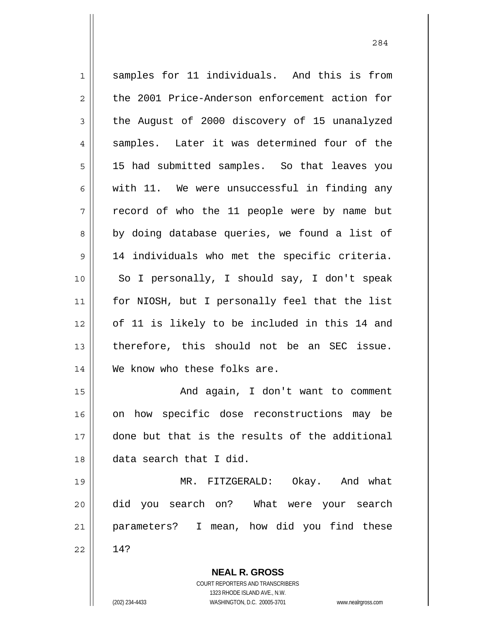| $\mathbf 1$    | samples for 11 individuals. And this is from                                                        |
|----------------|-----------------------------------------------------------------------------------------------------|
| $\overline{c}$ | the 2001 Price-Anderson enforcement action for                                                      |
|                |                                                                                                     |
| 3              | the August of 2000 discovery of 15 unanalyzed                                                       |
| 4              | samples. Later it was determined four of the                                                        |
| 5              | 15 had submitted samples. So that leaves you                                                        |
| 6              | with 11. We were unsuccessful in finding any                                                        |
| 7              | record of who the 11 people were by name but                                                        |
| 8              | by doing database queries, we found a list of                                                       |
| $\mathsf 9$    | 14 individuals who met the specific criteria.                                                       |
| 10             | So I personally, I should say, I don't speak                                                        |
| 11             | for NIOSH, but I personally feel that the list                                                      |
| 12             | of 11 is likely to be included in this 14 and                                                       |
| 13             | therefore, this should not be an SEC issue.                                                         |
| 14             | We know who these folks are.                                                                        |
| 15             | And again, I don't want to comment                                                                  |
| 16             | on how specific dose reconstructions may be                                                         |
| 17             | done but that is the results of the additional                                                      |
| 18             | data search that I did.                                                                             |
| 19             | MR. FITZGERALD: Okay. And what                                                                      |
| 20             | did you search on? What were your search                                                            |
| 21             | parameters? I mean, how did you find these                                                          |
| 22             | 14?                                                                                                 |
|                | <b>NEAL R. GROSS</b>                                                                                |
|                | <b>COURT REPORTERS AND TRANSCRIBERS</b>                                                             |
|                | 1323 RHODE ISLAND AVE., N.W.<br>(202) 234-4433<br>WASHINGTON, D.C. 20005-3701<br>www.nealrgross.com |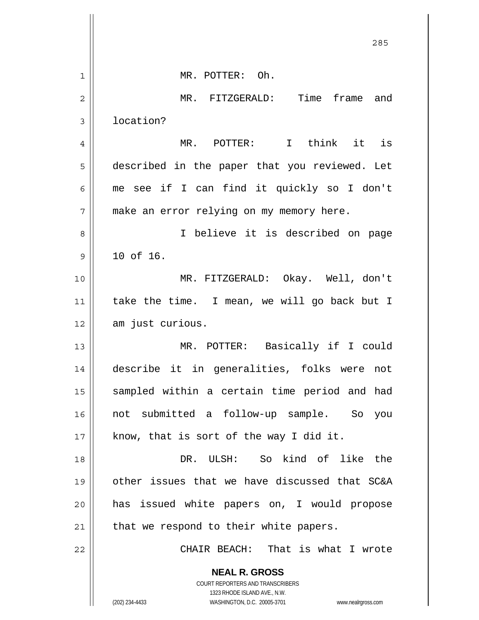|                | 285                                                                 |
|----------------|---------------------------------------------------------------------|
| 1              | MR. POTTER: Oh.                                                     |
| $\overline{2}$ | MR. FITZGERALD: Time frame and                                      |
| 3              | location?                                                           |
| 4              | MR. POTTER: I think it is                                           |
| 5              | described in the paper that you reviewed. Let                       |
| 6              | me see if I can find it quickly so I don't                          |
| 7              | make an error relying on my memory here.                            |
| 8              | I believe it is described on page                                   |
| 9              | 10 of 16.                                                           |
| 10             | MR. FITZGERALD: Okay. Well, don't                                   |
| 11             | take the time. I mean, we will go back but I                        |
| 12             | am just curious.                                                    |
| 13             | MR. POTTER: Basically if I could                                    |
| 14             | describe it in generalities, folks were not                         |
| 15             | sampled within a certain time period and had                        |
| 16             | not submitted a follow-up sample. So<br>you                         |
| 17             | know, that is sort of the way I did it.                             |
| 18             | DR. ULSH: So kind of like the                                       |
| 19             | other issues that we have discussed that SC&A                       |
| 20             | has issued white papers on, I would propose                         |
| 21             | that we respond to their white papers.                              |
| 22             | CHAIR BEACH: That is what I wrote                                   |
|                | <b>NEAL R. GROSS</b>                                                |
|                | COURT REPORTERS AND TRANSCRIBERS<br>1323 RHODE ISLAND AVE., N.W.    |
|                | (202) 234-4433<br>WASHINGTON, D.C. 20005-3701<br>www.nealrgross.com |

Ħ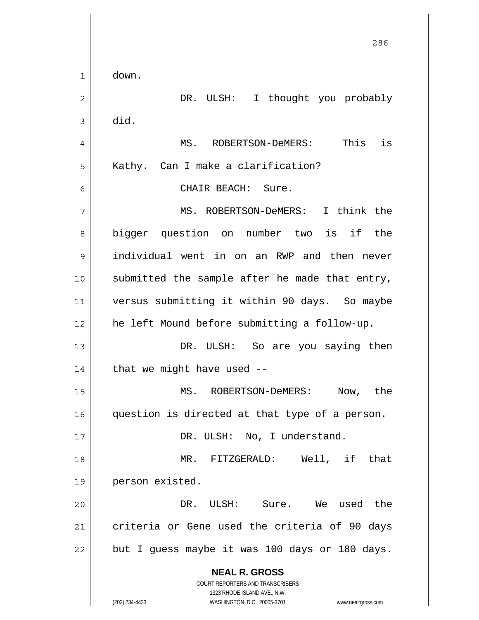**NEAL R. GROSS** COURT REPORTERS AND TRANSCRIBERS 1323 RHODE ISLAND AVE., N.W. (202) 234-4433 WASHINGTON, D.C. 20005-3701 www.nealrgross.com <u>286</u> 1 2 3 4 5 6 7 8 9 10 11 12 13 14 15 16 17 18 19 20 21 22 down. DR. ULSH: I thought you probably did. MS. ROBERTSON-DeMERS: This is Kathy. Can I make a clarification? CHAIR BEACH: Sure. MS. ROBERTSON-DeMERS: I think the bigger question on number two is if the individual went in on an RWP and then never submitted the sample after he made that entry, versus submitting it within 90 days. So maybe he left Mound before submitting a follow-up. DR. ULSH: So are you saying then that we might have used -- MS. ROBERTSON-DeMERS: Now, the question is directed at that type of a person. DR. ULSH: No, I understand. MR. FITZGERALD: Well, if that person existed. DR. ULSH: Sure. We used the criteria or Gene used the criteria of 90 days but I guess maybe it was 100 days or 180 days.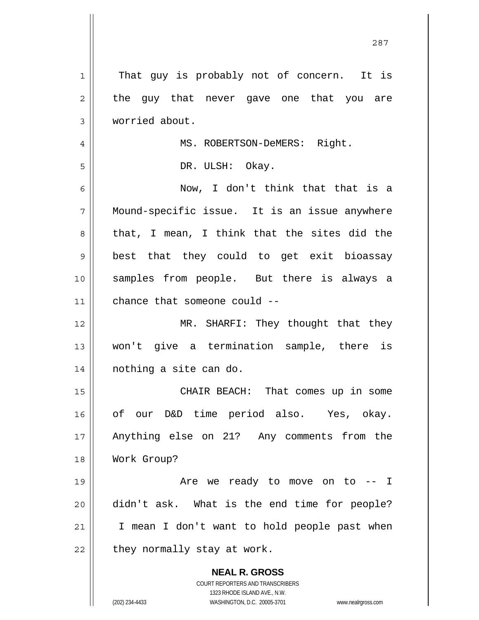| 1  | That guy is probably not of concern. It is                                                          |
|----|-----------------------------------------------------------------------------------------------------|
| 2  | the guy that never gave one that you are                                                            |
| 3  | worried about.                                                                                      |
| 4  | MS. ROBERTSON-DeMERS: Right.                                                                        |
| 5  | DR. ULSH: Okay.                                                                                     |
| 6  | Now, I don't think that that is a                                                                   |
| 7  | Mound-specific issue. It is an issue anywhere                                                       |
| 8  | that, I mean, I think that the sites did the                                                        |
| 9  | best that they could to get exit bioassay                                                           |
| 10 | samples from people. But there is always a                                                          |
| 11 | chance that someone could --                                                                        |
| 12 | MR. SHARFI: They thought that they                                                                  |
| 13 | won't give a termination sample, there is                                                           |
| 14 | nothing a site can do.                                                                              |
|    |                                                                                                     |
| 15 | CHAIR BEACH: That comes up in some                                                                  |
| 16 | of our D&D time period also. Yes, okay.                                                             |
| 17 | Anything else on 21? Any comments from the                                                          |
| 18 | Work Group?                                                                                         |
| 19 | Are we ready to move on to -- I                                                                     |
| 20 | didn't ask. What is the end time for people?                                                        |
| 21 | I mean I don't want to hold people past when                                                        |
| 22 | they normally stay at work.                                                                         |
|    | <b>NEAL R. GROSS</b>                                                                                |
|    | COURT REPORTERS AND TRANSCRIBERS                                                                    |
|    | 1323 RHODE ISLAND AVE., N.W.<br>(202) 234-4433<br>WASHINGTON, D.C. 20005-3701<br>www.nealrgross.com |
|    |                                                                                                     |

<u>287</u>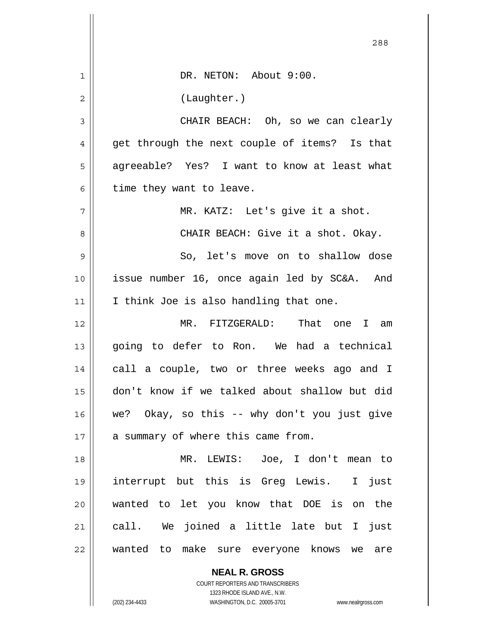|                | 288                                           |
|----------------|-----------------------------------------------|
| 1              | DR. NETON: About 9:00.                        |
| $\overline{2}$ | (Laughter.)                                   |
| 3              | CHAIR BEACH: Oh, so we can clearly            |
| 4              | get through the next couple of items? Is that |
| 5              | agreeable? Yes? I want to know at least what  |
| 6              | time they want to leave.                      |
| 7              | MR. KATZ: Let's give it a shot.               |
| 8              | CHAIR BEACH: Give it a shot. Okay.            |
| 9              | So, let's move on to shallow dose             |
| 10             | issue number 16, once again led by SC&A. And  |
| 11             | I think Joe is also handling that one.        |
| 12             | MR. FITZGERALD: That one I am                 |
| 13             | going to defer to Ron. We had a technical     |
| 14             | call a couple, two or three weeks ago and I   |
| 15             | don't know if we talked about shallow but did |
| 16             | we? Okay, so this -- why don't you just give  |
| 17             | a summary of where this came from.            |
| 18             | MR. LEWIS: Joe, I don't mean to               |
| 19             | interrupt but this is Greg Lewis. I just      |
| 20             | wanted to let you know that DOE is on the     |
| 21             | call. We joined a little late but I just      |
| 22             | wanted to make sure everyone knows we are     |
|                | <b>NEAL R. GROSS</b>                          |

COURT REPORTERS AND TRANSCRIBERS 1323 RHODE ISLAND AVE., N.W.

 $\mathsf{II}$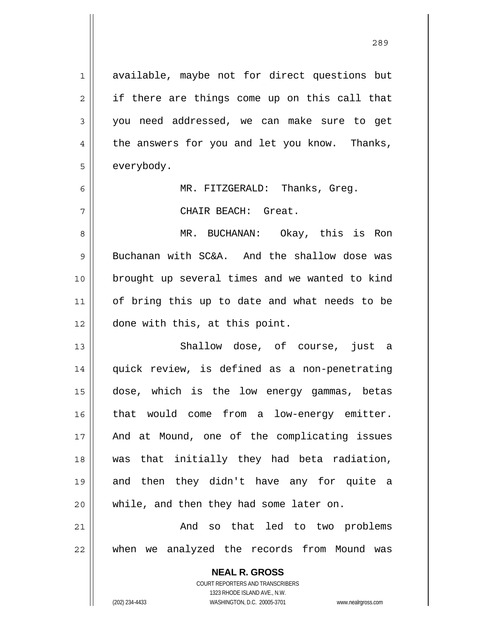1 2 3 4 5 6 7 8 9 10 11 12 13 14 15 16 17 18 19 20 21 22 available, maybe not for direct questions but if there are things come up on this call that you need addressed, we can make sure to get the answers for you and let you know. Thanks, everybody. MR. FITZGERALD: Thanks, Greg. CHAIR BEACH: Great. MR. BUCHANAN: Okay, this is Ron Buchanan with SC&A. And the shallow dose was brought up several times and we wanted to kind of bring this up to date and what needs to be done with this, at this point. Shallow dose, of course, just a quick review, is defined as a non-penetrating dose, which is the low energy gammas, betas that would come from a low-energy emitter. And at Mound, one of the complicating issues was that initially they had beta radiation, and then they didn't have any for quite a while, and then they had some later on. And so that led to two problems when we analyzed the records from Mound was

> COURT REPORTERS AND TRANSCRIBERS 1323 RHODE ISLAND AVE., N.W. (202) 234-4433 WASHINGTON, D.C. 20005-3701 www.nealrgross.com

**NEAL R. GROSS**

<u>289 and 289 and 289 and 289 and 289 and 289 and 289 and 289 and 289 and 289 and 289 and 289 and 289 and 289 and 289 and 289 and 289 and 289 and 289 and 289 and 289 and 289 and 289 and 289 and 289 and 289 and 289 and 289 a</u>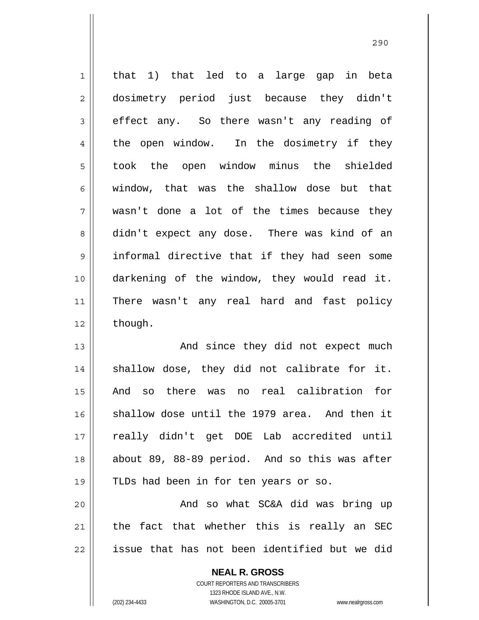1 2 3 4 5 6 7 8 9 10 11 12 that 1) that led to a large gap in beta dosimetry period just because they didn't effect any. So there wasn't any reading of the open window. In the dosimetry if they took the open window minus the shielded window, that was the shallow dose but that wasn't done a lot of the times because they didn't expect any dose. There was kind of an informal directive that if they had seen some darkening of the window, they would read it. There wasn't any real hard and fast policy though.

13 14 15 16 17 18 19 20 And since they did not expect much shallow dose, they did not calibrate for it. And so there was no real calibration for shallow dose until the 1979 area. And then it really didn't get DOE Lab accredited until about 89, 88-89 period. And so this was after TLDs had been in for ten years or so. And so what SC&A did was bring up

21 22 the fact that whether this is really an SEC issue that has not been identified but we did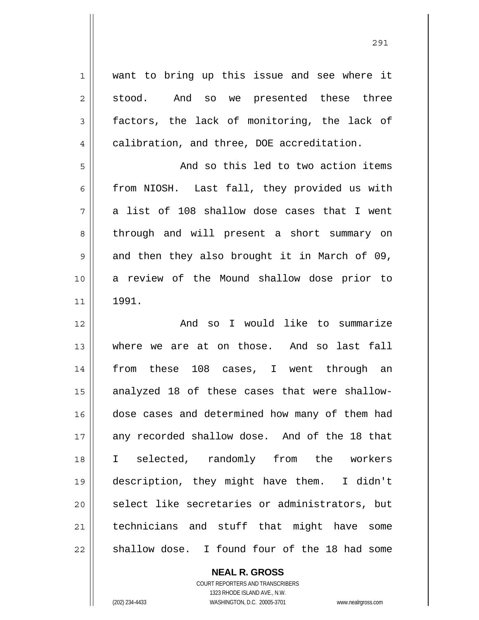1 2 3 4 5 6 7 8 9 10 11 12 13 14 15 16 17 18 19 20 21 22 want to bring up this issue and see where it stood. And so we presented these three factors, the lack of monitoring, the lack of calibration, and three, DOE accreditation. And so this led to two action items from NIOSH. Last fall, they provided us with a list of 108 shallow dose cases that I went through and will present a short summary on and then they also brought it in March of 09, a review of the Mound shallow dose prior to 1991. And so I would like to summarize where we are at on those. And so last fall from these 108 cases, I went through an analyzed 18 of these cases that were shallowdose cases and determined how many of them had any recorded shallow dose. And of the 18 that I selected, randomly from the workers description, they might have them. I didn't select like secretaries or administrators, but technicians and stuff that might have some shallow dose. I found four of the 18 had some

> **NEAL R. GROSS** COURT REPORTERS AND TRANSCRIBERS

1323 RHODE ISLAND AVE., N.W. (202) 234-4433 WASHINGTON, D.C. 20005-3701 www.nealrgross.com

<u>291</u>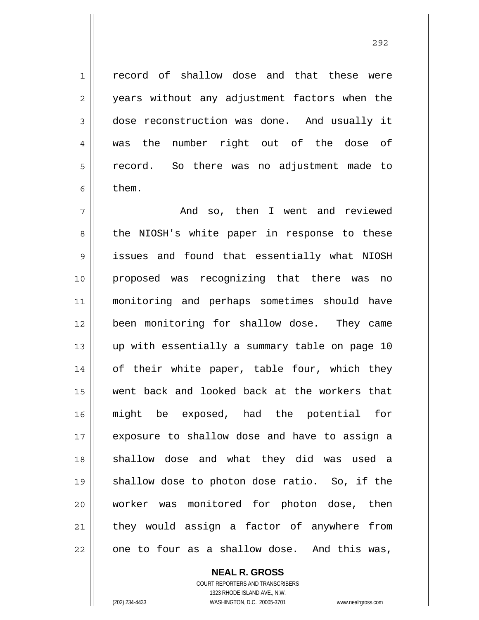record of shallow dose and that these were years without any adjustment factors when the dose reconstruction was done. And usually it was the number right out of the dose of record. So there was no adjustment made to them.

7 8 9 10 11 12 13 14 15 16 17 18 19 20 21 22 And so, then I went and reviewed the NIOSH's white paper in response to these issues and found that essentially what NIOSH proposed was recognizing that there was no monitoring and perhaps sometimes should have been monitoring for shallow dose. They came up with essentially a summary table on page 10 of their white paper, table four, which they went back and looked back at the workers that might be exposed, had the potential for exposure to shallow dose and have to assign a shallow dose and what they did was used a shallow dose to photon dose ratio. So, if the worker was monitored for photon dose, then they would assign a factor of anywhere from one to four as a shallow dose. And this was,

**NEAL R. GROSS**

COURT REPORTERS AND TRANSCRIBERS 1323 RHODE ISLAND AVE., N.W. (202) 234-4433 WASHINGTON, D.C. 20005-3701 www.nealrgross.com

1

2

3

4

5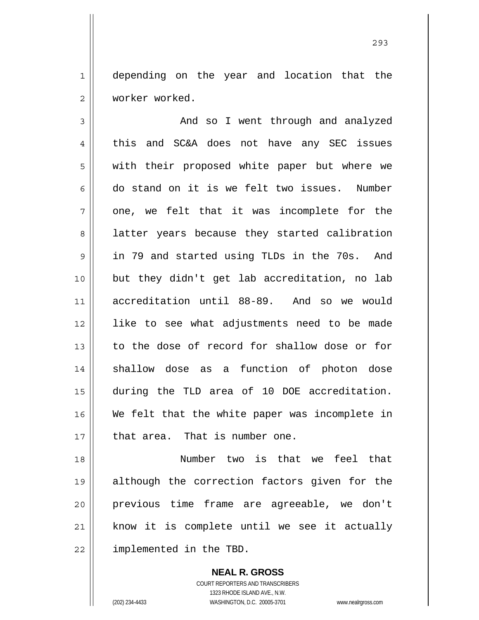1 2 depending on the year and location that the worker worked.

3 4 5 6 7 8 9 10 11 12 13 14 15 16 17 And so I went through and analyzed this and SC&A does not have any SEC issues with their proposed white paper but where we do stand on it is we felt two issues. Number one, we felt that it was incomplete for the latter years because they started calibration in 79 and started using TLDs in the 70s. And but they didn't get lab accreditation, no lab accreditation until 88-89. And so we would like to see what adjustments need to be made to the dose of record for shallow dose or for shallow dose as a function of photon dose during the TLD area of 10 DOE accreditation. We felt that the white paper was incomplete in that area. That is number one.

18 19 20 21 22 Number two is that we feel that although the correction factors given for the previous time frame are agreeable, we don't know it is complete until we see it actually implemented in the TBD.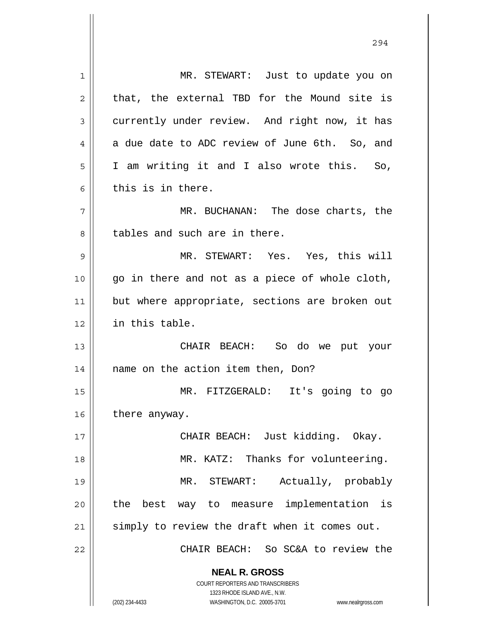**NEAL R. GROSS** COURT REPORTERS AND TRANSCRIBERS 1323 RHODE ISLAND AVE., N.W. (202) 234-4433 WASHINGTON, D.C. 20005-3701 www.nealrgross.com 1 2 3 4 5 6 7 8 9 10 11 12 13 14 15 16 17 18 19 20 21 22 MR. STEWART: Just to update you on that, the external TBD for the Mound site is currently under review. And right now, it has a due date to ADC review of June 6th. So, and I am writing it and I also wrote this. So, this is in there. MR. BUCHANAN: The dose charts, the tables and such are in there. MR. STEWART: Yes. Yes, this will go in there and not as a piece of whole cloth, but where appropriate, sections are broken out in this table. CHAIR BEACH: So do we put your name on the action item then, Don? MR. FITZGERALD: It's going to go there anyway. CHAIR BEACH: Just kidding. Okay. MR. KATZ: Thanks for volunteering. MR. STEWART: Actually, probably the best way to measure implementation is simply to review the draft when it comes out. CHAIR BEACH: So SC&A to review the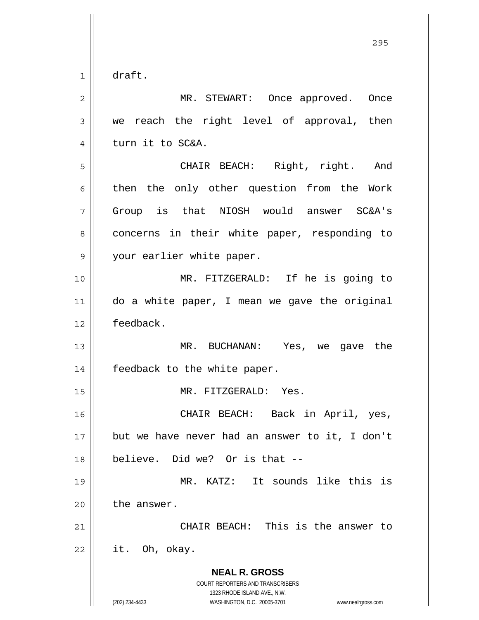1 draft.

| 2  | MR. STEWART: Once approved. Once                                                                                                                                |
|----|-----------------------------------------------------------------------------------------------------------------------------------------------------------------|
| 3  | we reach the right level of approval, then                                                                                                                      |
| 4  | turn it to SC&A.                                                                                                                                                |
| 5  | CHAIR BEACH: Right, right. And                                                                                                                                  |
| 6  | then the only other question from the Work                                                                                                                      |
| 7  | Group is that NIOSH would answer SC&A's                                                                                                                         |
| 8  | concerns in their white paper, responding to                                                                                                                    |
| 9  | your earlier white paper.                                                                                                                                       |
| 10 | MR. FITZGERALD: If he is going to                                                                                                                               |
| 11 | do a white paper, I mean we gave the original                                                                                                                   |
| 12 | feedback.                                                                                                                                                       |
| 13 | MR. BUCHANAN: Yes, we gave the                                                                                                                                  |
| 14 | feedback to the white paper.                                                                                                                                    |
| 15 | MR. FITZGERALD: Yes.                                                                                                                                            |
| 16 | CHAIR BEACH: Back in April, yes,                                                                                                                                |
| 17 | but we have never had an answer to it, I don't                                                                                                                  |
| 18 | believe. Did we? Or is that --                                                                                                                                  |
| 19 | MR. KATZ: It sounds like this is                                                                                                                                |
| 20 | the answer.                                                                                                                                                     |
| 21 | CHAIR BEACH: This is the answer to                                                                                                                              |
| 22 | it. Oh, okay.                                                                                                                                                   |
|    | <b>NEAL R. GROSS</b><br>COURT REPORTERS AND TRANSCRIBERS<br>1323 RHODE ISLAND AVE., N.W.<br>(202) 234-4433<br>WASHINGTON, D.C. 20005-3701<br>www.nealrgross.com |

<u>295</u>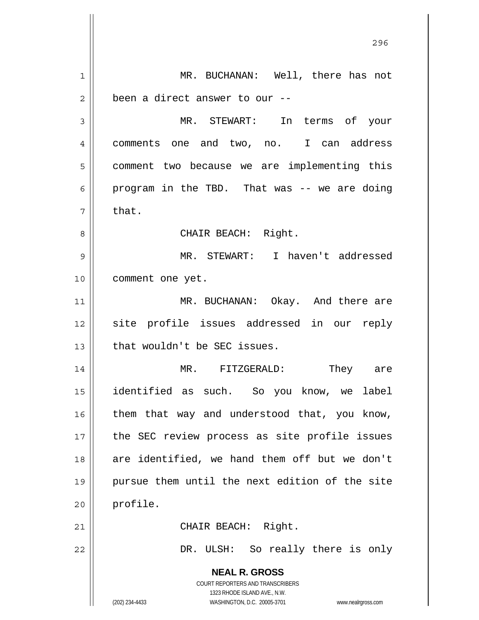**NEAL R. GROSS** COURT REPORTERS AND TRANSCRIBERS 1323 RHODE ISLAND AVE., N.W. (202) 234-4433 WASHINGTON, D.C. 20005-3701 www.nealrgross.com 1 2 3 4 5 6 7 8 9 10 11 12 13 14 15 16 17 18 19 20 21 22 MR. BUCHANAN: Well, there has not been a direct answer to our -- MR. STEWART: In terms of your comments one and two, no. I can address comment two because we are implementing this program in the TBD. That was -- we are doing that. CHAIR BEACH: Right. MR. STEWART: I haven't addressed comment one yet. MR. BUCHANAN: Okay. And there are site profile issues addressed in our reply that wouldn't be SEC issues. MR. FITZGERALD: They are identified as such. So you know, we label them that way and understood that, you know, the SEC review process as site profile issues are identified, we hand them off but we don't pursue them until the next edition of the site profile. CHAIR BEACH: Right. DR. ULSH: So really there is only

<u>296 - Andre Stein, Amerikaansk politiker (</u>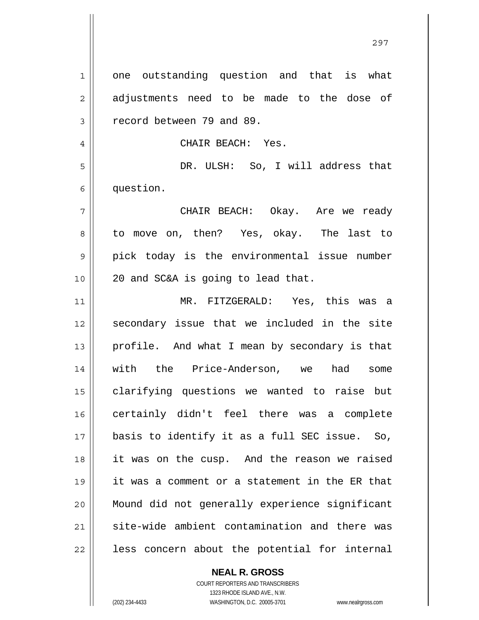1 2 3 4 5 6 7 8 9 10 11 12 13 14 15 16 17 18 19 20 21 22 one outstanding question and that is what adjustments need to be made to the dose of record between 79 and 89. CHAIR BEACH: Yes. DR. ULSH: So, I will address that question. CHAIR BEACH: Okay. Are we ready to move on, then? Yes, okay. The last to pick today is the environmental issue number 20 and SC&A is going to lead that. MR. FITZGERALD: Yes, this was a secondary issue that we included in the site profile. And what I mean by secondary is that with the Price-Anderson, we had some clarifying questions we wanted to raise but certainly didn't feel there was a complete basis to identify it as a full SEC issue. So, it was on the cusp. And the reason we raised it was a comment or a statement in the ER that Mound did not generally experience significant site-wide ambient contamination and there was less concern about the potential for internal

**NEAL R. GROSS**

COURT REPORTERS AND TRANSCRIBERS 1323 RHODE ISLAND AVE., N.W. (202) 234-4433 WASHINGTON, D.C. 20005-3701 www.nealrgross.com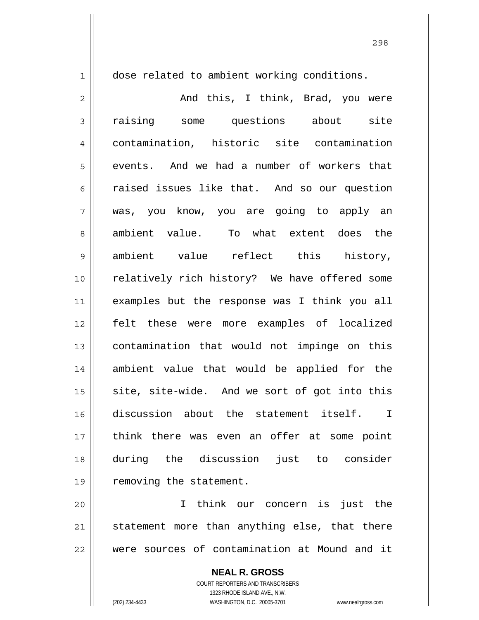1

dose related to ambient working conditions.

2 3 4 5 6 7 8 9 10 11 12 13 14 15 16 17 18 19 And this, I think, Brad, you were raising some questions about site contamination, historic site contamination events. And we had a number of workers that raised issues like that. And so our question was, you know, you are going to apply an ambient value. To what extent does the ambient value reflect this history, relatively rich history? We have offered some examples but the response was I think you all felt these were more examples of localized contamination that would not impinge on this ambient value that would be applied for the site, site-wide. And we sort of got into this discussion about the statement itself. I think there was even an offer at some point during the discussion just to consider removing the statement.

20 21 22 I think our concern is just the statement more than anything else, that there were sources of contamination at Mound and it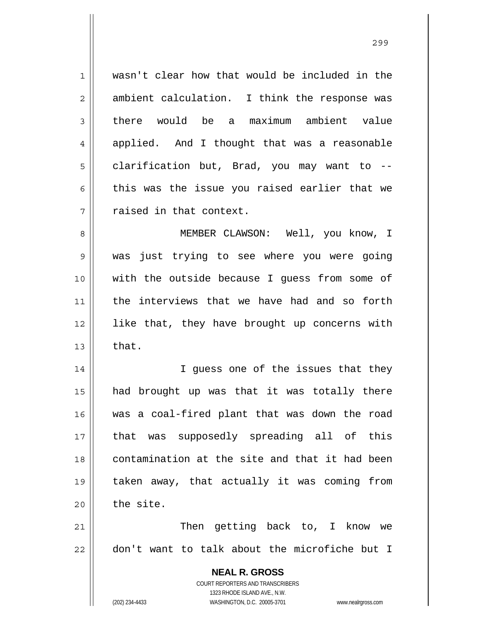1 2 3 4 5 6 7 8 9 10 11 12 13 14 wasn't clear how that would be included in the ambient calculation. I think the response was there would be a maximum ambient value applied. And I thought that was a reasonable clarification but, Brad, you may want to - this was the issue you raised earlier that we raised in that context. MEMBER CLAWSON: Well, you know, I was just trying to see where you were going with the outside because I guess from some of the interviews that we have had and so forth like that, they have brought up concerns with that. I guess one of the issues that they

15 16 17 18 19 20 had brought up was that it was totally there was a coal-fired plant that was down the road that was supposedly spreading all of this contamination at the site and that it had been taken away, that actually it was coming from the site.

21 22 Then getting back to, I know we don't want to talk about the microfiche but I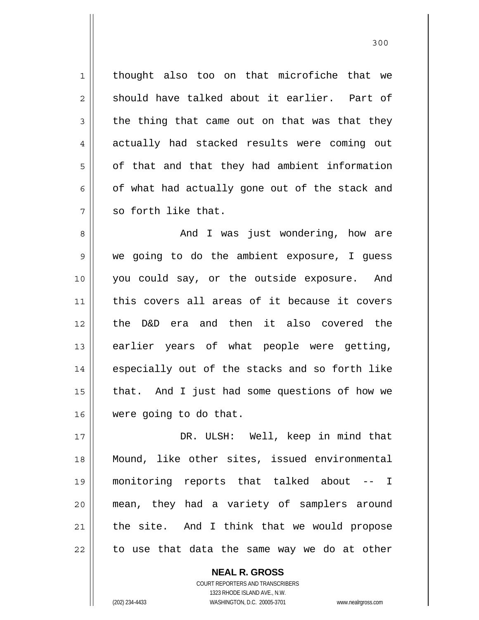1 2 3 4 5 6 7 thought also too on that microfiche that we should have talked about it earlier. Part of the thing that came out on that was that they actually had stacked results were coming out of that and that they had ambient information of what had actually gone out of the stack and so forth like that.

8 9 10 11 12 13 14 15 16 And I was just wondering, how are we going to do the ambient exposure, I guess you could say, or the outside exposure. And this covers all areas of it because it covers the D&D era and then it also covered the earlier years of what people were getting, especially out of the stacks and so forth like that. And I just had some questions of how we were going to do that.

17 18 19 20 21 22 DR. ULSH: Well, keep in mind that Mound, like other sites, issued environmental monitoring reports that talked about -- I mean, they had a variety of samplers around the site. And I think that we would propose to use that data the same way we do at other

> COURT REPORTERS AND TRANSCRIBERS 1323 RHODE ISLAND AVE., N.W. (202) 234-4433 WASHINGTON, D.C. 20005-3701 www.nealrgross.com

**NEAL R. GROSS**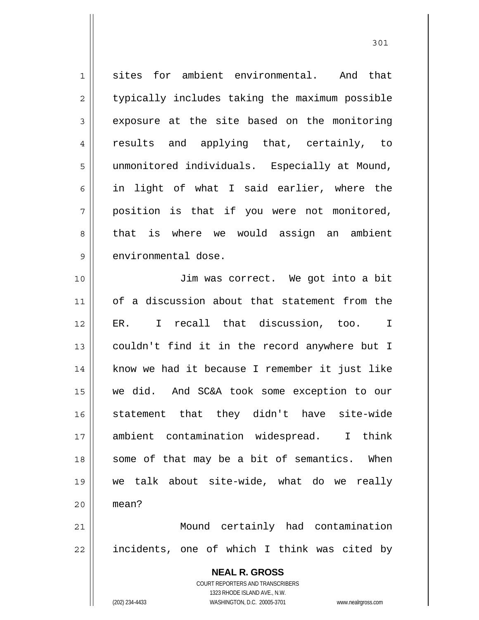1 2 3 4 5 6 7 8 9 sites for ambient environmental. And that typically includes taking the maximum possible exposure at the site based on the monitoring results and applying that, certainly, to unmonitored individuals. Especially at Mound, in light of what I said earlier, where the position is that if you were not monitored, that is where we would assign an ambient environmental dose.

10 11 12 13 14 15 16 17 18 19 20 21 Jim was correct. We got into a bit of a discussion about that statement from the ER. I recall that discussion, too. I couldn't find it in the record anywhere but I know we had it because I remember it just like we did. And SC&A took some exception to our statement that they didn't have site-wide ambient contamination widespread. I think some of that may be a bit of semantics. When we talk about site-wide, what do we really mean? Mound certainly had contamination

22 incidents, one of which I think was cited by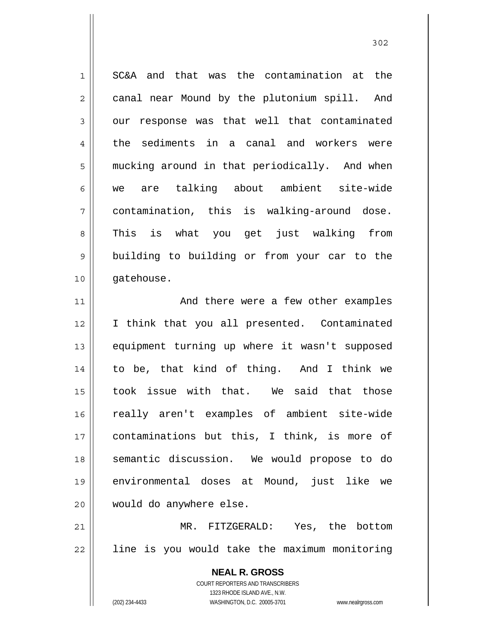1 2 3 4 5 6 7 8 9 10 SC&A and that was the contamination at the canal near Mound by the plutonium spill. And our response was that well that contaminated the sediments in a canal and workers were mucking around in that periodically. And when we are talking about ambient site-wide contamination, this is walking-around dose. This is what you get just walking from building to building or from your car to the gatehouse.

11 12 13 14 15 16 17 18 19 20 And there were a few other examples I think that you all presented. Contaminated equipment turning up where it wasn't supposed to be, that kind of thing. And I think we took issue with that. We said that those really aren't examples of ambient site-wide contaminations but this, I think, is more of semantic discussion. We would propose to do environmental doses at Mound, just like we would do anywhere else.

21 22 MR. FITZGERALD: Yes, the bottom line is you would take the maximum monitoring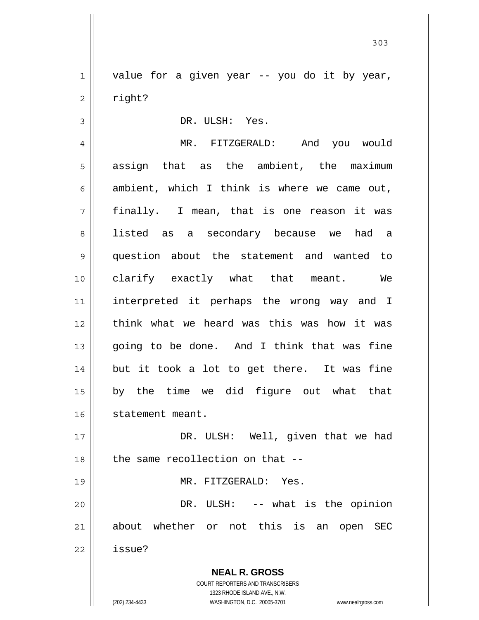1 2 value for a given year -- you do it by year, right?

DR. ULSH: Yes.

3

4 5 6 7 8 9 10 11 12 13 14 15 16 17 MR. FITZGERALD: And you would assign that as the ambient, the maximum ambient, which I think is where we came out, finally. I mean, that is one reason it was listed as a secondary because we had a question about the statement and wanted to clarify exactly what that meant. We interpreted it perhaps the wrong way and I think what we heard was this was how it was going to be done. And I think that was fine but it took a lot to get there. It was fine by the time we did figure out what that statement meant. DR. ULSH: Well, given that we had

18 19 the same recollection on that -- MR. FITZGERALD: Yes.

20 21 22 DR. ULSH: -- what is the opinion about whether or not this is an open SEC issue?

> **NEAL R. GROSS** COURT REPORTERS AND TRANSCRIBERS 1323 RHODE ISLAND AVE., N.W.

(202) 234-4433 WASHINGTON, D.C. 20005-3701 www.nealrgross.com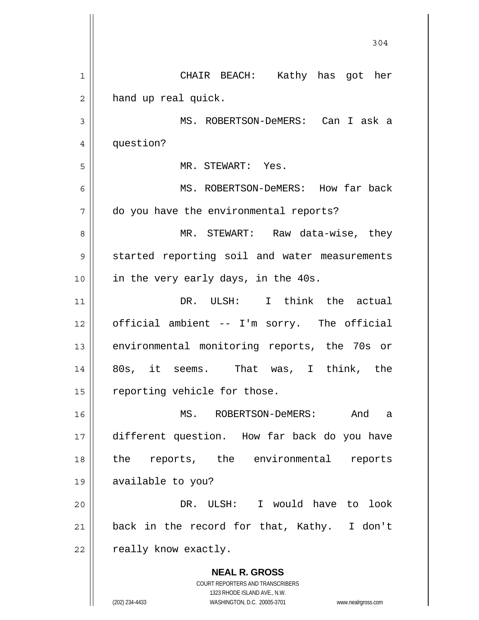| $\mathbf 1$<br>CHAIR BEACH: Kathy has got her<br>hand up real quick.<br>2<br>MS. ROBERTSON-DeMERS: Can I ask a<br>3<br>question?<br>4<br>5<br>MR. STEWART: Yes.<br>6<br>MS. ROBERTSON-DeMERS: How far back |         |
|------------------------------------------------------------------------------------------------------------------------------------------------------------------------------------------------------------|---------|
|                                                                                                                                                                                                            |         |
|                                                                                                                                                                                                            |         |
|                                                                                                                                                                                                            |         |
|                                                                                                                                                                                                            |         |
|                                                                                                                                                                                                            |         |
|                                                                                                                                                                                                            |         |
| do you have the environmental reports?<br>7                                                                                                                                                                |         |
| MR. STEWART: Raw data-wise, they<br>8                                                                                                                                                                      |         |
| started reporting soil and water measurements<br>9                                                                                                                                                         |         |
| in the very early days, in the 40s.<br>10                                                                                                                                                                  |         |
| DR. ULSH: I think the actual<br>11                                                                                                                                                                         |         |
| official ambient -- I'm sorry. The official<br>12                                                                                                                                                          |         |
| environmental monitoring reports, the 70s or<br>13                                                                                                                                                         |         |
| 80s, it seems. That was, I think, the<br>14                                                                                                                                                                |         |
| reporting vehicle for those.<br>15                                                                                                                                                                         |         |
| MS. ROBERTSON-DeMERS:<br>16                                                                                                                                                                                | And a   |
| different question. How far back do you have<br>17                                                                                                                                                         |         |
| the reports, the environmental<br>18                                                                                                                                                                       | reports |
| 19<br>available to you?                                                                                                                                                                                    |         |
| DR. ULSH: I would have to<br>20                                                                                                                                                                            | look    |
| back in the record for that, Kathy. I don't<br>21                                                                                                                                                          |         |
| really know exactly.<br>22                                                                                                                                                                                 |         |
| <b>NEAL R. GROSS</b><br>COURT REPORTERS AND TRANSCRIBERS                                                                                                                                                   |         |
| 1323 RHODE ISLAND AVE., N.W.<br>(202) 234-4433<br>WASHINGTON, D.C. 20005-3701<br>www.nealrgross.com                                                                                                        |         |

 $\mathsf{l}$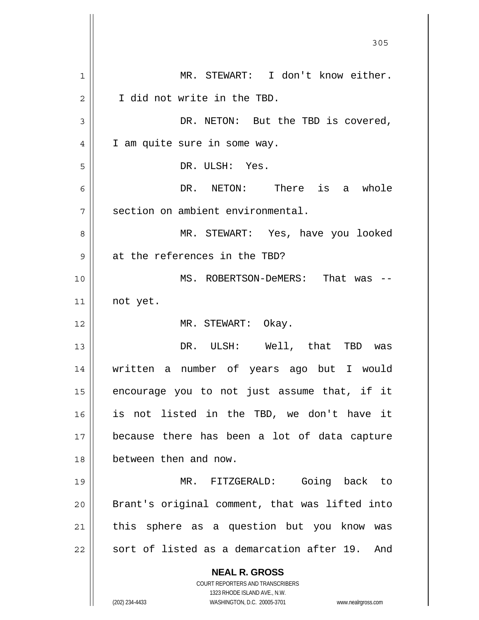|    | 305                                                                 |
|----|---------------------------------------------------------------------|
| 1  | MR. STEWART: I don't know either.                                   |
| 2  | I did not write in the TBD.                                         |
| 3  | DR. NETON: But the TBD is covered,                                  |
| 4  | I am quite sure in some way.                                        |
| 5  | DR. ULSH: Yes.                                                      |
| 6  | DR. NETON: There is a whole                                         |
| 7  | section on ambient environmental.                                   |
| 8  | MR. STEWART: Yes, have you looked                                   |
| 9  | at the references in the TBD?                                       |
| 10 | MS. ROBERTSON-DeMERS: That was                                      |
| 11 | not yet.                                                            |
| 12 | MR. STEWART: Okay.                                                  |
| 13 | DR. ULSH: Well, that TBD was                                        |
| 14 | written a number of years ago but I would                           |
| 15 | encourage you to not just assume that, if it                        |
| 16 | is not listed in the TBD, we don't have it                          |
| 17 | because there has been a lot of data capture                        |
| 18 | between then and now.                                               |
| 19 | Going back to<br>MR. FITZGERALD:                                    |
| 20 | Brant's original comment, that was lifted into                      |
| 21 | this sphere as a question but you know was                          |
| 22 | sort of listed as a demarcation after 19.<br>And                    |
|    | <b>NEAL R. GROSS</b>                                                |
|    | COURT REPORTERS AND TRANSCRIBERS<br>1323 RHODE ISLAND AVE., N.W.    |
|    | (202) 234-4433<br>WASHINGTON, D.C. 20005-3701<br>www.nealrgross.com |

 $\mathsf{I}$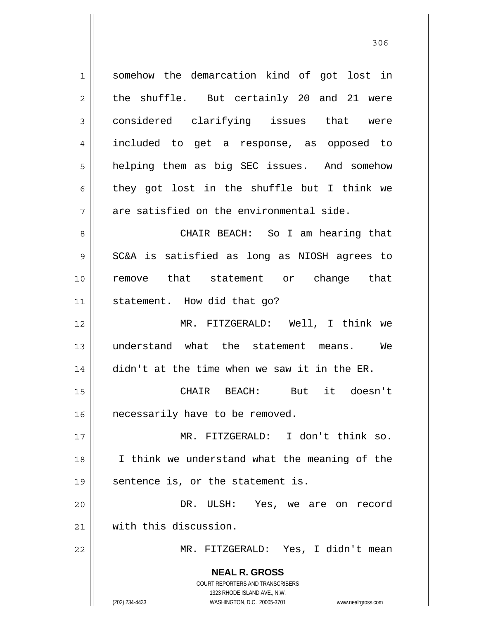**NEAL R. GROSS** COURT REPORTERS AND TRANSCRIBERS 1323 RHODE ISLAND AVE., N.W. (202) 234-4433 WASHINGTON, D.C. 20005-3701 www.nealrgross.com 1 2 3 4 5 6 7 8 9 10 11 12 13 14 15 16 17 18 19 20 21 22 somehow the demarcation kind of got lost in the shuffle. But certainly 20 and 21 were considered clarifying issues that were included to get a response, as opposed to helping them as big SEC issues. And somehow they got lost in the shuffle but I think we are satisfied on the environmental side. CHAIR BEACH: So I am hearing that SC&A is satisfied as long as NIOSH agrees to remove that statement or change that statement. How did that go? MR. FITZGERALD: Well, I think we understand what the statement means. We didn't at the time when we saw it in the ER. CHAIR BEACH: But it doesn't necessarily have to be removed. MR. FITZGERALD: I don't think so. I think we understand what the meaning of the sentence is, or the statement is. DR. ULSH: Yes, we are on record with this discussion. MR. FITZGERALD: Yes, I didn't mean

<u>306</u>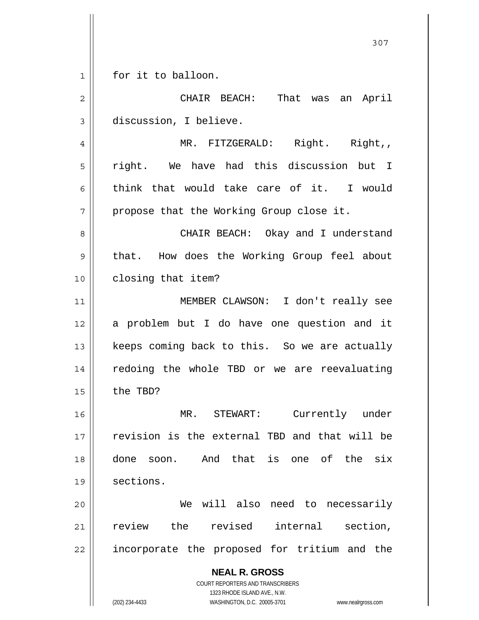$\begin{array}{c|c|c|c|c} 1 & 1 \\ \hline \end{array}$ for it to balloon.

| $\overline{2}$ | CHAIR BEACH: That was an April                                                                                                                                  |
|----------------|-----------------------------------------------------------------------------------------------------------------------------------------------------------------|
| 3              | discussion, I believe.                                                                                                                                          |
| $\overline{4}$ | MR. FITZGERALD: Right. Right,,                                                                                                                                  |
| 5              | right. We have had this discussion but I                                                                                                                        |
| 6              | think that would take care of it. I would                                                                                                                       |
| 7              | propose that the Working Group close it.                                                                                                                        |
| 8              | CHAIR BEACH: Okay and I understand                                                                                                                              |
| 9              | that. How does the Working Group feel about                                                                                                                     |
| 10             | closing that item?                                                                                                                                              |
| 11             | MEMBER CLAWSON: I don't really see                                                                                                                              |
| 12             | a problem but I do have one question and it                                                                                                                     |
| 13             | keeps coming back to this. So we are actually                                                                                                                   |
| 14             | redoing the whole TBD or we are reevaluating                                                                                                                    |
| 15             | the TBD?                                                                                                                                                        |
| 16             | MR. STEWART: Currently under                                                                                                                                    |
| 17             | revision is the external TBD and that will be                                                                                                                   |
| 18             | And that is one of the<br>six<br>done<br>soon.                                                                                                                  |
| 19             | sections.                                                                                                                                                       |
| 20             | will also need to necessarily<br>We                                                                                                                             |
| 21             | review the revised internal section,                                                                                                                            |
| 22             | incorporate the proposed for tritium and the                                                                                                                    |
|                | <b>NEAL R. GROSS</b><br>COURT REPORTERS AND TRANSCRIBERS<br>1323 RHODE ISLAND AVE., N.W.<br>(202) 234-4433<br>WASHINGTON, D.C. 20005-3701<br>www.nealrgross.com |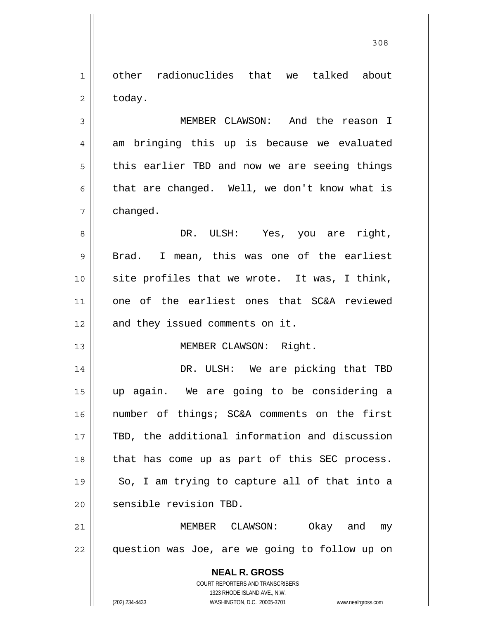1 2 other radionuclides that we talked about today.

3 4 5 6 7 MEMBER CLAWSON: And the reason I am bringing this up is because we evaluated this earlier TBD and now we are seeing things that are changed. Well, we don't know what is changed.

8 9 10 11 12 DR. ULSH: Yes, you are right, Brad. I mean, this was one of the earliest site profiles that we wrote. It was, I think, one of the earliest ones that SC&A reviewed and they issued comments on it.

MEMBER CLAWSON: Right.

14 15 16 17 18 19 20 DR. ULSH: We are picking that TBD up again. We are going to be considering a number of things; SC&A comments on the first TBD, the additional information and discussion that has come up as part of this SEC process. So, I am trying to capture all of that into a sensible revision TBD.

21 22 MEMBER CLAWSON: Okay and my question was Joe, are we going to follow up on

> **NEAL R. GROSS** COURT REPORTERS AND TRANSCRIBERS 1323 RHODE ISLAND AVE., N.W. (202) 234-4433 WASHINGTON, D.C. 20005-3701 www.nealrgross.com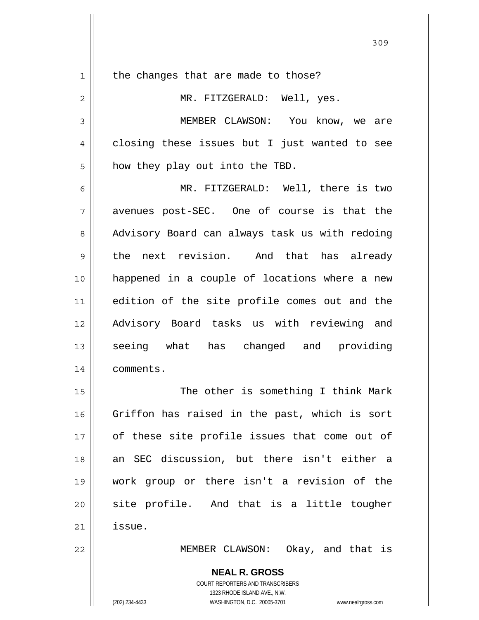1 2 3 4 5 6 7 8 9 10 11 12 13 14 15 16 17 18 19 20 21 the changes that are made to those? MR. FITZGERALD: Well, yes. MEMBER CLAWSON: You know, we are closing these issues but I just wanted to see how they play out into the TBD. MR. FITZGERALD: Well, there is two avenues post-SEC. One of course is that the Advisory Board can always task us with redoing the next revision. And that has already happened in a couple of locations where a new edition of the site profile comes out and the Advisory Board tasks us with reviewing and seeing what has changed and providing comments. The other is something I think Mark Griffon has raised in the past, which is sort of these site profile issues that come out of an SEC discussion, but there isn't either a work group or there isn't a revision of the site profile. And that is a little tougher issue.

<u>309</u>

MEMBER CLAWSON: Okay, and that is

**NEAL R. GROSS** COURT REPORTERS AND TRANSCRIBERS 1323 RHODE ISLAND AVE., N.W. (202) 234-4433 WASHINGTON, D.C. 20005-3701 www.nealrgross.com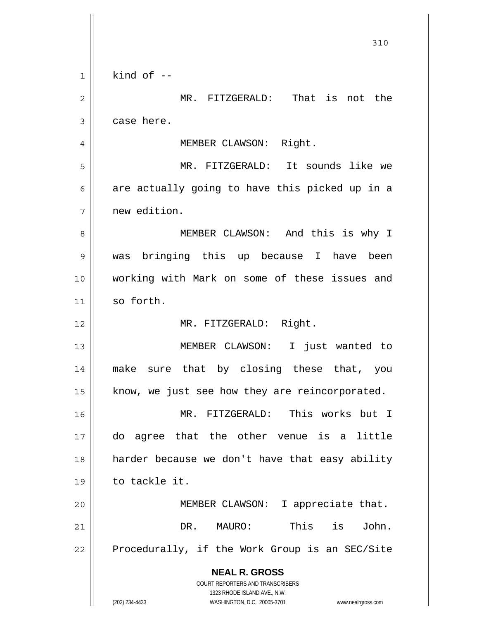**NEAL R. GROSS** COURT REPORTERS AND TRANSCRIBERS 1323 RHODE ISLAND AVE., N.W. (202) 234-4433 WASHINGTON, D.C. 20005-3701 www.nealrgross.com 310 1 2 3 4 5 6 7 8 9 10 11 12 13 14 15 16 17 18 19 20 21 22 kind of  $-$  MR. FITZGERALD: That is not the case here. MEMBER CLAWSON: Right. MR. FITZGERALD: It sounds like we are actually going to have this picked up in a new edition. MEMBER CLAWSON: And this is why I was bringing this up because I have been working with Mark on some of these issues and so forth. MR. FITZGERALD: Right. MEMBER CLAWSON: I just wanted to make sure that by closing these that, you know, we just see how they are reincorporated. MR. FITZGERALD: This works but I do agree that the other venue is a little harder because we don't have that easy ability to tackle it. MEMBER CLAWSON: I appreciate that. DR. MAURO: This is John. Procedurally, if the Work Group is an SEC/Site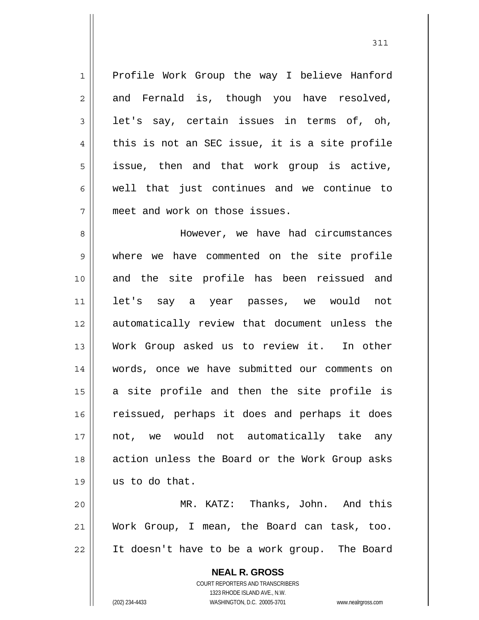1 2 3 4 5 6 7 Profile Work Group the way I believe Hanford and Fernald is, though you have resolved, let's say, certain issues in terms of, oh, this is not an SEC issue, it is a site profile issue, then and that work group is active, well that just continues and we continue to meet and work on those issues.

311

8 9 10 11 12 13 14 15 16 17 18 19 However, we have had circumstances where we have commented on the site profile and the site profile has been reissued and let's say a year passes, we would not automatically review that document unless the Work Group asked us to review it. In other words, once we have submitted our comments on a site profile and then the site profile is reissued, perhaps it does and perhaps it does not, we would not automatically take any action unless the Board or the Work Group asks us to do that.

20 21 22 MR. KATZ: Thanks, John. And this Work Group, I mean, the Board can task, too. It doesn't have to be a work group. The Board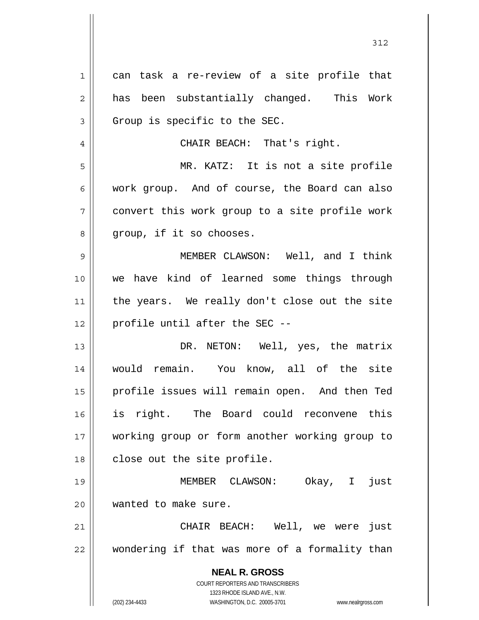**NEAL R. GROSS** COURT REPORTERS AND TRANSCRIBERS 1323 RHODE ISLAND AVE., N.W. (202) 234-4433 WASHINGTON, D.C. 20005-3701 www.nealrgross.com 1 2 3 4 5 6 7 8 9 10 11 12 13 14 15 16 17 18 19 20 21 22 can task a re-review of a site profile that has been substantially changed. This Work Group is specific to the SEC. CHAIR BEACH: That's right. MR. KATZ: It is not a site profile work group. And of course, the Board can also convert this work group to a site profile work group, if it so chooses. MEMBER CLAWSON: Well, and I think we have kind of learned some things through the years. We really don't close out the site profile until after the SEC -- DR. NETON: Well, yes, the matrix would remain. You know, all of the site profile issues will remain open. And then Ted is right. The Board could reconvene this working group or form another working group to close out the site profile. MEMBER CLAWSON: Okay, I just wanted to make sure. CHAIR BEACH: Well, we were just wondering if that was more of a formality than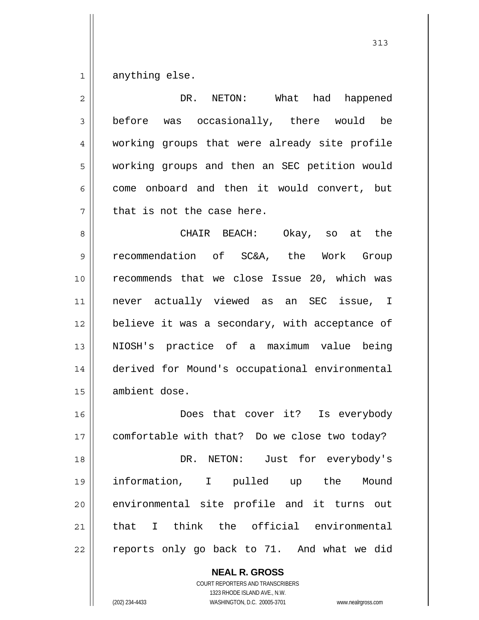1 anything else.

2 3 4 5 6 7 8 9 10 11 12 13 14 15 16 17 18 19 20 21 DR. NETON: What had happened before was occasionally, there would be working groups that were already site profile working groups and then an SEC petition would come onboard and then it would convert, but that is not the case here. CHAIR BEACH: Okay, so at the recommendation of SC&A, the Work Group recommends that we close Issue 20, which was never actually viewed as an SEC issue, I believe it was a secondary, with acceptance of NIOSH's practice of a maximum value being derived for Mound's occupational environmental ambient dose. Does that cover it? Is everybody comfortable with that? Do we close two today? DR. NETON: Just for everybody's information, I pulled up the Mound environmental site profile and it turns out that I think the official environmental

22

## **NEAL R. GROSS**

reports only go back to 71. And what we did

COURT REPORTERS AND TRANSCRIBERS 1323 RHODE ISLAND AVE., N.W. (202) 234-4433 WASHINGTON, D.C. 20005-3701 www.nealrgross.com